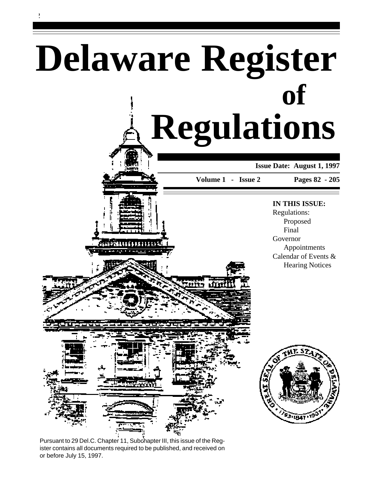# **Delaware Register Regulations of**

### **Issue Date: August 1, 1997**

**Volume 1 - Issue 2**

 **Pages 82 - 205**

### **IN THIS ISSUE:**

Regulations: Proposed Final Governor Appointments Calendar of Events & Hearing Notices



1888

Pursuant to 29 Del.C. Chapter 11, Subchapter III, this issue of the Register contains all documents required to be published, and received on or before July 15, 1997.

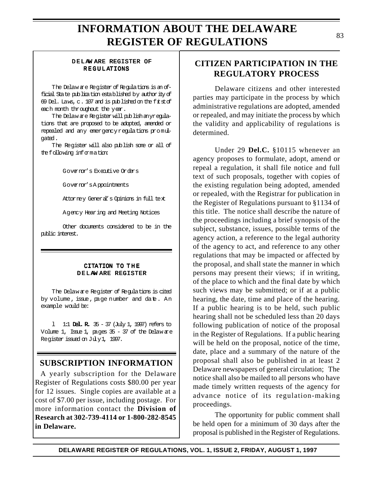# **INFORMATION ABOUT THE DELAWARE REGISTER OF REGULATIONS**

#### DELAW ARE REGISTER OF REGULATIONS

The Delaw are Register of Regulations is an official State publication established by authority of 69 Del. Laws, c. 107 and is published on the firstof each month throughout the year.

The Delaw are Register will publish anyregulations that are proposed to be adopted, amended or repealed and any emergency regulations promulgated.

The Register will also publish some or all of the following information:

Governor's Executive Orders

Governor's A ppointments

Attorney General's Opinions in full text

Agency Hearing and Meeting Notices

Other documents considered to be in the public interest.

#### CITATION TO THE DELAW ARE REGISTER

The Delaw are Register of Regulations is cited by volume, issue, page number and date. An example would be:

l 1:1 Del. R. 35 - 37 (July 1, 1997) refers to Volume 1, Issue 1, pages  $35 - 37$  of the Delaw are Register issued on July 1, 1997.

### **SUBSCRIPTION INFORMATION**

A yearly subscription for the Delaware Register of Regulations costs \$80.00 per year for 12 issues. Single copies are available at a cost of \$7.00 per issue, including postage. For more information contact the **Division of Research at 302-739-4114 or 1-800-282-8545 in Delaware.**

### **CITIZEN PARTICIPATION IN THE REGULATORY PROCESS**

Delaware citizens and other interested parties may participate in the process by which administrative regulations are adopted, amended or repealed, and may initiate the process by which the validity and applicability of regulations is determined.

Under 29 **Del.C.** §10115 whenever an agency proposes to formulate, adopt, amend or repeal a regulation, it shall file notice and full text of such proposals, together with copies of the existing regulation being adopted, amended or repealed, with the Registrar for publication in the Register of Regulations pursuant to §1134 of this title. The notice shall describe the nature of the proceedings including a brief synopsis of the subject, substance, issues, possible terms of the agency action, a reference to the legal authority of the agency to act, and reference to any other regulations that may be impacted or affected by the proposal, and shall state the manner in which persons may present their views; if in writing, of the place to which and the final date by which such views may be submitted; or if at a public hearing, the date, time and place of the hearing. If a public hearing is to be held, such public hearing shall not be scheduled less than 20 days following publication of notice of the proposal in the Register of Regulations. If a public hearing will be held on the proposal, notice of the time, date, place and a summary of the nature of the proposal shall also be published in at least 2 Delaware newspapers of general circulation; The notice shall also be mailed to all persons who have made timely written requests of the agency for advance notice of its regulation-making proceedings.

The opportunity for public comment shall be held open for a minimum of 30 days after the proposal is published in the Register of Regulations.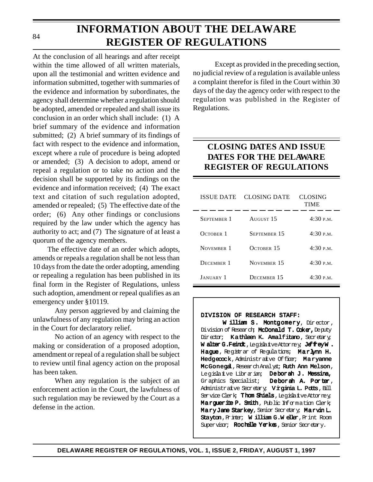### 84

# **INFORMATION ABOUT THE DELAWARE REGISTER OF REGULATIONS**

At the conclusion of all hearings and after receipt within the time allowed of all written materials. upon all the testimonial and written evidence and information submitted, together with summaries of the evidence and information by subordinates, the agency shall determine whether a regulation should be adopted, amended or repealed and shall issue its conclusion in an order which shall include: (1) A brief summary of the evidence and information submitted; (2) A brief summary of its findings of fact with respect to the evidence and information, except where a rule of procedure is being adopted or amended; (3) A decision to adopt, amend or repeal a regulation or to take no action and the decision shall be supported by its findings on the evidence and information received; (4) The exact text and citation of such regulation adopted, amended or repealed; (5) The effective date of the order; (6) Any other findings or conclusions required by the law under which the agency has authority to act; and (7) The signature of at least a quorum of the agency members.

The effective date of an order which adopts, amends or repeals a regulation shall be not less than 10 days from the date the order adopting, amending or repealing a regulation has been published in its final form in the Register of Regulations, unless such adoption, amendment or repeal qualifies as an emergency under §10119.

Any person aggrieved by and claiming the unlawfulness of any regulation may bring an action in the Court for declaratory relief.

No action of an agency with respect to the making or consideration of a proposed adoption, amendment or repeal of a regulation shall be subject to review until final agency action on the proposal has been taken.

When any regulation is the subject of an enforcement action in the Court, the lawfulness of such regulation may be reviewed by the Court as a defense in the action.

Except as provided in the preceding section, no judicial review of a regulation is available unless a complaint therefor is filed in the Court within 30 days of the day the agency order with respect to the regulation was published in the Register of Regulations.

### **CLOSING DATES AND ISSUE DATES FOR THE DELAWARE REGISTER OF REGULATIONS**

| <b>ISSUE DATE</b>  | CLOSING DATE       | CLOSING<br><b>TIME</b> |
|--------------------|--------------------|------------------------|
| <b>SEPTEMBER 1</b> | AUGUST 15          | 4:30 P.M.              |
| OCTOBER 1          | SEPTEMBER 15       | 4:30 P.M.              |
| NOVEMBER 1         | OCTOBER 15         | 4:30 P.M.              |
| DECEMBER 1         | NOVEMBER 15        | 4:30 P.M.              |
| <b>JANUARY</b> 1   | <b>DECEMBER 15</b> | 4:30P.M.               |

#### DIVISION OF RESEARCH STAFF:

W illiam S. Montgomery, Director, Division of Research; McDonald T. Coker, Deputy Director; Kathleen K. Amalfitano, Secretary; W alter G.Feindt, Legislatve Attorney; JeffreyW. Hague, Registrar of Regulations; Marlynn H. Hedgecock, Administrative Officer; Maryanne McGonegal, Research Analyst; Ruth Ann Melson, Legislative Librarian; Deborah J. Messina, Graphics Specialist; Deborah A. Porter, Administrative Secretary; Virginia L. Potts, Bill Service Clerk; Thom Shiels, Legislative Attorney; Marquerite P. Smith, Public Information Clerk; Mary Jane Starkey, Senior Secretary; Marvin L. Stayton, Printer; William G.Weller, Print Room Supervisor; Rochelle Yerkes, Senior Secretary.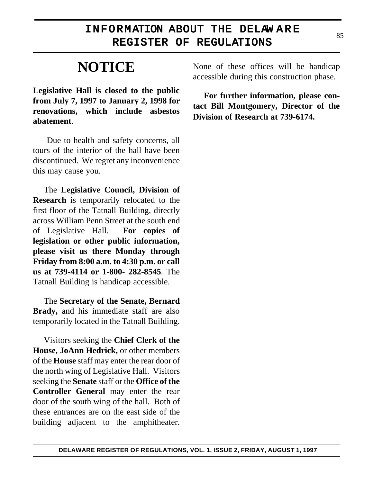# INFORMATION ABOUT THE DELAW ARE REGISTER OF REGULATIONS

# **NOTICE**

**Legislative Hall is closed to the public from July 7, 1997 to January 2, 1998 for renovations, which include asbestos abatement**.

 Due to health and safety concerns, all tours of the interior of the hall have been discontinued. We regret any inconvenience this may cause you.

The **Legislative Council, Division of Research** is temporarily relocated to the first floor of the Tatnall Building, directly across William Penn Street at the south end of Legislative Hall. **For copies of legislation or other public information, please visit us there Monday through Friday from 8:00 a.m. to 4:30 p.m. or call us at 739-4114 or 1-800- 282-8545**. The Tatnall Building is handicap accessible.

The **Secretary of the Senate, Bernard Brady,** and his immediate staff are also temporarily located in the Tatnall Building.

Visitors seeking the **Chief Clerk of the House, JoAnn Hedrick,** or other members of the **House** staff may enter the rear door of the north wing of Legislative Hall. Visitors seeking the **Senate** staff or the **Office of the Controller General** may enter the rear door of the south wing of the hall. Both of these entrances are on the east side of the building adjacent to the amphitheater.

None of these offices will be handicap accessible during this construction phase.

**For further information, please contact Bill Montgomery, Director of the Division of Research at 739-6174.**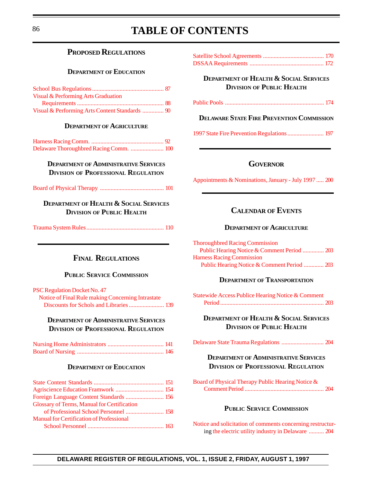# <span id="page-4-0"></span><sup>86</sup> **TABLE OF CONTENTS**

### **PROPOSED REGULATIONS**

### **DEPARTMENT OF EDUCATION**

| Visual & Performing Arts Graduation            |  |
|------------------------------------------------|--|
|                                                |  |
| Visual & Performing Arts Content Standards  90 |  |

#### **DEPARTMENT OF AGRICULTURE**

### **DEPARTMENT OF ADMINISTRATIVE SERVICES DIVISION OF PROFESSIONAL REGULATION**

[Board of Physical Therapy](#page-19-0) .......................................... 101

### **DEPARTMENT OF HEALTH & SOCIAL SERVICES DIVISION OF PUBLIC HEALTH**

[Trauma System Rules...................................................](#page-28-0) 110

### **FINAL REGULATIONS**

#### **PUBLIC SERVICE COMMISSION**

| PSC Regulation Docket No. 47                      |  |
|---------------------------------------------------|--|
| Notice of Final Rule making Concerning Intrastate |  |
|                                                   |  |

#### **DEPARTMENT OF ADMINISTRATIVE SERVICES DIVISION OF PROFESSIONAL REGULATION**

#### **DEPARTMENT OF EDUCATION**

| Foreign Language Content Standards  156         |  |
|-------------------------------------------------|--|
| Glossary of Terms, Manual for Certification     |  |
|                                                 |  |
| <b>Manual for Certification of Professional</b> |  |
|                                                 |  |

**DEPARTMENT OF HEALTH & SOCIAL SERVICES DIVISION OF PUBLIC HEALTH**

- Public Pools [.................................................................](#page-92-0) 174
	- **DELAWARE STATE FIRE PREVENTION COMMISSION**

[1997 State Fire Prevention Regulations........................](#page-115-0) 197

### **GOVERNOR**

[Appointments & Nominations, January - July 1997](#page-118-0) ..... 200

### **CALENDAR OF EVENTS**

#### **DEPARTMENT OF AGRICULTURE**

| <b>Thoroughbred Racing Commission</b>       |  |
|---------------------------------------------|--|
|                                             |  |
| <b>Harness Racing Commission</b>            |  |
| Public Hearing Notice & Comment Period  203 |  |

#### **DEPARTMENT OF TRANSPORTATION**

[Statewide Access Publice Hearing Notice & Comment](#page-121-0) Period .................................................................... 203

### **DEPARTMENT OF HEALTH & SOCIAL SERVICES DIVISION OF PUBLIC HEALTH**

#### [Delaware State Trauma Regulations](#page-122-0) ............................ 204

### **DEPARTMENT OF ADMINISTRATIVE SERVICES DIVISION OF PROFESSIONAL REGULATION**

[Board of Physical Therapy Public Hearing Notice &](#page-122-0) Comment Period .................................................... 204

#### **PUBLIC SERVICE COMMISSION**

[Notice and solicitation of comments concerning restructur](#page-122-0)ing the electric utility industry in Delaware .......... 204

### **DELAWARE REGISTER OF REGULATIONS, VOL. 1, ISSUE 2, FRIDAY, AUGUST 1, 1997**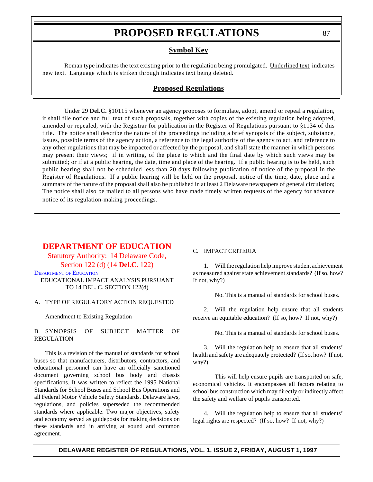#### **Symbol Key**

<span id="page-5-0"></span>[Roman type indicates the text existing prior to the regulation being promulgated. Underlined text indicates](#page-4-0) new text. Language which is striken through indicates text being deleted.

#### **Proposed Regulations**

Under 29 **Del.C.** §10115 whenever an agency proposes to formulate, adopt, amend or repeal a regulation, it shall file notice and full text of such proposals, together with copies of the existing regulation being adopted, amended or repealed, with the Registrar for publication in the Register of Regulations pursuant to §1134 of this title. The notice shall describe the nature of the proceedings including a brief synopsis of the subject, substance, issues, possible terms of the agency action, a reference to the legal authority of the agency to act, and reference to any other regulations that may be impacted or affected by the proposal, and shall state the manner in which persons may present their views; if in writing, of the place to which and the final date by which such views may be submitted; or if at a public hearing, the date, time and place of the hearing. If a public hearing is to be held, such public hearing shall not be scheduled less than 20 days following publication of notice of the proposal in the Register of Regulations. If a public hearing will be held on the proposal, notice of the time, date, place and a summary of the nature of the proposal shall also be published in at least 2 Delaware newspapers of general circulation; The notice shall also be mailed to all persons who have made timely written requests of the agency for advance notice of its regulation-making proceedings.

### **[DEPARTMENT OF EDUCATION](#page-4-0)**

Statutory Authority: 14 Delaware Code, Section 122 (d) (14 **Del.C.** 122)

[DEPARTMENT](http://www.state.de.us/high-ed/intro.htm) OF EDUCATION

EDUCATIONAL IMPACT ANALYSIS PURSUANT TO 14 DEL. C. SECTION 122(d)

A. TYPE OF REGULATORY ACTION REQUESTED

Amendment to Existing Regulation

B. SYNOPSIS OF SUBJECT MATTER OF REGULATION

This is a revision of the manual of standards for school buses so that manufacturers, distributors, contractors, and educational personnel can have an officially sanctioned document governing school bus body and chassis specifications. It was written to reflect the 1995 National Standards for School Buses and School Bus Operations and all Federal Motor Vehicle Safety Standards. Delaware laws, regulations, and policies superseded the recommended standards where applicable. Two major objectives, safety and economy served as guideposts for making decisions on these standards and in arriving at sound and common agreement.

#### C. IMPACT CRITERIA

1. Will the regulation help improve student achievement as measured against state achievement standards? (If so, how? If not, why?)

No. This is a manual of standards for school buses.

2. Will the regulation help ensure that all students receive an equitable education? (If so, how? If not, why?)

No. This is a manual of standards for school buses.

3. Will the regulation help to ensure that all students' health and safety are adequately protected? (If so, how? If not, why?)

This will help ensure pupils are transported on safe, economical vehicles. It encompasses all factors relating to school bus construction which may directly or indirectly affect the safety and welfare of pupils transported.

4. Will the regulation help to ensure that all students' legal rights are respected? (If so, how? If not, why?)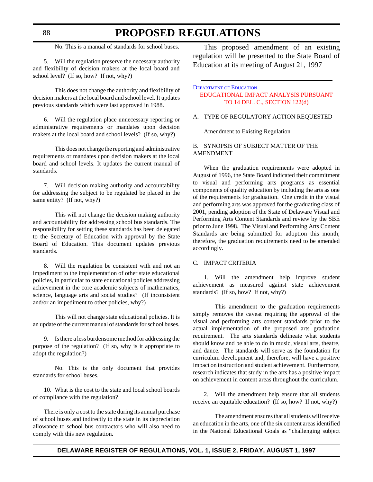No. This is a manual of standards for school buses.

<span id="page-6-0"></span>5. Will the regulation preserve the necessary authority and flexibility of decision makers at the local board and school level? (If so, how? If not, why?)

This does not change the authority and flexibility of decision makers at the local board and school level. It updates previous standards which were last approved in 1988.

6. Will the regulation place unnecessary reporting or administrative requirements or mandates upon decision makers at the local board and school levels? (If so, why?)

This does not change the reporting and administrative requirements or mandates upon decision makers at the local board and school levels. It updates the current manual of standards.

7. Will decision making authority and accountability for addressing the subject to be regulated be placed in the same entity? (If not, why?)

This will not change the decision making authority and accountability for addressing school bus standards. The responsibility for setting these standards has been delegated to the Secretary of Education with approval by the State Board of Education. This document updates previous standards.

8. Will the regulation be consistent with and not an impediment to the implementation of other state educational policies, in particular to state educational policies addressing achievement in the core academic subjects of mathematics, science, language arts and social studies? (If inconsistent and/or an impediment to other policies, why?)

This will not change state educational policies. It is an update of the current manual of standards for school buses.

9. Is there a less burdensome method for addressing the purpose of the regulation? (If so, why is it appropriate to adopt the regulation?)

No. This is the only document that provides standards for school buses.

10. What is the cost to the state and local school boards of compliance with the regulation?

There is only a cost to the state during its annual purchase of school buses and indirectly to the state in its depreciation allowance to school bus contractors who will also need to comply with this new regulation.

This proposed amendment of an existing regulation will be presented to the State Board of Education at its meeting of August 21, 1997

**DEPARTMENT [OF EDUCATION](http://www.state.de.us/high-ed/intro.htm)** [EDUCATIONAL IMPACT ANALYSIS PURSUANT](#page-4-0) TO 14 DEL. C., SECTION 122(d)

#### A. TYPE OF REGULATORY ACTION REQUESTED

Amendment to Existing Regulation

#### B. SYNOPSIS OF SUBJECT MATTER OF THE AMENDMENT

When the graduation requirements were adopted in August of 1996, the State Board indicated their commitment to visual and performing arts programs as essential components of quality education by including the arts as one of the requirements for graduation. One credit in the visual and performing arts was approved for the graduating class of 2001, pending adoption of the State of Delaware Visual and Performing Arts Content Standards and review by the SBE prior to June 1998. The Visual and Performing Arts Content Standards are being submitted for adoption this month; therefore, the graduation requirements need to be amended accordingly.

#### C. IMPACT CRITERIA

1. Will the amendment help improve student achievement as measured against state achievement standards? (If so, how? If not, why?)

This amendment to the graduation requirements simply removes the caveat requiring the approval of the visual and performing arts content standards prior to the actual implementation of the proposed arts graduation requirement. The arts standards delineate what students should know and be able to do in music, visual arts, theatre, and dance. The standards will serve as the foundation for curriculum development and, therefore, will have a positive impact on instruction and student achievement. Furthermore, research indicates that study in the arts has a positive impact on achievement in content areas throughout the curriculum.

2. Will the amendment help ensure that all students receive an equitable education? (If so, how? If not, why?)

The amendment ensures that all students will receive an education in the arts, one of the six content areas identified in the National Educational Goals as "challenging subject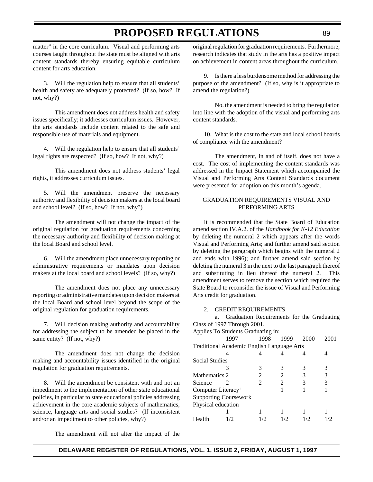matter" in the core curriculum. Visual and performing arts courses taught throughout the state must be aligned with arts content standards thereby ensuring equitable curriculum content for arts education.

3. Will the regulation help to ensure that all students' health and safety are adequately protected? (If so, how? If not, why?)

This amendment does not address health and safety issues specifically; it addresses curriculum issues. However, the arts standards include content related to the safe and responsible use of materials and equipment.

4. Will the regulation help to ensure that all students' legal rights are respected? (If so, how? If not, why?)

This amendment does not address students' legal rights, it addresses curriculum issues.

5. Will the amendment preserve the necessary authority and flexibility of decision makers at the local board and school level? (If so, how? If not, why?)

The amendment will not change the impact of the original regulation for graduation requirements concerning the necessary authority and flexibility of decision making at the local Board and school level.

6. Will the amendment place unnecessary reporting or administrative requirements or mandates upon decision makers at the local board and school levels? (If so, why?)

The amendment does not place any unnecessary reporting or administrative mandates upon decision makers at the local Board and school level beyond the scope of the original regulation for graduation requirements.

7. Will decision making authority and accountability for addressing the subject to be amended be placed in the same entity? (If not, why?)

The amendment does not change the decision making and accountability issues identified in the original regulation for graduation requirements.

8. Will the amendment be consistent with and not an impediment to the implementation of other state educational policies, in particular to state educational policies addressing achievement in the core academic subjects of mathematics, science, language arts and social studies? (If inconsistent and/or an impediment to other policies, why?)

The amendment will not alter the impact of the

original regulation for graduation requirements. Furthermore, research indicates that study in the arts has a positive impact on achievement in content areas throughout the curriculum.

9. Is there a less burdensome method for addressing the purpose of the amendment? (If so, why is it appropriate to amend the regulation?)

No. the amendment is needed to bring the regulation into line with the adoption of the visual and performing arts content standards.

10. What is the cost to the state and local school boards of compliance with the amendment?

The amendment, in and of itself, does not have a cost. The cost of implementing the content standards was addressed in the Impact Statement which accompanied the Visual and Performing Arts Content Standards document were presented for adoption on this month's agenda.

#### GRADUATION REQUIREMENTS VISUAL AND PERFORMING ARTS

It is recommended that the State Board of Education amend section IV.A.2. of the *Handbook for K-12 Education* by deleting the numeral 2 which appears after the words Visual and Performing Arts; and further amend said section by deleting the paragraph which begins with the numeral 2 and ends with 1996); and further amend said section by deleting the numeral 3 in the next to the last paragraph thereof and substituting in lieu thereof the numeral 2. This amendment serves to remove the section which required the State Board to reconsider the issue of Visual and Performing Arts credit for graduation.

#### 2. CREDIT REQUIREMENTS

a. Graduation Requirements for the Graduating Class of 1997 Through 2001.

| Applies To Students Graduating in:         |                             |                             |                |      |      |
|--------------------------------------------|-----------------------------|-----------------------------|----------------|------|------|
|                                            | 1997                        | 1998                        | 1999           | 2000 | 2001 |
| Traditional Academic English Language Arts |                             |                             |                |      |      |
|                                            |                             |                             |                |      |      |
| Social Studies                             |                             |                             |                |      |      |
|                                            |                             | 3                           | 3              |      |      |
| Mathematics 2                              |                             | 2                           | 2              | 3    |      |
| Science                                    | $\mathcal{D}_{\mathcal{A}}$ | $\mathcal{D}_{\mathcal{A}}$ | $\mathfrak{D}$ | 3    |      |
| Computer Literacy <sup>1</sup>             |                             |                             |                |      |      |
| <b>Supporting Coursework</b>               |                             |                             |                |      |      |
| Physical education                         |                             |                             |                |      |      |
|                                            |                             |                             |                |      |      |
| Health                                     | 72.                         |                             |                |      |      |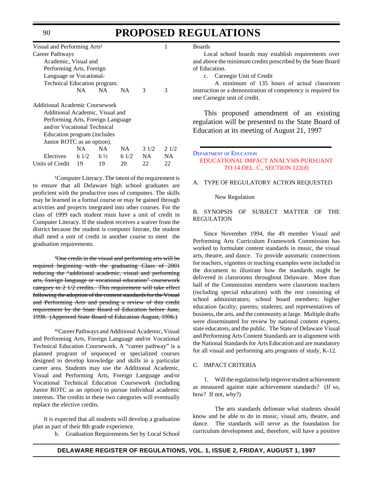<span id="page-8-0"></span>

| Visual and Performing Arts <sup>2</sup> |      |     |           |      |       |
|-----------------------------------------|------|-----|-----------|------|-------|
| Career Pathways                         |      |     |           |      |       |
| Academic, Visual and                    |      |     |           |      |       |
| Performing Arts, Foreign                |      |     |           |      |       |
| Language or Vocational-                 |      |     |           |      |       |
| Technical Education program.            |      |     |           |      |       |
|                                         | NA - | NA. | <b>NA</b> | 3    | 3     |
|                                         |      |     |           |      |       |
| Additional Academic Coursework          |      |     |           |      |       |
| Additional Academic, Visual and         |      |     |           |      |       |
| Performing Arts, Foreign Language       |      |     |           |      |       |
| and/or Vocational Technical             |      |     |           |      |       |
| Education program (includes             |      |     |           |      |       |
| Junior ROTC as an option).              |      |     |           |      |       |
|                                         | NA.  | NA. | NA.       | 31/2 | 2 1/2 |
| Electives $6\frac{1}{2}$ $6\frac{1}{2}$ |      |     | 61/2      | NA.  | NΑ    |
| Units of Credit 19                      |      | 19  | 20        | 22   | 22    |

<sup>1</sup>Computer Literacy. The intent of the requirement is to ensure that all Delaware high school graduates are proficient with the productive uses of computers. The skills may be learned in a formal course or may be gained through activities and projects integrated into other courses. For the class of 1999 each student must have a unit of credit in Computer Literacy. If the student receives a waiver from the district because the student is computer literate, the student shall need a unit of credit in another course to meet the graduation requirements.

2 One credit in the visual and performing arts will be required beginning with the graduating Class of 2001 reducing the "additional academic, visual and performing arts, foreign language or vocational education" coursework category to 2 1/2 credits. This requirement will take effect following the adoption of the content standards for the Visual and Performing Arts and pending a review of this credit requirement by the State Board of Education before June, 1998. (Approved State Board of Education August, 1996.)

<sup>32</sup>Career Pathways and Additional Academic, Visual and Performing Arts, Foreign Language and/or Vocational Technical Education Coursework. A "career pathway" is a planned program of sequenced or specialized courses designed to develop knowledge and skills in a particular career area. Students may use the Additional Academic, Visual and Performing Arts, Foreign Language and/or Vocational Technical Education Coursework (including Junior ROTC as an option) to pursue individual academic interests. The credits in these two categories will eventually replace the elective credits.

It is expected that all students will develop a graduation plan as part of their 8th grade experience.

b. Graduation Requirements Set by Local School

Boards

Local school boards may establish requirements over and above the minimum credits prescribed by the State Board of Education.

c. Carnegie Unit of Credit

A minimum of 135 hours of actual classroom instruction or a demonstration of competency is required for one Carnegie unit of credit.

This proposed amendment of an existing regulation will be presented to the State Board of Education at its meeting of August 21, 1997

#### **DEPARTMENT [OF EDUCATION](http://www.state.de.us/high-ed/intro.htm)** [EDUCATIONAL IMPACT ANALYSIS PURSUANT](#page-4-0) TO 14 DEL. C., SECTION 122(d)

#### A. TYPE OF REGULATORY ACTION REQUESTED

#### New Regulation

#### B. SYNOPSIS OF SUBJECT MATTER OF THE REGULATION

Since November 1994, the 49 member Visual and Performing Arts Curriculum Framework Commission has worked to formulate content standards in music, the visual arts, theatre, and dance. To provide automatic connections for teachers, vignettes or teaching examples were included in the document to illustrate how the standards might be delivered in classrooms throughout Delaware. More than half of the Commission members were classroom teachers (including special education) with the rest consisting of school administrators; school board members; higher education faculty; parents; students; and representatives of business, the arts, and the community at large. Multiple drafts were disseminated for review by national content experts, state educators, and the public. The State of Delaware Visual and Performing Arts Content Standards are in alignment with the National Standards for Arts Education and are mandatory for all visual and performing arts programs of study, K-12.

#### C. IMPACT CRITERIA

1. Will the regulation help improve student achievement as measured against state achievement standards? (If so, how? If not, why?)

The arts standards delineate what students should know and be able to do in music, visual arts, theatre, and dance. The standards will serve as the foundation for curriculum development and, therefore, will have a positive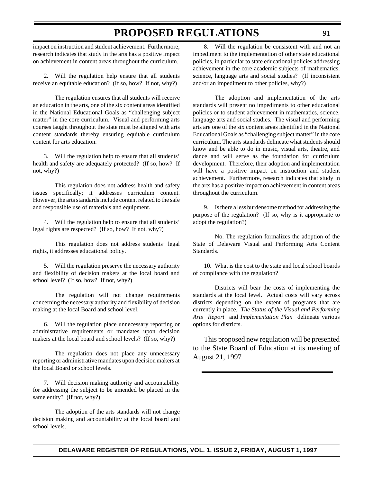impact on instruction and student achievement. Furthermore, research indicates that study in the arts has a positive impact on achievement in content areas throughout the curriculum.

2. Will the regulation help ensure that all students receive an equitable education? (If so, how? If not, why?)

The regulation ensures that all students will receive an education in the arts, one of the six content areas identified in the National Educational Goals as "challenging subject matter" in the core curriculum. Visual and performing arts courses taught throughout the state must be aligned with arts content standards thereby ensuring equitable curriculum content for arts education.

3. Will the regulation help to ensure that all students' health and safety are adequately protected? (If so, how? If not, why?)

This regulation does not address health and safety issues specifically; it addresses curriculum content. However, the arts standards include content related to the safe and responsible use of materials and equipment.

4. Will the regulation help to ensure that all students' legal rights are respected? (If so, how? If not, why?)

This regulation does not address students' legal rights, it addresses educational policy.

5. Will the regulation preserve the necessary authority and flexibility of decision makers at the local board and school level? (If so, how? If not, why?)

The regulation will not change requirements concerning the necessary authority and flexibility of decision making at the local Board and school level.

6. Will the regulation place unnecessary reporting or administrative requirements or mandates upon decision makers at the local board and school levels? (If so, why?)

The regulation does not place any unnecessary reporting or administrative mandates upon decision makers at the local Board or school levels.

7. Will decision making authority and accountability for addressing the subject to be amended be placed in the same entity? (If not, why?)

The adoption of the arts standards will not change decision making and accountability at the local board and school levels.

8. Will the regulation be consistent with and not an impediment to the implementation of other state educational policies, in particular to state educational policies addressing achievement in the core academic subjects of mathematics, science, language arts and social studies? (If inconsistent and/or an impediment to other policies, why?)

The adoption and implementation of the arts standards will present no impediments to other educational policies or to student achievement in mathematics, science, language arts and social studies. The visual and performing arts are one of the six content areas identified in the National Educational Goals as "challenging subject matter" in the core curriculum. The arts standards delineate what students should know and be able to do in music, visual arts, theatre, and dance and will serve as the foundation for curriculum development. Therefore, their adoption and implementation will have a positive impact on instruction and student achievement. Furthermore, research indicates that study in the arts has a positive impact on achievement in content areas throughout the curriculum.

9. Is there a less burdensome method for addressing the purpose of the regulation? (If so, why is it appropriate to adopt the regulation?)

No. The regulation formalizes the adoption of the State of Delaware Visual and Performing Arts Content Standards.

10. What is the cost to the state and local school boards of compliance with the regulation?

Districts will bear the costs of implementing the standards at the local level. Actual costs will vary across districts depending on the extent of programs that are currently in place. *The Status of the Visual and Performing Arts Report* and *Implementation Plan* delineate various options for districts.

This proposed new regulation will be presented to the State Board of Education at its meeting of August 21, 1997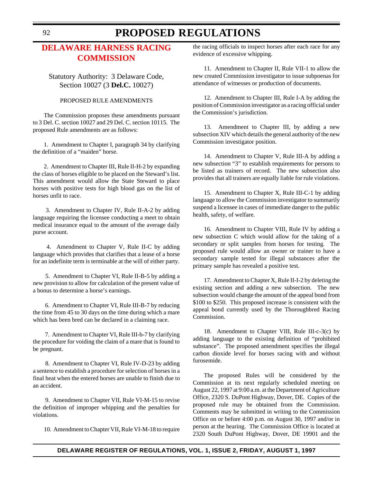### <span id="page-10-0"></span>**[DELAWARE HARNESS RACING](#page-4-0) COMMISSION**

### Statutory Authority: 3 Delaware Code, Section 10027 (3 **Del.C.** 10027)

#### PROPOSED RULE AMENDMENTS

The Commission proposes these amendments pursuant to 3 Del. C. section 10027 and 29 Del. C. section 10115. The proposed Rule amendments are as follows:

1. Amendment to Chapter I, paragraph 34 by clarifying the definition of a "maiden" horse.

2. Amendment to Chapter III, Rule II-H-2 by expanding the class of horses eligible to be placed on the Steward's list. This amendment would allow the State Steward to place horses with positive tests for high blood gas on the list of horses unfit to race.

 3. Amendment to Chapter IV, Rule II-A-2 by adding language requiring the licensee conducting a meet to obtain medical insurance equal to the amount of the average daily purse account.

 4. Amendment to Chapter V, Rule II-C by adding language which provides that clarifies that a lease of a horse for an indefinite term is terminable at the will of either party.

 5. Amendment to Chapter VI, Rule II-B-5 by adding a new provision to allow for calculation of the present value of a bonus to determine a horse's earnings.

 6. Amendment to Chapter VI, Rule III-B-7 by reducing the time from 45 to 30 days on the time during which a mare which has been bred can be declared in a claiming race.

 7. Amendment to Chapter VI, Rule III-b-7 by clarifying the procedure for voiding the claim of a mare that is found to be pregnant.

 8. Amendment to Chapter VI, Rule IV-D-23 by adding a sentence to establish a procedure for selection of horses in a final heat when the entered horses are unable to finish due to an accident.

 9. Amendment to Chapter VII, Rule VI-M-15 to revise the definition of improper whipping and the penalties for violations.

10. Amendment to Chapter VII, Rule VI-M-18 to require

the racing officials to inspect horses after each race for any evidence of excessive whipping.

11. Amendment to Chapter II, Rule VII*-*1 to allow the new created Commission investigator to issue subpoenas for attendance of witnesses or production of documents.

12. Amendment to Chapter III, Rule I-A by adding the position of Commission investigator as a racing official under the Commission's jurisdiction.

13. Amendment to Chapter III, by adding a new subsection XIV which details the general authority of the new Commission investigator position.

14. Amendment to Chapter V, Rule III-A by adding a new subsection "3" to establish requirements for persons to be listed as trainers of record. The new subsection also provides that all trainers are equally liable for rule violations.

15. Amendment to Chapter X, Rule III-C-1 by adding language to allow the Commission investigator to summarily suspend a licensee in cases of immediate danger to the public health, safety, of welfare.

16. Amendment to Chapter VIII, Rule IV by adding a new subsection C which would allow for the taking of a secondary or split samples from horses for testing. The proposed rule would allow an owner or trainer to have a secondary sample tested for illegal substances after the primary sample has revealed a positive test.

17. Amendment to Chapter X, Rule II-I-2 by deleting the existing section and adding a new subsection. The new subsection would change the amount of the appeal bond from \$100 to \$250. This proposed increase is consistent with the appeal bond currently used by the Thoroughbred Racing Commission.

18. Amendment to Chapter VIII, Rule III-c-3(c) by adding language to the existing definition of "prohibited substance". The proposed amendment specifies the illegal carbon dioxide level for horses racing with and without furosemide.

The proposed Rules will be considered by the Commission at its next regularly scheduled meeting on August 22, 1997 at 9:00 a.m. at the Department of Agriculture Office, 2320 S. DuPont Highway, Dover, DE. Copies of the proposed rule may be obtained from the Commission. Comments may be submitted in writing to the Commission Office on or before 4:00 p.m. on August 30, 1997 and/or in person at the hearing. The Commission Office is located at 2320 South DuPont Highway, Dover, DE 19901 and the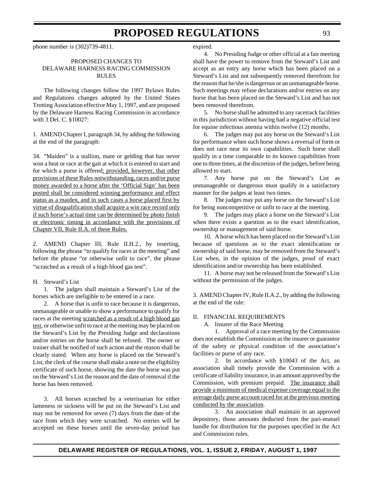phone number is (302)739-4811.

#### PROPOSED CHANGES TO DELAWARE HARNESS RACING COMMISSION RULES

The following changes follow the 1997 Bylaws Rules and Regulations changes adopted by the United States Trotting Association effective May 1, 1997, and are proposed by the Delaware Harness Racing Commission in accordance with 3 Del. C. §10027:

1. AMEND Chapter I, paragraph 34, by adding the following at the end of the paragraph:

34. "Maiden" is a stallion, mare or gelding that has never won a heat or race at the gait at which it is entered to start and for which a purse is offered; provided, however, that other provisions of these Rules notwithstanding, races and/or purse money awarded to a horse after the 'Official Sign' has been posted shall be considered winning performance and effect status as a maiden, and in such cases a horse placed first by virtue of disqualification shall acquire a win race record only if such horse's actual time can be determined by photo finish or electronic timing in accordance with the provisions of Chapter VII, Rule II.A. of these Rules.

2. AMEND Chapter III, Rule II.H.2., by inserting, following the phrase "to qualify for races at the meeting" and before the phrase "or otherwise unfit to race", the phrase "scratched as a result of a high blood gas test".

#### H. Steward's List

1. The judges shall maintain a Steward's List of the horses which are ineligible to be entered in a race.

2. A horse that is unfit to race because it is dangerous, unmanageable or unable to show a performance to qualify for races at the meeting scratched as a result of a high blood gas test, or otherwise unfit to race at the meeting may be placed on the Steward's List by the Presiding Judge and declarations and/or entries on the horse shall be refused. The owner or trainer shall be notified of such action and the reason shall be clearly stated. When any horse is placed on the Steward's List, the clerk of the course shall make a note on the eligibility certificate of such horse, showing the date the horse was put on the Steward's List the reason and the date of removal if the horse has been removed.

3. All horses scratched by a veterinarian for either lameness or sickness will be put on the Steward's List and may not be removed for seven (7) days from the date of the race from which they were scratched. No entries will be accepted on these horses until the seven-day period has expired.

4. No Presiding Judge or other official at a fair meeting shall have the power to remove from the Steward's List and accept as an entry any horse which has been placed on a Steward's List and not subsequently removed therefrom for the reason that he/she is dangerous or an unmanageable horse. Such meetings may refuse declarations and/or entries on any horse that has been placed on the Steward's List and has not been removed therefrom.

5. No horse shall be admitted to any racetrack facilities in this jurisdiction without having had a negative official test for equine infectious anemia within twelve (12) months.

6. The judges may put any horse on the Steward's List for performance when such horse shows a reversal of form or does not race near its own capabilities. Such horse shall qualify in a time comparable to its known capabilities from one to three times, at the discretion of the judges, before being allowed to start.

7. Any horse put on the Steward's List as unmanageable or dangerous must qualify in a satisfactory manner for the judges at least two times.

8. The judges may put any horse on the Steward's List for being noncompetitive or unfit to race at the meeting.

9. The judges may place a horse on the Steward's List when there exists a question as to the exact identification, ownership or management of said horse.

10. A horse which has been placed on the Steward's List because of questions as to the exact identification or ownership of said horse, may be removed from the Steward's List when, in the opinion of the judges, proof of exact identification and/or ownership has been established.

11. A horse may not be released from the Steward's List without the permission of the judges.

3. AMEND Chapter IV, Rule II.A.2., by adding the following at the end of the rule:

#### II. FINANCIAL REQUIREMENTS

A. Insurer of the Race Meeting

1. Approval of a race meeting by the Commission does not establish the Commission as the insurer or guarantor of the safety or physical condition of the association's facilities or purse of any race.

2. In accordance with §10043 of the Act, an association shall timely provide the Commission with a certificate of liability insurance, in an amount approved by the Commission, with premium prepaid. The insurance shall provide a minimum of medical expense coverage equal to the average daily purse account raced for at the previous meeting conducted by the association.

3. An association shall maintain in an approved depository, those amounts deducted from the pari-mutuel handle for distribution for the purposes specified in the Act and Commission rules.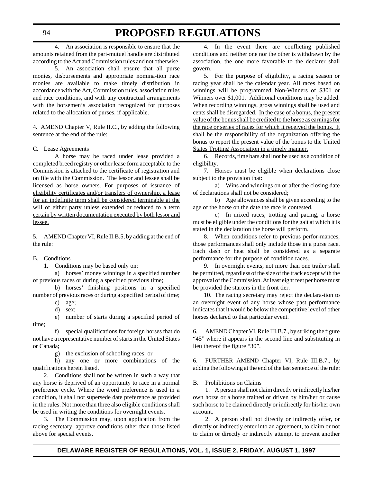94

# **PROPOSED REGULATIONS**

4. An association is responsible to ensure that the amounts retained from the pari-mutuel handle are distributed according to the Act and Commission rules and not otherwise.

5. An association shall ensure that all purse monies, disbursements and appropriate nomina-tion race monies are available to make timely distribution in accordance with the Act, Commission rules, association rules and race conditions, and with any contractual arrangements with the horsemen's association recognized for purposes related to the allocation of purses, if applicable.

4. AMEND Chapter V, Rule II.C., by adding the following sentence at the end of the rule:

C. Lease Agreements

A horse may be raced under lease provided a completed breed registry or other lease form acceptable to the Commission is attached to the certificate of registration and on file with the Commission. The lessor and lessee shall be licensed as horse owners. For purposes of issuance of eligibility certificates and/or transfers of ownership, a lease for an indefinite term shall be considered terminable at the will of either party unless extended or reduced to a term certain by written documentation executed by both lessor and lessee.

5. AMEND Chapter VI, Rule II.B.5, by adding at the end of the rule:

B. Conditions

1. Conditions may be based only on:

a) horses' money winnings in a specified number of previous races or during a specified previous time;

b) horses' finishing positions in a specified number of previous races or during a specified period of time;

- c) age;
- d) sex;

e) number of starts during a specified period of time;

f) special qualifications for foreign horses that do not have a representative number of starts in the United States or Canada;

g) the exclusion of schooling races; or

h) any one or more combinations of the qualifications herein listed.

2. Conditions shall not be written in such a way that any horse is deprived of an opportunity to race in a normal preference cycle. Where the word preference is used in a condition, it shall not supersede date preference as provided in the rules. Not more than three also eligible conditions shall be used in writing the conditions for overnight events.

3. The Commission may, upon application from the racing secretary, approve conditions other than those listed above for special events.

4. In the event there are conflicting published conditions and neither one nor the other is withdrawn by the association, the one more favorable to the declarer shall govern.

5. For the purpose of eligibility, a racing season or racing year shall be the calendar year. All races based on winnings will be programmed Non-Winners of \$301 or Winners over \$1,001. Additional conditions may be added. When recording winnings, gross winnings shall be used and cents shall be disregarded. In the case of a bonus, the present value of the bonus shall be credited to the horse as earnings for the race or series of races for which it received the bonus. It shall be the responsibility of the organization offering the bonus to report the present value of the bonus to the United States Trotting Association in a timely manner.

6. Records, time bars shall not be used as a condition of eligibility.

7. Horses must be eligible when declarations close subject to the provision that:

a) Wins and winnings on or after the closing date of declarations shall not be considered;

b) Age allowances shall be given according to the age of the horse on the date the race is contested.

c) In mixed races, trotting and pacing, a horse must be eligible under the conditions for the gait at which it is stated in the declaration the horse will perform.

8. When conditions refer to previous perfor-mances, those performances shall only include those in a purse race. Each dash or heat shall be considered as a separate performance for the purpose of condition races.

9. In overnight events, not more than one trailer shall be permitted, regardless of the size of the track except with the approval of the Commission. At least eight feet per horse must be provided the starters in the front tier.

10. The racing secretary may reject the declara-tion to an overnight event of any horse whose past performance indicates that it would be below the competitive level of other horses declared to that particular event.

6. AMEND Chapter VI, Rule III.B.7., by striking the figure "45" where it appears in the second line and substituting in lieu thereof the figure "30".

6. FURTHER AMEND Chapter VI, Rule III.B.7., by adding the following at the end of the last sentence of the rule:

B. Prohibitions on Claims

1. A person shall not claim directly or indirectly his/her own horse or a horse trained or driven by him/her or cause such horse to be claimed directly or indirectly for his/her own account.

2. A person shall not directly or indirectly offer, or directly or indirectly enter into an agreement, to claim or not to claim or directly or indirectly attempt to prevent another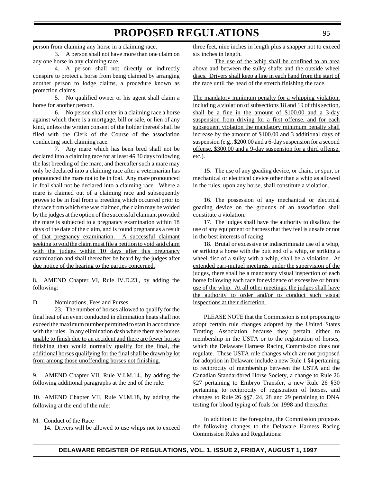person from claiming any horse in a claiming race.

3. A person shall not have more than one claim on any one horse in any claiming race.

4. A person shall not directly or indirectly conspire to protect a horse from being claimed by arranging another person to lodge claims, a procedure known as protection claims.

5. No qualified owner or his agent shall claim a horse for another person.

6. No person shall enter in a claiming race a horse against which there is a mortgage, bill or sale, or lien of any kind, unless the written consent of the holder thereof shall be filed with the Clerk of the Course of the association conducting such claiming race.

7. Any mare which has been bred shall not be declared into a claiming race for at least 45 30 days following the last breeding of the mare, and thereafter such a mare may only be declared into a claiming race after a veterinarian has pronounced the mare not to be in foal. Any mare pronounced in foal shall not be declared into a claiming race. Where a mare is claimed out of a claiming race and subsequently proves to be in foal from a breeding which occurred prior to the race from which she was claimed, the claim may be voided by the judges at the option of the successful claimant provided the mare is subjected to a pregnancy examination within 18 days of the date of the claim, and is found pregnant as a result of that pregnancy examination. A successful claimant seeking to void the claim must file a petition to void said claim with the judges within 10 days after this pregnancy examination and shall thereafter be heard by the judges after due notice of the hearing to the parties concerned.

8. AMEND Chapter VI, Rule IV.D.23., by adding the following:

D. Nominations, Fees and Purses

23. The number of horses allowed to qualify for the final heat of an event conducted in elimination heats shall not exceed the maximum number permitted to start in accordance with the rules. In any elimination dash where there are horses unable to finish due to an accident and there are fewer horses finishing than would normally qualify for the final, the additional horses qualifying for the final shall be drawn by lot from among those unoffending horses not finishing.

9. AMEND Chapter VII, Rule V.I.M.14., by adding the following additional paragraphs at the end of the rule:

10. AMEND Chapter VII, Rule VI.M.18, by adding the following at the end of the rule:

- M. Conduct of the Race
	- 14. Drivers will be allowed to use whips not to exceed

three feet, nine inches in length plus a snapper not to exceed six inches in length.

The use of the whip shall be confined to an area above and between the sulky shafts and the outside wheel discs. Drivers shall keep a line in each hand from the start of the race until the head of the stretch finishing the race.

The mandatory minimum penalty for a whipping violation, including a violation of subsections 18 and 19 of this section, shall be a fine in the amount of \$100.00 and a 3-day suspension from driving for a first offense, and for each subsequent violation the mandatory minimum penalty shall increase by the amount of \$100.00 and 3 additional days of suspension (e.g., \$200.00 and a 6-day suspension for a second offense, \$300.00 and a 9-day suspension for a third offense, etc.).

15. The use of any goading device, or chain, or spur, or mechanical or electrical device other than a whip as allowed in the rules, upon any horse, shall constitute a violation.

16. The possession of any mechanical or electrical goading device on the grounds of an association shall constitute a violation.

17. The judges shall have the authority to disallow the use of any equipment or harness that they feel is unsafe or not in the best interests of racing.

18. Brutal or excessive or indiscriminate use of a whip, or striking a horse with the butt end of a whip, or striking a wheel disc of a sulky with a whip, shall be a violation. At extended pari-mutuel meetings, under the supervision of the judges, there shall be a mandatory visual inspection of each horse following each race for evidence of excessive or brutal use of the whip. At all other meetings, the judges shall have the authority to order and/or to conduct such visual inspections at their discretion.

PLEASE NOTE that the Commission is not proposing to adopt certain rule changes adopted by the United States Trotting Association because they pertain either to membership in the USTA or to the registration of horses, which the Delaware Harness Racing Commission does not regulate. These USTA rule changes which are not proposed for adoption in Delaware include a new Rule 1 §4 pertaining to reciprocity of membership between the USTA and the Canadian Standardbred Horse Society, a change to Rule 26 §27 pertaining to Embryo Transfer, a new Rule 26 §30 pertaining to reciprocity of registration of horses, and changes to Rule 26 §§7, 24, 28 and 29 pertaining to DNA testing for blood typing of foals for 1998 and thereafter.

In addition to the foregoing, the Commission proposes the following changes to the Delaware Harness Racing Commission Rules and Regulations: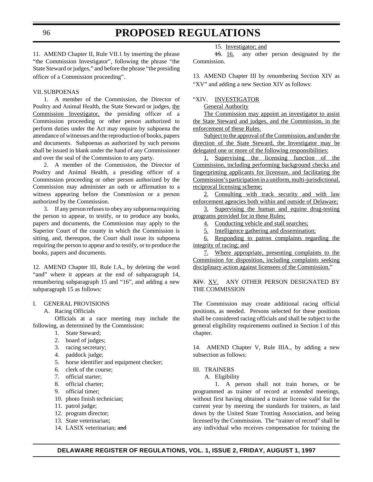11. AMEND Chapter II, Rule VII.1 by inserting the phrase "the Commission Investigator", following the phrase "the State Steward or judges," and before the phrase "the presiding officer of a Commission proceeding".

#### VII. SUBPOENAS

1. A member of the Commission, the Director of Poultry and Animal Health, the State Steward or judges, the Commission Investigator, the presiding officer of a Commission proceeding or other person authorized to perform duties under the Act may require by subpoena the attendance of witnesses and the reproduction of books, papers and documents. Subpoenas as authorized by such persons shall be issued in blank under the hand of any Commissioner and over the seal of the Commission to any party.

2. A member of the Commission, the Director of Poultry and Animal Health, a presiding officer of a Commission proceeding or other person authorized by the Commission may administer an oath or affirmation to a witness appearing before the Commission or a person authorized by the Commission.

3. If any person refuses to obey any subpoena requiring the person to appear, to testify, or to produce any books, papers and documents, the Commission may apply to the Superior Court of the county in which the Commission is sitting, and, thereupon, the Court shall issue its subpoena requiring the person to appear and to testify, or to produce the books, papers and documents.

12. AMEND Chapter III, Rule I.A., by deleting the word "and" where it appears at the end of subparagraph 14, renumbering subparagraph 15 and "16", and adding a new subparagraph 15 as follows:

#### I. GENERAL PROVISIONS

A. Racing Officials

Officials at a race meeting may include the following, as determined by the Commission:

- 1. State Steward;
- 2. board of judges;
- 3. racing secretary;
- 4. paddock judge;
- 5. horse identifier and equipment checker;
- 6. clerk of the course;
- 7. official starter;
- 8. official charter;
- 9. official timer;
- 10. photo finish technician;
- 11. patrol judge;
- 12. program director;
- 13. State veterinarian;
- 14. LASIX veterinarian: and

15. Investigator; and

15. 16. any other person designated by the Commission.

13. AMEND Chapter III by renumbering Section XIV as "XV" and adding a new Section XIV as follows:

#### "XIV. INVESTIGATOR

**General Authority** 

The Commission may appoint an investigator to assist the State Steward and judges, and the Commission, in the enforcement of these Rules.

Subject to the approval of the Commission, and under the direction of the State Steward, the Investigator may be delegated one or more of the following responsibilities:

1. Supervising the licensing function of the Commission, including performing background checks and fingerprinting applicants for licensure, and facilitating the Commission's participation in a uniform, multi-jurisdictional, reciprocal licensing scheme;

2. Consulting with track security and with law enforcement agencies both within and outside of Delaware;

3. Supervising the human and equine drug-testing programs provided for in these Rules;

- 4. Conducting vehicle and stall searches;
- 5. Intelligence gathering and dissemination;

6. Responding to patron complaints regarding the integrity of racing; and

7. Where appropriate, presenting complaints to the Commission for disposition, including complaints seeking disciplinary action against licensees of the Commission."

#### XIV. XV. ANY OTHER PERSON DESIGNATED BY THE COMMISSION

The Commission may create additional racing official positions, as needed. Persons selected for these positions shall be considered racing officials and shall be subject to the general eligibility requirements outlined in Section I of this chapter.

14. AMEND Chapter V, Rule IIIA., by adding a new subsection as follows:

#### III. TRAINERS

A. Eligibility

1. A person shall not train horses, or be programmed as trainer of record at extended meetings, without first having obtained a trainer license valid for the current year by meeting the standards for trainers, as laid down by the United State Trotting Association, and being licensed by the Commission. The "trainer of record" shall be any individual who receives compensation for training the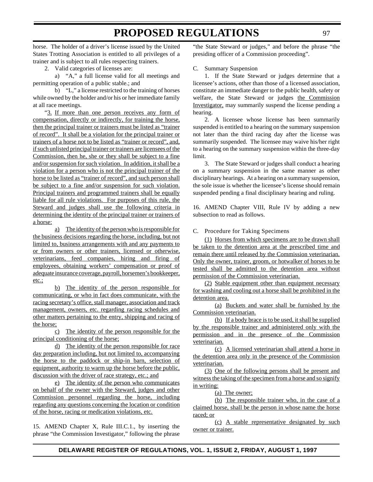horse. The holder of a driver's license issued by the United States Trotting Association is entitled to all privileges of a trainer and is subject to all rules respecting trainers.

2. Valid categories of licenses are:

a) "A," a full license valid for all meetings and permitting operation of a public stable.; and

b) "L," a license restricted to the training of horses while owned by the holder and/or his or her immediate family at all race meetings.

"3. If more than one person receives any form of compensation, directly or indirectly, for training the horse, then the principal trainer or trainers must be listed as "trainer of record". It shall be a violation for the principal trainer or trainers of a horse not to be listed as "trainer or record", and, if such unlisted principal trainer or trainers are licensees of the Commission, then he, she or they shall be subject to a fine and/or suspension for such violation. In addition, it shall be a violation for a person who is not the principal trainer of the horse to be listed as "trainer of record", and such person shall be subject to a fine and/or suspension for such violation. Principal trainers and programmed trainers shall be equally liable for all rule violations. For purposes of this rule, the Steward and judges shall use the following criteria in determining the identity of the principal trainer or trainers of a horse:

a) The identity of the person who is responsible for the business decisions regarding the horse, including, but not limited to, business arrangements with and any payments to or from owners or other trainers, licensed or otherwise, veterinarians, feed companies, hiring and firing of employees, obtaining workers' compensation or proof of adequate insurance coverage, payroll, horsemen's bookkeeper, etc.;

b) The identity of the person responsible for communicating, or who in fact does communicate, with the racing secretary's office, stall manager, association and track management, owners, etc. regarding racing schedules and other matters pertaining to the entry, shipping and racing of the horse;

c) The identity of the person responsible for the principal conditioning of the horse;

d) The identity of the person responsible for race day preparation including, but not limited to, accompanying the horse to the paddock or ship-in barn, selection of equipment, authority to warm up the horse before the public, discussion with the driver of race strategy, etc.; and

e) The identity of the person who communicates on behalf of the owner with the Steward, judges and other Commission personnel regarding the horse, including regarding any questions concerning the location or condition of the horse, racing or medication violations, etc.

15. AMEND Chapter X, Rule III.C.1., by inserting the phrase "the Commission Investigator," following the phrase

"the State Steward or judges," and before the phrase "the presiding officer of a Commission proceeding".

#### C. Summary Suspension

1. If the State Steward or judges determine that a licensee's actions, other than those of a licensed association, constitute an immediate danger to the public health, safety or welfare, the State Steward or judges the Commission Investigator, may summarily suspend the license pending a hearing.

2. A licensee whose license has been summarily suspended is entitled to a hearing on the summary suspension not later than the third racing day after the license was summarily suspended. The licensee may waive his/her right to a hearing on the summary suspension within the three-day limit.

3. The State Steward or judges shall conduct a hearing on a summary suspension in the same manner as other disciplinary hearings. At a hearing on a summary suspension, the sole issue is whether the licensee's license should remain suspended pending a final disciplinary hearing and ruling.

16. AMEND Chapter VIII, Rule IV by adding a new subsection to read as follows.

#### C. Procedure for Taking Specimens

(1) Horses from which specimens are to be drawn shall be taken to the detention area at the prescribed time and remain there until released by the Commission veterinarian. Only the owner, trainer, groom, or hotwalker of horses to be tested shall be admitted to the detention area without permission of the Commission veterinarian.

(2) Stable equipment other than equipment necessary for washing and cooling out a horse shall be prohibited in the detention area.

(a) Buckets and water shall be furnished by the Commission veterinarian.

(b) If a body brace is to be used, it shall be supplied by the responsible trainer and administered only with the permission and in the presence of the Commission veterinarian.

(c) A licensed veterinarian shall attend a horse in the detention area only in the presence of the Commission veterinarian.

(3) One of the following persons shall be present and witness the taking of the specimen from a horse and so signify in writing:

(a) The owner;

(b) The responsible trainer who, in the case of a claimed horse, shall be the person in whose name the horse raced; or

(c) A stable representative designated by such owner or trainer.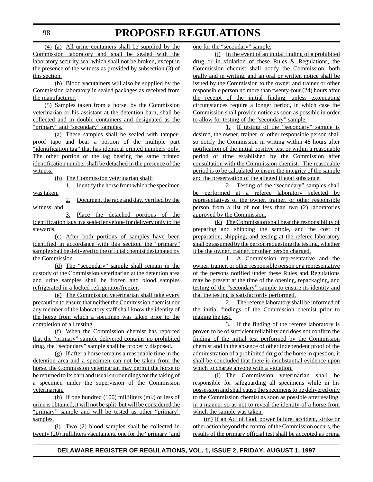(4) (a) All urine containers shall be supplied by the Commission laboratory and shall be sealed with the laboratory security seal which shall not be broken, except in the presence of the witness as provided by subsection (3) of this section.

(b) Blood vacutainers will also be supplied by the Commission laboratory in sealed packages as received from the manufacturer.

(5) Samples taken from a horse, by the Commission veterinarian or his assistant at the detention barn, shall be collected and in double containers and designated as the "primary" and "secondary" samples.

(a) These samples shall be sealed with tamperproof tape and bear a portion of the multiple part "identification tag" that has identical printed numbers only. The other portion of the tag bearing the same printed identification number shall be detached in the presence of the witness.

(b) The Commission veterinarian shall:

1. Identify the horse from which the specimen was taken.

2. Document the race and day, verified by the witness; and

3. Place the detached portions of the identification tags in a sealed envelope for delivery only to the stewards.

(c) After both portions of samples have been identified in accordance with this section, the "primary" sample shall be delivered to the official chemist designated by the Commission.

(d) The "secondary" sample shall remain in the custody of the Commission veterinarian at the detention area and urine samples shall be frozen and blood samples refrigerated in a locked refrigerator/freezer.

(e) The Commission veterinarian shall take every precaution to ensure that neither the Commission chemist nor any member of the laboratory staff shall know the identity of the horse from which a specimen was taken prior to the completion of all testing.

(f) When the Commission chemist has reported that the "primary" sample delivered contains no prohibited drug, the "secondary" sample shall be properly disposed.

(g) If after a horse remains a reasonable time in the detention area and a specimen can not be taken from the horse, the Commission veterinarian may permit the horse to be returned to its barn and usual surroundings for the taking of a specimen under the supervision of the Commission veterinarian.

(h) If one hundred (100) milliliters (ml.) or less of urine is obtained, it will not be split, but will be considered the "primary" sample and will be tested as other "primary" samples.

(i) Two (2) blood samples shall be collected in twenty (20) milliliters vacutainers, one for the "primary" and one for the "secondary" sample.

(j) In the event of an initial finding of a prohibited drug or in violation of these Rules & Regulations, the Commission chemist shall notify the Commission, both orally and in writing, and an oral or written notice shall be issued by the Commission to the owner and trainer or other responsible person no more than twenty-four (24) hours after the receipt of the initial finding, unless extenuating circumstances require a longer period, in which case the Commission shall provide notice as soon as possible in order to allow for testing of the "secondary" sample.

1. If testing of the "secondary" sample is desired, the owner, trainer, or other responsible person shall so notify the Commission in writing within 48 hours after notification of the initial positive test or within a reasonable period of time established by the Commission after consultation with the Commission chemist. The reasonable period is to be calculated to insure the integrity of the sample and the preservation of the alleged illegal substance.

2. Testing of the "secondary" samples shall be performed at a referee laboratory selected by representatives of the owner, trainer, or other responsible person from a list of not less than two (2) laboratories approved by the Commission.

(k) The Commission shall bear the responsibility of preparing and shipping the sample, and the cost of preparation, shipping, and testing at the referee laboratory shall be assumed by the person requesting the testing, whether it be the owner, trainer, or other person charged.

1. A Commission representative and the owner, trainer, or other responsible person or a representative of the persons notified under these Rules and Regulations may be present at the time of the opening, repackaging, and testing of the "secondary" sample to ensure its identity and that the testing is satisfactorily performed.

2. The referee laboratory shall be informed of the initial findings of the Commission chemist prior to making the test.

3. If the finding of the referee laboratory is proven to be of sufficient reliability and does not confirm the finding of the initial test performed by the Commission chemist and in the absence of other independent proof of the administration of a prohibited drug of the horse in question, it shall be concluded that there is insubstantial evidence upon which to charge anyone with a violation.

(l) The Commission veterinarian shall be responsible for safeguarding all specimens while in his possession and shall cause the specimens to be delivered only to the Commission chemist as soon as possible after sealing, in a manner so as not to reveal the identity of a horse from which the sample was taken.

(m) If an Act of God, power failure, accident, strike or other action beyond the control of the Commission occurs, the results of the primary official test shall be accepted as prima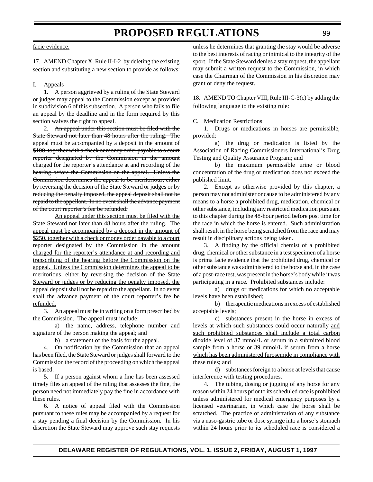#### facie evidence.

17. AMEND Chapter X, Rule II-I-2 by deleting the existing section and substituting a new section to provide as follows:

#### I. Appeals

1. A person aggrieved by a ruling of the State Steward or judges may appeal to the Commission except as provided in subdivision 6 of this subsection. A person who fails to file an appeal by the deadline and in the form required by this section waives the right to appeal.

2. An appeal under this section must be filed with the State Steward not later than 48 hours after the ruling. The appeal must be accompanied by a deposit in the amount of \$100, together with a check or money order payable to a court reporter designated by the Commission in the amount charged for the reporter's attendance at and recording of the hearing before the Commission on the appeal. Unless the Commission determines the appeal to be meritorious, either by reversing the decision of the State Steward or judges or by reducing the penalty imposed, the appeal deposit shall not be repaid to the appellant. In no event shall the advance payment of the court reporter's fee be refunded.

An appeal under this section must be filed with the State Steward not later than 48 hours after the ruling. The appeal must be accompanied by a deposit in the amount of \$250, together with a check or money order payable to a court reporter designated by the Commission in the amount charged for the reporter's attendance at and recording and transcribing of the hearing before the Commission on the appeal. Unless the Commission determines the appeal to be meritorious, either by reversing the decision of the State Steward or judges or by reducing the penalty imposed, the appeal deposit shall not be repaid to the appellant. In no event shall the advance payment of the court reporter's fee be refunded.

3. An appeal must be in writing on a form prescribed by the Commission. The appeal must include:

a) the name, address, telephone number and signature of the person making the appeal; and

b) a statement of the basis for the appeal.

4. On notification by the Commission that an appeal has been filed, the State Steward or judges shall forward to the Commission the record of the proceeding on which the appeal is based.

5. If a person against whom a fine has been assessed timely files an appeal of the ruling that assesses the fine, the person need not immediately pay the fine in accordance with these rules.

6. A notice of appeal filed with the Commission pursuant to these rules may be accompanied by a request for a stay pending a final decision by the Commission. In his discretion the State Steward may approve such stay requests

unless he determines that granting the stay would be adverse to the best interests of racing or inimical to the integrity of the sport. If the State Steward denies a stay request, the appellant may submit a written request to the Commission, in which case the Chairman of the Commission in his discretion may grant or deny the request.

18. AMEND TO Chapter VIII, Rule III-C-3(c) by adding the following language to the existing rule:

C. Medication Restrictions

1. Drugs or medications in horses are permissible, provided:

a) the drug or medication is listed by the Association of Racing Commissioners International's Drug Testing and Quality Assurance Program; and

b) the maximum permissible urine or blood concentration of the drug or medication does not exceed the published limit.

2. Except as otherwise provided by this chapter, a person may not administer or cause to be administered by any means to a horse a prohibited drug, medication, chemical or other substance, including any restricted medication pursuant to this chapter during the 48-hour period before post time for the race in which the horse is entered. Such administration shall result in the horse being scratched from the race and may result in disciplinary actions being taken.

3. A finding by the official chemist of a prohibited drug, chemical or other substance in a test specimen of a horse is prima facie evidence that the prohibited drug, chemical or other substance was administered to the horse and, in the case of a post-race test, was present in the horse's body while it was participating in a race. Prohibited substances include:

a) drugs or medications for which no acceptable levels have been established;

b) therapeutic medications in excess of established acceptable levels;

c) substances present in the horse in excess of levels at which such substances could occur naturally and such prohibited substances shall include a total carbon dioxide level of 37 mmol/L or serum in a submitted blood sample from a horse or 39 mmol/L if serum from a horse which has been administered furosemide in compliance with these rules; and

d) substances foreign to a horse at levels that cause interference with testing procedures.

4. The tubing, dosing or jugging of any horse for any reason within 24 hours prior to its scheduled race is prohibited unless administered for medical emergency purposes by a licensed veterinarian, in which case the horse shall be scratched. The practice of administration of any substance via a naso-gastric tube or dose syringe into a horse's stomach within 24 hours prior to its scheduled race is considered a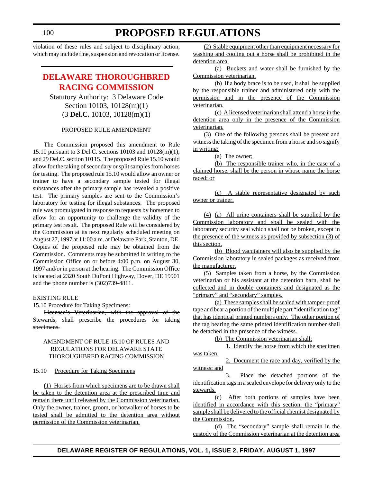<span id="page-18-0"></span>violation of these rules and subject to disciplinary action, which may include fine, suspension and revocation or license.

### **[DELAWARE THOROUGHBRED](#page-4-0) RACING COMMISSION**

Statutory Authority: 3 Delaware Code Section 10103, 10128(m)(1) (3 **Del.C.** 10103, 10128(m)(1)

#### PROPOSED RULE AMENDMENT

The Commission proposed this amendment to Rule 15.10 pursuant to 3 Del.C. sections 10103 and 10128(m)(1), and 29 Del.C. section 10115. The proposed Rule 15.10 would allow for the taking of secondary or split samples from horses for testing. The proposed rule 15.10 would allow an owner or trainer to have a secondary sample tested for illegal substances after the primary sample has revealed a positive test. The primary samples are sent to the Commission's laboratory for testing for illegal substances. The proposed rule was promulgated in response to requests by horsemen to allow for an opportunity to challenge the validity of the primary test result. The proposed Rule will be considered by the Commission at its next regularly scheduled meeting on August 27, 1997 at 11:00 a.m. at Delaware Park, Stanton, DE. Copies of the proposed rule may be obtained from the Commission. Comments may be submitted in writing to the Commission Office on or before 4:00 p.m. on August 30, 1997 and/or in person at the hearing. The Commission Office is located at 2320 South DuPont Highway, Dover, DE 19901 and the phone number is (302)739-4811.

#### EXISTING RULE

15.10 Procedure for Taking Specimens:

Licensee's Veterinarian, with the approval of the Stewards, shall prescribe the procedures for taking specimens.

#### AMENDMENT OF RULE 15.10 OF RULES AND REGULATIONS FOR DELAWARE STATE THOROUGHBRED RACING COMMISSION

15.10 Procedure for Taking Specimens

(1) Horses from which specimens are to be drawn shall be taken to the detention area at the prescribed time and remain there until released by the Commission veterinarian. Only the owner, trainer, groom, or hotwalker of horses to be tested shall be admitted to the detention area without permission of the Commission veterinarian.

(2) Stable equipment other than equipment necessary for washing and cooling out a horse shall be prohibited in the detention area.

(a) Buckets and water shall be furnished by the Commission veterinarian.

(b) If a body brace is to be used, it shall be supplied by the responsible trainer and administered only with the permission and in the presence of the Commission veterinarian.

(c) A licensed veterinarian shall attend a horse in the detention area only in the presence of the Commission veterinarian.

(3) One of the following persons shall be present and witness the taking of the specimen from a horse and so signify in writing:

(a) The owner;

**PROPOSED REGULATIONS**

(b) The responsible trainer who, in the case of a claimed horse, shall be the person in whose name the horse raced; or

(c) A stable representative designated by such owner or trainer.

(4) (a) All urine containers shall be supplied by the Commission laboratory and shall be sealed with the laboratory security seal which shall not be broken, except in the presence of the witness as provided by subsection (3) of this section.

(b) Blood vacutainers will also be supplied by the Commission laboratory in sealed packages as received from the manufacturer.

(5) Samples taken from a horse, by the Commission veterinarian or his assistant at the detention barn, shall be collected and in double containers and designated as the "primary" and "secondary" samples.

(a) These samples shall be sealed with tamper-proof tape and bear a portion of the multiple part "identification tag" that has identical printed numbers only. The other portion of the tag bearing the same printed identification number shall be detached in the presence of the witness.

(b) The Commission veterinarian shall:

1. Identify the horse from which the specimen was taken.

2. Document the race and day, verified by the witness; and

3. Place the detached portions of the identification tags in a sealed envelope for delivery only to the stewards.

(c) After both portions of samples have been identified in accordance with this section, the "primary" sample shall be delivered to the official chemist designated by the Commission.

(d) The "secondary" sample shall remain in the custody of the Commission veterinarian at the detention area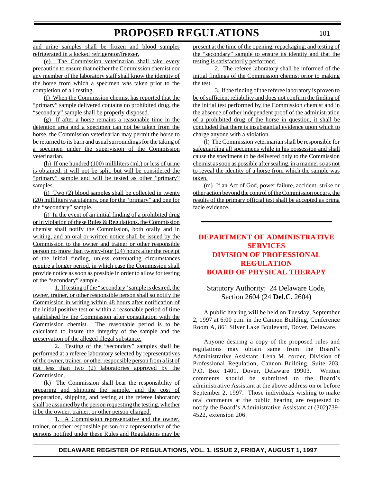<span id="page-19-0"></span>and urine samples shall be frozen and blood samples refrigerated in a locked refrigerator/freezer.

(e) The Commission veterinarian shall take every precaution to ensure that neither the Commission chemist nor any member of the laboratory staff shall know the identity of the horse from which a specimen was taken prior to the completion of all testing.

(f) When the Commission chemist has reported that the "primary" sample delivered contains no prohibited drug, the "secondary" sample shall be properly disposed.

(g) If after a horse remains a reasonable time in the detention area and a specimen can not be taken from the horse, the Commission veterinarian may permit the horse to be returned to its barn and usual surroundings for the taking of a specimen under the supervision of the Commission veterinarian.

(h) If one hundred (100) milliliters (ml.) or less of urine is obtained, it will not be split, but will be considered the "primary" sample and will be tested as other "primary" samples.

(i) Two (2) blood samples shall be collected in twenty (20) milliliters vacutainers, one for the "primary" and one for the "secondary" sample.

(j) In the event of an initial finding of a prohibited drug or in violation of these Rules & Regulations, the Commission chemist shall notify the Commission, both orally and in writing, and an oral or written notice shall be issued by the Commission to the owner and trainer or other responsible person no more than twenty-four (24) hours after the receipt of the initial finding, unless extenuating circumstances require a longer period, in which case the Commission shall provide notice as soon as possible in order to allow for testing of the "secondary" sample.

1. If testing of the "secondary" sample is desired, the owner, trainer, or other responsible person shall so notify the Commission in writing within 48 hours after notification of the initial positive test or within a reasonable period of time established by the Commission after consultation with the Commission chemist. The reasonable period is to be calculated to insure the integrity of the sample and the preservation of the alleged illegal substance.

2. Testing of the "secondary" samples shall be performed at a referee laboratory selected by representatives of the owner, trainer, or other responsible person from a list of not less than two (2) laboratories approved by the Commission.

(k) The Commission shall bear the responsibility of preparing and shipping the sample, and the cost of preparation, shipping, and testing at the referee laboratory shall be assumed by the person requesting the testing, whether it be the owner, trainer, or other person charged.

1. A Commission representative and the owner, trainer, or other responsible person or a representative of the persons notified under these Rules and Regulations may be

present at the time of the opening, repackaging, and testing of the "secondary" sample to ensure its identity and that the testing is satisfactorily performed.

2. The referee laboratory shall be informed of the initial findings of the Commission chemist prior to making the test.

3. If the finding of the referee laboratory is proven to be of sufficient reliability and does not confirm the finding of the initial test performed by the Commission chemist and in the absence of other independent proof of the administration of a prohibited drug of the horse in question, it shall be concluded that there is insubstantial evidence upon which to charge anyone with a violation.

(l) The Commission veterinarian shall be responsible for safeguarding all specimens while in his possession and shall cause the specimens to be delivered only to the Commission chemist as soon as possible after sealing, in a manner so as not to reveal the identity of a horse from which the sample was taken.

(m) If an Act of God, power failure, accident, strike or other action beyond the control of the Commission occurs, the results of the primary official test shall be accepted as prima facie evidence.

### **[DEPARTMENT OF ADMINISTRATIVE](#page-4-0) SERVICES DIVISION OF PROFESSIONAL REGULATION BOARD OF PHYSICAL THERAPY**

### Statutory Authority: 24 Delaware Code, Section 2604 (24 **Del.C.** 2604)

A public hearing will be held on Tuesday, September 2, 1997 at 6:00 p.m. in the Cannon Building, Conference Room A, 861 Silver Lake Boulevard, Dover, Delaware.

Anyone desiring a copy of the proposed rules and regulations may obtain same from the Board's Administrative Assistant, Lena M. corder, Division of Professional Regulation, Cannon Building, Suite 203, P.O. Box 1401, Dover, Delaware 19903. Written comments should be submitted to the Board's administrative Assistant at the above address on or before September 2, 1997. Those individuals wishing to make oral comments at the public hearing are requested to notify the Board's Administrative Assistant at (302)739- 4522, extension 206.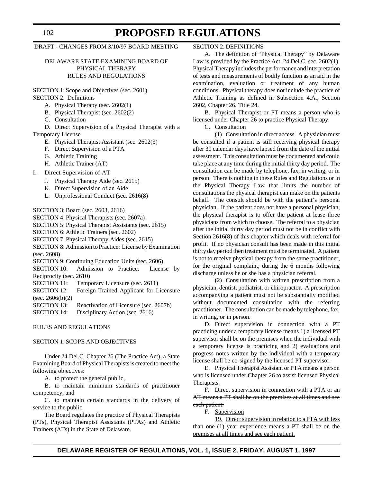#### DRAFT - CHANGES FROM 3/10/97 BOARD MEETING

#### DELAWARE STATE EXAMINING BOARD OF PHYSICAL THERAPY RULES AND REGULATIONS

SECTION 1: Scope and Objectives (sec. 2601) SECTION 2: Definitions

- A. Physical Therapy (sec. 2602(1)
- B. Physical Therapist (sec. 2602(2)
- C. Consultation

D. Direct Supervision of a Physical Therapist with a Temporary License

- E. Physical Therapist Assistant (sec. 2602(3)
- F. Direct Supervision of a PTA
- G. Athletic Training
- H. Athletic Trainer (AT)
- I. Direct Supervision of AT
	- J. Physical Therapy Aide (sec. 2615)
	- K. Direct Supervision of an Aide
	- L. Unprofessional Conduct (sec. 2616(8)

SECTION 3: Board (sec. 2603, 2616)

SECTION 4: Physical Therapists (sec. 2607a)

SECTION 5: Physical Therapist Assistants (sec. 2615)

SECTION 6: Athletic Trainers (sec. 2602)

SECTION 7: Physical Therapy Aides (sec. 2615)

SECTION 8: Admission to Practice: License by Examination (sec. 2608)

SECTION 9: Continuing Education Units (sec. 2606)

SECTION 10: Admission to Practice: License by Reciprocity (sec. 2610)

SECTION 11: Temporary Licensure (sec. 2611)

SECTION 12: Foreign Trained Applicant for Licensure  $(\sec. 2606(b)(2))$ 

SECTION 13: Reactivation of Licensure (sec. 2607b)

SECTION 14: Disciplinary Action (sec. 2616)

#### RULES AND REGULATIONS

#### SECTION 1: SCOPE AND OBJECTIVES

Under 24 Del.C. Chapter 26 (The Practice Act), a State Examining Board of Physical Therapists is created to meet the following objectives:

A. to protect the general public,

B. to maintain minimum standards of practitioner competency, and

C. to maintain certain standards in the delivery of service to the public.

The Board regulates the practice of Physical Therapists (PTs), Physical Therapist Assistants (PTAs) and Athletic Trainers (ATs) in the State of Delaware.

#### SECTION 2: DEFINITIONS

A. The definition of "Physical Therapy" by Delaware Law is provided by the Practice Act, 24 Del.C. sec. 2602(1). Physical Therapy includes the performance and interpretation of tests and measurements of bodily function as an aid in the examination, evaluation or treatment of any human conditions. Physical therapy does not include the practice of Athletic Training as defined in Subsection 4.A., Section 2602, Chapter 26, Title 24.

B. Physical Therapist or PT means a person who is licensed under Chapter 26 to practice Physical Therapy.

C. Consultation

(1) Consultation in direct access. A physician must be consulted if a patient is still receiving physical therapy after 30 calendar days have lapsed from the date of the initial assessment. This consultation must be documented and could take place at any time during the initial thirty day period. The consultation can be made by telephone, fax, in writing, or in person. There is nothing in these Rules and Regulations or in the Physical Therapy Law that limits the number of consultations the physical therapist can make on the patients behalf. The consult should be with the patient's personal physician. If the patient does not have a personal physician, the physical therapist is to offer the patient at lease three physicians from which to choose. The referral to a physician after the initial thirty day period must not be in conflict with Section 2616(8) of this chapter which deals with referral for profit. If no physician consult has been made in this initial thirty day period then treatment must be terminated. A patient is not to receive physical therapy from the same practitioner, for the original complaint, during the 6 months following discharge unless he or she has a physician referral.

(2) Consultation with written prescription from a physician, dentist, podiatrist, or chiropractor. A prescription accompanying a patient must not be substantially modified without documented consultation with the referring practitioner. The consultation can be made by telephone, fax, in writing, or in person.

D. Direct supervision in connection with a PT practicing under a temporary license means 1) a licensed PT supervisor shall be on the premises when the individual with a temporary license is practicing and 2) evaluations and progress notes written by the individual with a temporary license shall be co-signed by the licensed PT supervisor.

E. Physical Therapist Assistant or PTA means a person who is licensed under Chapter 26 to assist licensed Physical Therapists.

F. Direct supervision in connection with a PTA or an AT means a PT shall be on the premises at all times and see each patient.

F. Supervision

19. Direct supervision in relation to a PTA with less than one (1) year experience means a PT shall be on the premises at all times and see each patient.

102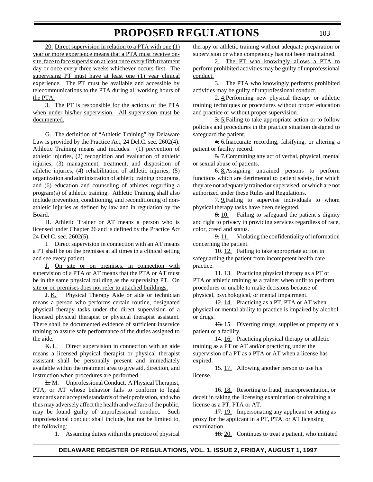20. Direct supervision in relation to a PTA with one (1) year or more experience means that a PTA must receive onsite, face to face supervision at least once every fifth treatment day or once every three weeks whichever occurs first. The supervising PT must have at least one (1) year clinical experience. The PT must be available and accessible by telecommunications to the PTA during all working hours of the PTA.

3. The PT is responsible for the actions of the PTA when under his/her supervision. All supervision must be documented.

G. The definition of "Athletic Training" by Delaware Law is provided by the Practice Act, 24 Del.C. sec. 2602(4). Athletic Training means and includes: (1) prevention of athletic injuries, (2) recognition and evaluation of athletic injuries, (3) management, treatment, and disposition of athletic injuries, (4) rehabilitation of athletic injuries, (5) organization and administration of athletic training programs, and (6) education and counseling of athletes regarding a program(s) of athletic training. Athletic Training shall also include prevention, conditioning, and reconditioning of nonathletic injuries as defined by law and in regulation by the Board.

H. Athletic Trainer or AT means a person who is licensed under Chapter 26 and is defined by the Practice Act 24 Del.C. sec. 2602(5).

I. Direct supervision in connection with an AT means a PT shall be on the premises at all times in a clinical setting and see every patient.

J. On site or on premises, in connection with supervision of a PTA or AT means that the PTA or AT must be in the same physical building as the supervising PT. On site or on premises does not refer to attached buildings.

J. K. Physical Therapy Aide or aide or technician means a person who performs certain routine, designated physical therapy tasks under the direct supervision of a licensed physical therapist or physical therapist assistant. There shall be documented evidence of sufficient inservice training to assure safe performance of the duties assigned to the aide.

 $K L$ . Direct supervision in connection with an aide means a licensed physical therapist or physical therapist assistant shall be personally present and immediately available within the treatment area to give aid, direction, and instruction when procedures are performed.

L. M. Unprofessional Conduct. A Physical Therapist, PTA, or AT whose behavior fails to conform to legal standards and accepted standards of their profession, and who thus may adversely affect the health and welfare of the public, may be found guilty of unprofessional conduct. Such unprofessional conduct shall include, but not be limited to, the following:

1. Assuming duties within the practice of physical

therapy or athletic training without adequate preparation or supervision or when competency has not been maintained.

2. The PT who knowingly allows a PTA to perform prohibited activities may be guilty of unprofessional conduct.

3. The PTA who knowingly performs prohibited activities may be guilty of unprofessional conduct.

2. 4.Performing new physical therapy or athletic training techniques or procedures without proper education and practice or without proper supervision.

3. 5.Failing to take appropriate action or to follow policies and procedures in the practice situation designed to safeguard the patient.

4. 6.Inaccurate recording, falsifying, or altering a patient or facility record.

5. 7.Committing any act of verbal, physical, mental or sexual abuse of patients.

6. 8. Assigning untrained persons to perform functions which are detrimental to patient safety, for which they are not adequately trained or supervised, or which are not authorized under these Rules and Regulations.

7. 9. Failing to supervise individuals to whom physical therapy tasks have been delegated.

8. 10. Failing to safeguard the patient's dignity and right to privacy in providing services regardless of race, color, creed and status.

9. 11. Violating the confidentiality of information concerning the patient.

 $10.12$ . Failing to take appropriate action in safeguarding the patient from incompetent health care practice.

11. 13. Practicing physical therapy as a PT or PTA or athletic training as a trainer when unfit to perform procedures or unable to make decisions because of physical, psychological, or mental impairment.

12. 14. Practicing as a PT, PTA or AT when physical or mental ability to practice is impaired by alcohol or drugs.

13. 15. Diverting drugs, supplies or property of a patient or a facility.

14. 16. Practicing physical therapy or athletic training as a PT or AT and/or practicing under the supervision of a PT as a PTA or AT when a license has expired.

15. 17. Allowing another person to use his license.

16. 18. Resorting to fraud, misrepresentation, or deceit in taking the licensing examination or obtaining a license as a PT, PTA or AT.

17. 19. Impersonating any applicant or acting as proxy for the applicant in a PT, PTA, or AT licensing examination.

18. 20. Continues to treat a patient, who initiated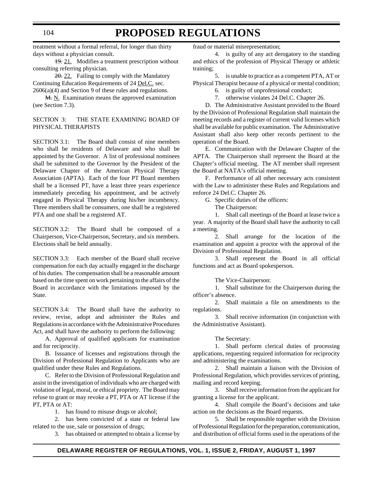treatment without a formal referral, for longer than thirty days without a physician consult.

19. 21. Modifies a treatment prescription without consulting referring physician.

 $20$ .  $22$ . Failing to comply with the Mandatory Continuing Education Requirements of 24 Del.C. sec. 2606(a)(4) and Section 9 of these rules and regulations.

**M.** N. Examination means the approved examination (see Section 7.3).

#### SECTION 3: THE STATE EXAMINING BOARD OF PHYSICAL THERAPISTS

SECTION 3.1: The Board shall consist of nine members who shall be residents of Delaware and who shall be appointed by the Governor. A list of professional nominees shall be submitted to the Governor by the President of the Delaware Chapter of the American Physical Therapy Association (APTA). Each of the four PT Board members shall be a licensed PT, have a least three years experience immediately preceding his appointment, and be actively engaged in Physical Therapy during his/her incumbency. Three members shall be consumers, one shall be a registered PTA and one shall be a registered AT.

SECTION 3.2: The Board shall be composed of a Chairperson, Vice-Chairperson, Secretary, and six members. Elections shall be held annually.

SECTION 3.3: Each member of the Board shall receive compensation for each day actually engaged in the discharge of his duties. The compensation shall be a reasonable amount based on the time spent on work pertaining to the affairs of the Board in accordance with the limitations imposed by the State.

SECTION 3.4: The Board shall have the authority to review, revise, adopt and administer the Rules and Regulations in accordance with the Administrative Procedures Act, and shall have the authority to perform the following:

A. Approval of qualified applicants for examination and for reciprocity.

B. Issuance of licenses and registrations through the Division of Professional Regulation to Applicants who are qualified under these Rules and Regulations.

C. Refer to the Division of Professional Regulation and assist in the investigation of individuals who are charged with violation of legal, moral, or ethical propriety. The Board may refuse to grant or may revoke a PT, PTA or AT license if the PT, PTA or AT:

1. has found to misuse drugs or alcohol;

2. has been convicted of a state or federal law related to the use, sale or possession of drugs;

3. has obtained or attempted to obtain a license by

fraud or material misrepresentation;

4. is guilty of any act derogatory to the standing and ethics of the profession of Physical Therapy or athletic training;

5. is unable to practice as a competent PTA, AT or Physical Therapist because of a physical or mental condition;

- 6. is guilty of unprofessional conduct;
- 7. otherwise violates 24 Del.C. Chapter 26.

D. The Administrative Assistant provided to the Board by the Division of Professional Regulation shall maintain the meeting records and a register of current valid licenses which shall be available for public examination. The Administrative Assistant shall also keep other records pertinent to the operation of the Board.

E. Communication with the Delaware Chapter of the APTA. The Chairperson shall represent the Board at the Chapter's official meeting. The AT member shall represent the Board at NATA's official meeting.

F. Performance of all other necessary acts consistent with the Law to administer these Rules and Regulations and enforce 24 Del.C. Chapter 26.

G. Specific duties of the officers:

The Chairperson:

1. Shall call meetings of the Board at lease twice a year. A majority of the Board shall have the authority to call a meeting.

2. Shall arrange for the location of the examination and appoint a proctor with the approval of the Division of Professional Regulation.

3. Shall represent the Board in all official functions and act as Board spokesperson.

The Vice-Chairperson:

1. Shall substitute for the Chairperson during the officer's absence.

2. Shall maintain a file on amendments to the regulations.

3. Shall receive information (in conjunction with the Administrative Assistant).

#### The Secretary:

1. Shall perform clerical duties of processing applications, requesting required information for reciprocity and administering the examinations.

2. Shall maintain a liaison with the Division of Professional Regulation, which provides services of printing, mailing and record keeping.

3. Shall receive information from the applicant for granting a license for the applicant.

4. Shall compile the Board's decisions and take action on the decisions as the Board requests.

5. Shall be responsible together with the Division of Professional Regulation for the preparation, communication, and distribution of official forms used in the operations of the

#### 104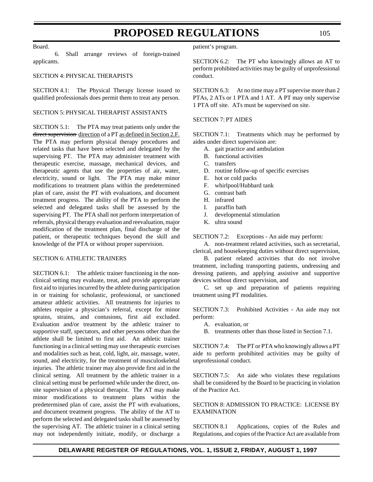#### Board.

6. Shall arrange reviews of foreign-trained applicants.

#### SECTION 4: PHYSICAL THERAPISTS

SECTION 4.1: The Physical Therapy license issued to qualified professionals does permit them to treat any person.

#### SECTION 5: PHYSICAL THERAPIST ASSISTANTS

SECTION 5.1: The PTA may treat patients only under the direct supervision direction of a PT as defined in Section 2.F. The PTA may perform physical therapy procedures and related tasks that have been selected and delegated by the supervising PT. The PTA may administer treatment with therapeutic exercise, massage, mechanical devices, and therapeutic agents that use the properties of air, water, electricity, sound or light. The PTA may make minor modifications to treatment plans within the predetermined plan of care, assist the PT with evaluations, and document treatment progress. The ability of the PTA to perform the selected and delegated tasks shall be assessed by the supervising PT. The PTA shall not perform interpretation of referrals, physical therapy evaluation and reevaluation, major modification of the treatment plan, final discharge of the patient, or therapeutic techniques beyond the skill and knowledge of the PTA or without proper supervision.

#### SECTION 6: ATHLETIC TRAINERS

SECTION 6.1: The athletic trainer functioning in the nonclinical setting may evaluate, treat, and provide appropriate first aid to injuries incurred by the athlete during participation in or training for scholastic, professional, or sanctioned amateur athletic activities. All treatments for injuries to athletes require a physician's referral, except for minor sprains, strains, and contusions, first aid excluded. Evaluation and/or treatment by the athletic trainer to supportive staff, spectators, and other persons other than the athlete shall be limited to first aid. An athletic trainer functioning in a clinical setting may use therapeutic exercises and modalities such as heat, cold, light, air, massage, water, sound, and electricity, for the treatment of musculoskeletal injuries. The athletic trainer may also provide first aid in the clinical setting. All treatment by the athletic trainer in a clinical setting must be performed while under the direct, onsite supervision of a physical therapist. The AT may make minor modifications to treatment plans within the predetermined plan of care, assist the PT with evaluations, and document treatment progress. The ability of the AT to perform the selected and delegated tasks shall be assessed by the supervising AT. The athletic trainer in a clinical setting may not independently initiate, modify, or discharge a

patient's program.

SECTION 6.2: The PT who knowingly allows an AT to perform prohibited activities may be guilty of unprofessional conduct.

SECTION 6.3: At no time may a PT supervise more than 2 PTAs, 2 ATs or 1 PTA and 1 AT. A PT may only supervise 1 PTA off site. ATs must be supervised on site.

#### SECTION 7: PT AIDES

SECTION 7.1: Treatments which may be performed by aides under direct supervision are:

- A. gait practice and ambulation
- B. functional activities
- C. transfers
- D. routine follow-up of specific exercises
- E. hot or cold packs
- F. whirlpool/Hubbard tank
- G. contrast bath
- H. infrared
- I. paraffin bath
- J. developmental stimulation
- K. ultra sound

SECTION 7.2: Exceptions - An aide may perform:

A. non-treatment related activities, such as secretarial, clerical, and housekeeping duties without direct supervision,

B. patient related activities that do not involve treatment, including transporting patients, undressing and dressing patients, and applying assistive and supportive devices without direct supervision, and

C. set up and preparation of patients requiring treatment using PT modalities.

SECTION 7.3: Prohibited Activities - An aide may not perform:

- A. evaluation, or
- B. treatments other than those listed in Section 7.1.

SECTION 7.4: The PT or PTA who knowingly allows a PT aide to perform prohibited activities may be guilty of unprofessional conduct.

SECTION 7.5: An aide who violates these regulations shall be considered by the Board to be practicing in violation of the Practice Act.

#### SECTION 8: ADMISSION TO PRACTICE: LICENSE BY EXAMINATION

SECTION 8.1 Applications, copies of the Rules and Regulations, and copies of the Practice Act are available from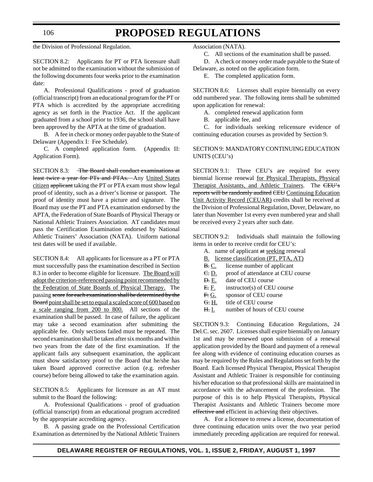#### 106

### **PROPOSED REGULATIONS**

the Division of Professional Regulation.

SECTION 8.2: Applicants for PT or PTA licensure shall not be admitted to the examination without the submission of the following documents four weeks prior to the examination date:

A. Professional Qualifications - proof of graduation (official transcript) from an educational program for the PT or PTA which is accredited by the appropriate accrediting agency as set forth in the Practice Act. If the applicant graduated from a school prior to 1936, the school shall have been approved by the APTA at the time of graduation.

B. A fee in check or money order payable to the State of Delaware (Appendix I: Fee Schedule).

C. A completed application form. (Appendix II: Application Form).

SECTION 8.3: The Board shall conduct examinations at least twice a year for PTs and PTAs. Any United States citizen applicant taking the PT or PTA exam must show legal proof of identity, such as a driver's license or passport. The proof of identity must have a picture and signature. The Board may use the PT and PTA examination endorsed by the APTA, the Federation of State Boards of Physical Therapy or National Athletic Trainers Association. AT candidates must pass the Certification Examination endorsed by National Athletic Trainers' Association (NATA). Uniform national test dates will be used if available.

SECTION 8.4: All applicants for licensure as a PT or PTA must successfully pass the examination described in Section 8.3 in order to become eligible for licensure. The Board will adopt the criterion-referenced passing point recommended by the Federation of State Boards of Physical Therapy. The passing score for each examination shall be determined by the Board point shall be set to equal a scaled score of 600 based on a scale ranging from 200 to 800. All sections of the examination shall be passed. In case of failure, the applicant may take a second examination after submitting the applicable fee. Only sections failed must be repeated. The second examination shall be taken after six months and within two years from the date of the first examination. If the applicant fails any subsequent examination, the applicant must show satisfactory proof to the Board that he/she has taken Board approved corrective action (e.g. refresher course) before being allowed to take the examination again.

SECTION 8.5: Applicants for licensure as an AT must submit to the Board the following:

A. Professional Qualifications - proof of graduation (official transcript) from an educational program accredited by the appropriate accrediting agency.

B. A passing grade on the Professional Certification Examination as determined by the National Athletic Trainers

Association (NATA).

C. All sections of the examination shall be passed.

D. A check or money order made payable to the State of Delaware, as noted on the application form.

E. The completed application form.

SECTION 8.6: Licenses shall expire biennially on every odd numbered year. The following items shall be submitted upon application for renewal:

A. completed renewal application form

B. applicable fee, and

C. for individuals seeking relicensure evidence of continuing education courses as provided by Section 9.

SECTION 9: MANDATORY CONTINUING EDUCATION UNITS (CEU's)

SECTION 9.1: Three CEU's are required for every biennial license renewal for Physical Therapists, Physical Therapist Assistants, and Athletic Trainers. The CEU's reports will be randomly audited CEU Continuing Education Unit Activity Record (CEUAR) credits shall be received at the Division of Professional Regulation, Dover, Delaware, no later than November 1st every even numbered year and shall be received every 2 years after such date.

SECTION 9.2: Individuals shall maintain the following items in order to receive credit for CEU's:

- A. name of applicant at seeking renewal
- B. license classification (PT, PTA, AT)
- B. C. license number of applicant
- C. D. proof of attendance at CEU course
- **D.** E. date of CEU course
- $E. F.$  instructor(s) of CEU course
- F. G. sponsor of CEU course
- G. H. title of CEU course
- H. I. number of hours of CEU course

SECTION 9.3: Continuing Education Regulations, 24 Del.C. sec. 2607. Licenses shall expire biennially on January 1st and may be renewed upon submission of a renewal application provided by the Board and payment of a renewal fee along with evidence of continuing education courses as may be required by the Rules and Regulations set forth by the Board. Each licensed Physical Therapist, Physical Therapist Assistant and Athletic Trainer is responsible for continuing his/her education so that professional skills are maintained in accordance with the advancement of the profession. The purpose of this is to help Physical Therapists, Physical Therapist Assistants and Athletic Trainers become more effective and efficient in achieving their objectives.

A. For a licensee to renew a license, documentation of three continuing education units over the two year period immediately preceding application are required for renewal.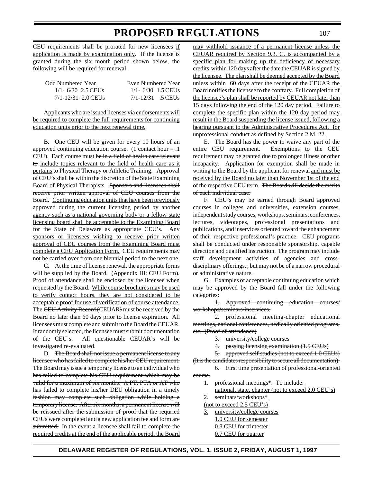CEU requirements shall be prorated for new licensees if application is made by examination only. If the license is granted during the six month period shown below, the following will be required for renewal:

| Odd Numbered Year      | Even Numbered Year    |
|------------------------|-----------------------|
| $1/1 - 6/30$ 2.5 CEUs  | $1/1 - 6/30$ 1.5 CEUs |
| $7/1 - 12/31$ 2.0 CEUs | $7/1 - 12/31$ .5 CEUs |

Applicants who are issued licenses via endorsements will be required to complete the full requirements for continuing education units prior to the next renewal time.

B. One CEU will be given for every 10 hours of an approved continuing education course. (1 contact hour = .1 CEU). Each course must be in a field of health care relevant to include topics relevant to the field of health care as it pertains to Physical Therapy or Athletic Training. Approval of CEU's shall be within the discretion of the State Examining Board of Physical Therapists. Sponsors and licensees shall receive prior written approval of CEU courses from the Board. Continuing education units that have been previously approved during the current licensing period by another agency such as a national governing body or a fellow state licensing board shall be acceptable to the Examining Board for the State of Delaware as appropriate CEU's. Any sponsors or licensees wishing to receive prior written approval of CEU courses from the Examining Board must complete a CEU Application Form. CEU requirements may not be carried over from one biennial period to the next one.

C. At the time of license renewal, the appropriate forms will be supplied by the Board. (Appendix III: CEU Form). Proof of attendance shall be enclosed by the licensee when requested by the Board. While course brochures may be used to verify contact hours, they are not considered to be acceptable proof for use of verification of course attendance. The CEU Activity Record (CEUAR) must be received by the Board no later than 60 days prior to license expiration. All licensees must complete and submit to the Board the CEUAR. If randomly selected, the licensee must submit documentation of the CEU's. All questionable CEUAR's will be investigated re-evaluated.

D. The Board shall not issue a permanent license to any licensee who has failed to complete his/her CEU requirement. The Board may issue a temporary license to an individual who has failed to complete his CEU requirement which may be valid for a maximum of six months. A PT, PTA or AT who has failed to complete his/her DEU obligation in a timely fashion may complete such obligation while holding a temporary license. After six months, a permanent license will be reissued after the submission of proof that the requried CEUs were completed and a new application fee and form are submitted. In the event a licensee shall fail to complete the required credits at the end of the applicable period, the Board

may withhold issuance of a permanent license unless the CEUAR required by Section 9.3. C. is accompanied by a specific plan for making up the deficiency of necessary credits within 120 days after the date the CEUAR is signed by the licensee. The plan shall be deemed accepted by the Board unless within 60 days after the receipt of the CEUAR the Board notifies the licensee to the contrary. Full completion of the licensee's plan shall be reported by CEUAR not later than 15 days following the end of the 120 day period. Failure to complete the specific plan within the 120 day period may result in the Board suspending the license issued, following a hearing pursuant to the Administrative Procedures Act, for unprofessional conduct as defined by Section 2.M. 22.

E. The Board has the power to waive any part of the entire CEU requirement. Exemptions to the CEU requirement may be granted due to prolonged illness or other incapacity. Application for exemption shall be made in writing to the Board by the applicant for renewal and must be received by the Board no later than November 1st of the end of the respective CEU term. The Board will decide the merits of each individual case.

F. CEU's may be earned through Board approved courses in colleges and universities, extension courses, independent study courses, workshops, seminars, conferences, lectures, videotapes, professional presentations and publications, and inservices oriented toward the enhancement of their respective professional's practice. CEU programs shall be conducted under responsible sponsorship, capable direction and qualified instruction. The program may include staff development activities of agencies and crossdisciplinary offerings. <del>, but may not be of a narrow procedural</del> or administrative nature.

G. Examples of acceptable continuing education which may be approved by the Board fall under the following categories:

1. Approved continuing education courses/ workshops/seminars/inservices.

2. professional meeting-chapter educational meetings, national conferences, nedically oriented programs, etc. (Proof of attendance)

- 3. university/college courses
- 4. passing licensing examination (1.5 CEUs)

5. approved self studies (not to exceed 1.0 CEUs)

(It is the candidates responsibility to secure all documentation).

6. First time presentation of professional-oriented course.

- 1. professional meetings\*. To include:
- national, state, chapter (not to exceed 2.0 CEU's)
- 2. seminars/workshops\*
- (not to exceed 2.5 CEU's)
- 3. university/college courses 1.0 CEU for semester 0.8 CEU for trimester 0.7 CEU for quarter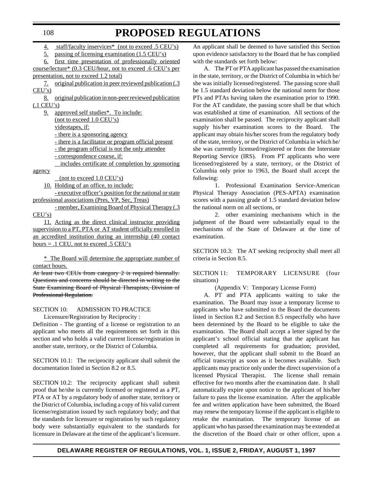4. staff/faculty inservices\* (not to exceed .5 CEU's)

5. passing of licensing examination (1.5 CEU's)

6. first time presentation of professionally oriented course/lecture\* (0.3 CEU/hour, not to exceed .6 CEU's per presentation, not to exceed 1.2 total)

7. original publication in peer reviewed publication (.3  $CEU's$ )

8. original publication in non-peer reviewed publication  $(.1$  CEU's)

9. approved self studies\*. To include: (not to exceed 1.0 CEU's) videotapes, if: - there is a sponsoring agency

- there is a facilitator or program official present

- the program official is not the only attendee

- correspondence course, if:

includes certificate of completion by sponsoring

agency

(not to exceed 1.0 CEU's)

10. Holding of an office, to include:

- executive officer's position for the national or state professional associations (Pres, VP, Sec, Treas)

- member, Examining Board of Physical Therapy (.3 CEU's)

11. Acting as the direct clinical instructor providing supervision to a PT, PTA or AT student officially enrolled in an accredited institution during an internship (40 contact  $hours = .1$  CEU, not to exceed  $.5$  CEU's

\* The Board will determine the appropriate number of contact hours.

At least two CEUs from category 2 is required biennally. Questions and concerns should be directed in writing to the State Examining Board of Physical Therapists, Division of Professional Regulation.

#### SECTION 10: ADMISSION TO PRACTICE

Licensure/Registration by Reciprocity :

Definition - The granting of a license or registration to an applicant who meets all the requirements set forth in this section and who holds a valid current license/registration in another state, territory, or the District of Columbia.

SECTION 10.1: The reciprocity applicant shall submit the documentation listed in Section 8.2 or 8.5.

SECTION 10.2: The reciprocity applicant shall submit proof that he/she is currently licensed or registered as a PT, PTA or AT by a regulatory body of another state, territory or the District of Columbia, including a copy of his valid current license/registration issued by such regulatory body; and that the standards for licensure or registration by such regulatory body were substantially equivalent to the standards for licensure in Delaware at the time of the applicant's licensure.

An applicant shall be deemed to have satisfied this Section upon evidence satisfactory to the Board that he has complied with the standards set forth below:

A. The PT or PTA applicant has passed the examination in the state, territory, or the District of Columbia in which he/ she was initially licensed/registered. The passing score shall be 1.5 standard deviation below the national norm for those PTs and PTAs having taken the examination prior to 1990. For the AT candidate, the passing score shall be that which was established at time of examination. All sections of the examination shall be passed. The reciprocity applicant shall supply his/her examination scores to the Board. The applicant may obtain his/her scores from the regulatory body of the state, territory, or the District of Columbia in which he/ she was currently licensed/registered or from the Interstate Reporting Service (IRS). From PT applicants who were licensed/registered by a state, territory, or the District of Columbia only prior to 1963, the Board shall accept the following:

1. Professional Examination Service-American Physical Therapy Association (PES-APTA) examination scores with a passing grade of 1.5 standard deviation below the national norm on all sections, or

2. other examining mechanisms which in the judgment of the Board were substantially equal to the mechanisms of the State of Delaware at the time of examination.

SECTION 10.3: The AT seeking reciprocity shall meet all criteria in Section 8.5.

#### SECTION 11: TEMPORARY LICENSURE (four situations)

(Appendix V: Temporary License Form)

A. PT and PTA applicants waiting to take the examination. The Board may issue a temporary license to applicants who have submitted to the Board the documents listed in Section 8.2 and Section 8.5 respectfully who have been determined by the Board to be eligible to take the examination. The Board shall accept a letter signed by the applicant's school official stating that the applicant has completed all requirements for graduation; provided, however, that the applicant shall submit to the Board an official transcript as soon as it becomes available. Such applicants may practice only under the direct supervision of a licensed Physical Therapist. The license shall remain effective for two months after the examination date. It shall automatically expire upon notice to the applicant of his/her failure to pass the license examination. After the applicable fee and written application have been submitted, the Board may renew the temporary license if the applicant is eligible to retake the examination. The temporary license of an applicant who has passed the examination may be extended at the discretion of the Board chair or other officer, upon a

### **DELAWARE REGISTER OF REGULATIONS, VOL. 1, ISSUE 2, FRIDAY, AUGUST 1, 1997**

#### 108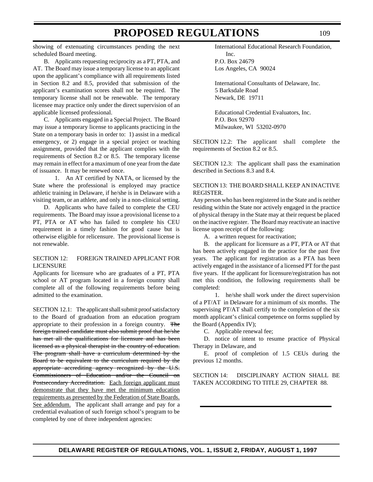showing of extenuating circumstances pending the next scheduled Board meeting.

B. Applicants requesting reciprocity as a PT, PTA, and AT. The Board may issue a temporary license to an applicant upon the applicant's compliance with all requirements listed in Section 8.2 and 8.5, provided that submission of the applicant's examination scores shall not be required. The temporary license shall not be renewable. The temporary licensee may practice only under the direct supervision of an applicable licensed professional.

C. Applicants engaged in a Special Project. The Board may issue a temporary license to applicants practicing in the State on a temporary basis in order to: 1) assist in a medical emergency, or 2) engage in a special project or teaching assignment, provided that the applicant complies with the requirements of Section 8.2 or 8.5. The temporary license may remain in effect for a maximum of one year from the date of issuance. It may be renewed once.

1. An AT certified by NATA, or licensed by the State where the professional is employed may practice athletic training in Delaware, if he/she is in Delaware with a visiting team, or an athlete, and only in a non-clinical setting.

D. Applicants who have failed to complete the CEU requirements. The Board may issue a provisional license to a PT, PTA or AT who has failed to complete his CEU requirement in a timely fashion for good cause but is otherwise eligible for relicensure. The provisional license is not renewable.

#### SECTION 12: FOREIGN TRAINED APPLICANT FOR LICENSURE

Applicants for licensure who are graduates of a PT, PTA school or AT program located in a foreign country shall complete all of the following requirements before being admitted to the examination.

SECTION 12.1: The applicant shall submit proof satisfactory to the Board of graduation from an education program appropriate to their profession in a foreign country. The foreign trained candidate must also submit proof that he/she has met all the qualifications for licensure and has been licensed as a physical therapist in the country of education. The program shall have a curriculum determined by the Board to be equivalent to the curriculum required by the appropriate accrediting agency recognized by the U.S. Commissioners of Education and/or the Council on Postsecondary Accreditation. Each foreign applicant must demonstrate that they have met the minimum education requirements as presented by the Federation of State Boards. See addendum. The applicant shall arrange and pay for a credential evaluation of such foreign school's program to be completed by one of three independent agencies:

International Educational Research Foundation, Inc. P.O. Box 24679

Los Angeles, CA 90024

International Consultants of Delaware, Inc. 5 Barksdale Road Newark, DE 19711

Educational Credential Evaluators, Inc. P.O. Box 92970 Milwaukee, WI 53202-0970

SECTION 12.2: The applicant shall complete the requirements of Section 8.2 or 8.5.

SECTION 12.3: The applicant shall pass the examination described in Sections 8.3 and 8.4.

#### SECTION 13: THE BOARD SHALL KEEP AN INACTIVE REGISTER.

Any person who has been registered in the State and is neither residing within the State nor actively engaged in the practice of physical therapy in the State may at their request be placed on the inactive register. The Board may reactivate an inactive license upon receipt of the following:

A. a written request for reactivation;

B. the applicant for licensure as a PT, PTA or AT that has been actively engaged in the practice for the past five years. The applicant for registration as a PTA has been actively engaged in the assistance of a licensed PT for the past five years. If the applicant for licensure/registration has not met this condition, the following requirements shall be completed:

1. he/she shall work under the direct supervision of a PT/AT in Delaware for a minimum of six months. The supervising PT/AT shall certify to the completion of the six month applicant's clinical competence on forms supplied by the Board (Appendix IV);

C. Applicable renewal fee;

D. notice of intent to resume practice of Physical Therapy in Delaware, and

E. proof of completion of 1.5 CEUs during the previous 12 months.

SECTION 14: DISCIPLINARY ACTION SHALL BE TAKEN ACCORDING TO TITLE 29, CHAPTER 88.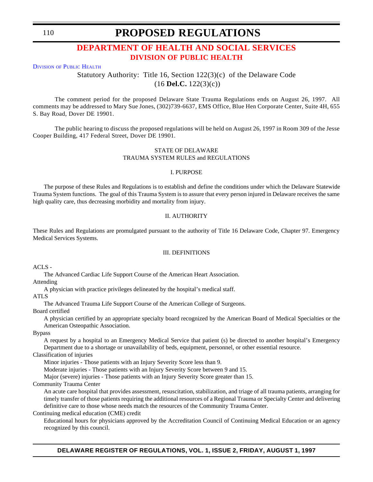<span id="page-28-0"></span>110

### **PROPOSED REGULATIONS**

### **[DEPARTMENT OF HEALTH AND SOCIAL SERVICES](#page-4-0) DIVISION OF PUBLIC HEALTH**

#### [DIVISION](http://www.state.de.us/govern/agencies/dhss/irm/dph/dphhome.htm) OF PUBLIC HEALTH

Statutory Authority: Title 16, Section 122(3)(c) of the Delaware Code (16 **Del.C.** 122(3)(c))

The comment period for the proposed Delaware State Trauma Regulations ends on August 26, 1997. All comments may be addressed to Mary Sue Jones, (302)739-6637, EMS Office, Blue Hen Corporate Center, Suite 4H, 655 S. Bay Road, Dover DE 19901.

The public hearing to discuss the proposed regulations will be held on August 26, 1997 in Room 309 of the Jesse Cooper Building, 417 Federal Street, Dover DE 19901.

#### STATE OF DELAWARE TRAUMA SYSTEM RULES and REGULATIONS

#### I. PURPOSE

The purpose of these Rules and Regulations is to establish and define the conditions under which the Delaware Statewide Trauma System functions. The goal of this Trauma System is to assure that every person injured in Delaware receives the same high quality care, thus decreasing morbidity and mortality from injury.

#### II. AUTHORITY

These Rules and Regulations are promulgated pursuant to the authority of Title 16 Delaware Code, Chapter 97. Emergency Medical Services Systems.

#### III. DEFINITIONS

ACLS -

The Advanced Cardiac Life Support Course of the American Heart Association.

Attending

A physician with practice privileges delineated by the hospital's medical staff.

ATLS

The Advanced Trauma Life Support Course of the American College of Surgeons.

Board certified

A physician certified by an appropriate specialty board recognized by the American Board of Medical Specialties or the American Osteopathic Association.

Bypass

A request by a hospital to an Emergency Medical Service that patient (s) be directed to another hospital's Emergency Department due to a shortage or unavailability of beds, equipment, personnel, or other essential resource.

#### Classification of injuries

Minor injuries - Those patients with an Injury Severity Score less than 9.

Moderate injuries - Those patients with an Injury Severity Score between 9 and 15.

Major (severe) injuries - Those patients with an Injury Severity Score greater than 15.

Community Trauma Center

An acute care hospital that provides assessment, resuscitation, stabilization, and triage of all trauma patients, arranging for timely transfer of those patients requiring the additional resources of a Regional Trauma or Specialty Center and delivering definitive care to those whose needs match the resources of the Community Trauma Center.

Continuing medical education (CME) credit

Educational hours for physicians approved by the Accreditation Council of Continuing Medical Education or an agency recognized by this council.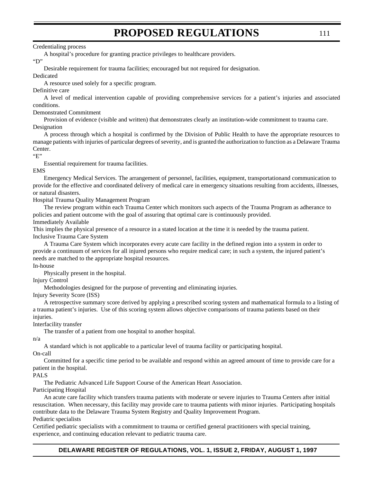#### Credentialing process

A hospital's procedure for granting practice privileges to healthcare providers.

#### "D"

Desirable requirement for trauma facilities; encouraged but not required for designation.

#### Dedicated

A resource used solely for a specific program.

#### Definitive care

A level of medical intervention capable of providing comprehensive services for a patient's injuries and associated conditions.

#### Demonstrated Commitment

Provision of evidence (visible and written) that demonstrates clearly an institution-wide commitment to trauma care. Designation

A process through which a hospital is confirmed by the Division of Public Health to have the appropriate resources to manage patients with injuries of particular degrees of severity, and is granted the authorization to function as a Delaware Trauma Center.

#### $E$ "

Essential requirement for trauma facilities.

#### EMS

Emergency Medical Services. The arrangement of personnel, facilities, equipment, transportationand communication to provide for the effective and coordinated delivery of medical care in emergency situations resulting from accidents, illnesses, or natural disasters.

Hospital Trauma Quality Management Program

The review program within each Trauma Center which monitors such aspects of the Trauma Program as adherance to policies and patient outcome with the goal of assuring that optimal care is continuously provided.

Immediately Available

This implies the physical presence of a resource in a stated location at the time it is needed by the trauma patient. Inclusive Trauma Care System

A Trauma Care System which incorporates every acute care facility in the defined region into a system in order to provide a continuum of services for all injured persons who require medical care; in such a system, the injured patient's needs are matched to the appropriate hospital resources.

#### In-house

Physically present in the hospital.

Injury Control

Methodologies designed for the purpose of preventing and eliminating injuries.

Injury Severity Score (ISS)

A retrospective summary score derived by applying a prescribed scoring system and mathematical formula to a listing of a trauma patient's injuries. Use of this scoring system allows objective comparisons of trauma patients based on their injuries.

#### Interfacility transfer

The transfer of a patient from one hospital to another hospital.

n/a

A standard which is not applicable to a particular level of trauma facility or participating hospital.

#### On-call

Committed for a specific time period to be available and respond within an agreed amount of time to provide care for a patient in the hospital.

#### PALS

The Pediatric Advanced Life Support Course of the American Heart Association.

#### Participating Hospital

An acute care facility which transfers trauma patients with moderate or severe injuries to Trauma Centers after initial resuscitation. When necessary, this facility may provide care to trauma patients with minor injuries. Participating hospitals contribute data to the Delaware Trauma System Registry and Quality Improvement Program.

#### Pediatric specialists

Certified pediatric specialists with a commitment to trauma or certified general practitioners with special training, experience, and continuing education relevant to pediatric trauma care.

### 111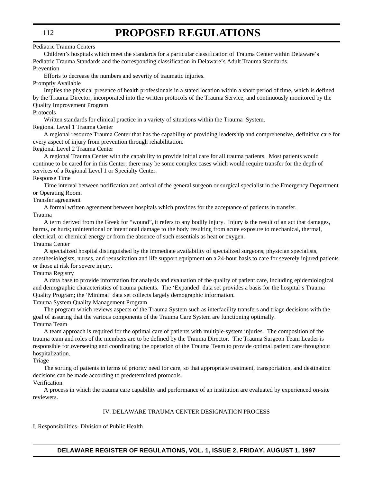Pediatric Trauma Centers

Children's hospitals which meet the standards for a particular classification of Trauma Center within Delaware's Pediatric Trauma Standards and the corresponding classification in Delaware's Adult Trauma Standards*.*

#### Prevention

Efforts to decrease the numbers and severity of traumatic injuries.

#### Promptly Available

Implies the physical presence of health professionals in a stated location within a short period of time, which is defined by the Trauma Director, incorporated into the written protocols of the Trauma Service, and continuously monitored by the Quality Improvement Program.

#### Protocols

Written standards for clinical practice in a variety of situations within the Trauma System.

#### Regional Level 1 Trauma Center

A regional resource Trauma Center that has the capability of providing leadership and comprehensive, definitive care for every aspect of injury from prevention through rehabilitation.

#### Regional Level 2 Trauma Center

A regional Trauma Center with the capability to provide initial care for all trauma patients. Most patients would continue to be cared for in this Center; there may be some complex cases which would require transfer for the depth of services of a Regional Level 1 or Specialty Center.

#### Response Time

Time interval between notification and arrival of the general surgeon or surgical specialist in the Emergency Department or Operating Room.

#### Transfer agreement

A formal written agreement between hospitals which provides for the acceptance of patients in transfer.

Trauma

A term derived from the Greek for "wound", it refers to any bodily injury. Injury is the result of an act that damages, harms, or hurts; unintentional or intentional damage to the body resulting from acute exposure to mechanical, thermal, electrical, or chemical energy or from the absence of such essentials as heat or oxygen.

### Trauma Center

A specialized hospital distinguished by the immediate availability of specialized surgeons, physician specialists, anesthesiologists, nurses, and resuscitation and life support equipment on a 24-hour basis to care for severely injured patients or those at risk for severe injury.

#### Trauma Registry

A data base to provide information for analysis and evaluation of the quality of patient care, including epidemiological and demographic characteristics of trauma patients. The 'Expanded' data set provides a basis for the hospital's Trauma Quality Program; the 'Minimal' data set collects largely demographic information.

Trauma System Quality Management Program

The program which reviews aspects of the Trauma System such as interfacility transfers and triage decisions with the goal of assuring that the various components of the Trauma Care System are functioning optimally. Trauma Team

A team approach is required for the optimal care of patients with multiple-system injuries. The composition of the trauma team and roles of the members are to be defined by the Trauma Director. The Trauma Surgeon Team Leader is responsible for overseeing and coordinating the operation of the Trauma Team to provide optimal patient care throughout hospitalization.

#### Triage

The sorting of patients in terms of priority need for care, so that appropriate treatment, transportation, and destination decisions can be made according to predetermined protocols.

#### Verification

A process in which the trauma care capability and performance of an institution are evaluated by experienced on-site reviewers.

#### IV. DELAWARE TRAUMA CENTER DESIGNATION PROCESS

I. Responsibilities- Division of Public Health

### 112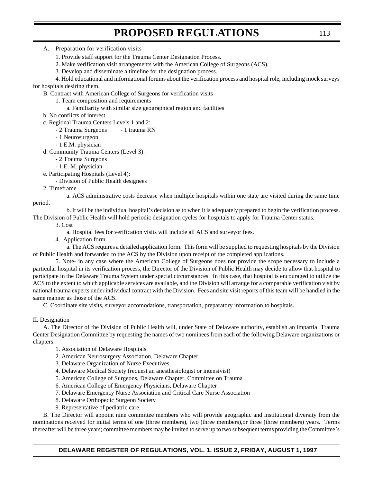A. Preparation for verification visits

- 1. Provide staff support for the Trauma Center Designation Process.
- 2. Make verification visit arrangements with the American College of Surgeons (ACS).
- 3. Develop and disseminate a timeline for the designation process.

4. Hold educational and informational forums about the verification process and hospital role, including mock surveys for hospitals desiring them.

B. Contract with American College of Surgeons for verification visits

1. Team composition and requirements

a. Familiarity with similar size geographical region and facilities

b. No conflicts of interest

c. Regional Trauma Centers Levels 1 and 2:

- 2 Trauma Surgeons - 1 trauma RN

- 1 Neurosurgeon
- 1 E.M. physician

d. Community Trauma Centers (Level 3):

- 2 Trauma Surgeons
- 1 E. M. physician

e. Participating Hospitals (Level 4):

- Division of Public Health designees

2. Timeframe

a. ACS administrative costs decrease when multiple hospitals within one state are visited during the same time period.

b. It will be the individual hospital's decision as to when it is adequately prepared to begin the verification process. The Division of Public Health will hold periodic designation cycles for hospitals to apply for Trauma Center status.

3. Cost

a. Hospital fees for verification visits will include all ACS and surveyor fees.

4. Application form

a. The ACS requires a detailed application form. This form will be supplied to requesting hospitals by the Division of Public Health and forwarded to the ACS by the Division upon receipt of the completed applications.

5. Note- in any case where the American College of Surgeons does not provide the scope necessary to include a particular hospital in its verification process, the Director of the Division of Public Health may decide to allow that hospital to participate in the Delaware Trauma System under special circumstances. In this case, that hospital is encouraged to utilize the ACS to the extent to which applicable services are available, and the Division will arrange for a comparable verification visit by national trauma experts under individual contract with the Division. Fees and site visit reports of this team will be handled in the same manner as those of the ACS.

C. Coordinate site visits, surveyor accomodations, transportation, preparatory information to hospitals.

II. Designation

A. The Director of the Division of Public Health will, under State of Delaware authority, establish an impartial Trauma Center Designation Committee by requesting the names of two nominees from each of the following Delaware organizations or chapters:

- 1. Association of Delaware Hospitals
- 2. American Neurosurgery Association, Delaware Chapter
- 3. Delaware Organization of Nurse Executives
- 4. Delaware Medical Society (request an anesthesiologist or intensivist)
- 5. American College of Surgeons, Delaware Chapter, Committee on Trauma
- 6. American College of Emergency Physicians, Delaware Chapter
- 7. Delaware Emergency Nurse Association and Critical Care Nurse Association
- 8. Delaware Orthopedic Surgeon Society
- 9. Representative of pediatric care.

B. The Director will appoint nine committee members who will provide geographic and institutional diversity from the nominations received for initial terms of one (three members), two (three members),or three (three members) years. Terms thereafter will be three years; committee members may be invited to serve up to two subsequent terms providing the Committee's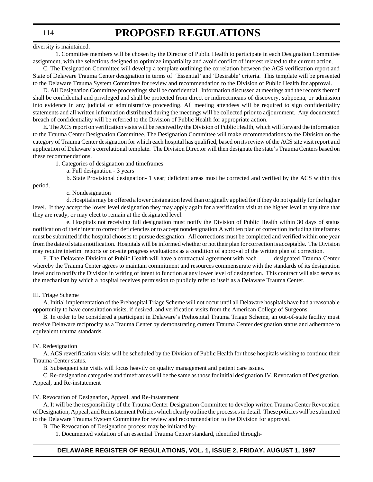diversity is maintained.

1. Committee members will be chosen by the Director of Public Health to participate in each Designation Committee assignment, with the selections designed to optimize impartiality and avoid conflict of interest related to the current action.

C. The Designation Committee will develop a template outlining the correlation between the ACS verification report and State of Delaware Trauma Center designation in terms of 'Essential' and 'Desirable' criteria. This template will be presented to the Delaware Trauma System Committee for review and recommendation to the Division of Public Health for approval.

D. All Designation Committee proceedings shall be confidential. Information discussed at meetings and the records thereof shall be confidential and privileged and shall be protected from direct or indirectmeans of discovery, subpoena, or admission into evidence in any judicial or administrative proceeding. All meeting attendees will be required to sign confidentiality statements and all written information distributed during the meetings will be collected prior to adjournment. Any documented breach of confidentiality will be referred to the Division of Public Health for appropriate action.

E. The ACS report on verification visits will be received by the Division of Public Health, which will forward the information to the Trauma Center Designation Committee. The Designation Committee will make recommendations to the Division on the category of Trauma Center designation for which each hospital has qualified, based on its review of the ACS site visit report and application of Delaware's correlational template. The Division Director will then designate the state's Trauma Centers based on these recommendations.

1. Categories of designation and timeframes

a. Full designation - 3 years

b. State Provisional designation- 1 year; deficient areas must be corrected and verified by the ACS within this period.

#### c. Nondesignation

d. Hospitals may be offered a lower designation level than originally applied for if they do not qualify for the higher level. If they accept the lower level designation they may apply again for a verification visit at the higher level at any time that they are ready, or may elect to remain at the designated level.

e. Hospitals not receiving full designation must notify the Division of Public Health within 30 days of status notification of their intent to correct deficiencies or to accept nondesignation.A writ ten plan of correction including timeframes must be submitted if the hospital chooses to pursue designation. All corrections must be completed and verified within one year from the date of status notification. Hospitals will be informed whether or not their plan for correction is acceptable. The Division may require interim reports or on-site progress evaluations as a condition of approval of the written plan of correction.

F. The Delaware Division of Public Health will have a contractual agreement with each designated Trauma Center whereby the Trauma Center agrees to maintain commitment and resources commensurate with the standards of its designation level and to notify the Division in writing of intent to function at any lower level of designation. This contract will also serve as the mechanism by which a hospital receives permission to publicly refer to itself as a Delaware Trauma Center.

#### III. Triage Scheme

A. Initial implementation of the Prehospital Triage Scheme will not occur until all Delaware hospitals have had a reasonable opportunity to have consultation visits, if desired, and verification visits from the American College of Surgeons.

B. In order to be considered a participant in Delaware's Prehospital Trauma Triage Scheme, an out-of-state facility must receive Delaware reciprocity as a Trauma Center by demonstrating current Trauma Center designation status and adherance to equivalent trauma standards.

#### IV. Redesignation

A. ACS reverification visits will be scheduled by the Division of Public Health for those hospitals wishing to continue their Trauma Center status.

B. Subsequent site visits will focus heavily on quality management and patient care issues.

C. Re-designation categories and timeframes will be the same as those for initial designation.IV. Revocation of Designation, Appeal, and Re-instatement

#### IV. Revocation of Designation, Appeal, and Re-instatement

A. It will be the responsibility of the Trauma Center Designation Committee to develop written Trauma Center Revocation of Designation, Appeal, and Reinstatement Policies which clearly outline the processes in detail. These policies will be submitted to the Delaware Trauma System Committee for review and recommendation to the Division for approval.

B. The Revocation of Designation process may be initiated by-

1. Documented violation of an essential Trauma Center standard, identified through-

114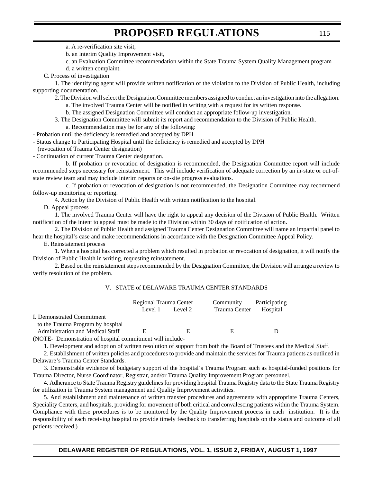a. A re-verification site visit,

b. an interim Quality Improvement visit,

c. an Evaluation Committee recommendation within the State Trauma System Quality Management program

d. a written complaint.

C. Process of investigation

1. The identifying agent will provide written notification of the violation to the Division of Public Health, including supporting documentation.

2. The Division will select the Designation Committee members assigned to conduct an investigation into the allegation.

a. The involved Trauma Center will be notified in writing with a request for its written response.

b. The assigned Designation Committee will conduct an appropriate follow-up investigation.

3. The Designation Committee will submit its report and recommendation to the Division of Public Health.

a. Recommendation may be for any of the following:

- Probation until the deficiency is remedied and accepted by DPH

- Status change to Participating Hospital until the deficiency is remedied and accepted by DPH

(revocation of Trauma Center designation)

- Continuation of current Trauma Center designation.

b. If probation or revocation of designation is recommended, the Designation Committee report will include recommended steps necessary for reinstatement. This will include verification of adequate correction by an in-state or out-ofstate review team and may include interim reports or on-site progress evaluations.

c. If probation or revocation of designation is not recommended, the Designation Committee may recommend follow-up monitoring or reporting.

4. Action by the Division of Public Health with written notification to the hospital.

D. Appeal process

1. The involved Trauma Center will have the right to appeal any decision of the Division of Public Health. Written notification of the intent to appeal must be made to the Division within 30 days of notification of action.

2. The Division of Public Health and assigned Trauma Center Designation Committee will name an impartial panel to hear the hospital's case and make recommendations in accordance with the Designation Committee Appeal Policy.

E. Reinstatement process

1. When a hospital has corrected a problem which resulted in probation or revocation of designation, it will notify the Division of Public Health in writing, requesting reinstatement.

2. Based on the reinstatement steps recommended by the Designation Committee, the Division will arrange a review to verify resolution of the problem.

#### V. STATE of DELAWARE TRAUMA CENTER STANDARDS

|                                                          | Regional Trauma Center |         | Community     | Participating |
|----------------------------------------------------------|------------------------|---------|---------------|---------------|
|                                                          | Level 1                | Level 2 | Trauma Center | Hospital      |
| I. Demonstrated Commitment                               |                        |         |               |               |
| to the Trauma Program by hospital                        |                        |         |               |               |
| <b>Administration and Medical Staff</b>                  | E                      | F       | E             |               |
| (NOTE-Demonstration of hospital commitment will include- |                        |         |               |               |

1. Development and adoption of written resolution of support from both the Board of Trustees and the Medical Staff.

2. Establishment of written policies and procedures to provide and maintain the services for Trauma patients as outlined in

Delaware's Trauma Center Standards.

3. Demonstrable evidence of budgetary support of the hospital's Trauma Program such as hospital-funded positions for Trauma Director, Nurse Coordinator, Registrar, and/or Trauma Quality Improvement Program personnel.

4. Adherance to State Trauma Registry guidelines for providing hospital Trauma Registry data to the State Trauma Registry for utilization in Trauma System management and Quality Improvement activities.

5. And establishment and maintenance of written transfer procedures and agreements with appropriate Trauma Centers, Speciality Centers, and hospitals, providing for movement of both critical and convalescing patients within the Trauma System. Compliance with these procedures is to be monitored by the Quality Improvement process in each institution. It is the responsibility of each receiving hospital to provide timely feedback to transferring hospitals on the status and outcome of all patients received.)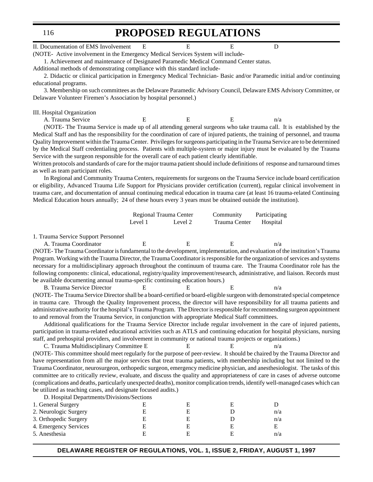116

# **PROPOSED REGULATIONS**

| II. Documentation of EMS Involvement                                            |  |  |  |  |
|---------------------------------------------------------------------------------|--|--|--|--|
| (NOTE-Active involvement in the Emergency Medical Services System will include- |  |  |  |  |

1. Achievement and maintenance of Designated Paramedic Medical Command Center status.

Additional methods of demonstrating compliance with this standard include-

2. Didactic or clinical participation in Emergency Medical Technician- Basic and/or Paramedic initial and/or continuing educational programs.

3. Membership on such committees as the Delaware Paramedic Advisory Council, Delaware EMS Advisory Committee, or Delaware Volunteer Firemen's Association by hospital personnel.)

#### III. Hospital Organization

A. Trauma Service  $E$  E E  $n/a$ 

(NOTE- The Trauma Service is made up of all attending general surgeons who take trauma call. It is established by the Medical Staff and has the responsibility for the coordination of care of injured patients, the training of personnel, and trauma Quality Improvement within the Trauma Center. Privileges for surgeons participating in the Trauma Service are to be determined by the Medical Staff credentialing process. Patients with multiple-system or major injury must be evaluated by the Trauma Service with the surgeon responsible for the overall care of each patient clearly identifiable.

Written protocols and standards of care for the major trauma patient should include definitions of response and turnaround times as well as team participant roles.

In Regional and Community Trauma Centers, requirements for surgeons on the Trauma Service include board certification or eligibility, Advanced Trauma Life Support for Physicians provider certification (current), regular clinical involvement in trauma care, and documentation of annual continuing medical education in trauma care (at least 16 trauma-related Continuing Medical Education hours annually; 24 of these hours every 3 years must be obtained outside the institution).

|         | Regional Trauma Center | Community     | Participating |
|---------|------------------------|---------------|---------------|
| Level 1 | Level 2                | Trauma Center | Hospital      |

1. Trauma Service Support Personnel

A. Trauma Coordinator **E** E E n/a

(NOTE- The Trauma Coordinator is fundamental to the development, implementation, and evaluation of the institution's Trauma Program. Working with the Trauma Director, the Trauma Coordinator is responsible for the organization of services and systems necessary for a multidisciplinary approach throughout the continuum of trauma care. The Trauma Coordinator role has the following components: clinical, educational, registry/quality improvement/research, administrative, and liaison. Records must be available documenting annual trauma-specific continuing education hours.)

B. Trauma Service Director **E** E E n/a (NOTE- The Trauma Service Director shall be a board-certified or board-eligible surgeon with demonstrated special competence in trauma care. Through the Quality Improvement process, the director will have responsibility for all trauma patients and administrative authority for the hospital's Trauma Program. The Director is responsible for recommending surgeon appointment to and removal from the Trauma Service, in conjunction with appropriate Medical Staff committees.

Additional qualifications for the Trauma Service Director include regular involvement in the care of injured patients, participation in trauma-related educational activities such as ATLS and continuing education for hospital physicians, nursing staff, and prehospital providers, and involvement in community or national trauma projects or organizations.)

C. Trauma Multidisciplinary Committee E E E E n/a

(NOTE- This committee should meet regularly for the purpose of peer-review. It should be chaired by the Trauma Director and have representation from all the major services that treat trauma patients, with membership including but not limited to the Trauma Coordinator, neurosurgeon, orthopedic surgeon, emergency medicine physician, and anesthesiologist. The tasks of this committee are to critically review, evaluate, and discuss the quality and appropriateness of care in cases of adverse outcome (complications and deaths, particularly unexpected deaths), monitor complication trends, identify well-managed cases which can be utilized as teaching cases, and designate focused audits.)

D. Hospital Departments/Divisions/Sections

| 1. General Surgery    |   |     |
|-----------------------|---|-----|
| 2. Neurologic Surgery |   | n/a |
| 3. Orthopedic Surgery |   | n/a |
| 4. Emergency Services | Н |     |
| 5. Anesthesia         | н | n/a |
|                       |   |     |

#### **DELAWARE REGISTER OF REGULATIONS, VOL. 1, ISSUE 2, FRIDAY, AUGUST 1, 1997**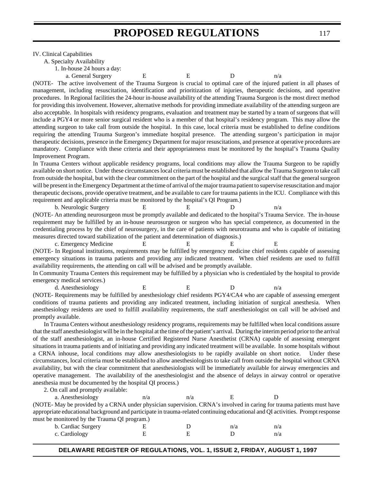IV. Clinical Capabilities

A. Specialty Availability

1. In-house 24 hours a day:

a. General Surgery E E D n/a

(NOTE- The active involvement of the Trauma Surgeon is crucial to optimal care of the injured patient in all phases of management, including resuscitation, identification and prioritization of injuries, therapeutic decisions, and operative procedures. In Regional facilities the 24-hour in-house availability of the attending Trauma Surgeon is the most direct method for providing this involvement. However, alternative methods for providing immediate availability of the attending surgeon are also acceptable. In hospitals with residency programs, evaluation and treatment may be started by a team of surgeons that will include a PGY4 or more senior surgical resident who is a member of that hospital's residency program. This may allow the attending surgeon to take call from outside the hospital. In this case, local criteria must be established to define conditions requiring the attending Trauma Surgeon's immediate hospital presence. The attending surgeon's participation in major therapeutic decisions, presence in the Emergency Department for major resuscitations, and presence at operative procedures are mandatory. Compliance with these criteria and their appropriateness must be monitored by the hospital's Trauma Quality Improvement Program.

In Trauma Centers without applicable residency programs, local conditions may allow the Trauma Surgeon to be rapidly available on short notice. Under these circumstances local criteria must be established that allow the Trauma Surgeon to take call from outside the hospital, but with the clear commitment on the part of the hospital and the surgical staff that the general surgeon will be present in the Emergency Department at the time of arrival of the major trauma patient to supervise resuscitation and major therapeutic decisons, provide operative treatment, and be available to care for trauma patients in the ICU. Compliance with this requirement and applicable criteria must be monitored by the hospital's QI Program.)

b. Neurologic Surgery E E D n/a (NOTE- An attending neurosurgeon must be promptly available and dedicated to the hospital's Trauma Service. The in-house requirement may be fulfilled by an in-house neurosurgeon or surgeon who has special competence, as documented in the credentialing process by the chief of neurosurgery, in the care of patients with neurotrauma and who is capable of initiating measures directed toward stabilization of the patient and determination of diagnosis.)

c. Emergency Medicine EEEE (NOTE- In Regional institutions, requirements may be fulfilled by emergency medicine chief residents capable of assessing emergency situations in trauma patients and providing any indicated treatment. When chief residents are used to fulfill availability requirements, the attending on call will be advised and be promptly available.

In Community Trauma Centers this requirement may be fulfilled by a physician who is credentialed by the hospital to provide emergency medical services.)

d. Anesthesiology E E D n/a (NOTE- Requirements may be fulfilled by anesthesiology chief residents PGY4/CA4 who are capable of assessing emergent conditions of trauma patients and providing any indicated treatment, including initiation of surgical anesthesia. When anesthesiology residents are used to fulfill availability requirements, the staff anesthesiologist on call will be advised and promptly available.

In Trauma Centers without anesthesiology residency programs, requirements may be fulfilled when local conditions assure that the staff anesthesiologist will be in the hospital at the time of the patient's arrival. During the interim period prior to the arrival of the staff anesthesiologist, an in-house Certified Registered Nurse Anesthetist (CRNA) capable of assessing emergent situations in trauma patients and of initiating and providing any indicated treatment will be available. In some hospitals without a CRNA inhouse, local conditions may allow anesthesiologists to be rapidly available on short notice. Under these circumstances, local criteria must be established to allow anesthesiologists to take call from outside the hospital without CRNA availability, but with the clear commitment that anesthesiologists will be immediately available for airway emergencies and operative management. The availability of the anesthesiologist and the absence of delays in airway control or operative anesthesia must be documented by the hospital QI process.)

2. On call and promptly available:

| a. Anesthesiology                                                                                                              | n/a | n/a |  |
|--------------------------------------------------------------------------------------------------------------------------------|-----|-----|--|
| (NOTE- May be provided by a CRNA under physician supervision. CRNA's involved in caring for trauma patients must have          |     |     |  |
| appropriate educational background and participate in trauma-related continuing educational and QI activities. Prompt response |     |     |  |
| must be monitored by the Trauma QI program.)                                                                                   |     |     |  |

|                    | . |     |     |
|--------------------|---|-----|-----|
| b. Cardiac Surgery |   | n/a | n/a |
| c. Cardiology      |   |     | n/a |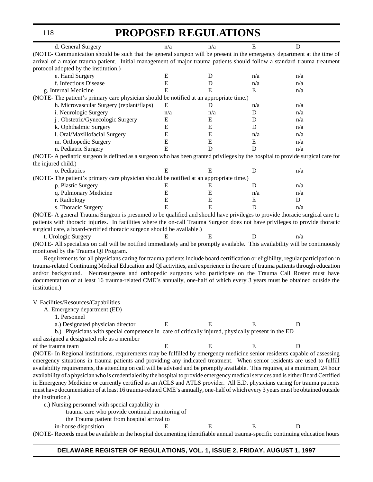| d. General Surgery                                                                                                              | n/a | n/a | E   |     |  |  |  |
|---------------------------------------------------------------------------------------------------------------------------------|-----|-----|-----|-----|--|--|--|
| (NOTE- Communication should be such that the general surgeon will be present in the emergency department at the time of         |     |     |     |     |  |  |  |
| arrival of a major trauma patient. Initial management of major trauma patients should follow a standard trauma treatment        |     |     |     |     |  |  |  |
| protocol adopted by the institution.)                                                                                           |     |     |     |     |  |  |  |
| e. Hand Surgery                                                                                                                 | E   | D   | n/a | n/a |  |  |  |
| f. Infectious Disease                                                                                                           | E   | D   | n/a | n/a |  |  |  |
| g. Internal Medicine                                                                                                            | E   | Е   | E   | n/a |  |  |  |
| (NOTE-The patient's primary care physician should be notified at an appropriate time.)                                          |     |     |     |     |  |  |  |
| h. Microvascular Surgery (replant/flaps)                                                                                        | Ε   | D   | n/a | n/a |  |  |  |
| i. Neurologic Surgery                                                                                                           | n/a | n/a | D   | n/a |  |  |  |
| j. Obstetric/Gynecologic Surgery                                                                                                | E   | E   | D   | n/a |  |  |  |
| k. Ophthalmic Surgery                                                                                                           | Е   | E   | D   | n/a |  |  |  |
| l. Oral/Maxillofacial Surgery                                                                                                   | E   | E   | n/a | n/a |  |  |  |
| m. Orthopedic Surgery                                                                                                           | E   | Е   | Е   | n/a |  |  |  |
| n. Pediatric Surgery                                                                                                            | E   |     | D   | n/a |  |  |  |
| (NOTE- A pediatric surgeon is defined as a surgeon who has been granted privileges by the hospital to provide surgical care for |     |     |     |     |  |  |  |
| the injured child.)                                                                                                             |     |     |     |     |  |  |  |
| o. Pediatrics                                                                                                                   | E   | E   | D   | n/a |  |  |  |
| (NOTE-The patient's primary care physician should be notified at an appropriate time.)                                          |     |     |     |     |  |  |  |
| p. Plastic Surgery                                                                                                              | E   | Е   | D   | n/a |  |  |  |
| q. Pulmonary Medicine                                                                                                           | Е   | Е   | n/a | n/a |  |  |  |
| r. Radiology                                                                                                                    | E   | Е   | E   | D   |  |  |  |
| s. Thoracic Surgery                                                                                                             | E   | E   | D   | n/a |  |  |  |
| (NOTE- A general Trauma Surgeon is presumed to be qualified and should have privileges to provide thoracic surgical care to     |     |     |     |     |  |  |  |

patients with thoracic injuries. In facilities where the on-call Trauma Surgeon does not have privileges to provide thoracic surgical care, a board-certified thoracic surgeon should be available.)

t. Urologic Surgery E E D n/a (NOTE- All specialists on call will be notified immediately and be promptly available. This availability will be continuously monitored by the Trauma QI Program.

Requirements for all physicians caring for trauma patients include board certification or eligibility, regular participation in trauma-related Continuing Medical Education and QI activities, and experience in the care of trauma patients through education and/or background. Neurosurgeons and orthopedic surgeons who participate on the Trauma Call Roster must have documentation of at least 16 trauma-related CME's annually, one-half of which every 3 years must be obtained outside the institution.)

V. Facilities/Resources/Capabilities

| A. Emergency department (ED)                                                                       |   |    |    |  |
|----------------------------------------------------------------------------------------------------|---|----|----|--|
| 1. Personnel                                                                                       |   |    |    |  |
| a.) Designated physician director                                                                  | н | н. | н. |  |
| b.) Physicians with special competence in care of critically injured, physically present in the ED |   |    |    |  |
| and assigned a designated role as a member                                                         |   |    |    |  |

of the trauma team EEE ED (NOTE- In Regional institutions, requirements may be fulfilled by emergency medicine senior residents capable of assessing

emergency situations in trauma patients and providing any indicated treatment. When senior residents are used to fulfill availability requirements, the attending on call will be advised and be promptly available. This requires, at a minimum, 24 hour availability of a physician who is credentialed by the hospital to provide emergency medical services and is either Board Certified in Emergency Medicine or currently certified as an ACLS and ATLS provider. All E.D. physicians caring for trauma patients must have documentation of at least 16 trauma-related CME's annually, one-half of which every 3 years must be obtained outside the institution.)

c.) Nursing personnel with special capability in

trauma care who provide continual monitoring of

the Trauma patient from hospital arrival to

in-house disposition  $E$  E E D

(NOTE- Records must be available in the hospital documenting identifiable annual trauma-specific continuing education hours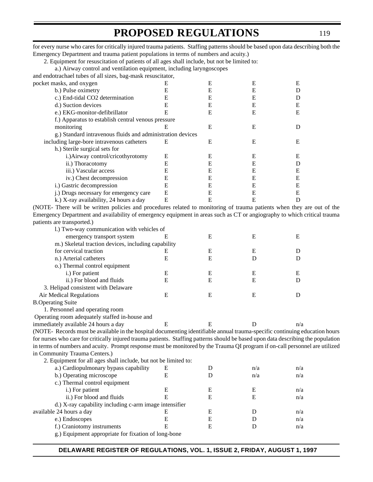for every nurse who cares for critically injured trauma patients. Staffing patterns should be based upon data describing both the Emergency Department and trauma patient populations in terms of numbers and acuity.)

2. Equipment for resuscitation of patients of all ages shall include, but not be limited to:

### a.) Airway control and ventilation equipment, including laryngoscopes

| and endotrachael tubes of all sizes, bag-mask resuscitator, |   |   |   |    |
|-------------------------------------------------------------|---|---|---|----|
| pocket masks, and oxygen                                    | Е | Е | Е | E  |
| b.) Pulse oximetry                                          | E | Е | E |    |
| c.) End-tidal CO2 determination                             | E | Е | Е |    |
| d.) Suction devices                                         | E | Е | Е | Ε  |
| e.) EKG-monitor-defibrillator                               | Е | Е | Е | E  |
| f.) Apparatus to establish central venous pressure          |   |   |   |    |
| monitoring                                                  | Е | Е | Е | I) |
| g.) Standard intravenous fluids and administration devices  |   |   |   |    |
| including large-bore intravenous catheters                  | Е | E | Е | E  |
| h.) Sterile surgical sets for                               |   |   |   |    |
| i.) Airway control/cricothyrotomy                           | Е | Е | Е | E  |
| ii.) Thoracotomy                                            | E | Е | Е | D  |
| iii.) Vascular access                                       | E | E | Е | E  |
| iv.) Chest decompression                                    | Е | Е | Е | Е  |
| i.) Gastric decompression                                   | Е | Е | Е | E  |
| j.) Drugs necessary for emergency care                      | E | Е | E | E  |
| k.) X-ray availability, 24 hours a day                      | Е | Е | Е |    |

(NOTE- There will be written policies and procedures related to monitoring of trauma patients when they are out of the Emergency Department and availability of emergency equipment in areas such as CT or angiography to which critical trauma patients are transported.)

| l.) Two-way communication with vehicles of                                                                                        |   |   |     |     |  |
|-----------------------------------------------------------------------------------------------------------------------------------|---|---|-----|-----|--|
| emergency transport system                                                                                                        | E | E | E   | E   |  |
| m.) Skeletal traction devices, including capability                                                                               |   |   |     |     |  |
| for cervical traction                                                                                                             | E | E | E   | D   |  |
| n.) Arterial catheters                                                                                                            | E | E | D   | D   |  |
| o.) Thermal control equipment                                                                                                     |   |   |     |     |  |
| i.) For patient                                                                                                                   | E | E | E   | E   |  |
| ii.) For blood and fluids                                                                                                         | E | E | E   | D   |  |
| 3. Helipad consistent with Delaware                                                                                               |   |   |     |     |  |
| Air Medical Regulations                                                                                                           | E | E | E   | D   |  |
| <b>B.Operating Suite</b>                                                                                                          |   |   |     |     |  |
| 1. Personnel and operating room                                                                                                   |   |   |     |     |  |
| Operating room adequately staffed in-house and                                                                                    |   |   |     |     |  |
| immediately available 24 hours a day                                                                                              | E | E | D   | n/a |  |
| (NOTE- Records must be available in the hospital documenting identifiable annual trauma-specific continuing education hours       |   |   |     |     |  |
| for nurses who care for critically injured trauma patients. Staffing patterns should be based upon data describing the population |   |   |     |     |  |
| in terms of numbers and acuity. Prompt response must be monitored by the Trauma QI program if on-call personnel are utilized      |   |   |     |     |  |
| in Community Trauma Centers.)                                                                                                     |   |   |     |     |  |
| 2. Equipment for all ages shall include, but not be limited to:                                                                   |   |   |     |     |  |
| a.) Cardiopulmonary bypass capability                                                                                             | Е | D | n/a | n/a |  |
| b.) Operating microscope                                                                                                          | E | D | n/a | n/a |  |
| c.) Thermal control equipment                                                                                                     |   |   |     |     |  |
| i.) For patient                                                                                                                   | E | E | E   | n/a |  |
| ii.) For blood and fluids                                                                                                         | E | E | E   | n/a |  |
| d.) X-ray capability including c-arm image intensifier                                                                            |   |   |     |     |  |
| available 24 hours a day                                                                                                          | E | E | D   | n/a |  |
| e.) Endoscopes                                                                                                                    | Е | E | D   | n/a |  |
| f.) Craniotomy instruments                                                                                                        | E | E | D   | n/a |  |

g.) Equipment appropriate for fixation of long-bone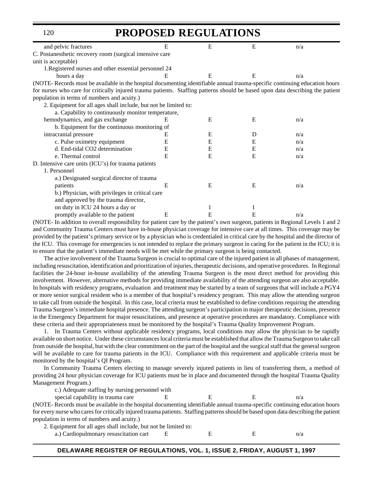| 120                                                                                                                            |   | <b>PROPOSED REGULATIONS</b> |   |     |  |
|--------------------------------------------------------------------------------------------------------------------------------|---|-----------------------------|---|-----|--|
| and pelvic fractures                                                                                                           | E | E                           | E | n/a |  |
| C. Postanesthetic recovery room (surgical intensive care                                                                       |   |                             |   |     |  |
| unit is acceptable)                                                                                                            |   |                             |   |     |  |
| 1. Registered nurses and other essential personnel 24                                                                          |   |                             |   |     |  |
| hours a day                                                                                                                    | E | E                           | E | n/a |  |
| (NOTE- Records must be available in the hospital documenting identifiable annual trauma-specific continuing education hours    |   |                             |   |     |  |
| for nurses who care for critically injured trauma patients. Staffing patterns should be based upon data describing the patient |   |                             |   |     |  |
| population in terms of numbers and acuity.)                                                                                    |   |                             |   |     |  |
| 2. Equipment for all ages shall include, but not be limited to:                                                                |   |                             |   |     |  |
| a. Capability to continuously monitor temperature,                                                                             |   |                             |   |     |  |
| hemodynamics, and gas exchange                                                                                                 | Е | E                           | E | n/a |  |
| b. Equipment for the continuous monitoring of                                                                                  |   |                             |   |     |  |
| intracranial pressure                                                                                                          | E | E                           | D | n/a |  |
| c. Pulse oximetry equipment                                                                                                    | Е | E                           | E | n/a |  |
| d. End-tidal CO2 determination                                                                                                 | E | E                           | E | n/a |  |
| e. Thermal control                                                                                                             | E | E                           | E | n/a |  |
| D. Intensive care units (ICU's) for trauma patients                                                                            |   |                             |   |     |  |
| 1. Personnel                                                                                                                   |   |                             |   |     |  |
| a.) Designated surgical director of trauma                                                                                     |   |                             |   |     |  |
| patients                                                                                                                       | E | E                           | E | n/a |  |
| b.) Physician, with privileges in critical care                                                                                |   |                             |   |     |  |
| and approved by the trauma director,                                                                                           |   |                             |   |     |  |
| on duty in ICU 24 hours a day or                                                                                               |   |                             |   |     |  |
| promptly available to the patient                                                                                              | E | E                           | E | n/a |  |

(NOTE- In addition to overall responsibility for patient care by the patient's own surgeon, patients in Regional Levels 1 and 2 and Community Trauma Centers must have in-house physician coverage for intensive care at all times. This coverage may be provided by the patient's primary service or by a physician who is credentialed in critical care by the hospital and the director of the ICU. This coverage for emergencies is not intended to replace the primary surgeon in caring for the patient in the ICU; it is to ensure that the patient's immediate needs will be met while the primary surgeon is being contacted.

The active involvement of the Trauma Surgeon is crucial to optimal care of the injured patient in all phases of management, including resuscitation, identification and prioritization of injuries, therapeutic decisions, and operative procedures. In Regional facilities the 24-hour in-house availability of the attending Trauma Surgeon is the most direct method for providing this involvement. However, alternative methods for providing immediate availability of the attending surgeon are also acceptable. In hospitals with residency programs, evaluation and treatment may be started by a team of surgeons that will include a PGY4 or more senior surgical resident who is a member of that hospital's residency program. This may allow the attending surgeon to take call from outside the hospital. In this case, local criteria must be established to define conditions requiring the attending Trauma Surgeon's immediate hospital presence. The attending surgeon's participation in major therapeutic decisions, presence in the Emergency Department for major resuscitations, and presence at operative procedures are mandatory. Compliance with these criteria and their appropriateness must be monitored by the hospital's Trauma Quality Improvement Program.

1. In Trauma Centers without applicable residency programs, local conditions may allow the physician to be rapidly available on short notice. Under these circumstances local criteria must be established that allow the Trauma Surgeon to take call from outside the hospital, but with the clear commitment on the part of the hospital and the surgical staff that the general surgeon will be available to care for trauma patients in the ICU. Compliance with this requirement and applicable criteria must be monitored by the hospital's QI Program.

In Community Trauma Centers electing to manage severely injured patients in lieu of transferring them, a method of providing 24 hour physician coverage for ICU patients must be in place and documented through the hospital Trauma Quality Management Program.)

c.) Adequate staffing by nursing personnel with

special capability in trauma care  $E$  E E n/a (NOTE- Records must be available in the hospital documenting identifiable annual trauma-specific continuing education hours for every nurse who cares for critically injured trauma patients. Staffing patterns should be based upon data describing the patient population in terms of numbers and acuity.)

| 2. Equipment for all ages shall include, but not be limited to: |  |     |
|-----------------------------------------------------------------|--|-----|
| a.) Cardiopulmonary resuscitation cart                          |  | n/a |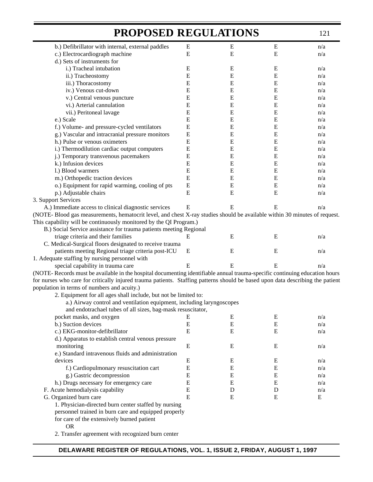| <b>PROPOSED REGULATIONS</b>                                                                                                    |           |   |           | 121 |
|--------------------------------------------------------------------------------------------------------------------------------|-----------|---|-----------|-----|
| b.) Defibrillator with internal, external paddles                                                                              | E         | Ε | E         | n/a |
| c.) Electrocardiograph machine                                                                                                 | E         | E | E         | n/a |
| d.) Sets of instruments for                                                                                                    |           |   |           |     |
| i.) Tracheal intubation                                                                                                        | E         | E | Ε         | n/a |
| ii.) Tracheostomy                                                                                                              | E         | E | E         | n/a |
| iii.) Thoracostomy                                                                                                             | E         | E | E         | n/a |
| iv.) Venous cut-down                                                                                                           | E         | E | E         | n/a |
| v.) Central venous puncture                                                                                                    | ${\bf E}$ | E | ${\bf E}$ | n/a |
| vi.) Arterial cannulation                                                                                                      | E         | E | E         | n/a |
| vii.) Peritoneal lavage                                                                                                        | E         | E | E         | n/a |
| e.) Scale                                                                                                                      | E         | E | E         | n/a |
| f.) Volume- and pressure-cycled ventilators                                                                                    | E         | E | E         | n/a |
| g.) Vascular and intracranial pressure monitors                                                                                | ${\bf E}$ | E | E         | n/a |
| h.) Pulse or venous oximeters                                                                                                  | E         | E | E         | n/a |
| i.) Thermodilution cardiac output computers                                                                                    | ${\bf E}$ | E | E         | n/a |
| j.) Temporary transvenous pacemakers                                                                                           | E         | E | E         | n/a |
| k.) Infusion devices                                                                                                           | E         | E | ${\bf E}$ | n/a |
| l.) Blood warmers                                                                                                              | E         | E | E         | n/a |
| m.) Orthopedic traction devices                                                                                                | E         | E | E         | n/a |
| o.) Equipment for rapid warming, cooling of pts                                                                                | ${\bf E}$ | E | E         | n/a |
| p.) Adjustable chairs                                                                                                          | E         | E | E         | n/a |
| 3. Support Services                                                                                                            |           |   |           |     |
| A.) Immediate access to clinical diagnostic services                                                                           | E         | E | Е         | n/a |
| (NOTE- Blood gas measurements, hematocrit level, and chest X-ray studies should be available within 30 minutes of request.     |           |   |           |     |
| This capability will be continuously monitored by the QI Program.)                                                             |           |   |           |     |
| B.) Social Service assistance for trauma patients meeting Regional                                                             |           |   |           |     |
| triage criteria and their families                                                                                             | E         | E | E         | n/a |
| C. Medical-Surgical floors designated to receive trauma                                                                        |           |   |           |     |
| patients meeting Regional triage criteria post-ICU                                                                             | E         | E | E         | n/a |
| 1. Adequate staffing by nursing personnel with                                                                                 |           |   |           |     |
| special capability in trauma care                                                                                              | E         | E | E         | n/a |
| (NOTE- Records must be available in the hospital documenting identifiable annual trauma-specific continuing education hours    |           |   |           |     |
| for nurses who care for critically injured trauma patients. Staffing patterns should be based upon data describing the patient |           |   |           |     |
| population in terms of numbers and acuity.)                                                                                    |           |   |           |     |
| 2. Equipment for all ages shall include, but not be limited to:                                                                |           |   |           |     |
| a.) Airway control and ventilation equipment, including laryngoscopes                                                          |           |   |           |     |
| and endotrachael tubes of all sizes, bag-mask resuscitator,                                                                    |           |   |           |     |
| pocket masks, and oxygen                                                                                                       | Е         | E | E         | n/a |
| b.) Suction devices                                                                                                            | E         | E | E         | n/a |
|                                                                                                                                | E         | E | E         |     |
| c.) EKG-monitor-defibrillator                                                                                                  |           |   |           | n/a |
| d.) Apparatus to establish central venous pressure                                                                             |           |   |           |     |
| monitoring                                                                                                                     | E         | E | E         | n/a |
| e.) Standard intravenous fluids and administration                                                                             |           |   |           |     |
| devices                                                                                                                        | E         | E | E         | n/a |
| f.) Cardiopulmonary resuscitation cart                                                                                         | E         | E | E         | n/a |
| g.) Gastric decompression                                                                                                      | E         | E | E         | n/a |
| h.) Drugs necessary for emergency care                                                                                         | E         | E | E         | n/a |
| F. Acute hemodialysis capability                                                                                               | ${\bf E}$ | D | D         | n/a |
| G. Organized burn care                                                                                                         | E         | E | E         | E   |
| 1. Physician-directed burn center staffed by nursing                                                                           |           |   |           |     |
| personnel trained in burn care and equipped properly                                                                           |           |   |           |     |
| for care of the extensively burned patient                                                                                     |           |   |           |     |
| <b>OR</b>                                                                                                                      |           |   |           |     |
| 2. Transfer agreement with recognized burn center                                                                              |           |   |           |     |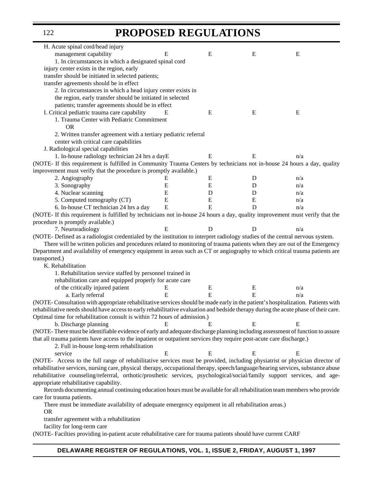| H. Acute spinal cord/head injury                                                                                                     |        |        |        |     |  |
|--------------------------------------------------------------------------------------------------------------------------------------|--------|--------|--------|-----|--|
| management capability                                                                                                                | Е      | E      | Ε      | E   |  |
| 1. In circumstances in which a designated spinal cord                                                                                |        |        |        |     |  |
| injury center exists in the region, early                                                                                            |        |        |        |     |  |
| transfer should be initiated in selected patients;                                                                                   |        |        |        |     |  |
| transfer agreements should be in effect                                                                                              |        |        |        |     |  |
| 2. In circumstances in which a head injury center exists in                                                                          |        |        |        |     |  |
| the region, early transfer should be initiated in selected                                                                           |        |        |        |     |  |
| patients; transfer agreements should be in effect                                                                                    |        |        |        |     |  |
| I. Critical pediatric trauma care capability                                                                                         | Е      | E      | Ε      | E   |  |
|                                                                                                                                      |        |        |        |     |  |
| 1. Trauma Center with Pediatric Commitment                                                                                           |        |        |        |     |  |
| <b>OR</b>                                                                                                                            |        |        |        |     |  |
| 2. Written transfer agreement with a tertiary pediatric referral                                                                     |        |        |        |     |  |
| center with critical care capabilities                                                                                               |        |        |        |     |  |
| J. Radiological special capabilities                                                                                                 |        |        |        |     |  |
| 1. In-house radiology technician 24 hrs a dayE                                                                                       |        | E      | Ε      | n/a |  |
| (NOTE- If this requirement is fulfilled in Community Trauma Centers by technicians not in-house 24 hours a day, quality              |        |        |        |     |  |
| improvement must verify that the procedure is promptly available.)                                                                   |        |        |        |     |  |
| 2. Angiography                                                                                                                       | Е      | Ε      | D      | n/a |  |
| 3. Sonography                                                                                                                        | E      | E      | D      | n/a |  |
| 4. Nuclear scanning                                                                                                                  | E      | D      | D      | n/a |  |
| 5. Computed tomography (CT)                                                                                                          | E      | E      | E      | n/a |  |
| 6. In-house CT technician 24 hrs a day                                                                                               | E      | E      | D      | n/a |  |
| (NOTE- If this requirement is fulfilled by technicians not in-house 24 hours a day, quality improvement must verify that the         |        |        |        |     |  |
| procedure is promptly available.)                                                                                                    |        |        |        |     |  |
| 7. Neuroradiology                                                                                                                    | E      | D      | D      | n/a |  |
| (NOTE- Defined as a radiologist credentialed by the institution to interpret radiology studies of the central nervous system.        |        |        |        |     |  |
| There will be written policies and procedures related to monitoring of trauma patients when they are out of the Emergency            |        |        |        |     |  |
| Department and availability of emergency equipment in areas such as CT or angiography to which critical trauma patients are          |        |        |        |     |  |
| transported.)                                                                                                                        |        |        |        |     |  |
| K. Rehabilitation                                                                                                                    |        |        |        |     |  |
| 1. Rehabilitation service staffed by personnel trained in                                                                            |        |        |        |     |  |
| rehabilitation care and equipped properly for acute care                                                                             |        |        |        |     |  |
|                                                                                                                                      |        |        |        |     |  |
| of the critically injured patient                                                                                                    | E<br>E | E<br>E | E<br>E | n/a |  |
| a. Early referral                                                                                                                    |        |        |        | n/a |  |
| (NOTE- Consultation with appropriate rehabilitative services should be made early in the patient's hospitalization. Patients with    |        |        |        |     |  |
| rehabilitative needs should have access to early rehabilitative evaluation and bedside therapy during the acute phase of their care. |        |        |        |     |  |
| Optimal time for rehabilitation consult is within 72 hours of admission.)                                                            |        |        |        |     |  |
| b. Discharge planning                                                                                                                | Ε      |        | Е      | E   |  |
| (NOTE-There must be identifiable evidence of early and adequate discharge planning including assessment of function to assure        |        |        |        |     |  |
| that all trauma patients have access to the inpatient or outpatient services they require post-acute care discharge.)                |        |        |        |     |  |
| 2. Full in-house long-term rehabilitation                                                                                            |        |        |        |     |  |
| service                                                                                                                              |        |        | E      | E   |  |
| (NOTE- Access to the full range of rehabilitative services must be provided, including physiatrist or physician director of          |        |        |        |     |  |
| rehabilitative services, nursing care, physical therapy, occupational therapy, speech/language/hearing services, substance abuse     |        |        |        |     |  |
| rehabilitative counseling/referrral, orthotic/prosthetic services, psychological/social/family support services, and age-            |        |        |        |     |  |
| appropriate rehabilitative capability.                                                                                               |        |        |        |     |  |
| Records documenting annual continuing education hours must be available for all rehabilitation team members who provide              |        |        |        |     |  |
| care for trauma patients.                                                                                                            |        |        |        |     |  |
| There must be immediate availability of adequate emergency equipment in all rehabilitation areas.)                                   |        |        |        |     |  |
| <b>OR</b>                                                                                                                            |        |        |        |     |  |
| transfer agreement with a rehabilitation                                                                                             |        |        |        |     |  |
| facility for long-term care                                                                                                          |        |        |        |     |  |
|                                                                                                                                      |        |        |        |     |  |

(NOTE- Facilties providing in-patient acute rehabilitative care for trauma patients should have current CARF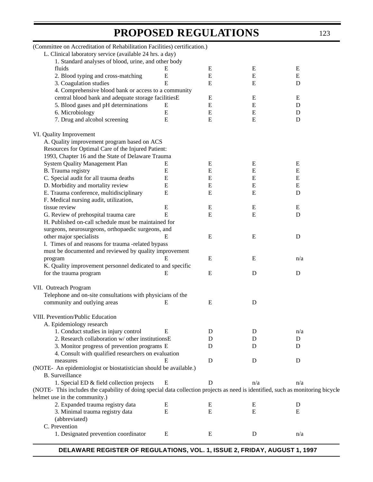| (Committee on Accreditation of Rehabilitation Facilities) certification.)                                                       |           |             |             |             |  |
|---------------------------------------------------------------------------------------------------------------------------------|-----------|-------------|-------------|-------------|--|
| L. Clinical laboratory service (available 24 hrs. a day)                                                                        |           |             |             |             |  |
| 1. Standard analyses of blood, urine, and other body                                                                            |           |             |             |             |  |
| fluids                                                                                                                          | Е         | E           | E           | ${\bf E}$   |  |
| 2. Blood typing and cross-matching                                                                                              | E         | E           | E           | E           |  |
| 3. Coagulation studies                                                                                                          | E         | E           | E           | D           |  |
| 4. Comprehensive blood bank or access to a community                                                                            |           |             |             |             |  |
| central blood bank and adequate storage facilitiesE                                                                             |           | E           | E           | E           |  |
| 5. Blood gases and pH determinations                                                                                            | Ε         | E           | E           | D           |  |
| 6. Microbiology                                                                                                                 | ${\bf E}$ | E           | E           | D           |  |
| 7. Drug and alcohol screening                                                                                                   | E         | E           | E           | D           |  |
|                                                                                                                                 |           |             |             |             |  |
| VI. Quality Improvement                                                                                                         |           |             |             |             |  |
| A. Quality improvement program based on ACS                                                                                     |           |             |             |             |  |
| Resources for Optimal Care of the Injured Patient:                                                                              |           |             |             |             |  |
| 1993, Chapter 16 and the State of Delaware Trauma                                                                               |           |             |             |             |  |
| <b>System Quality Management Plan</b>                                                                                           | E         | E           | E           | ${\bf E}$   |  |
| B. Trauma registry                                                                                                              | Ε         | $\mathbf E$ | E           | ${\bf E}$   |  |
| C. Special audit for all trauma deaths                                                                                          | E         | ${\bf E}$   | E           | E           |  |
| D. Morbidity and mortality review                                                                                               | E         | E           | E           | E           |  |
| E. Trauma conference, multidisciplinary                                                                                         | E         | E           | E           | D           |  |
| F. Medical nursing audit, utilization,                                                                                          |           |             |             |             |  |
| tissue review                                                                                                                   | Ε         | E           | E           | E           |  |
| G. Review of prehospital trauma care                                                                                            | E         | E           | E           | D           |  |
| H. Published on-call schedule must be maintained for                                                                            |           |             |             |             |  |
| surgeons, neurosurgeons, orthopaedic surgeons, and                                                                              |           |             |             |             |  |
|                                                                                                                                 | Ε         | E           | $\mathbf E$ | $\mathbf D$ |  |
| other major specialists                                                                                                         |           |             |             |             |  |
| I. Times of and reasons for trauma -related bypass                                                                              |           |             |             |             |  |
| must be documented and reviewed by quality improvement                                                                          |           |             |             |             |  |
| program                                                                                                                         |           | E           | E           | n/a         |  |
| K. Quality improvement personnel dedicated to and specific                                                                      |           |             |             |             |  |
| for the trauma program                                                                                                          | Е         | E           | D           | $\mathbf D$ |  |
| VII. Outreach Program                                                                                                           |           |             |             |             |  |
| Telephone and on-site consultations with physicians of the                                                                      |           |             |             |             |  |
| community and outlying areas                                                                                                    | E         | E           | D           |             |  |
|                                                                                                                                 |           |             |             |             |  |
| VIII. Prevention/Public Education                                                                                               |           |             |             |             |  |
| A. Epidemiology research                                                                                                        |           |             |             |             |  |
| 1. Conduct studies in injury control                                                                                            | Е         | D           | D           | n/a         |  |
| 2. Research collaboration w/ other institutionsE                                                                                |           | D           | D           | D           |  |
| 3. Monitor progress of prevention programs E                                                                                    |           | D           | D           | D           |  |
| 4. Consult with qualified researchers on evaluation                                                                             |           |             |             |             |  |
| measures                                                                                                                        | Е         | D           | D           | D           |  |
| (NOTE- An epidemiologist or biostatistician should be available.)                                                               |           |             |             |             |  |
| <b>B.</b> Surveillance                                                                                                          |           |             |             |             |  |
| 1. Special ED & field collection projects                                                                                       | E         | D           | n/a         | n/a         |  |
| (NOTE- This includes the capability of doing special data collection projects as need is identified, such as monitoring bicycle |           |             |             |             |  |
| helmet use in the community.)                                                                                                   |           |             |             |             |  |
|                                                                                                                                 |           |             |             |             |  |
| 2. Expanded trauma registry data                                                                                                | Ε         | Ε           | E           | D           |  |
| 3. Minimal trauma registry data                                                                                                 | E         | E           | ${\bf E}$   | E           |  |
| (abbreviated)                                                                                                                   |           |             |             |             |  |
| C. Prevention                                                                                                                   |           |             |             |             |  |
| 1. Designated prevention coordinator                                                                                            | E         | E           | D           | n/a         |  |
|                                                                                                                                 |           |             |             |             |  |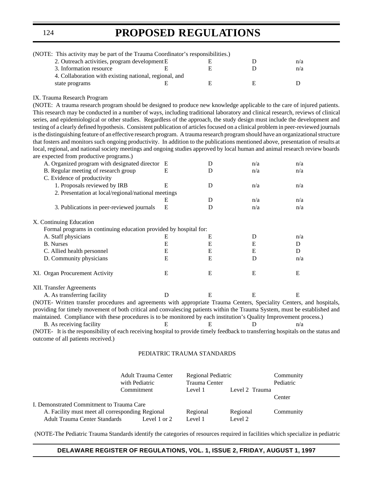| (NOTE: This activity may be part of the Trauma Coordinator's responsibilities.) |  |   |   |     |  |
|---------------------------------------------------------------------------------|--|---|---|-----|--|
| 2. Outreach activities, program development E                                   |  | Е |   | n/a |  |
| 3. Information resource                                                         |  | Е |   | n/a |  |
| 4. Collaboration with existing national, regional, and                          |  |   |   |     |  |
| state programs                                                                  |  | F | E |     |  |
|                                                                                 |  |   |   |     |  |

IX. Trauma Research Program

(NOTE: A trauma research program should be designed to produce new knowledge applicable to the care of injured patients. This research may be conducted in a number of ways, including traditional laboratory and clinical research, reviews of clinical series, and epidemiological or other studies. Regardless of the approach, the study design must include the development and testing of a clearly defined hypothesis. Consistent publication of articles focused on a clinical problem in peer-reviewed journals is the distinguishing feature of an effective research program. A trauma research program should have an organizational structure that fosters and monitors such ongoing productivity. In addition to the publications mentioned above, presentation of results at local, regional, and national society meetings and ongoing studies approved by local human and animal research review boards are expected from productive programs.)

| A. Organized program with designated director E                                                                  |   | D | n/a | n/a |  |
|------------------------------------------------------------------------------------------------------------------|---|---|-----|-----|--|
| B. Regular meeting of research group                                                                             | E | D | n/a | n/a |  |
| C. Evidence of productivity                                                                                      |   |   |     |     |  |
| 1. Proposals reviewed by IRB                                                                                     | E | D | n/a | n/a |  |
| 2. Presentation at local/regional/national meetings                                                              |   |   |     |     |  |
|                                                                                                                  | Е | D | n/a | n/a |  |
| 3. Publications in peer-reviewed journals                                                                        | E | D | n/a | n/a |  |
| X. Continuing Education                                                                                          |   |   |     |     |  |
| Formal programs in continuing education provided by hospital for:                                                |   |   |     |     |  |
| A. Staff physicians                                                                                              | E | Ε | D   | n/a |  |
| <b>B.</b> Nurses                                                                                                 | E | E | E   | D   |  |
| C. Allied health personnel                                                                                       | E | E | Е   | D   |  |
| D. Community physicians                                                                                          | E | E | D   | n/a |  |
| XI. Organ Procurement Activity                                                                                   | E | Ε | E   | Ε   |  |
| XII. Transfer Agreements                                                                                         |   |   |     |     |  |
| A. As transferring facility                                                                                      | D | E | E   | E   |  |
| (NOTE-Written transfer procedures and agreements with appropriate Trauma Centers, Speciality Centers, and hospit |   |   |     |     |  |

(NOTE- Written transfer procedures and agreements with appropriate Trauma Centers, Speciality Centers, and hospitals, providing for timely movement of both critical and convalescing patients within the Trauma System, must be established and maintained. Compliance with these procedures is to be monitored by each institution's Quality Improvement process.)

B. As receiving facility  $E$   $E$   $D$   $n/a$ (NOTE- It is the responsibility of each receiving hospital to provide timely feedback to transferring hospitals on the status and outcome of all patients received.)

#### PEDIATRIC TRAUMA STANDARDS

|                                                  | <b>Adult Trauma Center</b><br>with Pediatric | Regional Pediatric<br><b>Trauma Center</b> |                | Community<br>Pediatric |
|--------------------------------------------------|----------------------------------------------|--------------------------------------------|----------------|------------------------|
|                                                  |                                              |                                            |                |                        |
|                                                  | Commitment                                   | Level 1                                    | Level 2 Trauma |                        |
|                                                  |                                              |                                            |                | Center                 |
| I. Demonstrated Commitment to Trauma Care        |                                              |                                            |                |                        |
| A. Facility must meet all corresponding Regional |                                              | Regional                                   | Regional       | Community              |
| <b>Adult Trauma Center Standards</b>             | Level $1$ or $2$                             | Level 1                                    | Level 2        |                        |

(NOTE-The Pediatric Trauma Standards identify the categories of resources required in facilities which specialize in pediatric

### **DELAWARE REGISTER OF REGULATIONS, VOL. 1, ISSUE 2, FRIDAY, AUGUST 1, 1997**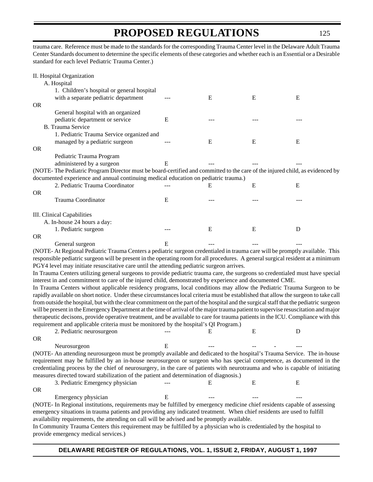125

trauma care. Reference must be made to the standards for the corresponding Trauma Center level in the Delaware Adult Trauma Center Standards document to determine the specific elements of these categories and whether each is an Essential or a Desirable standard for each level Pediatric Trauma Center.)

| II. Hospital Organization                                                                                                    |   |   |   |   |
|------------------------------------------------------------------------------------------------------------------------------|---|---|---|---|
| A. Hospital                                                                                                                  |   |   |   |   |
| 1. Children's hospital or general hospital                                                                                   |   |   |   |   |
| with a separate pediatric department                                                                                         |   | E | E | E |
| <b>OR</b>                                                                                                                    |   |   |   |   |
| General hospital with an organized                                                                                           |   |   |   |   |
| pediatric department or service                                                                                              | E |   |   |   |
| B. Trauma Service                                                                                                            |   |   |   |   |
| 1. Pediatric Trauma Service organized and                                                                                    |   |   |   |   |
| managed by a pediatric surgeon                                                                                               |   | E | Ε | E |
| <b>OR</b>                                                                                                                    |   |   |   |   |
| Pediatric Trauma Program                                                                                                     |   |   |   |   |
| administered by a surgeon                                                                                                    | E |   |   |   |
| (NOTE-The Pediatric Program Director must be board-certified and committed to the care of the injured child, as evidenced by |   |   |   |   |
| documented experience and annual continuing medical education on pediatric trauma.)                                          |   |   |   |   |
| 2. Pediatric Trauma Coordinator                                                                                              |   | Е | E | E |
| <b>OR</b>                                                                                                                    |   |   |   |   |
| Trauma Coordinator                                                                                                           | E |   |   |   |
| III. Clinical Capabilities                                                                                                   |   |   |   |   |
| A. In-house 24 hours a day:                                                                                                  |   |   |   |   |
| 1. Pediatric surgeon                                                                                                         |   | E | E | D |
| <b>OR</b>                                                                                                                    |   |   |   |   |
| General surgeon                                                                                                              | Ε |   |   |   |

(NOTE- At Regional Pediatric Trauma Centers a pediatric surgeon credentialed in trauma care will be promptly available. This responsible pediatric surgeon will be present in the operating room for all procedures. A general surgical resident at a minimum PGY4 level may initiate resuscitative care until the attending pediatric surgeon arrives.

In Trauma Centers utilizing general surgeons to provide pediatric trauma care, the surgeons so credentialed must have special interest in and commitment to care of the injured child, demonstrated by experience and documented CME.

In Trauma Centers without applicable residency programs, local conditions may allow the Pediatric Trauma Surgeon to be rapidly available on short notice. Under these circumstances local criteria must be established that allow the surgeon to take call from outside the hospital, but with the clear commitment on the part of the hospital and the surgical staff that the pediatric surgeon will be present in the Emergency Department at the time of arrival of the major trauma patient to supervise resuscitation and major therapeutic decisons, provide operative treatment, and be available to care for trauma patients in the ICU. Compliance with this requirement and applicable criteria must be monitored by the hospital's QI Program.)

|    | 2. Pediatric neurosurgeon | $- - -$ |  |  |
|----|---------------------------|---------|--|--|
| OR |                           |         |  |  |

Neurosurgeon E (NOTE- An attending neurosurgeon must be promptly available and dedicated to the hospital's Trauma Service. The in-house requirement may be fulfilled by an in-house neurosurgeon or surgeon who has special competence, as documented in the credentialing process by the chief of neurosurgery, in the care of patients with neurotrauma and who is capable of initiating measures directed toward stabilization of the patient and determination of diagnosis.)

| 3. Pediatric Emergency physician | --- |     |     |     |
|----------------------------------|-----|-----|-----|-----|
|                                  |     |     |     |     |
| Emergency physician              |     | --- | --- | --- |

(NOTE- In Regional institutions, requirements may be fulfilled by emergency medicine chief residents capable of assessing emergency situations in trauma patients and providing any indicated treatment. When chief residents are used to fulfill availability requirements, the attending on call will be advised and be promptly available.

In Community Trauma Centers this requirement may be fulfilled by a physician who is credentialed by the hospital to provide emergency medical services.)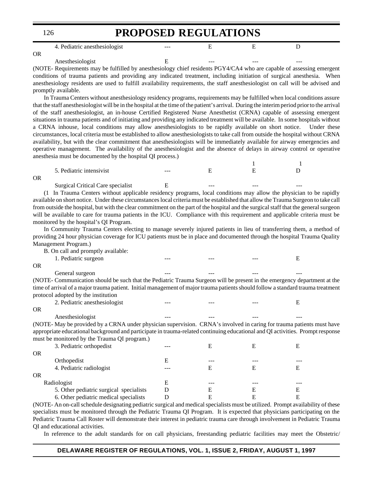4. Pediatric anesthesiologist --- E E D OR Anesthesiologist E ---

(NOTE- Requirements may be fulfilled by anesthesiology chief residents PGY4/CA4 who are capable of assessing emergent conditions of trauma patients and providing any indicated treatment, including initiation of surgical anesthesia. When anesthesiology residents are used to fulfill availability requirements, the staff anesthesiologist on call will be advised and promptly available.

In Trauma Centers without anesthesiology residency programs, requirements may be fulfilled when local conditions assure that the staff anesthesiologist will be in the hospital at the time of the patient's arrival. During the interim period prior to the arrival of the staff anesthesiologist, an in-house Certified Registered Nurse Anesthetist (CRNA) capable of assessing emergent situations in trauma patients and of initiating and providing any indicated treatment will be available. In some hospitals without a CRNA inhouse, local conditions may allow anesthesiologists to be rapidly available on short notice. Under these circumstances, local criteria must be established to allow anesthesiologists to take call from outside the hospital without CRNA availability, but with the clear commitment that anesthesiologists will be immediately available for airway emergencies and operative management. The availability of the anesthesiologist and the absence of delays in airway control or operative anesthesia must be documented by the hospital QI process.)

| OR | 5. Pediatric intensivist          | --- |     |     |  |
|----|-----------------------------------|-----|-----|-----|--|
|    | Surgical Critical Care specialist |     | --- | --- |  |

(1 In Trauma Centers without applicable residency programs, local conditions may allow the physician to be rapidly available on short notice. Under these circumstances local criteria must be established that allow the Trauma Surgeon to take call from outside the hospital, but with the clear commitment on the part of the hospital and the surgical staff that the general surgeon will be available to care for trauma patients in the ICU. Compliance with this requirement and applicable criteria must be monitored by the hospital's QI Program.

In Community Trauma Centers electing to manage severely injured patients in lieu of transferring them, a method of providing 24 hour physician coverage for ICU patients must be in place and documented through the hospital Trauma Quality Management Program.)

B. On call and promptly available:

|    | 1. Pediatric surgeon                                                                                                     | $- - -$ |     | $- - -$ |     |
|----|--------------------------------------------------------------------------------------------------------------------------|---------|-----|---------|-----|
| OR |                                                                                                                          |         |     |         |     |
|    | General surgeon                                                                                                          |         | --- | ---     | --- |
|    | (NOTE- Communication should be such that the Pediatric Trauma Surgeon will be present in the emergency department at the |         |     |         |     |

time of arrival of a major trauma patient. Initial management of major trauma patients should follow a standard trauma treatment protocol adopted by the institution

|    | 2. Pediatric anesthesiologist | $- - -$ | --- | --- |         |
|----|-------------------------------|---------|-----|-----|---------|
| OR |                               |         |     |     |         |
|    | Anesthesiologist              | ---     | --- | --- | $- - -$ |

(NOTE- May be provided by a CRNA under physician supervision. CRNA's involved in caring for trauma patients must have appropriate educational background and participate in trauma-related continuing educational and QI activities. Prompt response must be monitored by the Trauma QI program.)

|           | 3. Pediatric orthopedist                |   | E | E |
|-----------|-----------------------------------------|---|---|---|
| <b>OR</b> |                                         |   |   |   |
|           | Orthopedist                             |   |   |   |
|           | 4. Pediatric radiologist                |   | E | E |
| <b>OR</b> |                                         |   |   |   |
|           | Radiologist                             | E |   |   |
|           | 5. Other pediatric surgical specialists |   |   | E |
|           | 6. Other pediatric medical specialists  |   |   |   |

(NOTE- An on-call schedule designating pediatric surgical and medical specialists must be utilized. Prompt availability of these specialists must be monitored through the Pediatric Trauma QI Program. It is expected that physicians participating on the Pediatric Trauma Call Roster will demonstrate their interest in pediatric trauma care through involvement in Pediatric Trauma QI and educational activities.

In reference to the adult standards for on call physicians, freestanding pediatric facilities may meet the Obstetric/

### **DELAWARE REGISTER OF REGULATIONS, VOL. 1, ISSUE 2, FRIDAY, AUGUST 1, 1997**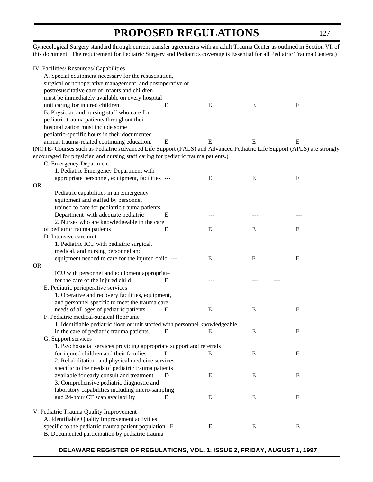127

Gynecological Surgery standard through current transfer agreements with an adult Trauma Center as outlined in Section VI. of this document. The requirement for Pediatric Surgery and Pediatrics coverage is Essential for all Pediatric Trauma Centers.)

| IV. Facilities/ Resources/ Capabilities                                                                               |   |   |   |   |  |
|-----------------------------------------------------------------------------------------------------------------------|---|---|---|---|--|
| A. Special equipment necessary for the resuscitation,                                                                 |   |   |   |   |  |
| surgical or nonoperative management, and postoperative or                                                             |   |   |   |   |  |
| postresuscitative care of infants and children                                                                        |   |   |   |   |  |
| must be immediately available on every hospital                                                                       |   |   |   |   |  |
| unit caring for injured children.                                                                                     | E | E | E | E |  |
| B. Physician and nursing staff who care for                                                                           |   |   |   |   |  |
| pediatric trauma patients throughout their                                                                            |   |   |   |   |  |
| hospitalization must include some                                                                                     |   |   |   |   |  |
| pediatric-specific hours in their documented                                                                          |   |   |   |   |  |
| annual trauma-related continuing education.                                                                           | E | E | E | E |  |
| (NOTE- Courses such as Pediatric Advanced Life Support (PALS) and Advanced Pediatric Life Support (APLS) are strongly |   |   |   |   |  |
| encouraged for physician and nursing staff caring for pediatric trauma patients.)                                     |   |   |   |   |  |
| C. Emergency Department                                                                                               |   |   |   |   |  |
| 1. Pediatric Emergency Department with                                                                                |   |   |   |   |  |
| appropriate personnel, equipment, facilities ---                                                                      |   | E | E | E |  |
| <b>OR</b>                                                                                                             |   |   |   |   |  |
| Pediatric capabilities in an Emergency                                                                                |   |   |   |   |  |
| equipment and staffed by personnel                                                                                    |   |   |   |   |  |
| trained to care for pediatric trauma patients                                                                         |   |   |   |   |  |
| Department with adequate pediatric                                                                                    | Ε |   |   |   |  |
| 2. Nurses who are knowledgeable in the care                                                                           |   |   |   |   |  |
| of pediatric trauma patients                                                                                          | E | E | E | E |  |
| D. Intensive care unit                                                                                                |   |   |   |   |  |
| 1. Pediatric ICU with pediatric surgical,                                                                             |   |   |   |   |  |
| medical, and nursing personnel and                                                                                    |   |   |   |   |  |
| equipment needed to care for the injured child ---                                                                    |   | Ε | E | Ε |  |
| <b>OR</b>                                                                                                             |   |   |   |   |  |
| ICU with personnel and equipment appropriate                                                                          |   |   |   |   |  |
| for the care of the injured child                                                                                     | E |   |   |   |  |
| E. Pediatric perioperative services                                                                                   |   |   |   |   |  |
| 1. Operative and recovery facilities, equipment,                                                                      |   |   |   |   |  |
| and personnel specific to meet the trauma care                                                                        |   |   |   |   |  |
| needs of all ages of pediatric patients.                                                                              | Е | E | E | E |  |
| F. Pediatric medical-surgical floor/unit                                                                              |   |   |   |   |  |
| 1. Identifiable pediatric floor or unit staffed with personnel knowledgeable                                          |   |   |   |   |  |
| in the care of pediatric trauma patients.                                                                             | E | E | Ε | Ε |  |
| G. Support services                                                                                                   |   |   |   |   |  |
| 1. Psychosocial services providing appropriate support and referrals                                                  |   |   |   |   |  |
| for injured children and their families.                                                                              | D | E | Ε | E |  |
| 2. Rehabilitation and physical medicine services                                                                      |   |   |   |   |  |
| specific to the needs of pediatric trauma patients                                                                    |   |   |   |   |  |
| available for early consult and treatment.                                                                            | D | Ε | Ε | E |  |
| 3. Comprehensive pediatric diagnostic and                                                                             |   |   |   |   |  |
| laboratory capabilities including micro-sampling                                                                      |   |   |   |   |  |
| and 24-hour CT scan availability                                                                                      | E | E | E | E |  |
|                                                                                                                       |   |   |   |   |  |
| V. Pediatric Trauma Quality Improvement                                                                               |   |   |   |   |  |
| A. Identifiable Quality Improvement activities                                                                        |   |   |   |   |  |
| specific to the pediatric trauma patient population. E                                                                |   | E | Ε | E |  |
| B. Documented participation by pediatric trauma                                                                       |   |   |   |   |  |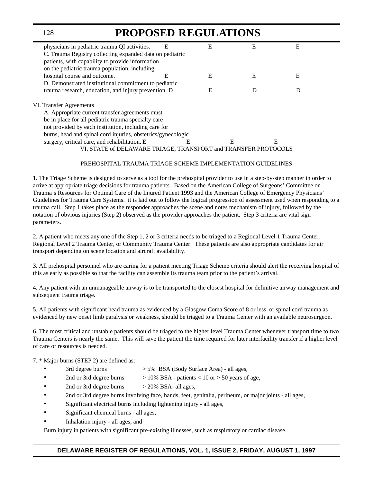| physicians in pediatric trauma QI activities.                  | E | Е | E | Е |  |
|----------------------------------------------------------------|---|---|---|---|--|
| C. Trauma Registry collecting expanded data on pediatric       |   |   |   |   |  |
| patients, with capability to provide information               |   |   |   |   |  |
| on the pediatric trauma population, including                  |   |   |   |   |  |
| hospital course and outcome.                                   | E | Е | Е | E |  |
| D. Demonstrated institutional commitment to pediatric          |   |   |   |   |  |
| trauma research, education, and injury prevention D            |   | E | D | D |  |
|                                                                |   |   |   |   |  |
| VI. Transfer Agreements                                        |   |   |   |   |  |
| A. Appropriate current transfer agreements must                |   |   |   |   |  |
| be in place for all pediatric trauma specialty care            |   |   |   |   |  |
| not provided by each institution, including care for           |   |   |   |   |  |
| burns, head and spinal cord injuries, obstetrics/gynecologic   |   |   |   |   |  |
| surgery, critical care, and rehabilitation. E                  | Е | Е |   | Е |  |
| VI. STATE of DELAWARE TRIAGE, TRANSPORT and TRANSFER PROTOCOLS |   |   |   |   |  |

### PREHOSPITAL TRAUMA TRIAGE SCHEME IMPLEMENTATION GUIDELINES

1. The Triage Scheme is designed to serve as a tool for the prehospital provider to use in a step-by-step manner in order to arrive at appropriate triage decisions for trauma patients. Based on the American College of Surgeons' Committee on Trauma's Resources for Optimal Care of the Injured Patient:1993 and the American College of Emergency Physicians' Guidelines for Trauma Care Systems. it is laid out to follow the logical progression of assessment used when responding to a trauma call. Step 1 takes place as the responder approaches the scene and notes mechanism of injury, followed by the notation of obvious injuries (Step 2) observed as the provider approaches the patient. Step 3 criteria are vital sign parameters.

2. A patient who meets any one of the Step 1, 2 or 3 criteria needs to be triaged to a Regional Level 1 Trauma Center, Regional Level 2 Trauma Center, or Community Trauma Center. These patients are also appropriate candidates for air transport depending on scene location and aircraft availability.

3. All prehospital personnel who are caring for a patient meeting Triage Scheme criteria should alert the receiving hospital of this as early as possible so that the facility can assemble its trauma team prior to the patient's arrival.

4. Any patient with an unmanageable airway is to be transported to the closest hospital for definitive airway management and subsequent trauma triage.

5. All patients with significant head trauma as evidenced by a Glasgow Coma Score of 8 or less, or spinal cord trauma as evidenced by new onset limb paralysis or weakness, should be triaged to a Trauma Center with an available neurosurgeon.

6. The most critical and unstable patients should be triaged to the higher level Trauma Center whenever transport time to two Trauma Centers is nearly the same. This will save the patient the time required for later interfacility transfer if a higher level of care or resources is needed.

### 7. \* Major burns (STEP 2) are defined as:

- $3rd$  degree burns  $> 5\%$  BSA (Body Surface Area) all ages,
- 2nd or 3rd degree burns  $> 10\%$  BSA patients < 10 or > 50 years of age,
- 2nd or 3rd degree burns  $>$  20% BSA- all ages,
- 2nd or 3rd degree burns involving face, hands, feet, genitalia, perineum, or major joints all ages,
- Significant electrical burns including lightening injury all ages,
- Significant chemical burns all ages,
- Inhalation injury all ages, and

Burn injury in patients with significant pre-existing illnesses, such as respiratory or cardiac disease.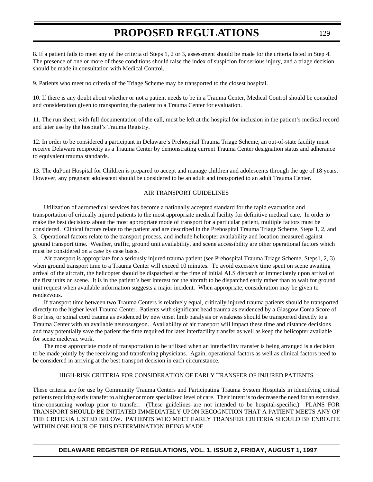8. If a patient fails to meet any of the criteria of Steps 1, 2 or 3, assessment should be made for the criteria listed in Step 4. The presence of one or more of these conditions should raise the index of suspicion for serious injury, and a triage decision should be made in consultation with Medical Control.

9. Patients who meet no criteria of the Triage Scheme may be transported to the closest hospital.

10. If there is any doubt about whether or not a patient needs to be in a Trauma Center, Medical Control should be consulted and consideration given to transporting the patient to a Trauma Center for evaluation.

11. The run sheet, with full documentation of the call, must be left at the hospital for inclusion in the patient's medical record and later use by the hospital's Trauma Registry.

12. In order to be considered a participant in Delaware's Prehospital Trauma Triage Scheme, an out-of-state facility must receive Delaware reciprocity as a Trauma Center by demonstrating current Trauma Center designation status and adherance to equivalent trauma standards.

13. The duPont Hospital for Children is prepared to accept and manage children and adolescents through the age of 18 years. However, any pregnant adolescent should be considered to be an adult and transported to an adult Trauma Center.

#### AIR TRANSPORT GUIDELINES

Utilization of aeromedical services has become a nationally accepted standard for the rapid evacuation and transportation of critically injured patients to the most appropriate medical facility for definitive medical care. In order to make the best decisions about the most appropriate mode of transport for a particular patient, multiple factors must be considered. Clinical factors relate to the patient and are described in the Prehospital Trauma Triage Scheme, Steps 1, 2, and 3. Operational factors relate to the transport process, and include helicopter availability and location measured against ground transport time. Weather, traffic, ground unit availability, and scene accessibility are other operational factors which must be considered on a case by case basis.

Air transport is appropriate for a seriously injured trauma patient (see Prehospital Trauma Triage Scheme, Steps1, 2, 3) when ground transport time to a Trauma Center will exceed 10 minutes. To avoid excessive time spent on scene awaiting arrival of the aircraft, the helicopter should be dispatched at the time of initial ALS dispatch or immediately upon arrival of the first units on scene. It is in the patient's best interest for the aircraft to be dispatched early rather than to wait for ground unit request when available information suggests a major incident. When appropriate, consideration may be given to rendezvous.

If transport time between two Trauma Centers is relatively equal, critically injured trauma patients should be transported directly to the higher level Trauma Center. Patients with significant head trauma as evidenced by a Glasgow Coma Score of 8 or less, or spinal cord trauma as evidenced by new onset limb paralysis or weakness should be transported directly to a Trauma Center with an available neurosurgeon. Availability of air transport will impact these time and distance decisions and may potentially save the patient the time required for later interfacility transfer as well as keep the helicopter available for scene medevac work.

The most appropriate mode of transportation to be utilized when an interfacility transfer is being arranged is a decision to be made jointly by the receiving and transferring physicians. Again, operational factors as well as clinical factors need to be considered in arriving at the best transport decision in each circumstance.

#### HIGH-RISK CRITERIA FOR CONSIDERATION OF EARLY TRANSFER OF INJURED PATIENTS

These criteria are for use by Community Trauma Centers and Participating Trauma System Hospitals in identifying critical patients requiring early transfer to a higher or more specialized level of care. Their intent is to decrease the need for an extensive, time-consuming workup prior to transfer. (These guidelines are not intended to be hospital-specific.) PLANS FOR TRANSPORT SHOULD BE INITIATED IMMEDIATELY UPON RECOGNITION THAT A PATIENT MEETS ANY OF THE CRITERIA LISTED BELOW. PATIENTS WHO MEET EARLY TRANSFER CRITERIA SHOULD BE ENROUTE WITHIN ONE HOUR OF THIS DETERMINATION BEING MADE.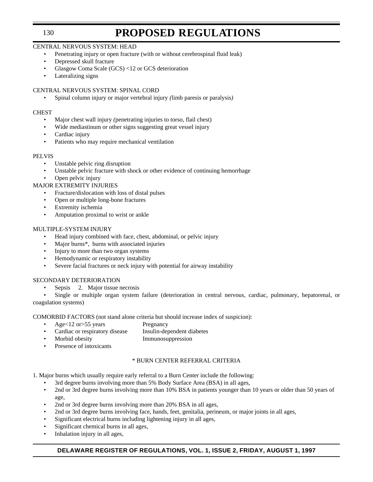## 130

# **PROPOSED REGULATIONS**

### CENTRAL NERVOUS SYSTEM: HEAD

- Penetrating injury or open fracture (with or without cerebrospinal fluid leak)
- Depressed skull fracture
- Glasgow Coma Scale (GCS) <12 or GCS deterioration
- Lateralizing signs

## CENTRAL NERVOUS SYSTEM: SPINAL CORD

• Spinal column injury or major vertebral injury *(*limb paresis or paralysis*)*

### CHEST

- Major chest wall injury *(*penetrating injuries to torso, flail chest)
- Wide mediastinum or other signs suggesting great vessel injury
- Cardiac injury
- Patients who may require mechanical ventilation

### PELVIS

- Unstable pelvic ring disruption
- Unstable pelvic fracture with shock or other evidence of continuing hemorrhage
- Open pelvic injury

## MAJOR EXTREMITY INJURIES

- Fracture/dislocation with loss of distal pulses
- Open or multiple long-bone fractures
- Extremity ischemia
- Amputation proximal to wrist or ankle

### MULTIPLE-SYSTEM INJURY

- Head injury combined with face, chest, abdominal, or pelvic injury
- Major burns\*, burns with associated injuries
- Injury to more than two organ systems
- Hemodynamic or respiratory instability
- Severe facial fractures or neck injury with potential for airway instability

## SECONDARY DETERIORATION

Sepsis 2. Major tissue necrosis

• Single or multiple organ system failure (deterioration in central nervous, cardiac, pulmonary, hepatorenal, or coagulation systems)

COMORBID FACTORS (not stand alone criteria but should increase index of suspicion):

- Age<12 or > 55 years Pregnancy
- Cardiac or respiratory disease Insulin-dependent diabetes
	- Morbid obesity **Immunosuppression**
- Presence of intoxicants

## \* BURN CENTER REFERRAL CRITERIA

1. Major burns which usually require early referral to a Burn Center include the following:

- 3rd degree burns involving more than 5% Body Surface Area (BSA) in all ages,
- 2nd or 3rd degree burns involving more than 10% BSA in patients younger than 10 years or older than 50 years of age,
- 2nd or 3rd degree burns involving more than 20% BSA in all ages,
- 2nd or 3rd degree burns involving face, hands, feet, genitalia, perineum, or major joints in all ages,
- Significant electrical burns including lightening injury in all ages,
- Significant chemical burns in all ages,
- Inhalation injury in all ages,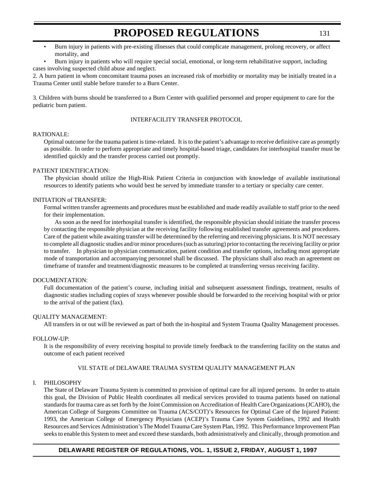- Burn injury in patients with pre-existing illnesses that could complicate management, prolong recovery, or affect mortality, and
- Burn injury in patients who will require special social, emotional, or long-term rehabilitative support, including cases involving suspected child abuse and neglect.

2. A burn patient in whom concomitant trauma poses an increased risk of morbidity or mortality may be initially treated in a Trauma Center until stable before transfer to a Burn Center.

3. Children with burns should be transferred to a Burn Center with qualified personnel and proper equipment to care for the pediatric burn patient.

#### INTERFACILITY TRANSFER PROTOCOL

#### RATIONALE:

Optimal outcome for the trauma patient is time-related. It is to the patient's advantage to receive definitive care as promptly as possible. In order to perform appropriate and timely hospital-based triage, candidates for interhospital transfer must be identified quickly and the transfer process carried out promptly.

#### PATIENT IDENTIFICATION:

The physician should utilize the High-Risk Patient Criteria in conjunction with knowledge of available institutional resources to identify patients who would best be served by immediate transfer to a tertiary or specialty care center.

#### INITIATION of TRANSFER:

Formal written transfer agreements and procedures must be established and made readily available to staff prior to the need for their implementation.

As soon as the need for interhospital transfer is identified, the responsible physician should initiate the transfer process by contacting the responsible physician at the receiving facility following established transfer agreements and procedures. Care of the patient while awaiting transfer will be determined by the referring and receiving physicians. It is NOT necessary to complete all diagnostic studies and/or minor procedures (such as suturing) prior to contacting the receiving facility or prior to transfer. In physician to physician communication, patient condition and transfer options, including most appropriate mode of transportation and accompanying personnel shall be discussed. The physicians shall also reach an agreement on timeframe of transfer and treatment/diagnostic measures to be completed at transferring versus receiving facility.

### DOCUMENTATION:

Full documentation of the patient's course, including initial and subsequent assessment findings, treatment, results of diagnostic studies including copies of xrays whenever possible should be forwarded to the receiving hospital with or prior to the arrival of the patient (fax).

#### QUALITY MANAGEMENT:

All transfers in or out will be reviewed as part of both the in-hospital and System Trauma Quality Management processes.

#### FOLLOW-UP:

It is the responsibility of every receiving hospital to provide timely feedback to the transferring facility on the status and outcome of each patient received

### VII. STATE of DELAWARE TRAUMA SYSTEM QUALITY MANAGEMENT PLAN

### I. PHILOSOPHY

The State of Delaware Trauma System is committed to provision of optimal care for all injured persons. In order to attain this goal, the Division of Public Health coordinates all medical services provided to trauma patients based on national standards for trauma care as set forth by the Joint Commission on Accreditation of Health Care Organizations (JCAHO), the American College of Surgeons Committee on Trauma (ACS/COT)'s Resources for Optimal Care of the Injured Patient: 1993, the American College of Emergency Physicians (ACEP)'s Trauma Care System Guidelines, 1992 and Health Resources and Services Administration's The Model Trauma Care System Plan, 1992. This Performance Improvement Plan seeks to enable this System to meet and exceed these standards, both administratively and clinically, through promotion and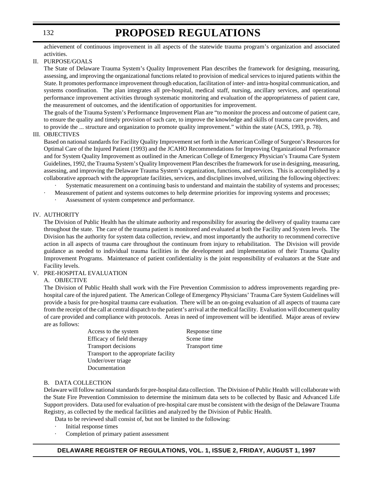achievement of continuous improvement in all aspects of the statewide trauma program's organization and associated activities.

## II. PURPOSE/GOALS

The State of Delaware Trauma System's Quality Improvement Plan describes the framework for designing, measuring, assessing, and improving the organizational functions related to provision of medical services to injured patients within the State. It promotes performance improvement through education, facilitation of inter- and intra-hospital communication, and systems coordination. The plan integrates all pre-hospital, medical staff, nursing, ancillary services, and operational performance improvement activities through systematic monitoring and evaluation of the appropriateness of patient care, the measurement of outcomes, and the identification of opportunities for improvement.

The goals of the Trauma System's Performance Improvement Plan are "to monitor the process and outcome of patient care, to ensure the quality and timely provision of such care, to improve the knowledge and skills of trauma care providers, and to provide the ... structure and organization to promote quality improvement." within the state (ACS, 1993, p. 78).

### III. OBJECTIVES

Based on national standards for Facility Quality Improvement set forth in the American College of Surgeon's Resources for Optimal Care of the Injured Patient (1993) and the JCAHO Recommendations for Improving Organizational Performance and for System Quality Improvement as outlined in the American College of Emergency Physician's Trauma Care System Guidelines, 1992, the Trauma System's Quality Improvement Plan describes the framework for use in designing, measuring, assessing, and improving the Delaware Trauma System's organization, functions, and services. This is accomplished by a collaborative approach with the appropriate facilities, services, and disciplines involved, utilizing the following objectives:

- Systematic measurement on a continuing basis to understand and maintain the stability of systems and processes;
- Measurement of patient and systems outcomes to help determine priorities for improving systems and processes;
	- Assessment of system competence and performance.

### IV. AUTHORITY

The Division of Public Health has the ultimate authority and responsibility for assuring the delivery of quality trauma care throughout the state. The care of the trauma patient is monitored and evaluated at both the Facility and System levels. The Division has the authority for system data collection, review, and most importantly the authority to recommend corrective action in all aspects of trauma care throughout the continuum from injury to rehabilitation. The Division will provide guidance as needed to individual trauma facilities in the development and implementation of their Trauma Quality Improvement Programs. Maintenance of patient confidentiality is the joint responsibility of evaluators at the State and Facility levels.

## V. PRE-HOSPITAL EVALUATION

## A. OBJECTIVE

The Division of Public Health shall work with the Fire Prevention Commission to address improvements regarding prehospital care of the injured patient. The American College of Emergency Physicians' Trauma Care System Guidelines will provide a basis for pre-hospital trauma care evaluation. There will be an on-going evaluation of all aspects of trauma care from the receipt of the call at central dispatch to the patient's arrival at the medical facility. Evaluation will document quality of care provided and compliance with protocols. Areas in need of improvement will be identified. Major areas of review are as follows:

> Access to the system Response time Efficacy of field therapy Scene time Transport decisions Transport time Transport to the appropriate facility Under/over triage Documentation

### B. DATA COLLECTION

Delaware will follow national standards for pre-hospital data collection. The Division of Public Health will collaborate with the State Fire Prevention Commission to determine the minimum data sets to be collected by Basic and Advanced Life Support providers. Data used for evaluation of pre-hospital care must be consistent with the design of the Delaware Trauma Registry, as collected by the medical facilities and analyzed by the Division of Public Health.

Data to be reviewed shall consist of, but not be limited to the following:

- Initial response times
- Completion of primary patient assessment

## **DELAWARE REGISTER OF REGULATIONS, VOL. 1, ISSUE 2, FRIDAY, AUGUST 1, 1997**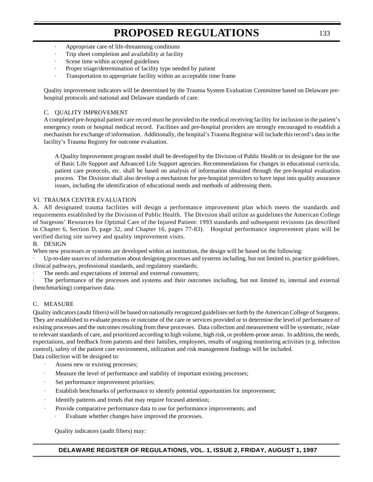- Appropriate care of life-threatening conditions
- Trip sheet completion and availability at facility
- Scene time within accepted guidelines
- Proper triage/determination of facility type needed by patient
- Transportation to appropriate facility within an acceptable time frame

Quality improvement indicators will be determined by the Trauma System Evaluation Committee based on Delaware prehospital protocols and national and Delaware standards of care.

#### C. QUALITY IMPROVEMENT

A completed pre-hospital patient care record must be provided to the medical receiving facility for inclusion in the patient's emergency room or hospital medical record. Facilities and pre-hospital providers are strongly encouraged to establish a mechanism for exchange of information. Additionally, the hospital's Trauma Registrar will include this record's data in the facility's Trauma Registry for outcome evaluation.

A Quality Improvement program model shall be developed by the Division of Public Health or its designee for the use of Basic Life Support and Advanced Life Support agencies. Recommendations for changes in educational curricula, patient care protocols, etc. shall be based on analysis of information obtained through the pre-hospital evaluation process. The Division shall also develop a mechanism for pre-hospital providers to have input into quality assurance issues, including the identification of educational needs and methods of addressing them.

#### VI. TRAUMA CENTER EVALUATION

A. All designated trauma facilities will design a performance improvement plan which meets the standards and requirements established by the Division of Public Health. The Division shall utilize as guidelines the American College of Surgeons' Resources for Optimal Care of the Injured Patient: 1993 standards and subsequent revisions (as described in Chapter 6, Section D, page 32, and Chapter 16, pages 77-83). Hospital performance improvement plans will be verified during site survey and quality improvement visits.

#### B. DESIGN

When new processes or systems are developed within an institution, the design will be based on the following:

Up-to-date sources of information about designing processes and systems including, but not limited to, practice guidelines, clinical pathways, professional standards, and regulatory standards;

The needs and expectations of internal and external consumers;

The performance of the processes and systems and their outcomes including, but not limited to, internal and external (benchmarking) comparison data.

#### C. MEASURE

Quality indicators (audit filters) will be based on nationally recognized guidelines set forth by the American College of Surgeons. They are established to evaluate process or outcome of the care or services provided or to determine the level of performance of existing processes and the outcomes resulting from these processes. Data collection and measurement will be systematic, relate to relevant standards of care, and prioritized according to high volume, high risk, or problem-prone areas. In addition, the needs, expectations, and feedback from patients and their families, employees, results of ongoing monitoring activities (e.g. infection control), safety of the patient care environment, utilization and risk management findings will be included.

Data collection will be designed to:

- Assess new or existing processes;
- Measure the level of performance and stability of important existing processes;
- Set performance improvement priorities;
- Establish benchmarks of performance to identify potential opportunities for improvement;
- Identify patterns and trends that may require focused attention;
- Provide comparative performance data to use for performance improvements; and
	- Evaluate whether changes have improved the processes.

Quality indicators (audit filters) may: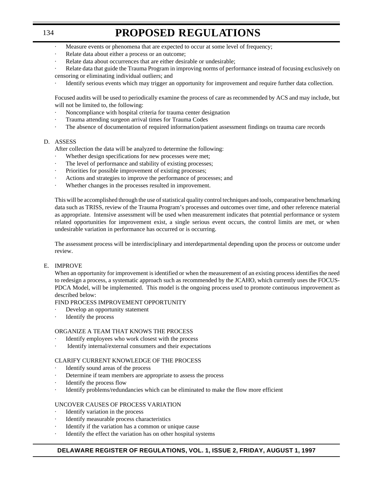- Measure events or phenomena that are expected to occur at some level of frequency;
- Relate data about either a process or an outcome;
- Relate data about occurrences that are either desirable or undesirable;
- Relate data that guide the Trauma Program in improving norms of performance instead of focusing exclusively on censoring or eliminating individual outliers; and
- Identify serious events which may trigger an opportunity for improvement and require further data collection.

Focused audits will be used to periodically examine the process of care as recommended by ACS and may include, but will not be limited to, the following:

- Noncompliance with hospital criteria for trauma center designation
- · Trauma attending surgeon arrival times for Trauma Codes
- The absence of documentation of required information/patient assessment findings on trauma care records

#### D. ASSESS

After collection the data will be analyzed to determine the following:

- Whether design specifications for new processes were met;
- The level of performance and stability of existing processes;
- Priorities for possible improvement of existing processes;
- Actions and strategies to improve the performance of processes; and
- Whether changes in the processes resulted in improvement.

This will be accomplished through the use of statistical quality control techniques and tools, comparative benchmarking data such as TRISS, review of the Trauma Program's processes and outcomes over time, and other reference material as appropriate. Intensive assessment will be used when measurement indicates that potential performance or system related opportunities for improvement exist, a single serious event occurs, the control limits are met, or when undesirable variation in performance has occurred or is occurring.

The assessment process will be interdisciplinary and interdepartmental depending upon the process or outcome under review.

### E. IMPROVE

When an opportunity for improvement is identified or when the measurement of an existing process identifies the need to redesign a process, a systematic approach such as recommended by the JCAHO, which currently uses the FOCUS-PDCA Model, will be implemented. This model is the ongoing process used to promote continuous improvement as described below:

FIND PROCESS IMPROVEMENT OPPORTUNITY

- Develop an opportunity statement
- Identify the process

### ORGANIZE A TEAM THAT KNOWS THE PROCESS

- Identify employees who work closest with the process
- Identify internal/external consumers and their expectations

### CLARIFY CURRENT KNOWLEDGE OF THE PROCESS

- Identify sound areas of the process
- Determine if team members are appropriate to assess the process
- Identify the process flow
- · Identify problems/redundancies which can be eliminated to make the flow more efficient

### UNCOVER CAUSES OF PROCESS VARIATION

- Identify variation in the process
- Identify measurable process characteristics
- Identify if the variation has a common or unique cause
- Identify the effect the variation has on other hospital systems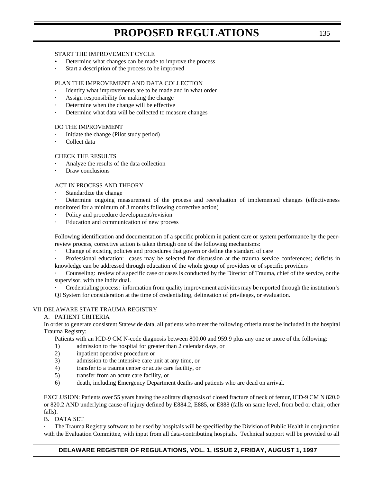### START THE IMPROVEMENT CYCLE

- Determine what changes can be made to improve the process
- Start a description of the process to be improved

#### PLAN THE IMPROVEMENT AND DATA COLLECTION

- Identify what improvements are to be made and in what order
- Assign responsibility for making the change
- Determine when the change will be effective
- Determine what data will be collected to measure changes

### DO THE IMPROVEMENT

- Initiate the change (Pilot study period)
- Collect data

#### CHECK THE RESULTS

- · Analyze the results of the data collection
- Draw conclusions

### ACT IN PROCESS AND THEORY

Standardize the change

Determine ongoing measurement of the process and reevaluation of implemented changes (effectiveness monitored for a minimum of 3 months following corrective action)

- Policy and procedure development/revision
- Education and communication of new process

Following identification and documentation of a specific problem in patient care or system performance by the peerreview process, corrective action is taken through one of the following mechanisms:

Change of existing policies and procedures that govern or define the standard of care

· Professional education: cases may be selected for discussion at the trauma service conferences; deficits in knowledge can be addressed through education of the whole group of providers or of specific providers

Counseling: review of a specific case or cases is conducted by the Director of Trauma, chief of the service, or the supervisor, with the individual.

· Credentialing process: information from quality improvement activities may be reported through the institution's QI System for consideration at the time of credentialing, delineation of privileges, or evaluation.

### VII. DELAWARE STATE TRAUMA REGISTRY

#### A. PATIENT CRITERIA

In order to generate consistent Statewide data, all patients who meet the following criteria must be included in the hospital Trauma Registry:

Patients with an ICD-9 CM N-code diagnosis between 800.00 and 959.9 plus any one or more of the following:

- 1) admission to the hospital for greater than 2 calendar days, or
- 2) inpatient operative procedure or
- 3) admission to the intensive care unit at any time, or
- 4) transfer to a trauma center or acute care facility, or
- 5) transfer from an acute care facility, or
- 6) death, including Emergency Department deaths and patients who are dead on arrival.

EXCLUSION: Patients over 55 years having the solitary diagnosis of closed fracture of neck of femur, ICD-9 CM N 820.0 or 820.2 AND underlying cause of injury defined by E884.2, E885, or E888 (falls on same level, from bed or chair, other falls).

B. DATA SET

· The Trauma Registry software to be used by hospitals will be specified by the Division of Public Health in conjunction with the Evaluation Committee, with input from all data-contributing hospitals. Technical support will be provided to all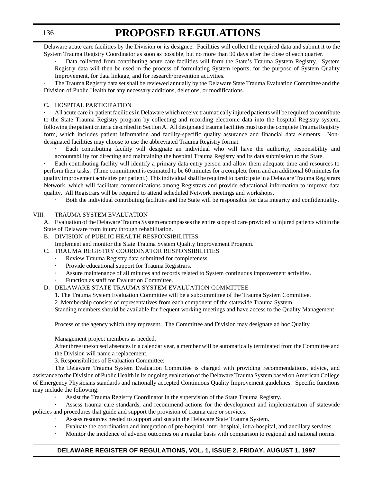Delaware acute care facilities by the Division or its designee. Facilities will collect the required data and submit it to the System Trauma Registry Coordinator as soon as possible, but no more than 90 days after the close of each quarter.

Data collected from contributing acute care facilities will form the State's Trauma System Registry. System Registry data will then be used in the process of formulating System reports, for the purpose of System Quality Improvement, for data linkage, and for research/prevention activities.

· The Trauma Registry data set shall be reviewed annually by the Delaware State Trauma Evaluation Committee and the Division of Public Health for any necessary additions, deletions, or modifications.

### C. HOSPITAL PARTICIPATION

· All acute care in-patient facilities in Delaware which receive traumatically injured patients will be required to contribute to the State Trauma Registry program by collecting and recording electronic data into the hospital Registry system, following the patient criteria described in Section A. All designated trauma facilities must use the complete Trauma Registry form, which includes patient information and facility-specific quality assurance and financial data elements. Nondesignated facilities may choose to use the abbreviated Trauma Registry format.

Each contributing facility will designate an individual who will have the authority, responsibility and accountability for directing and maintaining the hospital Trauma Registry and its data submission to the State.

Each contributing facility will identify a primary data entry person and allow them adequate time and resources to perform their tasks. (Time commitment is estimated to be 60 minutes for a complete form and an additional 60 minutes for quality improvement activities per patient.) This individual shall be required to participate in a Delaware Trauma Registrars Network, which will facilitate communications among Registrars and provide educational information to improve data quality. All Registrars will be required to attend scheduled Network meetings and workshops.

Both the individual contributing facilities and the State will be responsible for data integrity and confidentiality.

### VIII. TRAUMA SYSTEM EVALUATION

A. Evaluation of the Delaware Trauma System encompasses the entire scope of care provided to injured patients within the State of Delaware from injury through rehabilitation.

B. DIVISION of PUBLIC HEALTH RESPONSIBILITIES

Implement and monitor the State Trauma System Quality Improvement Program.

- C. TRAUMA REGISTRY COORDINATOR RESPONSIBILITIES
	- Review Trauma Registry data submitted for completeness.
	- Provide educational support for Trauma Registrars.
	- Assure maintenance of all minutes and records related to System continuous improvement activities.
	- Function as staff for Evaluation Committee.

## D. DELAWARE STATE TRAUMA SYSTEM EVALUATION COMMITTEE

1. The Trauma System Evaluation Committee will be a subcommittee of the Trauma System Committee.

2. Membership consists of representatives from each component of the statewide Trauma System.

Standing members should be available for frequent working meetings and have access to the Quality Management

Process of the agency which they represent. The Committee and Division may designate ad hoc Quality

Management project members as needed.

After three unexcused absences in a calendar year, a member will be automatically terminated from the Committee and the Division will name a replacement.

3. Responsibilities of Evaluation Committee:

The Delaware Trauma System Evaluation Committee is charged with providing recommendations, advice, and assistance to the Division of Public Health in its ongoing evaluation of the Delaware Trauma System based on American College of Emergency Physicians standards and nationally accepted Continuous Quality Improvement guidelines. Specific functions may include the following:

- · Assist the Trauma Registry Coordinator in the supervision of the State Trauma Registry.
- Assess trauma care standards, and recommend actions for the development and implementation of statewide policies and procedures that guide and support the provision of trauma care or services.
	- · Assess resources needed to support and sustain the Delaware State Trauma System.
	- Evaluate the coordination and integration of pre-hospital, inter-hospital, intra-hospital, and ancillary services.
	- · Monitor the incidence of adverse outcomes on a regular basis with comparison to regional and national norms.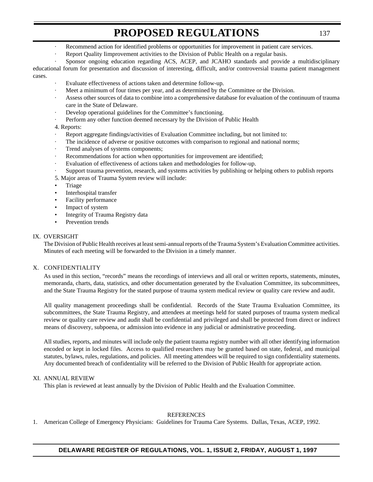- Recommend action for identified problems or opportunities for improvement in patient care services.
- Report Quality Iimprovement activities to the Division of Public Health on a regular basis.

Sponsor ongoing education regarding ACS, ACEP, and JCAHO standards and provide a multidisciplinary educational forum for presentation and discussion of interesting, difficult, and/or controversial trauma patient management cases.

- Evaluate effectiveness of actions taken and determine follow-up.
- Meet a minimum of four times per year, and as determined by the Committee or the Division.
- Assess other sources of data to combine into a comprehensive database for evaluation of the continuum of trauma care in the State of Delaware.
- Develop operational guidelines for the Committee's functioning.
- Perform any other function deemed necessary by the Division of Public Health

#### 4. Reports:

- Report aggregate findings/activities of Evaluation Committee including, but not limited to:
- The incidence of adverse or positive outcomes with comparison to regional and national norms;
- · Trend analyses of systems components;
- Recommendations for action when opportunities for improvement are identified;
- Evaluation of effectiveness of actions taken and methodologies for follow-up.
- Support trauma prevention, research, and systems activities by publishing or helping others to publish reports
- 5. Major areas of Trauma System review will include:
- Triage
- Interhospital transfer
- Facility performance
- Impact of system
- Integrity of Trauma Registry data
- Prevention trends

#### IX. OVERSIGHT

The Division of Public Health receives at least semi-annual reports of the Trauma System's Evaluation Committee activities. Minutes of each meeting will be forwarded to the Division in a timely manner.

### X. CONFIDENTIALITY

As used in this section, "records" means the recordings of interviews and all oral or written reports, statements, minutes, memoranda, charts, data, statistics, and other documentation generated by the Evaluation Committee, its subcommittees, and the State Trauma Registry for the stated purpose of trauma system medical review or quality care review and audit.

All quality management proceedings shall be confidential. Records of the State Trauma Evaluation Committee, its subcommittees, the State Trauma Registry, and attendees at meetings held for stated purposes of trauma system medical review or quality care review and audit shall be confidential and privileged and shall be protected from direct or indirect means of discovery, subpoena, or admission into evidence in any judicial or administrative proceeding.

All studies, reports, and minutes will include only the patient trauma registry number with all other identifying information encoded or kept in locked files. Access to qualified researchers may be granted based on state, federal, and municipal statutes, bylaws, rules, regulations, and policies. All meeting attendees will be required to sign confidentiality statements. Any documented breach of confidentiality will be referred to the Division of Public Health for appropriate action.

### XI. ANNUAL REVIEW

This plan is reviewed at least annually by the Division of Public Health and the Evaluation Committee.

#### **REFERENCES**

1. American College of Emergency Physicians: Guidelines for Trauma Care Systems. Dallas, Texas, ACEP, 1992.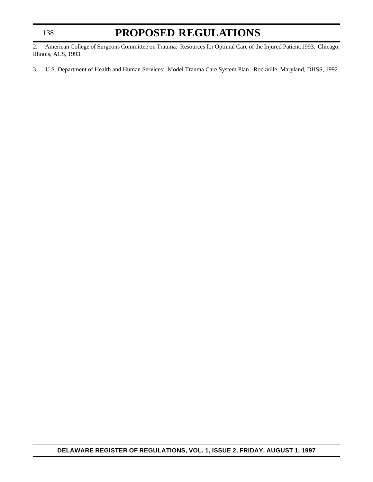## 138

## **PROPOSED REGULATIONS**

2. American College of Surgeons Committee on Trauma: Resources for Optimal Care of the Injured Patient:1993. Chicago, Illinois, ACS, 1993.

3. U.S. Department of Health and Human Services: Model Trauma Care System Plan. Rockville, Maryland, DHSS, 1992.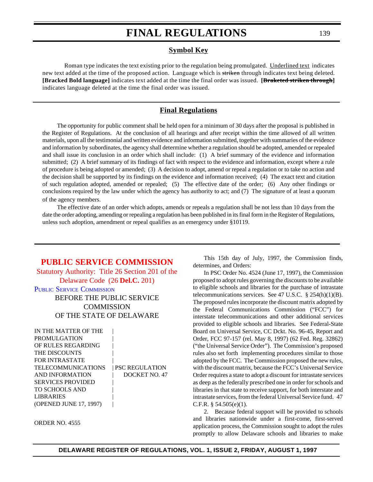## **Symbol Key**

Roman type indicates the text existing prior to the regulation being promulgated. Underlined text indicates new text added at the time of the proposed action. Language which is striken through indicates text being deleted. **[Bracked Bold language]** indicates text added at the time the final order was issued. **[Braketed striken through]** indicates language deleted at the time the final order was issued.

## **Final Regulations**

The opportunity for public comment shall be held open for a minimum of 30 days after the proposal is published in the Register of Regulations. At the conclusion of all hearings and after receipt within the time allowed of all written materials, upon all the testimonial and written evidence and information submitted, together with summaries of the evidence and information by subordinates, the agency shall determine whether a regulation should be adopted, amended or repealed and shall issue its conclusion in an order which shall include: (1) A brief summary of the evidence and information submitted; (2) A brief summary of its findings of fact with respect to the evidence and information, except where a rule of procedure is being adopted or amended; (3) A decision to adopt, amend or repeal a regulation or to take no action and the decision shall be supported by its findings on the evidence and information received; (4) The exact text and citation of such regulation adopted, amended or repealed; (5) The effective date of the order; (6) Any other findings or conclusions required by the law under which the agency has authority to act; and (7) The signature of at least a quorum of the agency members.

The effective date of an order which adopts, amends or repeals a regulation shall be not less than 10 days from the date the order adopting, amending or repealing a regulation has been published in its final form in the Register of Regulations, unless such adoption, amendment or repeal qualifies as an emergency under §10119.

## **[PUBLIC SERVICE COMMISSION](#page-4-0)**

Statutory Authority: Title 26 Section 201 of the Delaware Code (26 **Del.C.** 201) PUBLIC SERVICE [COMMISSION](http://www.state.de.us/govern/agencies/pubservc/delpsc.htm) BEFORE THE PUBLIC SERVICE **COMMISSION** OF THE STATE OF DELAWARE

| IN THE MATTER OF THE      |                       |
|---------------------------|-----------------------|
| PROMULGATION              |                       |
| OF RULES REGARDING        |                       |
| <b>THE DISCOUNTS</b>      |                       |
| <b>FOR INTRASTATE</b>     |                       |
| <b>TELECOMMUNICATIONS</b> | <b>PSC REGULATION</b> |
| AND INFORMATION           | DOCKET NO. 47         |
| <b>SERVICES PROVIDED</b>  |                       |
| <b>TO SCHOOLS AND</b>     |                       |
| <b>LIBRARIES</b>          |                       |
| (OPENED JUNE 17, 1997)    |                       |
|                           |                       |

ORDER NO. 4555

This 15th day of July, 1997, the Commission finds, determines, and Orders:

In PSC Order No. 4524 (June 17, 1997), the Commission proposed to adopt rules governing the discounts to be available to eligible schools and libraries for the purchase of intrastate telecommunications services. See 47 U.S.C. § 254(h)(1)(B). The proposed rules incorporate the discount matrix adopted by the Federal Communications Commission ("FCC") for interstate telecommunications and other additional services provided to eligible schools and libraries. See Federal-State Board on Universal Service, CC Dckt. No. 96-45, Report and Order, FCC 97-157 (rel. May 8, 1997) (62 Fed. Reg. 32862) ("the Universal Service Order"). The Commission's proposed rules also set forth implementing procedures similar to those adopted by the FCC. The Commission proposed the new rules, with the discount matrix, because the FCC's Universal Service Order requires a state to adopt a discount for intrastate services as deep as the federally prescribed one in order for schools and libraries in that state to receive support, for both interstate and intrastate services, from the federal Universal Service fund. 47 C.F.R. § 54.505(e)(1).

2. Because federal support will be provided to schools and libraries nationwide under a first-come, first-served application process, the Commission sought to adopt the rules promptly to allow Delaware schools and libraries to make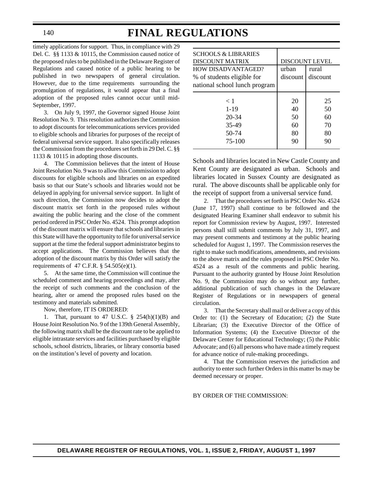timely applications for support. Thus, in compliance with 29 Del. C. §§ 1133 & 10115, the Commission caused notice of the proposed rules to be published in the Delaware Register of Regulations and caused notice of a public hearing to be published in two newspapers of general circulation. However, due to the time requirements surrounding the promulgation of regulations, it would appear that a final adoption of the proposed rules cannot occur until mid-September, 1997.

3. On July 9, 1997, the Governor signed House Joint Resolution No. 9. This resolution authorizes the Commission to adopt discounts for telecommunications services provided to eligible schools and libraries for purposes of the receipt of federal universal service support. It also specifically releases the Commission from the procedures set forth in 29 Del. C. §§ 1133 & 10115 in adopting those discounts.

4. The Commission believes that the intent of House Joint Resolution No. 9 was to allow this Commission to adopt discounts for eligible schools and libraries on an expedited basis so that our State's schools and libraries would not be delayed in applying for universal service support. In light of such direction, the Commission now decides to adopt the discount matrix set forth in the proposed rules without awaiting the public hearing and the close of the comment period ordered in PSC Order No. 4524. This prompt adoption of the discount matrix will ensure that schools and libraries in this State will have the opportunity to file for universal service support at the time the federal support administrator begins to accept applications. The Commission believes that the adoption of the discount matrix by this Order will satisfy the requirements of 47 C.F.R. § 54.505(e)(1).

5. At the same time, the Commission will continue the scheduled comment and hearing proceedings and may, after the receipt of such comments and the conclusion of the hearing, alter or amend the proposed rules based on the testimony and materials submitted.

Now, therefore, IT IS ORDERED:

1. That, pursuant to 47 U.S.C.  $\S$  254(h)(1)(B) and House Joint Resolution No. 9 of the 139th General Assembly, the following matrix shall be the discount rate to be applied to eligible intrastate services and facilities purchased by eligible schools, school districts, libraries, or library consortia based on the institution's level of poverty and location.

| <b>SCHOOLS &amp; LIBRARIES</b> |          |                       |
|--------------------------------|----------|-----------------------|
| <b>DISCOUNT MATRIX</b>         |          | <b>DISCOUNT LEVEL</b> |
| <b>HOW DISADVANTAGED?</b>      | urban    | rural                 |
| % of students eligible for     | discount | discount              |
| national school lunch program  |          |                       |
| < 1                            | 20       | 25                    |
| $1 - 19$                       | 40       | 50                    |
| $20 - 34$                      | 50       | 60                    |
| 35-49                          | 60       | 70                    |
| 50-74                          | 80       | 80                    |
| 75-100                         | 90       | 90                    |
|                                |          |                       |

Schools and libraries located in New Castle County and Kent County are designated as urban. Schools and libraries located in Sussex County are designated as rural. The above discounts shall be applicable only for the receipt of support from a universal service fund.

2. That the procedures set forth in PSC Order No. 4524 (June 17, 1997) shall continue to be followed and the designated Hearing Examiner shall endeavor to submit his report for Commission review by August, 1997. Interested persons shall still submit comments by July 31, 1997, and may present comments and testimony at the public hearing scheduled for August 1, 1997. The Commission reserves the right to make such modifications, amendments, and revisions to the above matrix and the rules proposed in PSC Order No. 4524 as a result of the comments and public hearing. Pursuant to the authority granted by House Joint Resolution No. 9, the Commission may do so without any further, additional publication of such changes in the Delaware Register of Regulations or in newspapers of general circulation.

3. That the Secretary shall mail or deliver a copy of this Order to: (1) the Secretary of Education; (2) the State Librarian; (3) the Executive Director of the Office of Information Systems; (4) the Executive Director of the Delaware Center for Educational Technology; (5) the Public Advocate; and (6) all persons who have made a timely request for advance notice of rule-making proceedings.

4. That the Commission reserves the jurisdiction and authority to enter such further Orders in this matter bs may be deemed necessary or proper.

BY ORDER OF THE COMMISSION: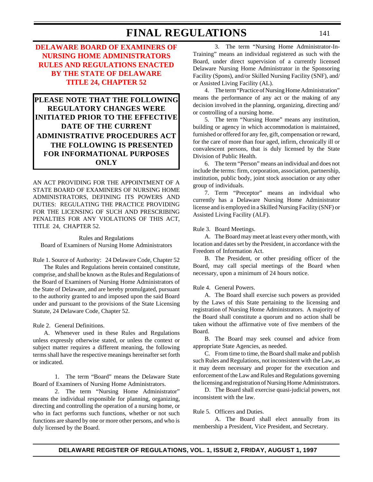**[DELAWARE BOARD OF EXAMINERS OF](#page-4-0) NURSING HOME ADMINISTRATORS RULES AND REGULATIONS ENACTED BY THE STATE OF DELAWARE TITLE 24, CHAPTER 52**

**PLEASE NOTE THAT THE FOLLOWING REGULATORY CHANGES WERE INITIATED PRIOR TO THE EFFECTIVE DATE OF THE CURRENT ADMINISTRATIVE PROCEDURES ACT THE FOLLOWING IS PRESENTED FOR INFORMATIONAL PURPOSES ONLY**

AN ACT PROVIDING FOR THE APPOINTMENT OF A STATE BOARD OF EXAMINERS OF NURSING HOME ADMINISTRATORS, DEFINING ITS POWERS AND DUTIES: REGULATING THE PRACTICE PROVIDING FOR THE LICENSING OF SUCH AND PRESCRIBING PENALTIES FOR ANY VIOLATIONS OF THIS ACT, TITLE 24, CHAPTER 52.

Rules and Regulations Board of Examiners of Nursing Home Administrators

Rule 1. Source of Authority: 24 Delaware Code, Chapter 52

The Rules and Regulations herein contained constitute, comprise, and shall be known as the Rules and Regulations of the Board of Examiners of Nursing Home Administrators of the State of Delaware, and are hereby promulgated, pursuant to the authority granted to and imposed upon the said Board under and pursuant to the provisions of the State Licensing Statute, 24 Delaware Code, Chapter 52.

Rule 2. General Definitions.

A. Whenever used in these Rules and Regulations unless expressly otherwise stated, or unless the context or subject matter requires a different meaning, the following terms shall have the respective meanings hereinafter set forth or indicated.

1. The term "Board" means the Delaware State Board of Examiners of Nursing Home Administrators.

2. The term "Nursing Home Administrator" means the individual responsible for planning, organizing, directing and controlling the operation of a nursing home, or who in fact performs such functions, whether or not such functions are shared by one or more other persons, and who is duly licensed by the Board.

3. The term "Nursing Home Administrator-In-Training" means an individual registered as such with the Board, under direct supervision of a currently licensed Delaware Nursing Home Administrator in the Sponsoring Facility (Spons), and/or Skilled Nursing Facility (SNF), and/ or Assisted Living Facility (AL).

4. The term "Practice of Nursing Home Administration" means the performance of any act or the making of any decision involved in the planning, organizing, directing and/ or controlling of a nursing home.

5. The term "Nursing Home" means any institution, building or agency in which accommodation is maintained, furnished or offered for any fee, gift, compensation or reward, for the care of more than four aged, infirm, chronically ill or convalescent persons, that is duly licensed by the State Division of Public Health.

6. The term "Person" means an individual and does not include the terms: firm, corporation, association, partnership, institution, public body, joint stock association or any other group of individuals.

7. Term "Preceptor" means an individual who currently has a Delaware Nursing Home Administrator license and is employed in a Skilled Nursing Facility (SNF) or Assisted Living Facility (ALF).

Rule 3. Board Meetings.

A. The Board may meet at least every other month, with location and dates set by the President, in accordance with the Freedom of Information Act.

B. The President, or other presiding officer of the Board, may call special meetings of the Board when necessary, upon a minimum of 24 hours notice.

Rule 4. General Powers.

A. The Board shall exercise such powers as provided by the Laws of this State pertaining to the licensing and registration of Nursing Home Administrators. A majority of the Board shall constitute a quorum and no action shall be taken without the affirmative vote of five members of the Board.

B. The Board may seek counsel and advice from appropriate State Agencies, as needed.

C. From time to time, the Board shall make and publish such Rules and Regulations, not inconsistent with the Law, as it may deem necessary and proper for the execution and enforcement of the Law and Rules and Regulations governing the licensing and registration of Nursing Home Administrators.

D. The Board shall exercise quasi-judicial powers, not inconsistent with the law.

Rule 5. Officers and Duties.

A. The Board shall elect annually from its membership a President, Vice President, and Secretary.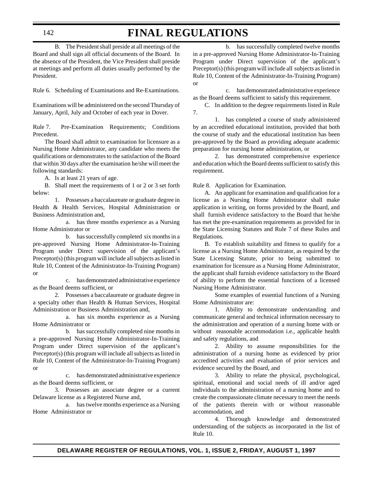## 142

## **FINAL REGULATIONS**

B. The President shall preside at all meetings of the Board and shall sign all official documents of the Board. In the absence of the President, the Vice President shall preside at meetings and perform all duties usually performed by the President.

Rule 6. Scheduling of Examinations and Re-Examinations.

Examinations will be administered on the second Thursday of January, April, July and October of each year in Dover.

Rule 7. Pre-Examination Requirements; Conditions Precedent.

The Board shall admit to examination for licensure as a Nursing Home Administrator, any candidate who meets the qualifications or demonstrates to the satisfaction of the Board that within 30 days after the examination he/she will meet the following standards:

A. Is at least 21 years of age.

B. Shall meet the requirements of 1 or 2 or 3 set forth below:

1. Possesses a baccalaureate or graduate degree in Health & Health Services, Hospital Administration or Business Administration and,

a. has three months experience as a Nursing Home Administrator or

b. has successfully completed six months in a pre-approved Nursing Home Administrator-In-Training Program under Direct supervision of the applicant's Preceptor(s) (this program will include all subjects as listed in Rule 10, Content of the Administrator-In-Training Program) or

c. has demonstrated administrative experience as the Board deems sufficient, or

2. Possesses a baccalaureate or graduate degree in a specialty other than Health & Human Services, Hospital Administration or Business Administration and,

a. has six months experience as a Nursing Home Administrator or

b. has successfully completed nine months in a pre-approved Nursing Home Administrator-In-Training Program under Direct supervision of the applicant's Preceptor(s) (this program will include all subjects as listed in Rule 10, Content of the Administrator-In-Training Program) or

c. has demonstrated administrative experience as the Board deems sufficient, or

3. Possesses an associate degree or a current Delaware license as a Registered Nurse and,

a. has twelve months experience as a Nursing Home Administrator or

b. has successfully completed twelve months in a pre-approved Nursing Home Administrator-In-Training Program under Direct supervision of the applicant's Preceptor(s) (this program will include all subjects as listed in Rule 10, Content of the Administrator-In-Training Program) or

c. has demonstrated administrative experience as the Board deems sufficient to satisfy this requirement.

C. In addition to the degree requirements listed in Rule 7.

1. has completed a course of study administered by an accredited educational institution, provided that both the course of study and the educational institution has been pre-approved by the Board as providing adequate academic preparation for nursing home administration, or

2. has demonstrated comprehensive experience and education which the Board deems sufficient to satisfy this requirement.

Rule 8. Application for Examination.

A. An applicant for examination and qualification for a license as a Nursing Home Administrator shall make application in writing, on forms provided by the Board, and shall furnish evidence satisfactory to the Board that he/she has met the pre-examination requirements as provided for in the State Licensing Statutes and Rule 7 of these Rules and Regulations.

B. To establish suitability and fitness to qualify for a license as a Nursing Home Administrator, as required by the State Licensing Statute, prior to being submitted to examination for licensure as a Nursing Home Administrator, the applicant shall furnish evidence satisfactory to the Board of ability to perform the essential functions of a licensed Nursing Home Administrator.

Some examples of essential functions of a Nursing Home Administrator are:

1. Ability to demonstrate understanding and communicate general and technical information necessary to the administration and operation of a nursing home with or without reasonable accommodation i.e., applicable health and safety regulations, and

2. Ability to assume responsibilities for the administration of a nursing home as evidenced by prior accredited activities and evaluation of prior services and evidence secured by the Board, and

3. Ability to relate the physical, psychological, spiritual, emotional and social needs of ill and/or aged individuals to the administration of a nursing home and to create the compassionate climate necessary to meet the needs of the patients therein with or without reasonable accommodation, and

4. Thorough knowledge and demonstrated understanding of the subjects as incorporated in the list of Rule 10.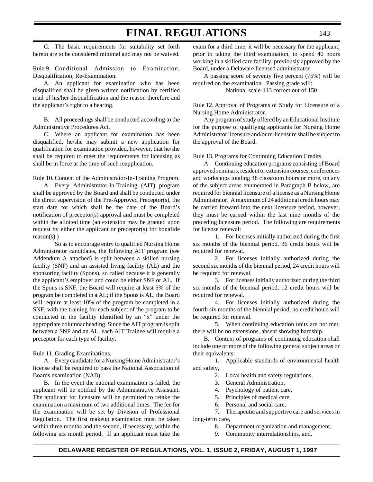C. The basic requirements for suitability set forth herein are to be considered minimal and may not be waived.

Rule 9. Conditional Admission to Examination; Disqualification; Re-Examination.

A. An applicant for examination who has been disqualified shall be given written notification by certified mail of his/her disqualification and the reason therefore and the applicant's right to a hearing.

B. All proceedings shall be conducted according to the Administrative Procedures Act.

C. Where an applicant for examination has been disqualified, he/she may submit a new application for qualification for examination provided, however, that he/she shall be required to meet the requirements for licensing as shall be in force at the time of such reapplication.

Rule 10. Content of the Administrator-In-Training Program.

A. Every Administrator-In-Training (AIT) program shall be approved by the Board and shall be conducted under the direct supervision of the Pre-Approved Preceptor(s), the start date for which shall be the date of the Board's notification of preceptor(s) approval and must be completed within the allotted time (an extension may be granted upon request by either the applicant or preceptor(s) for bonafide  $reason(s)$ .)

So as to encourage entry to qualified Nursing Home Administrator candidates, the following AIT program (see Addendum A attached) is split between a skilled nursing facility (SNF) and an assisted living facility (AL) and the sponsoring facility (Spons), so called because it is generally the applicant's employer and could be either SNF or AL. If the Spons is SNF, the Board will require at least 5% of the program be completed in a AL; if the Spons is AL, the Board will require at least 10% of the program be completed in a SNF, with the training for each subject of the program to be conducted in the facility identified by an "x" under the appropriate columnar heading. Since the AIT program is split between a SNF and an AL, each AIT Trainee will require a preceptor for each type of facility.

Rule 11. Grading Examinations.

A. Every candidate for a Nursing Home Administrator's license shall be required to pass the National Association of Boards examination (NAB).

B. In the event the national examination is failed, the applicant will be notified by the Administrative Assistant. The applicant for licensure will be permitted to retake the examination a maximum of two additional times. The fee for the examination will be set by Division of Professional Regulation. The first makeup examination must be taken within three months and the second, if necessary, within the following six month period. If an applicant must take the

exam for a third time, it will be necessary for the applicant, prior to taking the third examination, to spend 40 hours working in a skilled care facility, previously approved by the Board, under a Delaware licensed administrator.

A passing score of seventy five percent (75%) will be required on the examination. Passing grade will:

National scale-113 correct out of 150

Rule 12. Approval of Programs of Study for Licensure of a Nursing Home Administrator.

Any program of study offered by an Educational Institute for the purpose of qualifying applicants for Nursing Home Administrator licensure and/or re-licensure shall be subject to the approval of the Board.

Rule 13. Programs for Continuing Education Credits.

A. Continuing education programs consisting of Board approved seminars, resident or extension courses, conferences and workshops totaling 48 classroom hours or more, on any of the subject areas enumerated in Paragraph B below, are required for biennial licensure of a license as a Nursing Home Administrator. A maximum of 24 additional credit hours may be carried forward into the next licensure period, however, they must be earned within the last nine months of the preceding licensure period. The following are requirements for license renewal:

1. For licenses initially authorized during the first six months of the biennial period, 36 credit hours will be required for renewal.

2. For licenses initially authorized during the second six months of the biennial period, 24 credit hours will be required for renewal.

3. For licenses initially authorized during the third six months of the biennial period, 12 credit hours will be required for renewal.

4. For licenses initially authorized during the fourth six months of the biennial period, no credit hours will be required for renewal.

5. When continuing education units are not met, there will be no extensions, absent showing hardship.

B. Content of programs of continuing education shall include one or more of the following general subject areas or their equivalents:

1. Applicable standards of environmental health and safety,

- 2. Local health and safety regulations,
- 3. General Administration,
- 4. Psychology of patient care,
- 5. Principles of medical care,
- 6. Personal and social care,

7. Therapeutic and supportive care and services in long-term care,

- 8. Department organization and management,
- 9. Community interrelationships, and,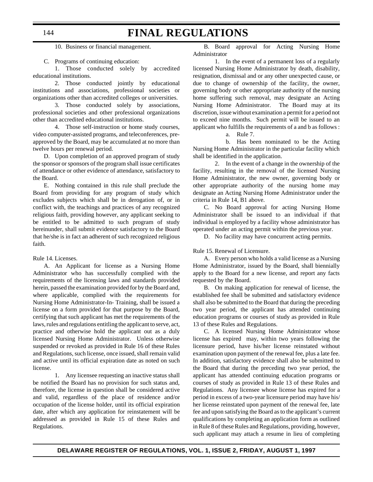10. Business or financial management.

C. Programs of continuing education:

1. Those conducted solely by accredited educational institutions.

2. Those conducted jointly by educational institutions and associations, professional societies or organizations other than accredited colleges or universities.

3. Those conducted solely by associations, professional societies and other professional organizations other than accredited educational institutions.

4. Those self-instruction or home study courses, video computer-assisted programs, and teleconferences, preapproved by the Board, may be accumulated at no more than twelve hours per renewal period.

D. Upon completion of an approved program of study the sponsor or sponsors of the program shall issue certificates of attendance or other evidence of attendance, satisfactory to the Board.

E. Nothing contained in this rule shall preclude the Board from providing for any program of study which excludes subjects which shall be in derogation of, or in conflict with, the teachings and practices of any recognized religious faith, providing however, any applicant seeking to be entitled to be admitted to such program of study hereinunder, shall submit evidence satisfactory to the Board that he/she is in fact an adherent of such recognized religious faith.

Rule 14. Licenses.

A. An Applicant for license as a Nursing Home Administrator who has successfully complied with the requirements of the licensing laws and standards provided herein, passed the examination provided for by the Board and, where applicable, complied with the requirements for Nursing Home Administrator-In- Training, shall be issued a license on a form provided for that purpose by the Board, certifying that such applicant has met the requirements of the laws, rules and regulations entitling the applicant to serve, act, practice and otherwise hold the applicant out as a duly licensed Nursing Home Administrator. Unless otherwise suspended or revoked as provided in Rule 16 of these Rules and Regulations, such license, once issued, shall remain valid and active until its official expiration date as noted on such license.

1. Any licensee requesting an inactive status shall be notified the Board has no provision for such status and, therefore, the license in question shall be considered active and valid, regardless of the place of residence and/or occupation of the license holder, until its official expiration date, after which any application for reinstatement will be addressed as provided in Rule 15 of these Rules and Regulations.

B. Board approval for Acting Nursing Home Administrator

1. In the event of a permanent loss of a regularly licensed Nursing Home Administrator by death, disability, resignation, dismissal and or any other unexpected cause, or due to change of ownership of the facility, the owner, governing body or other appropriate authority of the nursing home suffering such removal, may designate an Acting Nursing Home Administrator. The Board may at its discretion, issue without examination a permit for a period not to exceed nine months. Such permit will be issued to an applicant who fulfills the requirements of a and b as follows :

a. Rule 7.

b. Has been nominated to be the Acting Nursing Home Administrator in the particular facility which shall be identified in the application.

2. In the event of a change in the ownership of the facility, resulting in the removal of the licensed Nursing Home Administrator, the new owner, governing body or other appropriate authority of the nursing home may designate an Acting Nursing Home Administrator under the criteria in Rule 14, B1 above.

C. No Board approval for acting Nursing Home Administrator shall be issued to an individual if that individual is employed by a facility whose administrator has operated under an acting permit within the previous year.

D. No facility may have concurrent acting permits.

Rule 15. Renewal of Licensure.

A. Every person who holds a valid license as a Nursing Home Administrator, issued by the Board, shall biennially apply to the Board for a new license, and report any facts requested by the Board.

B. On making application for renewal of license, the established fee shall be submitted and satisfactory evidence shall also be submitted to the Board that during the preceding two year period, the applicant has attended continuing education programs or courses of study as provided in Rule 13 of these Rules and Regulations.

C. A licensed Nursing Home Administrator whose license has expired may, within two years following the licensure period, have his/her license reinstated without examination upon payment of the renewal fee, plus a late fee. In addition, satisfactory evidence shall also be submitted to the Board that during the preceding two year period, the applicant has attended continuing education programs or courses of study as provided in Rule 13 of these Rules and Regulations. Any licensee whose license has expired for a period in excess of a two-year licensure period may have his/ her license reinstated upon payment of the renewal fee, late fee and upon satisfying the Board as to the applicant's current qualifications by completing an application form as outlined in Rule 8 of these Rules and Regulations, providing, however, such applicant may attach a resume in lieu of completing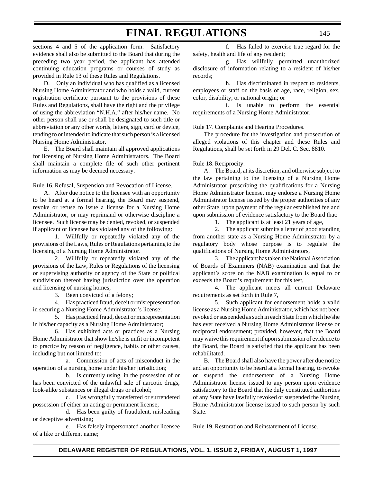sections 4 and 5 of the application form. Satisfactory evidence shall also be submitted to the Board that during the preceding two year period, the applicant has attended continuing education programs or courses of study as provided in Rule 13 of these Rules and Regulations.

D. Only an individual who has qualified as a licensed Nursing Home Administrator and who holds a valid, current registration certificate pursuant to the provisions of these Rules and Regulations, shall have the right and the privilege of using the abbreviation "N.H.A." after his/her name. No other person shall use or shall be designated to such title or abbreviation or any other words, letters, sign, card or device, tending to or intended to indicate that such person is a licensed Nursing Home Administrator.

E. The Board shall maintain all approved applications for licensing of Nursing Home Administrators. The Board shall maintain a complete file of such other pertinent information as may be deemed necessary.

Rule 16. Refusal, Suspension and Revocation of License.

A. After due notice to the licensee with an opportunity to be heard at a formal hearing, the Board may suspend, revoke or refuse to issue a license for a Nursing Home Administrator, or may reprimand or otherwise discipline a licensee. Such license may be denied, revoked, or suspended if applicant or licensee has violated any of the following:

1. Willfully or repeatedly violated any of the provisions of the Laws, Rules or Regulations pertaining to the licensing of a Nursing Home Administrator.

2. Willfully or repeatedly violated any of the provisions of the Law, Rules or Regulations of the licensing or supervising authority or agency of the State or political subdivision thereof having jurisdiction over the operation and licensing of nursing homes;

3. Been convicted of a felony;

4. Has practiced fraud, deceit or misrepresentation in securing a Nursing Home Administrator's license;

5. Has practiced fraud, deceit or misrepresentation in his/her capacity as a Nursing Home Administrator;

6. Has exhibited acts or practices as a Nursing Home Administrator that show he/she is unfit or incompetent to practice by reason of negligence, habits or other causes, including but not limited to:

a. Commission of acts of misconduct in the operation of a nursing home under his/her jurisdiction;

b. Is currently using, in the possession of or has been convicted of the unlawful sale of narcotic drugs, look-alike substances or illegal drugs or alcohol;

c. Has wrongfully transferred or surrendered possession of either an acting or permanent license;

d. Has been guilty of fraudulent, misleading or deceptive advertising;

e. Has falsely impersonated another licensee of a like or different name;

f. Has failed to exercise true regard for the safety, health and life of any resident;

g. Has willfully permitted unauthorized disclosure of information relating to a resident of his/her records;

h. Has discriminated in respect to residents, employees or staff on the basis of age, race, religion, sex, color, disability, or national origin; or

i. Is unable to perform the essential requirements of a Nursing Home Administrator.

Rule 17. Complaints and Hearing Procedures.

The procedure for the investigation and prosecution of alleged violations of this chapter and these Rules and Regulations, shall be set forth in 29 Del. C. Sec. 8810.

#### Rule 18. Reciprocity.

A. The Board, at its discretion, and otherwise subject to the law pertaining to the licensing of a Nursing Home Administrator prescribing the qualifications for a Nursing Home Administrator license, may endorse a Nursing Home Administrator license issued by the proper authorities of any other State, upon payment of the regular established fee and upon submission of evidence satisfactory to the Board that:

1. The applicant is at least 21 years of age,

2. The applicant submits a letter of good standing from another state as a Nursing Home Administrator by a regulatory body whose purpose is to regulate the qualifications of Nursing Home Administrators,

3. The applicant has taken the National Association of Boards of Examiners (NAB) examination and that the applicant's score on the NAB examination is equal to or exceeds the Board's requirement for this test,

4. The applicant meets all current Delaware requirements as set forth in Rule 7,

5. Such applicant for endorsement holds a valid license as a Nursing Home Administrator, which has not been revoked or suspended as such in each State from which he/she has ever received a Nursing Home Administrator license or reciprocal endorsement; provided, however, that the Board may waive this requirement if upon submission of evidence to the Board, the Board is satisfied that the applicant has been rehabilitated.

B. The Board shall also have the power after due notice and an opportunity to be heard at a formal hearing, to revoke or suspend the endorsement of a Nursing Home Administrator license issued to any person upon evidence satisfactory to the Board that the duly constituted authorities of any State have lawfully revoked or suspended the Nursing Home Administrator license issued to such person by such State.

Rule 19. Restoration and Reinstatement of License.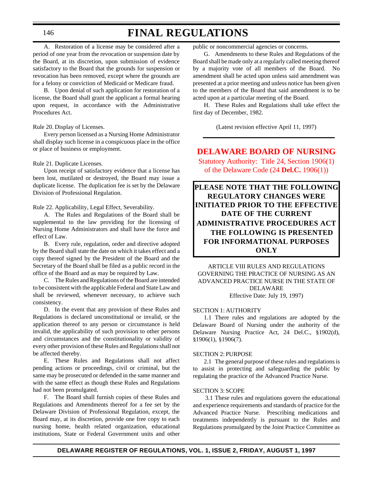#### 146

## **FINAL REGULATIONS**

A. Restoration of a license may be considered after a period of one year from the revocation or suspension date by the Board, at its discretion, upon submission of evidence satisfactory to the Board that the grounds for suspension or revocation has been removed, except where the grounds are for a felony or conviction of Medicaid or Medicare fraud.

B. Upon denial of such application for restoration of a license, the Board shall grant the applicant a formal hearing upon request, in accordance with the Administrative Procedures Act.

#### Rule 20. Display of Licenses.

Every person licensed as a Nursing Home Administrator shall display such license in a conspicuous place in the office or place of business or employment.

#### Rule 21. Duplicate Licenses.

Upon receipt of satisfactory evidence that a license has been lost, mutilated or destroyed, the Board may issue a duplicate license. The duplication fee is set by the Delaware Division of Professional Regulation.

Rule 22. Applicability, Legal Effect, Severability.

A. The Rules and Regulations of the Board shall be supplemental to the law providing for the licensing of Nursing Home Administrators and shall have the force and effect of Law.

B. Every rule, regulation, order and directive adopted by the Board shall state the date on which it takes effect and a copy thereof signed by the President of the Board and the Secretary of the Board shall be filed as a public record in the office of the Board and as may be required by Law.

C. The Rules and Regulations of the Board are intended to be consistent with the applicable Federal and State Law and shall be reviewed, whenever necessary, to achieve such consistency.

D. In the event that any provision of these Rules and Regulations is declared unconstitutional or invalid, or the application thereof to any person or circumstance is held invalid, the applicability of such provision to other persons and circumstances and the constitutionality or validity of every other provision of these Rules and Regulations shall not be affected thereby.

E. These Rules and Regulations shall not affect pending actions or proceedings, civil or criminal, but the same may be prosecuted or defended in the same manner and with the same effect as though these Rules and Regulations had not been promulgated.

F. The Board shall furnish copies of these Rules and Regulations and Amendments thereof for a fee set by the Delaware Division of Professional Regulation, except, the Board may, at its discretion, provide one free copy to each nursing home, health related organization, educational institutions, State or Federal Government units and other public or noncommercial agencies or concerns.

G. Amendments to these Rules and Regulations of the Board shall be made only at a regularly called meeting thereof by a majority vote of all members of the Board. No amendment shall be acted upon unless said amendment was presented at a prior meeting and unless notice has been given to the members of the Board that said amendment is to be acted upon at a particular meeting of the Board.

H. These Rules and Regulations shall take effect the first day of December, 1982.

(Latest revision effective April 11, 1997)

## **[DELAWARE BOARD OF NURSING](#page-4-0)**

Statutory Authority: Title 24, Section 1906(1) of the Delaware Code (24 **Del.C.** 1906(1))

**PLEASE NOTE THAT THE FOLLOWING REGULATORY CHANGES WERE INITIATED PRIOR TO THE EFFECTIVE DATE OF THE CURRENT ADMINISTRATIVE PROCEDURES ACT THE FOLLOWING IS PRESENTED FOR INFORMATIONAL PURPOSES ONLY**

ARTICLE VIII RULES AND REGULATIONS GOVERNING THE PRACTICE OF NURSING AS AN ADVANCED PRACTICE NURSE IN THE STATE OF DELAWARE Effective Date: July 19, 1997)

#### SECTION 1: AUTHORITY

1.1 There rules and regulations are adopted by the Delaware Board of Nursing under the authority of the Delaware Nursing Practice Act, 24 Del.C., §1902(d), §1906(1), §1906(7).

#### SECTION 2: PURPOSE

2.1 The general purpose of these rules and regulations is to assist in protecting and safeguarding the public by regulating the practice of the Advanced Practice Nurse.

#### SECTION 3: SCOPE

3.1 These rules and regulations govern the educational and experience requirements and standards of practice for the Advanced Practice Nurse. Prescribing medications and treatments independently is pursuant to the Rules and Regulations promulgated by the Joint Practice Committee as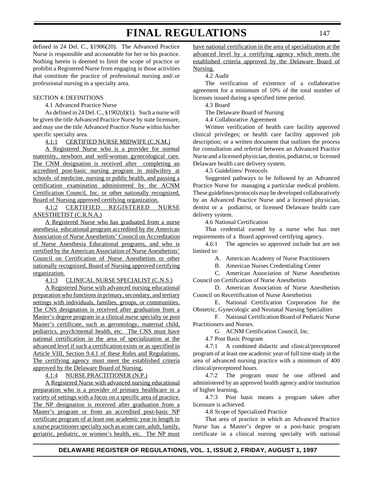defined in 24 Del. C., §1906(20). The Advanced Practice Nurse is responsible and accountable for her or his practice. Nothing herein is deemed to limit the scope of practice or prohibit a Registered Nurse from engaging in those activities that constitute the practice of professional nursing and/.or professional nursing in a specialty area.

#### SECTION 4: DEFINITIONS

4.1 Advanced Practice Nurse

As defined in 24 Del. C., §1902(d)(1). Such a nurse will be given the title Advanced Practice Nurse by state licensure, and may use the title Advanced Practice Nurse within his/her specific specialty area.

4.1:1 CERTIFIED NURSE MIDWIFE (C.N.M.)

A Registered Nurse who is a provider for normal maternity, newborn and well-woman gynecological care. The CNM designation is received after completing an accredited post-basic nursing program in midwifery at schools of medicine, nursing or public health, and passing a certification examination administered by the ACNM Certification Council, Inc. or other nationally recognized, Board of Nursing approved certifying organization.

4.1:2 CERTIFIED REGISTERED NURSE ANESTHETIST (C.R.N.A.)

A Registered Nurse who has graduated from a nurse anesthesia educational program accredited by the American Association of Nurse Anesthetists' Council on Accreditation of Nurse Anesthesia Educational programs, and who is certified by the American Association of Nurse Anesthetists' Council on Certification of Nurse Anesthetists or other nationally recognized, Board of Nursing approved certifying organization.

4.1:3 CLINICAL NURSE SPECIALIST (C.N.S.)

A Registered Nurse with advanced nursing educational preparation who functions in primary, secondary, and tertiary settings with individuals, families, groups, or communities. The CNS designation is received after graduation from a Master's degree program in a clinical nurse specialty or post Master's certificate, such as gerontology, maternal child, pediatrics, psych/mental health, etc. The CNS must have national certification in the area of specialization at the advanced level if such a certification exists or as specified in Article VIII, Section 9.4.1 of these Rules and Regulations. The certifying agency must meet the established criteria approved by the Delaware Board of Nursing.

4.1:4 NURSE PRACTITIONER (N.P.)

A Registered Nurse with advanced nursing educational preparation who is a provider of primary healthcare in a variety of settings with a focus on a specific area of practice. The NP designation is received after graduation from a Master's program or from an accredited post-basic NP certificate program of at least one academic year in length in a nurse practitioner specialty such as acute care, adult, family, geriatric, pediatric, or women's health, etc. The NP must

have national certification in the area of specialization at the advanced level by a certifying agency which meets the established criteria approved by the Delaware Board of Nursing.

4.2 Audit

The verification of existence of a collaborative agreement for a minimum of 10% of the total number of licenses issued during a specified time period.

4.3 Board

The Delaware Board of Nursing

4.4 Collaborative Agreement

Written verification of health care facility approved clinical privileges; or health care facility approved job description; or a written document that outlines the process for consultation and referral between an Advanced Practice Nurse and a licensed physician, dentist, podiatrist, or licensed Delaware health care delivery system.

4.5 Guidelines/ Protocols

Suggested pathways to be followed by an Advanced Practice Nurse for managing a particular medical problem. These guidelines/protocols may be developed collaboratively by an Advanced Practice Nurse and a licensed physician, dentist or a podiatrist, or licensed Delaware health care delivery system.

4.6 National Certification

That credential earned by a nurse who has met requirements of a Board approved certifying agency.

4.6:1 The agencies so approved include but are not limited to:

A. American Academy of Nurse Practitioners

B. American Nurses Credentialing Center

C. American Association of Nurse Anesthetists Council on Certification of Nurse Anesthetists

D. American Association of Nurse Anesthetists Council on Recertification of Nurse Anesthetists

E. National Certification Corporation for the Obstetric, Gynecologic and Neonatal Nursing Specialties

F. National Certification Board of Pediatric Nurse Practitioners and Nurses.

G. ACNM Certification Council, Inc.

4.7 Post Basic Program

4.7:1 A combined didactic and clinical/preceptored program of at least one academic year of full time study in the area of advanced nursing practice with a minimum of 400 clinical/preceptored hours.

4.7:2 The program must be one offered and administered by an approved health agency and/or institution of higher learning,

4.7:3 Post basic means a program taken after licensure is achieved.

4.8 Scope of Specialized Practice

That area of practice in which an Advanced Practice Nurse has a Master's degree or a post-basic program certificate in a clinical nursing specialty with national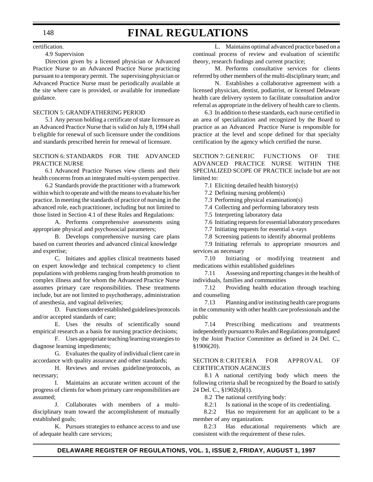certification.

#### 4.9 Supervision

Direction given by a licensed physician or Advanced Practice Nurse to an Advanced Practice Nurse practicing pursuant to a temporary permit. The supervising physician or Advanced Practice Nurse must be periodically available at the site where care is provided, or available for immediate guidance.

#### SECTION 5: GRANDFATHERING PERIOD

5.1 Any person holding a certificate of state licensure as an Advanced Practice Nurse that is valid on July 8, 1994 shall b eligible for renewal of such licensure under the conditions and standards prescribed herein for renewal of licensure.

#### SECTION 6: STANDARDS FOR THE ADVANCED PRACTICE NURSE

6.1 Advanced Practice Nurses view clients and their health concerns from an integrated multi-system perspective.

6.2 Standards provide the practitioner with a framework within which to operate and with the means to evaluate his/her practice. In meeting the standards of practice of nursing in the advanced role, each practitioner, including but not limited to those listed in Section 4.1 of these Rules and Regulations:

A. Performs comprehensive assessments using appropriate physical and psychosocial parameters;

B. Develops comprehensive nursing care plans based on current theories and advanced clinical knowledge and expertise;

C. Initiates and applies clinical treatments based on expert knowledge and technical competency to client populations with problems ranging from health promotion to complex illness and for whom the Advanced Practice Nurse assumes primary care responsibilities. These treatments include, but are not limited to psychotherapy, administration of anesthesia, and vaginal deliveries;

D. Functions under established guidelines/protocols and/or accepted standards of care;

E. Uses the results of scientifically sound empirical research as a basis for nursing practice decisions;

F. Uses appropriate teaching/learning strategies to diagnose learning impediments;

G. Evaluates the quality of individual client care in accordance with quality assurance and other standards;

H. Reviews and revises guideline/protocols, as necessary;

I. Maintains an accurate written account of the progress of clients for whom primary care responsibilities are assumed;

J. Collaborates with members of a multidisciplinary team toward the accomplishment of mutually established goals;

K. Pursues strategies to enhance access to and use of adequate health care services;

L. Maintains optimal advanced practice based on a continual process of review and evaluation of scientific theory, research findings and current practice;

M. Performs consultative services for clients referred by other members of the multi-disciplinary team; and

N. Establishes a collaborative agreement with a licensed physician, dentist, podiatrist, or licensed Delaware health care delivery system to facilitate consultation and/or referral as appropriate in the delivery of health care to clients.

6.3 In addition to these standards, each nurse certified in an area of specialization and recognized by the Board to practice as an Advanced Practice Nurse is responsible for practice at the level and scope defined for that specialty certification by the agency which certified the nurse.

SECTION 7: GENERIC FUNCTIONS OF THE ADVANCED PRACTICE NURSE WITHIN THE SPECIALIZED SCOPE OF PRACTICE include but are not limited to:

7.1 Eliciting detailed health history(s)

7.2 Defining nursing problem(s)

7.3 Performing physical examination(s)

7.4 Collecting and performing laboratory tests

7.5 Interpreting laboratory data

7.6 Initiating requests for essential laboratory procedures

7.7 Initiating requests for essential x-rays

7.8 Screening patients to identify abnormal problems

7.9 Initiating referrals to appropriate resources and services as necessary

7.10 Initiating or modifying treatment and medications within established guidelines

7.11 Assessing and reporting changes in the health of individuals, families and communities

7.12 Providing health education through teaching and counseling

7.13 Planning and/or instituting health care programs in the community with other health care professionals and the public

7.14 Prescribing medications and treatments independently pursuant to Rules and Regulations promulgated by the Joint Practice Committee as defined in 24 Del. C., §1906(20).

### SECTION 8: CRITERIA FOR APPROVAL OF CERTIFICATION AGENCIES

8.1 A national certifying body which meets the following criteria shall be recognized by the Board to satisfy 24 Del. C., §1902(d)(1).

8.2 The national certifying body:

8.2:1 Is national in the scope of its credentialing.

8.2:2 Has no requirement for an applicant to be a member of any organization.

8.2:3 Has educational requirements which are consistent with the requirement of these rules.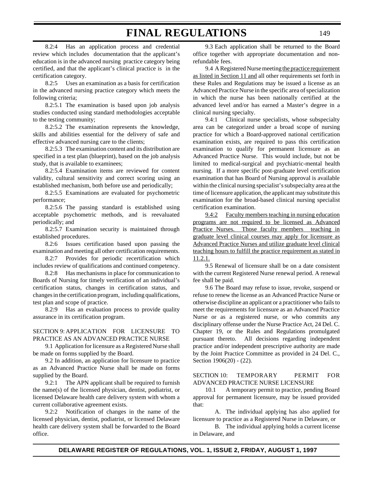8.2:4 Has an application process and credential review which includes documentation that the applicant's education is in the advanced nursing practice category being certified, and that the applicant's clinical practice is in the certification category.

8.2:5 Uses an examination as a basis for certification in the advanced nursing practice category which meets the following criteria;

8.2:5.1 The examination is based upon job analysis studies conducted using standard methodologies acceptable to the testing community;

8.2:5.2 The examination represents the knowledge, skills and abilities essential for the delivery of safe and effective advanced nursing care to the clients;

8.2:5.3 The examination content and its distribution are specified in a test plan (blueprint), based on the job analysis study, that is available to examinees;

8.2:5.4 Examination items are reviewed for content validity, cultural sensitivity and correct scoring using an established mechanism, both before use and periodically;

8.2:5.5 Examinations are evaluated for psychometric performance;

8.2:5.6 The passing standard is established using acceptable psychometric methods, and is reevaluated periodically; and

8.2:5.7 Examination security is maintained through established procedures.

8.2:6 Issues certification based upon passing the examination and meeting all other certification requirements.

8.2:7 Provides for periodic recertification which includes review of qualifications and continued competency.

8.2:8 Has mechanisms in place for communication to Boards of Nursing for timely verification of an individual's certification status, changes in certification status, and changes in the certification program, including qualifications, test plan and scope of practice.

8.2:9 Has an evaluation process to provide quality assurance in its certification program.

### SECTION 9: APPLICATION FOR LICENSURE TO PRACTICE AS AN ADVANCED PRACTICE NURSE

9.1 Application for licensure as a Registered Nurse shall be made on forms supplied by the Board.

9.2 In addition, an application for licensure to practice as an Advanced Practice Nurse shall be made on forms supplied by the Board.

9.2:1 The APN applicant shall be required to furnish the name(s) of the licensed physician, dentist, podiatrist, or licensed Delaware health care delivery system with whom a current collaborative agreement exists.

9.2:2 Notification of changes in the name of the licensed physician, dentist, podiatrist, or licensed Delaware health care delivery system shall be forwarded to the Board office.

9.3 Each application shall be returned to the Board office together with appropriate documentation and nonrefundable fees.

9.4 A Registered Nurse meeting the practice requirement as listed in Section 11 and all other requirements set forth in these Rules and Regulations may be issued a license as an Advanced Practice Nurse in the specific area of specialization in which the nurse has been nationally certified at the advanced level and/or has earned a Master's degree in a clinical nursing specialty.

9.4:1 Clinical nurse specialists, whose subspecialty area can be categorized under a broad scope of nursing practice for which a Board-approved national certification examination exists, are required to pass this certification examination to qualify for permanent licensure as an Advanced Practice Nurse. This would include, but not be limited to medical-surgical and psychiatric-mental health nursing. If a more specific post-graduate level certification examination that has Board of Nursing approval is available within the clinical nursing specialist's subspecialty area at the time of licensure application, the applicant may substitute this examination for the broad-based clinical nursing specialist certification examination.

9.4:2 Faculty members teaching in nursing education programs are not required to be licensed as Advanced Practice Nurses. Those faculty members teaching in graduate level clinical courses may apply for licensure as Advanced Practice Nurses and utilize graduate level clinical teaching hours to fulfill the practice requirement as stated in 11.2.1.

9.5 Renewal of licensure shall be on a date consistent with the current Registered Nurse renewal period. A renewal fee shall be paid.

9.6 The Board may refuse to issue, revoke, suspend or refuse to renew the license as an Advanced Practice Nurse or otherwise discipline an applicant or a practitioner who fails to meet the requirements for licensure as an Advanced Practice Nurse or as a registered nurse, or who commits any disciplinary offense under the Nurse Practice Act, 24 Del. C. Chapter 19, or the Rules and Regulations promulgated pursuant thereto. All decisions regarding independent practice and/or independent prescriptive authority are made by the Joint Practice Committee as provided in 24 Del. C., Section 1906(20) - (22).

SECTION 10: TEMPORARY PERMIT FOR ADVANCED PRACTICE NURSE LICENSURE

10.1 A temporary permit to practice, pending Board approval for permanent licensure, may be issued provided that:

A. The individual applying has also applied for licensure to practice as a Registered Nurse in Delaware, or

B. The individual applying holds a current license in Delaware, and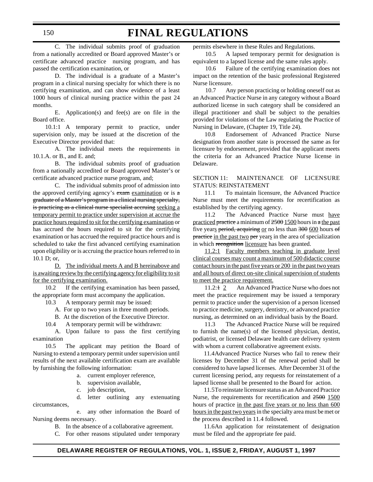C. The individual submits proof of graduation from a nationally accredited or Board approved Master's or certificate advanced practice nursing program, and has passed the certification examination, or

D. The individual is a graduate of a Master's program in a clinical nursing specialty for which there is no certifying examination, and can show evidence of a least 1000 hours of clinical nursing practice within the past 24 months.

E. Application(s) and fee(s) are on file in the Board office.

10.1:1 A temporary permit to practice, under supervision only, may be issued at the discretion of the Executive Director provided that:

A. The individual meets the requirements in 10.1.A. or B., and E. and;

B. The individual submits proof of graduation from a nationally accredited or Board approved Master's or certificate advanced practice nurse program, and;

C. The individual submits proof of admission into the approved certifying agency's  $exam$  examination or is  $\alpha$ graduate of a Master's program in a clinical nursing specialty, is practicing as a clinical nurse specialist accruing seeking a temporary permit to practice under supervision at accrue the practice hours required to sit for the certifying examination or has accrued the hours required to sit for the certifying examination or has accrued the required practice hours and is scheduled to take the first advanced certifying examination upon eligibility or is accruing the practice hours referred to in 10.1 D; or,

D. The individual meets A and B hereinabove and is awaiting review by the certifying agency for eligibility to sit for the certifying examination.

10.2 If the certifying examination has been passed, the appropriate form must accompany the application.

10.3 A temporary permit may be issued:

A. For up to two years in three month periods.

B. At the discretion of the Executive Director.

10.4 A temporary permit will be withdrawn:

A. Upon failure to pass the first certifying examination

10.5 The applicant may petition the Board of Nursing to extend a temporary permit under supervision until results of the next available certification exam are available by furnishing the following information:

a. current employer reference,

b. supervision available,

c. job description,

circumstances,

d. letter outlining any extenuating

e. any other information the Board of Nursing deems necessary.

B. In the absence of a collaborative agreement.

C. For other reasons stipulated under temporary

permits elsewhere in these Rules and Regulations.

10.5 A lapsed temporary permit for designation is equivalent to a lapsed license and the same rules apply.

10.6 Failure of the certifying examination does not impact on the retention of the basic professional Registered Nurse licensure.

10.7 Any person practicing or holding oneself out as an Advanced Practice Nurse in any category without a Board authorized license in such category shall be considered an illegal practitioner and shall be subject to the penalties provided for violations of the Law regulating the Practice of Nursing in Delaware, (Chapter 19, Title 24).

10.8 Endorsement of Advanced Practice Nurse designation from another state is processed the same as for licensure by endorsement, provided that the applicant meets the criteria for an Advanced Practice Nurse license in Delaware.

#### SECTION 11: MAINTENANCE OF LICENSURE STATUS: REINSTATEMENT

11.1 To maintain licensure, the Advanced Practice Nurse must meet the requirements for recertification as established by the certifying agency.

11.2 The Advanced Practice Nurse must have practiced practice a minimum of 2500 1500 hours in a the past five years period, acquiring or no less than  $300\,600$  hours of practice in the past two per years in the area of specialization in which recognition licensure has been granted.

11.2:1 Faculty members teaching in graduate level clinical courses may count a maximum of 500 didactic course contact hours in the past five years or 200 in the past two years and all hours of direct on-site clinical supervision of students to meet the practice requirement.

11.2:1 2 An Advanced Practice Nurse who does not meet the practice requirement may be issued a temporary permit to practice under the supervision of a person licensed to practice medicine, surgery, dentistry, or advanced practice nursing, as determined on an individual basis by the Board.

11.3 The Advanced Practice Nurse will be required to furnish the name(s) of the licensed physician, dentist, podiatrist, or licensed Delaware health care delivery system with whom a current collaborative agreement exists.

11.4Advanced Practice Nurses who fail to renew their licenses by December 31 of the renewal period shall be considered to have lapsed licenses. After December 31 of the current licensing period, any requests for reinstatement of a lapsed license shall be presented to the Board for action.

11.5To reinstate licensure status as an Advanced Practice Nurse, the requirements for recertification and 2500 1500 hours of practice in the past five years or no less than 600 hours in the past two years in the specialty area must be met or the process described in 11.4 followed.

11.6An application for reinstatement of designation must be filed and the appropriate fee paid.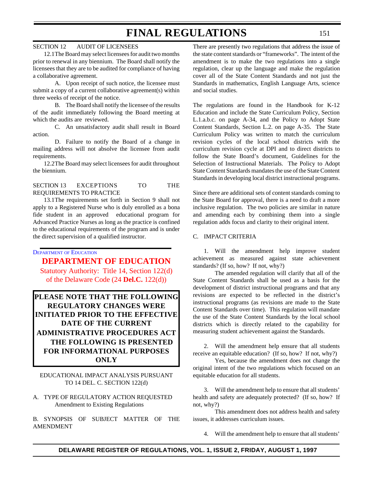### SECTION 12 AUDIT OF LICENSEES

12.1The Board may select licensees for audit two months prior to renewal in any biennium. The Board shall notify the licensees that they are to be audited for compliance of having a collaborative agreement.

A. Upon receipt of such notice, the licensee must submit a copy of a current collaborative agreement(s) within three weeks of receipt of the notice.

B. The Board shall notify the licensee of the results of the audit immediately following the Board meeting at which the audits are reviewed.

C. An unsatisfactory audit shall result in Board action.

D. Failure to notify the Board of a change in mailing address will not absolve the licensee from audit requirements.

12.2The Board may select licensees for audit throughout the biennium.

#### SECTION 13 EXCEPTIONS TO THE REQUIREMENTS TO PRACTICE

13.1The requirements set forth in Section 9 shall not apply to a Registered Nurse who is duly enrolled as a bona fide student in an approved educational program for Advanced Practice Nurses as long as the practice is confined to the educational requirements of the program and is under the direct supervision of a qualified instructor.

## DEPARTMENT [OF EDUCATION](http://www.state.de.us/high-ed/intro.htm)

**[DEPARTMENT OF EDUCATION](#page-4-0)** Statutory Authority: Title 14, Section 122(d) of the Delaware Code (24 **Del.C.** 122(d))

## **PLEASE NOTE THAT THE FOLLOWING REGULATORY CHANGES WERE INITIATED PRIOR TO THE EFFECTIVE DATE OF THE CURRENT ADMINISTRATIVE PROCEDURES ACT THE FOLLOWING IS PRESENTED FOR INFORMATIONAL PURPOSES ONLY**

EDUCATIONAL IMPACT ANALYSIS PURSUANT TO 14 DEL. C. SECTION 122(d)

A. TYPE OF REGULATORY ACTION REQUESTED Amendment to Existing Regulations

B. SYNOPSIS OF SUBJECT MATTER OF THE AMENDMENT

There are presently two regulations that address the issue of the state content standards or "frameworks". The intent of the amendment is to make the two regulations into a single regulation, clear up the language and make the regulation cover all of the State Content Standards and not just the Standards in mathematics, English Language Arts, science and social studies.

The regulations are found in the Handbook for K-12 Education and include the State Curriculum Policy, Section L.1.a.b.c. on page A-34, and the Policy to Adopt State Content Standards, Section L.2. on page A-35. The State Curriculum Policy was written to match the curriculum revision cycles of the local school districts with the curriculum revision cycle at DPI and to direct districts to follow the State Board's document, Guidelines for the Selection of Instructional Materials. The Policy to Adopt State Content Standards mandates the use of the State Content Standards in developing local district instructional programs.

Since there are additional sets of content standards coming to the State Board for approval, there is a need to draft a more inclusive regulation. The two policies are similar in nature and amending each by combining them into a single regulation adds focus and clarity to their original intent.

#### C. IMPACT CRITERIA

1. Will the amendment help improve student achievement as measured against state achievement standards? (If so, how? If not, why?)

The amended regulation will clarify that all of the State Content Standards shall be used as a basis for the development of district instructional programs and that any revisions are expected to be reflected in the district's instructional programs (as revisions are made to the State Content Standards over time). This regulation will mandate the use of the State Content Standards by the local school districts which is directly related to the capability for measuring student achievement against the Standards.

2. Will the amendment help ensure that all students receive an equitable education? (If so, how? If not, why?)

Yes, because the amendment does not change the original intent of the two regulations which focused on an equitable education for all students.

3. Will the amendment help to ensure that all students' health and safety are adequately protected? (If so, how? If not, why?)

This amendment does not address health and safety issues, it addresses curriculum issues.

4. Will the amendment help to ensure that all students'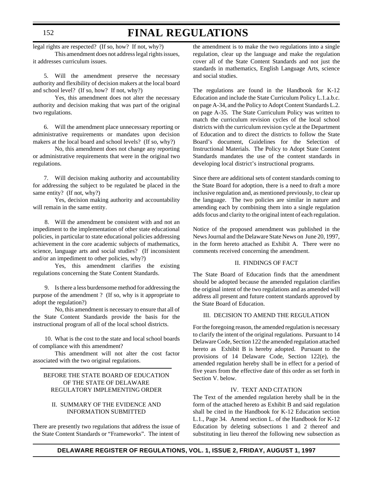#### 152

## **FINAL REGULATIONS**

legal rights are respected? (If so, how? If not, why?)

This amendment does not address legal rights issues, it addresses curriculum issues.

5. Will the amendment preserve the necessary authority and flexibility of decision makers at the local board and school level? (If so, how? If not, why?)

Yes, this amendment does not alter the necessary authority and decision making that was part of the original two regulations.

6. Will the amendment place unnecessary reporting or administrative requirements or mandates upon decision makers at the local board and school levels? (If so, why?)

No, this amendment does not change any reporting or administrative requirements that were in the original two regulations.

7. Will decision making authority and accountability for addressing the subject to be regulated be placed in the same entity? (If not, why?)

Yes, decision making authority and accountability will remain in the same entity.

8. Will the amendment be consistent with and not an impediment to the implementation of other state educational policies, in particular to state educational policies addressing achievement in the core academic subjects of mathematics, science, language arts and social studies? (If inconsistent and/or an impediment to other policies, why?)

Yes, this amendment clarifies the existing regulations concerning the State Content Standards.

9. Is there a less burdensome method for addressing the purpose of the amendment ? (If so, why is it appropriate to adopt the regulation?)

No, this amendment is necessary to ensure that all of the State Content Standards provide the basis for the instructional program of all of the local school districts.

10. What is the cost to the state and local school boards of compliance with this amendment?

This amendment will not alter the cost factor associated with the two original regulations.

### BEFORE THE STATE BOARD OF EDUCATION OF THE STATE OF DELAWARE REGULATORY IMPLEMENTING ORDER

#### II. SUMMARY OF THE EVIDENCE AND INFORMATION SUBMITTED

There are presently two regulations that address the issue of the State Content Standards or "Frameworks". The intent of

the amendment is to make the two regulations into a single regulation, clear up the language and make the regulation cover all of the State Content Standards and not just the standards in mathematics, English Language Arts, science and social studies.

The regulations are found in the Handbook for K-12 Education and include the State Curriculum Policy L.1.a.b.c. on page A-34, and the Policy to Adopt Content Standards L.2. on page A-35. The State Curriculum Policy was written to match the curriculum revision cycles of the local school districts with the curriculum revision cycle at the Department of Education and to direct the districts to follow the State Board's document, Guidelines for the Selection of Instructional Materials. The Policy to Adopt State Content Standards mandates the use of the content standards in developing local district's instructional programs.

Since there are additional sets of content standards coming to the State Board for adoption, there is a need to draft a more inclusive regulation and, as mentioned previously, to clear up the language. The two policies are similar in nature and amending each by combining them into a single regulation adds focus and clarity to the original intent of each regulation.

Notice of the proposed amendment was published in the News Journal and the Delaware State News on June 20, 1997, in the form hereto attached as Exhibit A. There were no comments received concerning the amendment.

### II. FINDINGS OF FACT

The State Board of Education finds that the amendment should be adopted because the amended regulation clarifies the original intent of the two regulations and as amended will address all present and future content standards approved by the State Board of Education.

#### III. DECISION TO AMEND THE REGULATION

For the foregoing reason, the amended regulation is necessary to clarify the intent of the original regulations. Pursuant to 14 Delaware Code, Section 122 the amended regulation attached hereto as Exhibit B is hereby adopted. Pursuant to the provisions of 14 Delaware Code, Section 122(e), the amended regulation hereby shall be in effect for a period of five years from the effective date of this order as set forth in Section V. below.

#### IV. TEXT AND CITATION

The Text of the amended regulation hereby shall be in the form of the attached hereto as Exhibit B and said regulation shall be cited in the Handbook for K-12 Education section L.1., Page 34. Amend section L. of the Handbook for K-12 Education by deleting subsections 1 and 2 thereof and substituting in lieu thereof the following new subsection as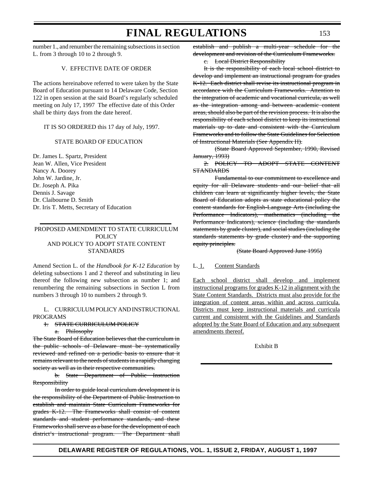number 1., and renumber the remaining subsections in section L. from 3 through 10 to 2 through 9.

#### V. EFFECTIVE DATE OF ORDER

The actions hereinabove referred to were taken by the State Board of Education pursuant to 14 Delaware Code, Section 122 in open session at the said Board's regularly scheduled meeting on July 17, 1997 The effective date of this Order shall be thirty days from the date hereof.

IT IS SO ORDERED this 17 day of July, 1997.

#### STATE BOARD OF EDUCATION

Dr. James L. Spartz, President Jean W. Allen, Vice President Nancy A. Doorey John W. Jardine, Jr. Dr. Joseph A. Pika Dennis J. Savage Dr. Claibourne D. Smith Dr. Iris T. Metts, Secretary of Education

#### PROPOSED AMENDMENT TO STATE CURRICULUM POLICY AND POLICY TO ADOPT STATE CONTENT **STANDARDS**

Amend Section L. of the *Handbook for K-12 Education* by deleting subsections 1 and 2 thereof and substituting in lieu thereof the following new subsection as number 1; and renumbering the remaining subsections in Section L from numbers 3 through 10 to numbers 2 through 9.

#### L. CURRICULUM POLICY AND INSTRUCTIONAL PROGRAMS

- 1. STATE CURRICULUM POLICY
	- a. Philosophy

The State Board of Education believes that the curriculum in the public schools of Delaware must be systematically reviewed and refined on a periodic basis to ensure that it remains relevant to the needs of students in a rapidly changing society as well as in their respective communities.

b. State Department of Public Instruction Responsibility

In order to guide local curriculum development it is the responsibility of the Department of Public Instruction to establish and maintain State Curriculum Frameworks for grades K-12. The Frameworks shall consist of content standards and student performance standards, and these Frameworks shall serve as a base for the development of each district's instructional program. The Department shall establish and publish a multi-year schedule for the development and revision of the Curriculum Frameworks.

c. Local District Responsibility

It is the responsibility of each local school district to develop and implement an instructional program for grades K-12. Each district shall revise its instructional program in accordance with the Curriculum Frameworks. Attention to the integration of academic and vocational curricula, as well as the integration among and between academic content areas, should also be part of the revision process. It is also the responsibility of each school district to keep its instructional materials up to date and consistent with the Curriculum Frameworks and to follow the State Guidelines for Selection of Instructional Materials (See Appendix H).

(State Board Approved September, 1990, Revised January, 1993)

2. POLICY TO ADOPT STATE CONTENT **STANDARDS** 

Fundamental to our commitment to excellence and equity for all Delaware students and our belief that all children can learn at significantly higher levels, the State Board of Education adopts as state educational policy the content standards for English-Language Arts (including the Performance Indicators), mathematics (including the Performance Indicators), science (including the standards statements by grade cluster), and social studies (including the standards statements by grade cluster) and the supporting equity principles.

(State Board Approved June 1995)

#### L. 1. Content Standards

Each school district shall develop and implement instructional programs for grades K-12 in alignment with the State Content Standards. Districts must also provide for the integration of content areas within and across curricula. Districts must keep instructional materials and curricula current and consistent with the Guidelines and Standards adopted by the State Board of Education and any subsequent amendments thereof.

#### Exhibit B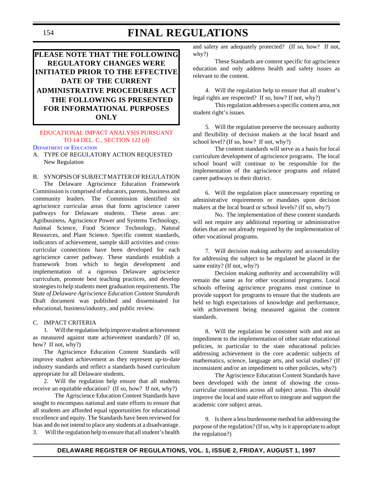# **PLEASE NOTE THAT THE FOLLOWING REGULATORY CHANGES WERE INITIATED PRIOR TO THE EFFECTIVE DATE OF THE CURRENT ADMINISTRATIVE PROCEDURES ACT THE FOLLOWING IS PRESENTED FOR INFORMATIONAL PURPOSES ONLY**

# [EDUCATIONAL IMPACT ANALYSIS PURSUANT](#page-4-0) TO 14 DEL. C., SECTION 122 (d)

### DEPARTMENT [OF EDUCATION](http://www.state.de.us/high-ed/intro.htm)

A. TYPE OF REGULATORY ACTION REQUESTED New Regulation

B. SYNOPSIS OF SUBJECT MATTER OF REGULATION The Delaware Agriscience Education Framework Commission is comprised of educators, parents, business and community leaders. The Commission identified six agriscience curricular areas that form agriscience career pathways for Delaware students. These areas are: Agribusiness, Agriscience Power and Systems Technology, Animal Science, Food Science Technology, Natural Resources, and Plant Science. Specific content standards, indicators of achievement, sample skill activities and crosscurricular connections have been developed for each agriscience career pathway. These standards establish a framework from which to begin development and implementation of a rigorous Delaware agriscience curriculum, promote best teaching practices, and develop strategies to help students meet graduation requirements. The *State of Delaware Agriscience Education Content Standards* Draft document was published and disseminated for educational, business/industry, and public review.

#### C. IMPACT CRITERIA

1. Will the regulation help improve student achievement as measured against state achievement standards? (If so, how? If not, why?)

The Agriscience Education Content Standards will improve student achievement as they represent up-to-date industry standards and reflect a standards based curriculum appropriate for all Delaware students.

2. Will the regulation help ensure that all students receive an equitable education? (If so, how? If not, why?)

The Agriscience Education Content Standards have sought to encompass national and state efforts to ensure that all students are afforded equal opportunities for educational excellence and equity. The Standards have been reviewed for bias and do not intend to place any students at a disadvantage. 3. Will the regulation help to ensure that all student's health

and safety are adequately protected? (If so, how? If not, why?)

These Standards are content specific for agriscience education and only address health and safety issues as relevant to the content.

4. Will the regulation help to ensure that all student's legal rights are respected? If so, how? If not, why?)

This regulation addresses a specific content area, not student right's issues.

5. Will the regulation preserve the necessary authority and flexibility of decision makers at the local board and school level? (If so, how? If not, why?)

The content standards will serve as a basis for local curriculum development of agriscience programs. The local school board will continue to be responsible for the implementation of the agriscience programs and related career pathways in their district.

6. Will the regulation place unnecessary reporting or administrative requirements or mandates upon decision makers at the local board or school levels? (If so, why?)

No. The implementation of these content standards will not require any additional reporting or administrative duties that are not already required by the implementation of other vocational programs.

7. Will decision making authority and accountability for addressing the subject to be regulated be placed in the same entity? (If not, why?)

Decision making authority and accountability will remain the same as for other vocational programs. Local schools offering agriscience programs must continue to provide support for programs to ensure that the students are held to high expectations of knowledge and performance, with achievement being measured against the content standards.

8. Will the regulation be consistent with and not an impediment to the implementation of other state educational policies, in particular to the state educational policies addressing achievement in the core academic subjects of mathematics, science, language arts, and social studies? (If inconsistent and/or an impediment to other policies, why?)

The Agriscience Education Content Standards have been developed with the intent of showing the crosscurricular connections across all subject areas. This should improve the local and state effort to integrate and support the academic core subject areas.

9. Is there a less burdensome method for addressing the purpose of the regulation? (If so, why is it appropriate to adopt the regulation?)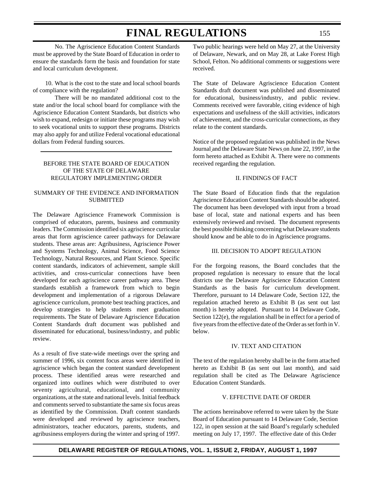No. The Agriscience Education Content Standards must be approved by the State Board of Education in order to ensure the standards form the basis and foundation for state and local curriculum development.

10. What is the cost to the state and local school boards of compliance with the regulation?

There will be no mandated additional cost to the state and/or the local school board for compliance with the Agriscience Education Content Standards, but districts who wish to expand, redesign or initiate these programs may wish to seek vocational units to support these programs. Districts may also apply for and utilize Federal vocational educational dollars from Federal funding sources.

# BEFORE THE STATE BOARD OF EDUCATION OF THE STATE OF DELAWARE REGULATORY IMPLEMENTING ORDER

## SUMMARY OF THE EVIDENCE AND INFORMATION SUBMITTED

The Delaware Agriscience Framework Commission is comprised of educators, parents, business and community leaders. The Commission identified six agriscience curricular areas that form agriscience career pathways for Delaware students. These areas are: Agribusiness, Agriscience Power and Systems Technology, Animal Science, Food Science Technology, Natural Resources, and Plant Science*.* Specific content standards, indicators of achievement, sample skill activities, and cross-curricular connections have been developed for each agriscience career pathway area. These standards establish a framework from which to begin development and implementation of a rigorous Delaware agriscience curriculum, promote best teaching practices, and develop strategies to help students meet graduation requirements. The State of Delaware Agriscience Education Content Standards draft document was published and disseminated for educational, business/industry, and public review.

As a result of five state-wide meetings over the spring and summer of 1996, six content focus areas were identified in agriscience which began the content standard development process. These identified areas were researched and organized into outlines which were distributed to over seventy agricultural, educational, and community organizations, at the state and national levels. Initial feedback and comments served to substantiate the same six focus areas as identified by the Commission. Draft content standards were developed and reviewed by agriscience teachers, administrators, teacher educators, parents, students, and agribusiness employers during the winter and spring of 1997.

Two public hearings were held on May 27, at the University of Delaware, Newark, and on May 28, at Lake Forest High School, Felton. No additional comments or suggestions were received.

The State of Delaware Agriscience Education Content Standards draft document was published and disseminated for educational, business/industry, and public review. Comments received were favorable, citing evidence of high expectations and usefulness of the skill activities, indicators of achievement, and the cross-curricular connections, as they relate to the content standards.

Notice of the proposed regulation was published in the News Journal and the Delaware State News on June 22, 1997, in the form hereto attached as Exhibit A. There were no comments received regarding the regulation.

### II. FINDINGS OF FACT

The State Board of Education finds that the regulation Agriscience Education Content Standards should be adopted. The document has been developed with input from a broad base of local, state and national experts and has been extensively reviewed and revised. The document represents the best possible thinking concerning what Delaware students should know and be able to do in Agriscience programs.

## III. DECISION TO ADOPT REGULATION

For the forgoing reasons, the Board concludes that the proposed regulation is necessary to ensure that the local districts use the Delaware Agriscience Education Content Standards as the basis for curriculum development. Therefore, pursuant to 14 Delaware Code, Section 122, the regulation attached hereto as Exhibit B (as sent out last month) is hereby adopted. Pursuant to 14 Delaware Code, Section 122(e), the regulation shall be in effect for a period of five years from the effective date of the Order as set forth in V. below.

#### IV. TEXT AND CITATION

The text of the regulation hereby shall be in the form attached hereto as Exhibit B (as sent out last month), and said regulation shall be cited as The Delaware Agriscience Education Content Standards.

#### V. EFFECTIVE DATE OF ORDER

The actions hereinabove referred to were taken by the State Board of Education pursuant to 14 Delaware Code, Section 122, in open session at the said Board's regularly scheduled meeting on July 17, 1997. The effective date of this Order

# **DELAWARE REGISTER OF REGULATIONS, VOL. 1, ISSUE 2, FRIDAY, AUGUST 1, 1997**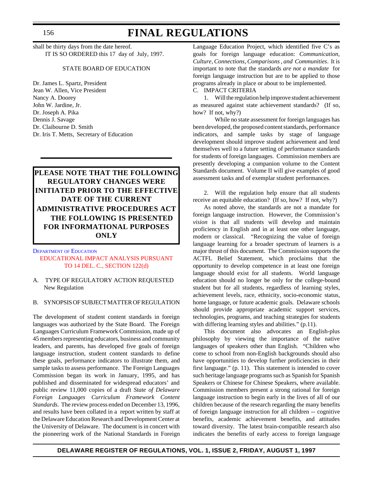shall be thirty days from the date hereof. IT IS SO ORDERED this 17 day of July, 1997.

#### STATE BOARD OF EDUCATION

Dr. James L. Spartz, President Jean W. Allen, Vice President Nancy A. Doorey John W. Jardine, Jr. Dr. Joseph A. Pika Dennis J. Savage Dr. Claibourne D. Smith Dr. Iris T. Metts, Secretary of Education

# **PLEASE NOTE THAT THE FOLLOWING REGULATORY CHANGES WERE INITIATED PRIOR TO THE EFFECTIVE DATE OF THE CURRENT ADMINISTRATIVE PROCEDURES ACT THE FOLLOWING IS PRESENTED FOR INFORMATIONAL PURPOSES ONLY**

# DEPARTMENT [OF EDUCATION](http://www.state.de.us/high-ed/intro.htm) [EDUCATIONAL IMPACT ANALYSIS PURSUANT](#page-4-0) TO 14 DEL. C., SECTION 122(d)

A. TYPE OF REGULATORY ACTION REQUESTED New Regulation

## B. SYNOPSIS OF SUBJECT MATTER OF REGULATION

The development of student content standards in foreign languages was authorized by the State Board. The Foreign Languages Curriculum Framework Commission, made up of 45 members representing educators, business and community leaders, and parents, has developed five goals of foreign language instruction, student content standards to define these goals, performance indicators to illustrate them, and sample tasks to assess performance. The Foreign Languages Commission began its work in January, 1995, and has published and disseminated for widespread educators' and public review 11,000 copies of a draft *State of Delaware Foreign Languages Curriculum Framework Content Standards*. The review process ended on December 13, 1996, and results have been collated in a report written by staff at the Delaware Education Research and Development Center at the University of Delaware. The document is in concert with the pioneering work of the National Standards in Foreign

Language Education Project, which identified five C's as goals for foreign language education: *Communication, Culture, Connections, Comparisons , and Communities*. It is important to note that the standards *are not a mandate* for foreign language instruction but are to be applied to those programs already in place or about to be implemented.

C. IMPACT CRITERIA

1. Will the regulation help improve student achievement as measured against state achievement standards? (If so, how? If not, why?)

While no state assessment for foreign languages has been developed, the proposed content standards, performance indicators, and sample tasks by stage of language development should improve student achievement and lend themselves well to a future setting of performance standards for students of foreign languages. Commission members are presently developing a companion volume to the Content Standards document. Volume II will give examples of good assessment tasks and of exemplar student performances.

2. Will the regulation help ensure that all students receive an equitable education? (If so, how? If not, why?)

As noted above, the standards are not a mandate for foreign language instruction. However, the Commission's *vision* is that all students will develop and maintain proficiency in English and in at least one other language, modern or classical. "Recognizing the value of foreign language learning for a broader spectrum of learners is a major thrust of this document. The Commission supports the ACTFL Belief Statement, which proclaims that the opportunity to develop competence in at least one foreign language should exist for all students. World language education should no longer be only for the college-bound student but for all students, regardless of learning styles, achievement levels, race, ethnicity, socio-economic status, home language, or future academic goals. Delaware schools should provide appropriate academic support services, technologies, programs, and teaching strategies for students with differing learning styles and abilities." (p.11).

This document also advocates an English-plus philosophy by viewing the importance of the native languages of speakers other than English. "Children who come to school from non-English backgrounds should also have opportunities to develop further proficiencies in their first language." (p. 11). This statement is intended to cover such heritage language programs such as Spanish for Spanish Speakers or Chinese for Chinese Speakers, where available. Commission members present a strong rational for foreign language instruction to begin early in the lives of all of our children because of the research regarding the many benefits of foreign language instruction for all children -- cognitive benefits, academic achievement benefits, and attitudes toward diversity. The latest brain-compatible research also indicates the benefits of early access to foreign language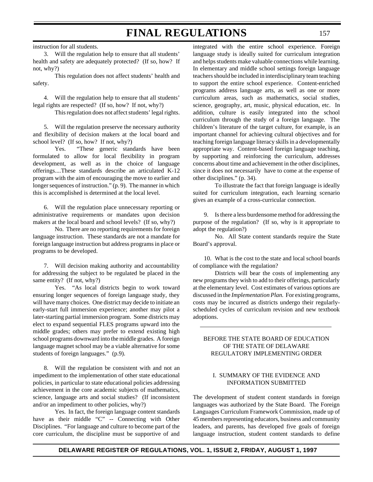instruction for all students.

3. Will the regulation help to ensure that all students' health and safety are adequately protected? (If so, how? If not, why?)

This regulation does not affect students' health and safety.

4. Will the regulation help to ensure that all students' legal rights are respected? (If so, how? If not, why?)

This regulation does not affect students' legal rights.

5. Will the regulation preserve the necessary authority and flexibility of decision makers at the local board and school level? (If so, how? If not, why?)

Yes. "These generic standards have been formulated to allow for local flexibility in program development, as well as in the choice of language offerings....These standards describe an articulated K-12 program with the aim of encouraging the move to earlier and longer sequences of instruction." (p. 9). The manner in which this is accomplished is determined at the local level.

6. Will the regulation place unnecessary reporting or administrative requirements or mandates upon decision makers at the local board and school levels? (If so, why?)

No. There are no reporting requirements for foreign language instruction. These standards are not a mandate for foreign language instruction but address programs in place or programs to be developed.

7. Will decision making authority and accountability for addressing the subject to be regulated be placed in the same entity? (If not, why?)

Yes. "As local districts begin to work toward ensuring longer sequences of foreign language study, they will have many choices. One district may decide to initiate an early-start full immersion experience; another may pilot a later-starting partial immersion program. Some districts may elect to expand sequential FLES programs upward into the middle grades; others may prefer to extend existing high school programs downward into the middle grades. A foreign language magnet school may be a viable alternative for some students of foreign languages." (p.9).

8. Will the regulation be consistent with and not an impediment to the implementation of other state educational policies, in particular to state educational policies addressing achievement in the core academic subjects of mathematics, science, language arts and social studies? (If inconsistent and/or an impediment to other policies, why?)

Yes. In fact, the foreign language content standards have as their middle "C" -- Connecting with Other Disciplines. "For language and culture to become part of the core curriculum, the discipline must be supportive of and

integrated with the entire school experience. Foreign language study is ideally suited for curriculum integration and helps students make valuable connections while learning. In elementary and middle school settings foreign language teachers should be included in interdisciplinary team teaching to support the entire school experience. Content-enriched programs address language arts, as well as one or more curriculum areas, such as mathematics, social studies, science, geography, art, music, physical education, etc. In addition, culture is easily integrated into the school curriculum through the study of a foreign language. The children's literature of the target culture, for example, is an important channel for achieving cultural objectives and for teaching foreign language literacy skills in a developmentally appropriate way. Content-based foreign language teaching, by supporting and reinforcing the curriculum, addresses concerns about time and achievement in the other disciplines, since it does not necessarily have to come at the expense of other disciplines." (p. 34).

To illustrate the fact that foreign language is ideally suited for curriculum integration, each learning scenario gives an example of a cross-curricular connection.

9. Is there a less burdensome method for addressing the purpose of the regulation? (If so, why is it appropriate to adopt the regulation?)

No. All State content standards require the State Board's approval.

10. What is the cost to the state and local school boards of compliance with the regulation?

Districts will bear the costs of implementing any new programs they wish to add to their offerings, particularly at the elementary level. Cost estimates of various options are discussed in the *Implementation Plan.* For existing programs, costs may be incurred as districts undergo their regularlyscheduled cycles of curriculum revision and new textbook adoptions.

### BEFORE THE STATE BOARD OF EDUCATION OF THE STATE OF DELAWARE REGULATORY IMPLEMENTING ORDER

### I. SUMMARY OF THE EVIDENCE AND INFORMATION SUBMITTED

The development of student content standards in foreign languages was authorized by the State Board. The Foreign Languages Curriculum Framework Commission, made up of 45 members representing educators, business and community leaders, and parents, has developed five goals of foreign language instruction, student content standards to define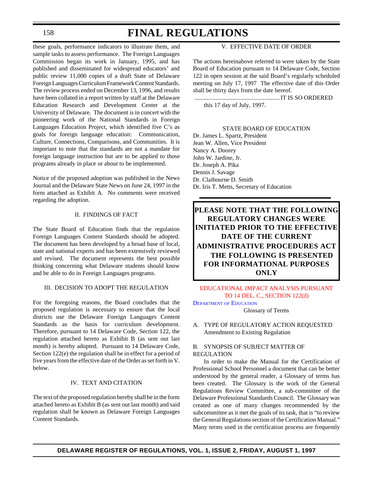these goals, performance indicators to illustrate them, and sample tasks to assess performance. The Foreign Languages Commission began its work in January, 1995, and has published and disseminated for widespread educators' and public review 11,000 copies of a draft State of Delaware Foreign Languages Curriculum Framework Content Standards. The review process ended on December 13, 1996, and results have been collated in a report written by staff at the Delaware Education Research and Development Center at the University of Delaware. The document is in concert with the pioneering work of the National Standards in Foreign Languages Education Project, which identified five C's as goals for foreign language education: Communication, Culture, Connections, Comparisons, and Communities. It is important to note that the standards are not a mandate for foreign language instruction but are to be applied to those programs already in place or about to be implemented.

Notice of the proposed adoption was published in the News Journal and the Delaware State News on June 24, 1997 in the form attached as Exhibit A. No comments were received regarding the adoption.

### II. FINDINGS OF FACT

The State Board of Education finds that the regulation Foreign Languages Content Standards should be adopted. The document has been developed by a broad base of local, state and national experts and has been extensively reviewed and revised. The document represents the best possible thinking concerning what Delaware students should know and be able to do in Foreign Languages programs.

## III. DECISION TO ADOPT THE REGULATION

For the foregoing reasons, the Board concludes that the proposed regulation is necessary to ensure that the local districts use the Delaware Foreign Languages Content Standards as the basis for curriculum development. Therefore, pursuant to 14 Delaware Code, Section 122, the regulation attached hereto as Exhibit B (as sent out last month) is hereby adopted. Pursuant to 14 Delaware Code, Section 122(e) the regulation shall be in effect for a period of five years from the effective date of the Order as set forth in V. below.

### IV. TEXT AND CITATION

The text of the proposed regulation hereby shall be in the form attached hereto as Exhibit B (as sent out last month) and said regulation shall be known as Delaware Foreign Languages Content Standards.

# V. EFFECTIVE DATE OF ORDER

The actions hereinabove referred to were taken by the State Board of Education pursuant to 14 Delaware Code, Section 122 in open session at the said Board's regularly scheduled meeting on July 17, 1997 The effective date of this Order shall be thirty days from the date hereof.

........................................................IT IS SO ORDERED this 17 day of July, 1997.

#### STATE BOARD OF EDUCATION

Dr. James L. Spartz, President Jean W. Allen, Vice President Nancy A. Doorey John W. Jardine, Jr. Dr. Joseph A. Pika Dennis J. Savage Dr. Claibourne D. Smith Dr. Iris T. Metts, Secretary of Education

**PLEASE NOTE THAT THE FOLLOWING REGULATORY CHANGES WERE INITIATED PRIOR TO THE EFFECTIVE DATE OF THE CURRENT ADMINISTRATIVE PROCEDURES ACT THE FOLLOWING IS PRESENTED FOR INFORMATIONAL PURPOSES ONLY**

## [EDUCATIONAL IMPACT ANALYSIS PURSUANT](#page-4-0) TO 14 DEL. C., SECTION 122(d)

DEPARTMENT [OF EDUCATION](http://www.state.de.us/high-ed/intro.htm)

Glossary of Terms

A. TYPE OF REGULATORY ACTION REQUESTED Amendment to Existing Regulation

## B. SYNOPSIS OF SUBJECT MATTER OF REGULATION

In order to make the Manual for the Certification of Professional School Personnel a document that can be better understood by the general reader, a Glossary of terms has been created. The Glossary is the work of the General Regulations Review Committee, a sub-committee of the Delaware Professional Standards Council. The Glossary was created as one of many changes recommended by the subcommittee as it met the goals of its task, that is "to review the General Regulations section of the Certification Manual." Many terms used in the certification process are frequently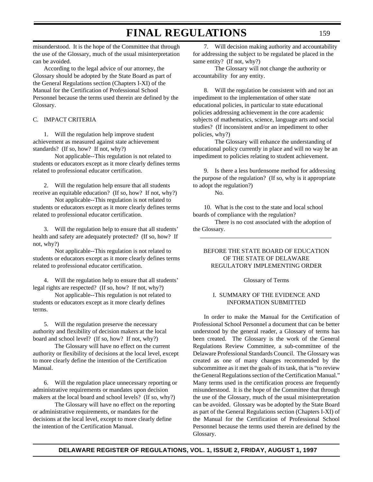misunderstood. It is the hope of the Committee that through the use of the Glossary, much of the usual misinterpretation can be avoided.

According to the legal advice of our attorney, the Glossary should be adopted by the State Board as part of the General Regulations section (Chapters I-XI) of the Manual for the Certification of Professional School Personnel because the terms used therein are defined by the Glossary.

# C. IMPACT CRITERIA

1. Will the regulation help improve student achievement as measured against state achievement standards? (If so, how? If not, why?)

Not applicable--This regulation is not related to students or educators except as it more clearly defines terms related to professional educator certification.

2. Will the regulation help ensure that all students receive an equitable education? (If so, how? If not, why?)

Not applicable--This regulation is not related to students or educators except as it more clearly defines terms related to professional educator certification.

3. Will the regulation help to ensure that all students' health and safety are adequately protected? (If so, how? If not, why?)

Not applicable--This regulation is not related to students or educators except as it more clearly defines terms related to professional educator certification.

4. Will the regulation help to ensure that all students' legal rights are respected? (If so, how? If not, why?)

Not applicable--This regulation is not related to students or educators except as it more clearly defines terms.

5. Will the regulation preserve the necessary authority and flexibility of decision makers at the local board and school level? (If so, how? If not, why?)

The Glossary will have no effect on the current authority or flexibility of decisions at the local level, except to more clearly define the intention of the Certification Manual.

6. Will the regulation place unnecessary reporting or administrative requirements or mandates upon decision makers at the local board and school levels? (If so, why?)

The Glossary will have no effect on the reporting or administrative requirements, or mandates for the decisions at the local level, except to more clearly define the intention of the Certification Manual.

7. Will decision making authority and accountability for addressing the subject to be regulated be placed in the same entity? (If not, why?)

The Glossary will not change the authority or accountability for any entity.

8. Will the regulation be consistent with and not an impediment to the implementation of other state educational policies, in particular to state educational policies addressing achievement in the core academic subjects of mathematics, science, language arts and social studies? (If inconsistent and/or an impediment to other policies, why?)

The Glossary will enhance the understanding of educational policy currently in place and will no way be an impediment to policies relating to student achievement.

9. Is there a less burdensome method for addressing the purpose of the regulation? (If so, why is it appropriate to adopt the regulation?)

No.

10. What is the cost to the state and local school boards of compliance with the regulation?

There is no cost associated with the adoption of the Glossary.

## BEFORE THE STATE BOARD OF EDUCATION OF THE STATE OF DELAWARE REGULATORY IMPLEMENTING ORDER

#### Glossary of Terms

### I. SUMMARY OF THE EVIDENCE AND INFORMATION SUBMITTED

In order to make the Manual for the Certification of Professional School Personnel a document that can be better understood by the general reader, a Glossary of terms has been created. The Glossary is the work of the General Regulations Review Committee, a sub-committee of the Delaware Professional Standards Council. The Glossary was created as one of many changes recommended by the subcommittee as it met the goals of its task, that is "to review the General Regulations section of the Certification Manual." Many terms used in the certification process are frequently misunderstood. It is the hope of the Committee that through the use of the Glossary, much of the usual misinterpretation can be avoided. Glossary was be adopted by the State Board as part of the General Regulations section (Chapters I-XI) of the Manual for the Certification of Professional School Personnel because the terms used therein are defined by the Glossary.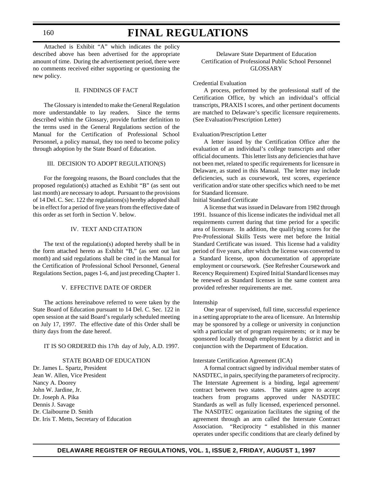160

# **FINAL REGULATIONS**

Attached is Exhibit "A" which indicates the policy described above has been advertised for the appropriate amount of time. During the advertisement period, there were no comments received either supporting or questioning the new policy.

### II. FINDINGS OF FACT

The Glossary is intended to make the General Regulation more understandable to lay readers. Since the terms described within the Glossary, provide further definition to the terms used in the General Regulations section of the Manual for the Certification of Professional School Personnel, a policy manual, they too need to become policy through adoption by the State Board of Education.

### III. DECISION TO ADOPT REGULATION(S)

For the foregoing reasons, the Board concludes that the proposed regulation(s) attached as Exhibit "B" (as sent out last month) are necessary to adopt. Pursuant to the provisions of 14 Del. C. Sec. 122 the regulations(s) hereby adopted shall be in effect for a period of five years from the effective date of this order as set forth in Section V. below.

### IV. TEXT AND CITATION

The text of the regulation(s) adopted hereby shall be in the form attached hereto as Exhibit "B," (as sent out last month) and said regulations shall be cited in the Manual for the Certification of Professional School Personnel, General Regulations Section, pages 1-6, and just preceding Chapter 1.

## V. EFFECTIVE DATE OF ORDER

The actions hereinabove referred to were taken by the State Board of Education pursuant to 14 Del. C. Sec. 122 in open session at the said Board's regularly scheduled meeting on July 17, 1997. The effective date of this Order shall be thirty days from the date hereof.

## IT IS SO ORDERED this 17th day of July, A.D. 1997.

# STATE BOARD OF EDUCATION

Dr. James L. Spartz, President Jean W. Allen, Vice President Nancy A. Doorey John W. Jardine, Jr. Dr. Joseph A. Pika Dennis J. Savage Dr. Claibourne D. Smith Dr. Iris T. Metts, Secretary of Education

### Delaware State Department of Education Certification of Professional Public School Personnel GLOSSARY

#### Credential Evaluation

A process, performed by the professional staff of the Certification Office, by which an individual's official transcripts, PRAXIS I scores, and other pertinent documents are matched to Delaware's specific licensure requirements. (See Evaluation/Prescription Letter)

#### Evaluation/Prescription Letter

A letter issued by the Certification Office after the evaluation of an individual's college transcripts and other official documents. This letter lists any deficiencies that have not been met, related to specific requirements for licensure in Delaware, as stated in this Manual. The letter may include deficiencies, such as coursework, test scores, experience verification and/or state other specifics which need to be met for Standard licensure.

Initial Standard Certificate

A license that was issued in Delaware from 1982 through 1991. Issuance of this license indicates the individual met all requirements current during that time period for a specific area of licensure. In addition, the qualifying scores for the Pre-Professional Skills Tests were met before the Initial Standard Certificate was issued. This license had a validity period of five years, after which the license was converted to a Standard license, upon documentation of appropriate employment or coursework. (See Refresher Coursework and Recency Requirement) Expired Initial Standard licenses may be renewed as Standard licenses in the same content area provided refresher requirements are met.

#### Internship

One year of supervised, full time, successful experience in a setting appropriate to the area of licensure. An Internship may be sponsored by a college or university in conjunction with a particular set of program requirements; or it may be sponsored locally through employment by a district and in conjunction with the Department of Education.

#### Interstate Certification Agreement (ICA)

A formal contract signed by individual member states of NASDTEC, in pairs, specifying the parameters of reciprocity. The Interstate Agreement is a binding, legal agreement/ contract between two states. The states agree to accept teachers from programs approved under NASDTEC Standards as well as fully licensed, experienced personnel. The NASDTEC organization facilitates the signing of the agreement through an arm called the Interstate Contract Association. "Reciprocity " established in this manner operates under specific conditions that are clearly defined by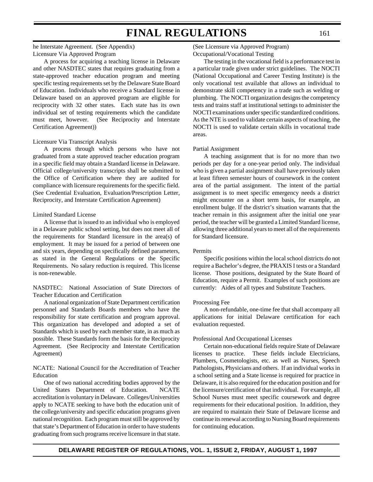he Interstate Agreement. (See Appendix) Licensure Via Approved Program

A process for acquiring a teaching license in Delaware and other NASDTEC states that requires graduating from a state-approved teacher education program and meeting specific testing requirements set by the Delaware State Board of Education. Individuals who receive a Standard license in Delaware based on an approved program are eligible for reciprocity with 32 other states. Each state has its own individual set of testing requirements which the candidate must meet, however. (See Reciprocity and Interstate Certification Agreement))

#### Licensure Via Transcript Analysis

A process through which persons who have not graduated from a state approved teacher education program in a specific field may obtain a Standard license in Delaware. Official college/university transcripts shall be submitted to the Office of Certification where they are audited for compliance with licensure requirements for the specific field. (See Credential Evaluation, Evaluation/Prescription Letter, Reciprocity, and Interstate Certification Agreement)

#### Limited Standard License

A license that is issued to an individual who is employed in a Delaware public school setting, but does not meet all of the requirements for Standard licensure in the area(s) of employment. It may be issued for a period of between one and six years, depending on specifically defined parameters, as stated in the General Regulations or the Specific Requirements. No salary reduction is required. This license is non-renewable.

NASDTEC: National Association of State Directors of Teacher Education and Certification

A national organization of State Department certification personnel and Standards Boards members who have the responsibility for state certification and program approval. This organization has developed and adopted a set of Standards which is used by each member state, in as much as possible. These Standards form the basis for the Reciprocity Agreement. (See Reciprocity and Interstate Certification Agreement)

## NCATE: National Council for the Accreditation of Teacher Education

One of two national accrediting bodies approved by the United States Department of Education. NCATE accreditation is voluntary in Delaware. Colleges/Universities apply to NCATE seeking to have both the education unit of the college/university and specific education programs given national recognition. Each program must still be approved by that state's Department of Education in order to have students graduating from such programs receive licensure in that state.

#### (See Licensure via Approved Program) Occupational/Vocational Testing

The testing in the vocational field is a performance test in a particular trade given under strict guidelines. The NOCTI (National Occupational and Career Testing Institute) is the only vocational test available that allows an individual to demonstrate skill competency in a trade such as welding or plumbing. The NOCTI organization designs the competency tests and trains staff at institutional settings to administer the NOCTI examinations under specific standardized conditions. As the NTE is used to validate certain aspects of teaching, the NOCTI is used to validate certain skills in vocational trade areas.

#### Partial Assignment

A teaching assignment that is for no more than two periods per day for a one-year period only. The individual who is given a partial assignment shall have previously taken at least fifteen semester hours of coursework in the content area of the partial assignment. The intent of the partial assignment is to meet specific emergency needs a district might encounter on a short term basis, for example, an enrollment bulge. If the district's situation warrants that the teacher remain in this assignment after the initial one year period, the teacher will be granted a Limited Standard license, allowing three additional years to meet all of the requirements for Standard licensure.

#### Permits

Specific positions within the local school districts do not require a Bachelor's degree, the PRAXIS I tests or a Standard license. Those positions, designated by the State Board of Education, require a Permit. Examples of such positions are currently: Aides of all types and Substitute Teachers.

#### Processing Fee

A non-refundable, one-time fee that shall accompany all applications for initial Delaware certification for each evaluation requested.

#### Professional And Occupational Licenses

Certain non-educational fields require State of Delaware licenses to practice. These fields include Electricians, Plumbers, Cosmetologists, etc. as well as Nurses, Speech Pathologists, Physicians and others. If an individual works in a school setting and a State license is required for practice in Delaware, it is also required for the education position and for the licensure/certification of that individual. For example, all School Nurses must meet specific coursework and degree requirements for their educational position. In addition, they are required to maintain their State of Delaware license and continue its renewal according to Nursing Board requirements for continuing education.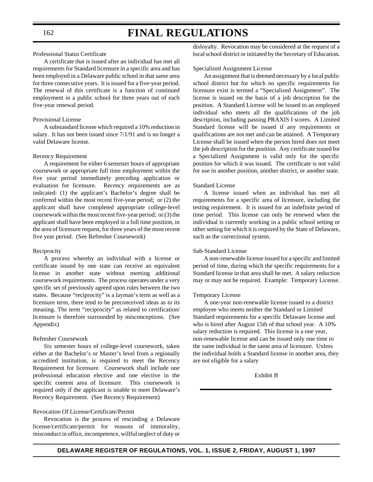### Professional Status Certificate

A certificate that is issued after an individual has met all requirements for Standard licensure in a specific area and has been employed in a Delaware public school in that same area for three consecutive years. It is issued for a five-year period. The renewal of this certificate is a function of continued employment in a public school for three years out of each five-year renewal period.

#### Provisional License

A substandard license which required a 10% reduction in salary. It has not been issued since  $7/1/91$  and is no longer a valid Delaware license.

#### Recency Requirement

A requirement for either 6 semester hours of appropriate coursework or appropriate full time employment within the five year period immediately preceding application or evaluation for licensure. Recency requirements are as indicated: (1) the applicant's Bachelor's degree shall be conferred within the most recent five-year period; or (2) the applicant shall have completed appropriate college-level coursework within the most recent five-year period; or (3) the applicant shall have been employed in a full time position, in the area of licensure request, for three years of the most recent five year period. (See Refresher Coursework)

## Reciprocity

A process whereby an individual with a license or certificate issued by one state can receive an equivalent license in another state without meeting additional coursework requirements. The process operates under a very specific set of previously agreed upon rules between the two states. Because "reciprocity" is a layman's term as well as a licensure term, there tend to be preconceived ideas as to its meaning. The term "reciprocity" as related to certification/ licensure is therefore surrounded by misconceptions. (See Appendix)

#### Refresher Coursework

Six semester hours of college-level coursework, taken either at the Bachelor's or Master's level from a regionally accredited institution, is required to meet the Recency Requirement for licensure. Coursework shall include one professional education elective and one elective in the specific content area of licensure. This coursework is required only if the applicant is unable to meet Delaware's Recency Requirement. (See Recency Requirement)

## Revocation Of License/Certificate/Permit

Revocation is the process of rescinding a Delaware license/certificate/permit for reasons of immorality, misconduct in office, incompetence, willful neglect of duty or disloyalty. Revocation may be considered at the request of a local school district or initiated by the Secretary of Education.

### Specialized Assignment License

An assignment that is deemed necessary by a local public school district but for which no specific requirements for licensure exist is termed a "Specialized Assignment". The license is issued on the basis of a job description for the position. A Standard License will be issued to an employed individual who meets all the qualifications of the job description, including passing PRAXIS I scores. A Limited Standard license will be issued if any requirements or qualifications are not met and can be attained. A Temporary License shall be issued when the person hired does not meet the job description for the position. Any certificate issued for a Specialized Assignment is valid only for the specific position for which it was issued. The certificate is not valid for use in another position, another district, or another state.

## Standard License

A license issued when an individual has met all requirements for a specific area of licensure, including the testing requirement. It is issued for an indefinite period of time period. This license can only be renewed when the individual is currently working in a public school setting or other setting for which it is required by the State of Delaware, such as the correctional system.

## Sub-Standard License

A non-renewable license issued for a specific and limited period of time, during which the specific requirements for a Standard license in that area shall be met. A salary reduction may or may not be required. Example: Temporary License.

#### Temporary License

A one-year non-renewable license issued to a district employee who meets neither the Standard or Limited Standard requirements for a specific Delaware license and who is hired after August 15th of that school year. A 10% salary reduction is required. This license is a one year, non-renewable license and can be issued only one time to the same individual in the same area of licensure. Unless the individual holds a Standard license in another area, they are not eligible for a salary

Exhibit B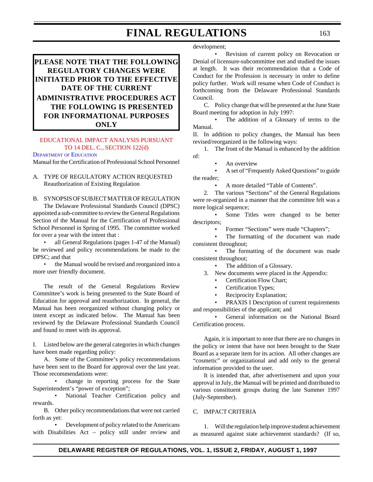# **PLEASE NOTE THAT THE FOLLOWING REGULATORY CHANGES WERE INITIATED PRIOR TO THE EFFECTIVE DATE OF THE CURRENT ADMINISTRATIVE PROCEDURES ACT THE FOLLOWING IS PRESENTED FOR INFORMATIONAL PURPOSES ONLY**

# [EDUCATIONAL IMPACT ANALYSIS PURSUANT](#page-4-0) TO 14 DEL. C., SECTION 122(d)

DEPARTMENT [OF EDUCATION](http://www.state.de.us/high-ed/intro.htm)

Manual for the Certification of Professional School Personnel

## A. TYPE OF REGULATORY ACTION REQUESTED Reauthorization of Existing Regulation

B. SYNOPSIS OF SUBJECT MATTER OF REGULATION

The Delaware Professional Standards Council (DPSC) appointed a sub-committee to review the General Regulations Section of the Manual for the Certification of Professional School Personnel in Spring of 1995. The committee worked for over a year with the intent that :

• all General Regulations (pages 1-47 of the Manual) be reviewed and policy recommendations be made to the DPSC; and that

• the Manual would be revised and reorganized into a more user friendly document.

The result of the General Regulations Review Committee's work is being presented to the State Board of Education for approval and reauthorization. In general, the Manual has been reorganized without changing policy or intent except as indicated below. The Manual has been reviewed by the Delaware Professional Standards Council and found to meet with its approval.

I. Listed below are the general categories in which changes have been made regarding policy:

A. Some of the Committee's policy recommendations have been sent to the Board for approval over the last year. Those recommendations were:

• change in reporting process for the State Superintendent's "power of exception";

National Teacher Certification policy and rewards.

B. Other policy recommendations that were not carried forth as yet:

• Development of policy related to the Americans with Disabilities Act – policy still under review and development;

• Revision of current policy on Revocation or Denial of licensure-subcommittee met and studied the issues at length. It was their recommendation that a Code of Conduct for the Profession is necessary in order to define policy further. Work will resume when Code of Conduct is forthcoming from the Delaware Professional Standards Council.

C. Policy change that will be presented at the June State Board meeting for adoption in July 1997:

• The addition of a Glossary of terms to the Manual.

II. In addition to policy changes, the Manual has been revised/reorganized in the following ways:

1. The front of the Manual is enhanced by the addition of:

An overview

• A set of "Frequently Asked Questions" to guide the reader;

• A more detailed "Table of Contents".

2. The various "Sections" of the General Regulations were re-organized in a manner that the committee felt was a more logical sequence;

Some Titles were changed to be better descriptors;

• Former "Sections" were made "Chapters";

The formatting of the document was made consistent throughout;

The formatting of the document was made consistent throughout;

The addition of a Glossary.

3. New documents were placed in the Appendix:

- Certification Flow Chart;
- Certification Types;
- Reciprocity Explanation;

PRAXIS I Description of current requirements and responsibilities of the applicant; and

• General information on the National Board Certification process.

Again, it is important to note that there are no changes in the policy or intent that have not been brought to the State Board as a separate item for its action. All other changes are "cosmetic" or organizational and add only to the general information provided to the user.

It is intended that, after advertisement and upon your approval in July, the Manual will be printed and distributed to various constituent groups during the late Summer 1997 (July-September).

### C. IMPACT CRITERIA

1. Will the regulation help improve student achievement as measured against state achievement standards? (If so,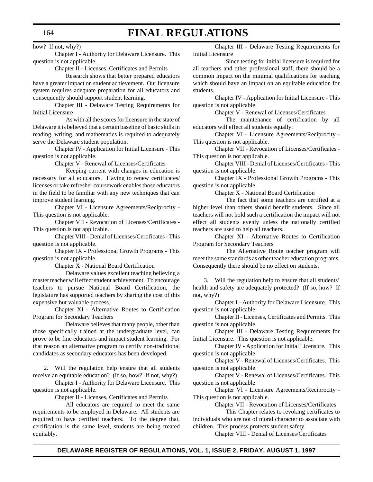how? If not, why?)

Chapter I - Authority for Delaware Licensure. This question is not applicable.

Chapter II - Licenses, Certificates and Permits

Research shows that better prepared educators have a greater impact on student achievement. Our licensure system requires adequate preparation for all educators and consequently should support student learning.

Chapter III - Delaware Testing Requirements for Initial Licensure

As with all the scores for licensure in the state of Delaware it is believed that a certain baseline of basic skills in reading, writing, and mathematics is required to adequately serve the Delaware student population.

Chapter IV - Application for Initial Licensure - This question is not applicable.

Chapter V - Renewal of Licenses/Certificates

Keeping current with changes in education is necessary for all educators. Having to renew certificates/ licenses or take refresher coursework enables those educators in the field to be familiar with any new techniques that can improve student learning.

Chapter VI - Licensure Agreements/Reciprocity - This question is not applicable.

Chapter VII - Revocation of Licenses/Certificates - This question is not applicable.

Chapter VIII - Denial of Licenses/Certificates - This question is not applicable.

Chapter IX - Professional Growth Programs - This question is not applicable.

Chapter X - National Board Certification

Delaware values excellent teaching believing a master teacher will effect student achievement. To encourage teachers to pursue National Board Certification, the legislature has supported teachers by sharing the cost of this expensive but valuable process.

Chapter XI - Alternative Routes to Certification Program for Secondary Teachers

Delaware believes that many people, other than those specifically trained at the undergraduate level, can prove to be fine educators and impact student learning. For that reason an alternative program to certify non-traditional candidates as secondary educators has been developed.

2. Will the regulation help ensure that all students receive an equitable education? (If so, how? If not, why?)

Chapter I - Authority for Delaware Licensure. This question is not applicable.

Chapter II - Licenses, Certificates and Permits

All educators are required to meet the same requirements to be employed in Delaware. All students are required to have certified teachers. To the degree that, certification is the same level, students are being treated equitably.

Chapter III - Delaware Testing Requirements for Initial Licensure

Since testing for initial licensure is required for all teachers and other professional staff, there should be a common impact on the minimal qualifications for teaching which should have an impact on an equitable education for students.

Chapter IV - Application for Initial Licensure - This question is not applicable.

Chapter V - Renewal of Licenses/Certificates

The maintenance of certification by all educators will effect all students equally.

Chapter VI - Licensure Agreements/Reciprocity - This question is not applicable.

Chapter VII - Revocation of Licenses/Certificates - This question is not applicable.

Chapter VIII - Denial of Licenses/Certificates - This question is not applicable.

Chapter IX - Professional Growth Programs - This question is not applicable.

Chapter X - National Board Certification

The fact that some teachers are certified at a higher level than others should benefit students. Since all teachers will not hold such a certification the impact will not effect all students evenly unless the nationally certified teachers are used to help all teachers.

Chapter XI - Alternative Routes to Certification Program for Secondary Teachers

The Alternative Route teacher program will meet the same standards as other teacher education programs. Consequently there should be no effect on students.

3. Will the regulation help to ensure that all students' health and safety are adequately protected? (If so, how? If not, why?)

Chapter I - Authority for Delaware Licensure. This question is not applicable.

Chapter II - Licenses, Certificates and Permits. This question is not applicable.

Chapter III - Delaware Testing Requirements for Initial Licensure. This question is not applicable.

Chapter IV - Application for Initial Licensure. This question is not applicable.

Chapter V - Renewal of Licenses/Certificates. This question is not applicable.

Chapter V - Renewal of Licenses/Certificates. This question is not applicable

Chapter VI - Licensure Agreements/Reciprocity - This question is not applicable.

Chapter VII - Revocation of Licenses/Certificates

This Chapter relates to revoking certificates to individuals who are not of moral character to associate with children. This process protects student safety.

Chapter VIII - Denial of Licenses/Certificates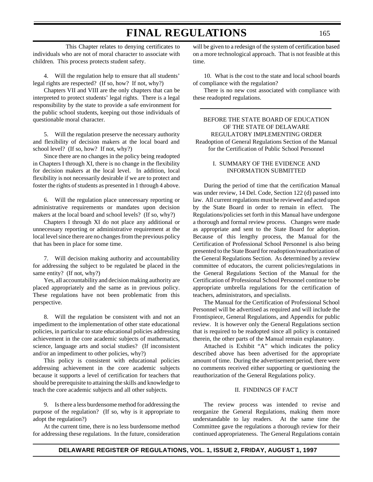This Chapter relates to denying certificates to individuals who are not of moral character to associate with children. This process protects student safety.

4. Will the regulation help to ensure that all students' legal rights are respected? (If so, how? If not, why?)

Chapters VII and VIII are the only chapters that can be interpreted to protect students' legal rights. There is a legal responsibility by the state to provide a safe environment for the public school students, keeping out those individuals of questionable moral character.

5. Will the regulation preserve the necessary authority and flexibility of decision makers at the local board and school level? (If so, how? If not, why?)

Since there are no changes in the policy being readopted in Chapters I through XI, there is no change in the flexibility for decision makers at the local level. In addition, local flexibility is not necessarily desirable if we are to protect and foster the rights of students as presented in 1 through 4 above.

6. Will the regulation place unnecessary reporting or administrative requirements or mandates upon decision makers at the local board and school levels? (If so, why?)

Chapters I through XI do not place any additional or unnecessary reporting or administrative requirement at the local level since there are no changes from the previous policy that has been in place for some time.

7. Will decision making authority and accountability for addressing the subject to be regulated be placed in the same entity? (If not, why?)

Yes, all accountability and decision making authority are placed appropriately and the same as in previous policy. These regulations have not been problematic from this perspective.

8. Will the regulation be consistent with and not an impediment to the implementation of other state educational policies, in particular to state educational policies addressing achievement in the core academic subjects of mathematics, science, language arts and social studies? (If inconsistent and/or an impediment to other policies, why?)

This policy is consistent with educational policies addressing achievement in the core academic subjects because it supports a level of certification for teachers that should be prerequisite to attaining the skills and knowledge to teach the core academic subjects and all other subjects.

9. Is there a less burdensome method for addressing the purpose of the regulation? (If so, why is it appropriate to adopt the regulation?)

At the current time, there is no less burdensome method for addressing these regulations. In the future, consideration

will be given to a redesign of the system of certification based on a more technological approach. That is not feasible at this time.

10. What is the cost to the state and local school boards of compliance with the regulation?

There is no new cost associated with compliance with these readopted regulations.

BEFORE THE STATE BOARD OF EDUCATION OF THE STATE OF DELAWARE REGULATORY IMPLEMENTING ORDER Readoption of General Regulations Section of the Manual for the Certification of Public School Personnel

## I. SUMMARY OF THE EVIDENCE AND INFORMATION SUBMITTED

During the period of time that the certification Manual was under review, 14 Del. Code, Section 122 (d) passed into law. All current regulations must be reviewed and acted upon by the State Board in order to remain in effect. The Regulations/policies set forth in this Manual have undergone a thorough and formal review process. Changes were made as appropriate and sent to the State Board for adoption. Because of this lengthy process, the Manual for the Certification of Professional School Personnel is also being presented to the State Board for readoption/reauthorization of the General Regulations Section. As determined by a review committee of educators, the current policies/regulations in the General Regulations Section of the Manual for the Certification of Professional School Personnel continue to be appropriate umbrella regulations for the certification of teachers, administrators, and specialists.

The Manual for the Certification of Professional School Personnel will be advertised as required and will include the Frontispiece, General Regulations, and Appendix for public review. It is however only the General Regulations section that is required to be readopted since all policy is contained therein, the other parts of the Manual remain explanatory.

Attached is Exhibit "A" which indicates the policy described above has been advertised for the appropriate amount of time. During the advertisement period, there were no comments received either supporting or questioning the reauthorization of the General Regulations policy.

#### II. FINDINGS OF FACT

The review process was intended to revise and reorganize the General Regulations, making them more understandable to lay readers. At the same time the Committee gave the regulations a thorough review for their continued appropriateness. The General Regulations contain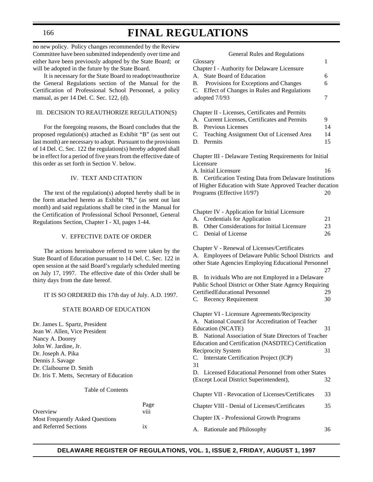#### 166

# **FINAL REGULATIONS**

no new policy. Policy changes recommended by the Review Committee have been submitted independently over time and either have been previously adopted by the State Board; or will be adopted in the future by the State Board.

It is necessary for the State Board to readopt/reauthorize the General Regulations section of the Manual for the Certification of Professional School Personnel, a policy manual, as per 14 Del. C. Sec. 122, (d).

#### III. DECISION TO REAUTHORIZE REGULATION(S)

For the foregoing reasons, the Board concludes that the proposed regulation(s) attached as Exhibit "B" (as sent out last month) are necessary to adopt. Pursuant to the provisions of 14 Del. C. Sec. 122 the regulation(s) hereby adopted shall be in effect for a period of five years from the effective date of this order as set forth in Section V. below.

#### IV. TEXT AND CITATION

The text of the regulation(s) adopted hereby shall be in the form attached hereto as Exhibit "B," (as sent out last month) and said regulations shall be cited in the Manual for the Certification of Professional School Personnel, General Regulations Section, Chapter I - XI, pages 1-44.

#### V. EFFECTIVE DATE OF ORDER

The actions hereinabove referred to were taken by the State Board of Education pursuant to 14 Del. C. Sec. 122 in open session at the said Board's regularly scheduled meeting on July 17, 1997. The effective date of this Order shall be thirty days from the date hereof.

IT IS SO ORDERED this 17th day of July. A.D. 1997.

#### STATE BOARD OF EDUCATION

Dr. James L. Spartz, President Jean W. Allen, Vice President Nancy A. Doorey John W. Jardine, Jr. Dr. Joseph A. Pika Dennis J. Savage Dr. Claibourne D. Smith Dr. Iris T. Metts, Secretary of Education

#### Table of Contents

|                                        | Page        |
|----------------------------------------|-------------|
| Overview                               | <b>V111</b> |
| <b>Most Frequently Asked Ouestions</b> |             |
| and Referred Sections                  | ix          |

| <b>General Rules and Regulations</b>          |   |
|-----------------------------------------------|---|
| Glossary                                      |   |
| Chapter I - Authority for Delaware Licensure  |   |
| A. State Board of Education                   |   |
| B. Provisions for Exceptions and Changes      | 6 |
| C. Effect of Changes in Rules and Regulations |   |
| adopted 7/1/93                                |   |
|                                               |   |

Chapter II - Licenses, Certificates and Permits

- A. Current Licenses, Certificates and Permits 9 B. Previous Licenses 14
- C. Teaching Assignment Out of Licensed Area 14
- D. Permits 15

Chapter III - Delaware Testing Requirements for Initial Licensure

| A. Initial Licensure                                            |  |
|-----------------------------------------------------------------|--|
| <b>B.</b> Certification Testing Data from Delaware Institutions |  |

of Higher Education with State Approved Teacher ducation Programs (Effective  $1/1/97$ ) 20

| Chapter IV - Application for Initial Licensure<br><b>Credentials for Application</b><br>А.<br>Other Considerations for Initial Licensure<br><b>B.</b><br>Denial of License<br>C.                                                                                                                                                         | 21<br>23<br>26 |
|------------------------------------------------------------------------------------------------------------------------------------------------------------------------------------------------------------------------------------------------------------------------------------------------------------------------------------------|----------------|
| Chapter V - Renewal of Licenses/Certificates<br>A. Employees of Delaware Public School Districts<br>other State Agencies Employing Educational Personnel                                                                                                                                                                                 | and<br>27      |
| In ividuals Who are not Employed in a Delaware<br>B.                                                                                                                                                                                                                                                                                     |                |
| Public School District or Other State Agency Requiring                                                                                                                                                                                                                                                                                   |                |
| CertifiedEducational Personnel                                                                                                                                                                                                                                                                                                           | 29             |
| C. Recency Requirement                                                                                                                                                                                                                                                                                                                   | 30             |
| Chapter VI - Licensure Agreements/Reciprocity<br>National Council for Accreditation of Teacher<br>$A_{\cdot}$<br><b>Education (NCATE)</b><br>National Association of State Directors of Teacher<br>B.<br>Education and Certification (NASDTEC) Certification<br>Reciprocity System<br>Interstate Certification Project (ICP)<br>C.<br>31 | 31<br>31       |
| Licensed Educational Personnel from other States<br>D.<br>(Except Local District Superintendent),                                                                                                                                                                                                                                        | 32             |
| Chapter VII - Revocation of Licenses/Certificates                                                                                                                                                                                                                                                                                        | 33             |
| Chapter VIII - Denial of Licenses/Certificates                                                                                                                                                                                                                                                                                           | 35             |
| <b>Chapter IX - Professional Growth Programs</b>                                                                                                                                                                                                                                                                                         |                |
| Rationale and Philosophy<br>А.                                                                                                                                                                                                                                                                                                           | 36             |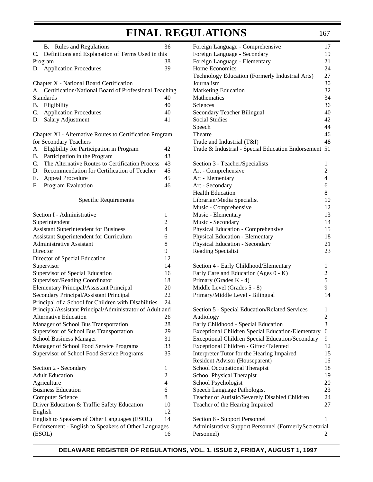| B. Rules and Regulations  | 36                                                   |
|---------------------------|------------------------------------------------------|
|                           | C. Definitions and Explanation of Terms Used in this |
| Program                   | 38                                                   |
| D. Application Procedures | 39                                                   |

| Chapter X - National Board Certification                 |    |
|----------------------------------------------------------|----|
| A. Certification/National Board of Professional Teaching |    |
| Standards                                                | 40 |
| <b>B.</b> Eligibility                                    | 40 |

| C. Application Procedures | 40 |
|---------------------------|----|
| D. Salary Adjustment      | 41 |

Chapter XI - Alternative Routes to Certification Program for Secondary Teachers

| A. Eligibility for Participation in Program        | 42  |
|----------------------------------------------------|-----|
| B. Participation in the Program                    | 43  |
| C. The Alternative Routes to Certification Process | -43 |
| D. Recommendation for Certification of Teacher     | 45  |
| E. Appeal Procedure                                | 45  |
| F. Program Evaluation                              | 46  |

# Specific Requirements

| Section I - Administrative                               | 1              |
|----------------------------------------------------------|----------------|
| Superintendent                                           | $\overline{c}$ |
| <b>Assistant Superintendent for Business</b>             | $\overline{4}$ |
| Assistant Superintendent for Curriculum                  | 6              |
| <b>Administrative Assistant</b>                          | 8              |
| Director                                                 | 9              |
| Director of Special Education                            | 12             |
| Supervisor                                               | 14             |
| Supervisor of Special Education                          | 16             |
| Supervisor/Reading Coordinator                           | 18             |
| Elementary Principal/Assistant Principal                 | 20             |
| Secondary Principal/Assistant Principal                  | 22             |
| Principal of a School for Children with Disabilities     | 24             |
| Principal/Assistant Principal/Administrator of Adult and |                |
| <b>Alternative Education</b>                             | 26             |
| Manager of School Bus Transportation                     | 28             |
| Supervisor of School Bus Transportation                  | 29             |
| <b>School Business Manager</b>                           | 31             |
| Manager of School Food Service Programs                  | 33             |
| Supervisor of School Food Service Programs               | 35             |
| Section 2 - Secondary                                    | 1              |
| <b>Adult Education</b>                                   | $\overline{c}$ |
| Agriculture                                              | $\overline{4}$ |
| <b>Business Education</b>                                | 6              |
| <b>Computer Science</b>                                  | 8              |
| Driver Education & Traffic Safety Education              | 10             |
| English                                                  | 12             |
| English to Speakers of Other Languages (ESOL)            | 14             |
| Endorsement - English to Speakers of Other Languages     |                |
| (ESOL)                                                   | 16             |

| Foreign Language - Comprehensive                         | 17 |
|----------------------------------------------------------|----|
| Foreign Language - Secondary                             | 19 |
| Foreign Language - Elementary                            | 21 |
| Home Economics                                           | 24 |
| Technology Education (Formerly Industrial Arts)          | 27 |
| Journalism                                               | 30 |
| <b>Marketing Education</b>                               | 32 |
| Mathematics                                              | 34 |
| Sciences                                                 | 36 |
| Secondary Teacher Bilingual                              | 40 |
| <b>Social Studies</b>                                    | 42 |
| Speech                                                   | 44 |
| Theatre                                                  | 46 |
| Trade and Industrial (T&I)                               | 48 |
| Trade & Industrial - Special Education Endorsement 51    |    |
|                                                          |    |
| Section 3 - Teacher/Specialists                          | 1  |
| Art - Comprehensive                                      | 2  |
| Art - Elementary                                         | 4  |
| Art - Secondary                                          | 6  |
| <b>Health Education</b>                                  | 8  |
| Librarian/Media Specialist                               | 10 |
| Music - Comprehensive                                    | 12 |
| Music - Elementary                                       | 13 |
| Music - Secondary                                        | 14 |
| Physical Education - Comprehensive                       | 15 |
| Physical Education - Elementary                          | 18 |
| Physical Education - Secondary                           | 21 |
|                                                          | 23 |
| Reading Specialist                                       |    |
| Section 4 - Early Childhood/Elementary                   | 1  |
| Early Care and Education (Ages 0 - K)                    | 2  |
| Primary (Grades K - 4)                                   | 5  |
| Middle Level (Grades 5 - 8)                              | 9  |
| Primary/Middle Level - Bilingual                         | 14 |
|                                                          |    |
| Section 5 - Special Education/Related Services           | 1  |
| Audiology                                                | 2  |
| Early Childhood - Special Education                      | 3  |
| <b>Exceptional Children Special Education/Elementary</b> | 6  |
| Exceptional Children Special Education/Secondary         | 9  |
| Exceptional Children - Gifted/Talented                   | 12 |
| Interpreter Tutor for the Hearing Impaired               | 15 |
| Resident Advisor (Houseparent)                           | 16 |
|                                                          | 18 |
| School Occupational Therapist                            |    |
| School Physical Therapist                                | 19 |
| School Psychologist                                      | 20 |
| Speech Language Pathologist                              | 23 |
| Teacher of Autistic/Severely Disabled Children           | 24 |
| Teacher of the Hearing Impaired                          | 27 |
|                                                          |    |
| Section 6 - Support Personnel                            | 1  |
| Administrative Support Personnel (Formerly Secretarial   |    |
| Personnel)                                               | 2  |

167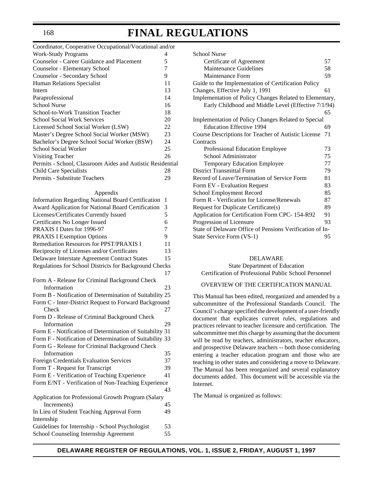Coordinator, Cooperative Occupational/Vocational and/or

| <b>Work-Study Programs</b>                                 | 4  |
|------------------------------------------------------------|----|
| Counselor - Career Guidance and Placement                  | 5  |
| Counselor - Elementary School                              | 7  |
| Counselor - Secondary School                               | 9  |
| Human Relations Specialist                                 | 11 |
| Intern                                                     | 13 |
| Paraprofessional                                           | 14 |
| <b>School Nurse</b>                                        | 16 |
| School-to-Work Transition Teacher                          | 18 |
| <b>School Social Work Services</b>                         | 20 |
| Licensed School Social Worker (LSW)                        | 22 |
| Master's Degree School Social Worker (MSW)                 | 23 |
| Bachelor's Degree School Social Worker (BSW)               | 24 |
| <b>School Social Worker</b>                                | 25 |
| Visiting Teacher                                           | 26 |
| Permits - School, Classroom Aides and Autistic Residential |    |
| Child Care Specialists                                     | 28 |
| Permits - Substitute Teachers                              | 29 |
|                                                            |    |

#### Appendix

| <b>Information Regarding National Board Certification</b> | 1  |
|-----------------------------------------------------------|----|
| Award Application for National Board Certification        | 3  |
| Licenses/Certificates Currently Issued                    | 5  |
| Certificates No Longer Issued                             | 6  |
| PRAXIS I Dates for 1996-97                                | 7  |
| <b>PRAXIS I Exemption Options</b>                         | 9  |
| Remediation Resources for PPST/PRAXIS I                   | 11 |
| Reciprocity of Licenses and/or Certificates               | 13 |
| Delaware Interstate Agreement Contract States             | 15 |
| Regulations for School Districts for Background Checks    |    |
|                                                           | 17 |
| Form A - Release for Criminal Background Check            |    |
| Information                                               | 23 |
| Form B - Notification of Determination of Suitability 25  |    |
| Form C - Inter-District Request to Forward Background     |    |
| Check                                                     | 27 |
| Form D - Release of Criminal Background Check             |    |
| Information                                               | 29 |
| Form E - Notification of Determination of Suitability 31  |    |
| Form F - Notification of Determination of Suitability 33  |    |
| Form G - Release for Criminal Background Check            |    |
| Information                                               | 35 |
| Foreign Credentials Evaluation Services                   | 37 |
| Form T - Request for Transcript                           | 39 |
| Form E - Verification of Teaching Experience              | 41 |
| Form E/NT - Verification of Non-Teaching Experience       |    |
|                                                           | 43 |
| Application for Professional Growth Program (Salary       |    |
| Increments)                                               | 45 |
| In Lieu of Student Teaching Approval Form                 | 49 |
| Internship                                                |    |
| Guidelines for Internship - School Psychologist           | 53 |
| School Counseling Internship Agreement                    | 55 |
|                                                           |    |

| <b>School Nurse</b>                                      |    |
|----------------------------------------------------------|----|
| Certificate of Agreement                                 | 57 |
| Maintenance Guidelines                                   | 58 |
| Maintenance Form                                         | 59 |
| Guide to the Implementation of Certification Policy      |    |
| Changes, Effective July 1, 1991                          | 61 |
| Implementation of Policy Changes Related to Elementary,  |    |
| Early Childhood and Middle Level (Effective 7/1/94)      |    |
|                                                          | 65 |
| Implementation of Policy Changes Related to Special      |    |
| <b>Education Effective 1994</b>                          | 69 |
| Course Descriptions for Teacher of Autistic License      | 71 |
| Contracts                                                |    |
| Professional Education Employee                          | 73 |
| School Administrator                                     | 75 |
| <b>Temporary Education Employee</b>                      | 77 |
| <b>District Transmittal Form</b>                         | 79 |
| Record of Leave/Termination of Service Form              | 81 |
| Form EV - Evaluation Request                             | 83 |
| School Employment Record                                 | 85 |
| Form R - Verification for License/Renewals               | 87 |
| Request for Duplicate Certificate(s)                     | 89 |
| Application for Certification Form CPC- 154-R92          | 91 |
| Progression of Licensure                                 | 93 |
| State of Delaware Office of Pensions Verification of In- |    |
| State Service Form (VS-1)                                | 95 |

#### DELAWARE

State Department of Education Certification of Professional Public School Personnel

### OVERVIEW OF THE CERTIFICATION MANUAL

This Manual has been edited, reorganized and amended by a subcommittee of the Professional Standards Council. The Council's charge specified the development of a user-friendly document that explicates current rules, regulations and practices relevant to teacher licensure and certification. The subcommittee met this charge by assuming that the document will be read by teachers, administrators, teacher educators, and prospective Delaware teachers -- both those considering entering a teacher education program and those who are teaching in other states and considering a move to Delaware. The Manual has been reorganized and several explanatory documents added. This document will be accessible via the Internet.

The Manual is organized as follows:

#### 168

# **DELAWARE REGISTER OF REGULATIONS, VOL. 1, ISSUE 2, FRIDAY, AUGUST 1, 1997**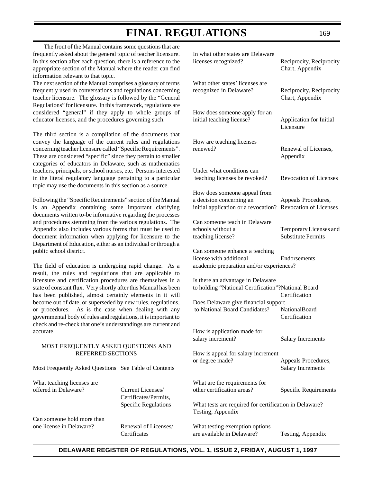The front of the Manual contains some questions that are frequently asked about the general topic of teacher licensure. In this section after each question, there is a reference to the appropriate section of the Manual where the reader can find information relevant to that topic.

The next section of the Manual comprises a glossary of terms frequently used in conversations and regulations concerning teacher licensure. The glossary is followed by the "General Regulations" for licensure. In this framework, regulations are considered "general" if they apply to whole groups of educator licenses, and the procedures governing such.

The third section is a compilation of the documents that convey the language of the current rules and regulations concerning teacher licensure called "Specific Requirements". These are considered "specific" since they pertain to smaller categories of educators in Delaware, such as mathematics teachers, principals, or school nurses, etc. Persons interested in the literal regulatory language pertaining to a particular topic may use the documents in this section as a source.

Following the "Specific Requirements" section of the Manual is an Appendix containing some important clarifying documents written to-be informative regarding the processes and procedures stemming from the various regulations. The Appendix also includes various forms that must be used to document information when applying for licensure to the Department of Education, either as an individual or through a public school district.

The field of education is undergoing rapid change. As a result, the rules and regulations that are applicable to licensure and certification procedures are themselves in a state of constant flux. Very shortly after this Manual has been has been published, almost certainly elements in it will become out of date, or superseded by new rules, regulations, or procedures. As is the case when dealing with any governmental body of rules and regulations, it is important to check and re-check that one's understandings are current and accurate.

# MOST FREQUENTLY ASKED QUESTIONS AND REFERRED SECTIONS

Most Frequently Asked Questions See Table of Contents

What teaching licenses are offered in Delaware? Current Licenses/

Certificates/Permits, Specific Regulations

Can someone hold more than one license in Delaware? Renewal of Licenses/

**Certificates** 

| In what other states are Delaware<br>licenses recognized?                                             | Reciprocity, Reciprocity<br>Chart, Appendix          |
|-------------------------------------------------------------------------------------------------------|------------------------------------------------------|
| What other states' licenses are<br>recognized in Delaware?                                            | Reciprocity, Reciprocity<br>Chart, Appendix          |
| How does someone apply for an<br>initial teaching license?                                            | Application for Initial<br>Licensure                 |
| How are teaching licenses<br>renewed?                                                                 | Renewal of Licenses,<br>Appendix                     |
| Under what conditions can<br>teaching licenses be revoked?                                            | <b>Revocation of Licenses</b>                        |
| How does someone appeal from<br>a decision concerning an<br>initial application or a revocation?      | Appeals Procedures,<br><b>Revocation of Licenses</b> |
| Can someone teach in Delaware<br>schools without a<br>teaching license?                               | Temporary Licenses and<br><b>Substitute Permits</b>  |
| Can someone enhance a teaching<br>license with additional<br>academic preparation and/or experiences? | Endorsements                                         |
| Is there an advantage in Delaware<br>to holding "National Certification"?National Board               | Certification                                        |
| Does Delaware give financial support<br>to National Board Candidates?                                 | NationalBoard<br>Certification                       |
| How is application made for<br>salary increment?                                                      | <b>Salary Increments</b>                             |
| How is appeal for salary increment<br>or degree made?                                                 | Appeals Procedures,<br><b>Salary Increments</b>      |
| What are the requirements for<br>other certification areas?                                           | <b>Specific Requirements</b>                         |
| What tests are required for certification in Delaware?<br>Testing, Appendix                           |                                                      |
| What testing exemption options                                                                        |                                                      |

are available in Delaware? Testing, Appendix

# **DELAWARE REGISTER OF REGULATIONS, VOL. 1, ISSUE 2, FRIDAY, AUGUST 1, 1997**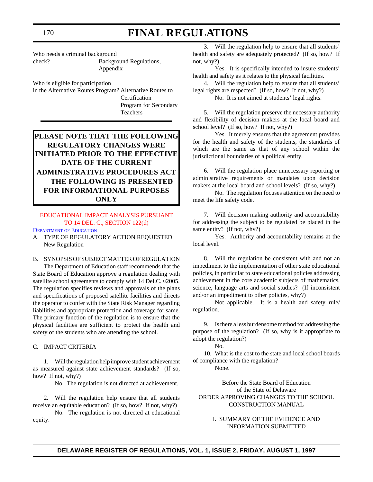Who needs a criminal background check? Background Regulations, Appendix

Who is eligible for participation in the Alternative Routes Program? Alternative Routes to Certification Program for Secondary Teachers

# **PLEASE NOTE THAT THE FOLLOWING REGULATORY CHANGES WERE INITIATED PRIOR TO THE EFFECTIVE DATE OF THE CURRENT ADMINISTRATIVE PROCEDURES ACT THE FOLLOWING IS PRESENTED FOR INFORMATIONAL PURPOSES ONLY**

## [EDUCATIONAL IMPACT ANALYSIS PURSUANT](#page-4-0) TO 14 DEL. C., SECTION 122(d)

DEPARTMENT [OF EDUCATION](http://www.state.de.us/high-ed/intro.htm)

A. TYPE OF REGULATORY ACTION REQUESTED New Regulation

B. SYNOPSIS OF SUBJECT MATTER OF REGULATION The Department of Education staff recommends that the State Board of Education approve a regulation dealing with satellite school agreements to comply with 14 Del.C.  $\alpha$ 2005. The regulation specifies reviews and approvals of the plans and specifications of proposed satellite facilities and directs the operator to confer with the State Risk Manager regarding liabilities and appropriate protection and coverage for same. The primary function of the regulation is to ensure that the physical facilities are sufficient to protect the health and safety of the students who are attending the school.

## C. IMPACT CRITERIA

1. Will the regulation help improve student achievement as measured against state achievement standards? (If so, how? If not, why?)

No. The regulation is not directed at achievement.

2. Will the regulation help ensure that all students receive an equitable education? (If so, how? If not, why?)

No. The regulation is not directed at educational equity.

3. Will the regulation help to ensure that all students' health and safety are adequately protected? (If so, how? If not, why?)

Yes. It is specifically intended to insure students' health and safety as it relates to the physical facilities.

4. Will the regulation help to ensure that all students' legal rights are respected? (If so, how? If not, why?)

No. It is not aimed at students' legal rights.

5. Will the regulation preserve the necessary authority and flexibility of decision makers at the local board and school level? (If so, how? If not, why?)

Yes. It merely ensures that the agreement provides for the health and safety of the students, the standards of which are the same as that of any school within the jurisdictional boundaries of a political entity.

6. Will the regulation place unnecessary reporting or administrative requirements or mandates upon decision makers at the local board and school levels? (If so, why?)

No. The regulation focuses attention on the need to meet the life safety code.

7. Will decision making authority and accountability for addressing the subject to be regulated be placed in the same entity? (If not, why?)

Yes. Authority and accountability remains at the local level.

8. Will the regulation be consistent with and not an impediment to the implementation of other state educational policies, in particular to state educational policies addressing achievement in the core academic subjects of mathematics, science, language arts and social studies? (If inconsistent and/or an impediment to other policies, why?)

Not applicable. It is a health and safety rule/ regulation.

9. Is there a less burdensome method for addressing the purpose of the regulation? (If so, why is it appropriate to adopt the regulation?)

No.

10. What is the cost to the state and local school boards of compliance with the regulation?

None.

Before the State Board of Education of the State of Delaware ORDER APPROVING CHANGES TO THE SCHOOL CONSTRUCTION MANUAL

> I. SUMMARY OF THE EVIDENCE AND INFORMATION SUBMITTED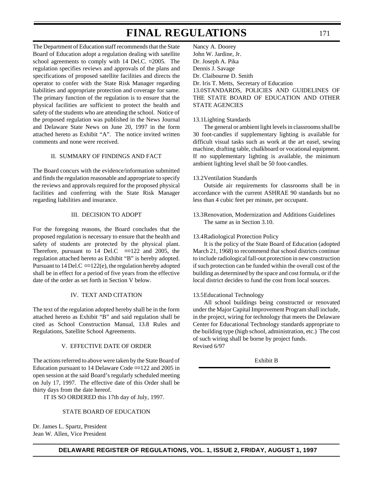The Department of Education staff recommends that the State Board of Education adopt a regulation dealing with satellite school agreements to comply with 14 Del.C. ¤2005. The regulation specifies reviews and approvals of the plans and specifications of proposed satellite facilities and directs the operator to confer with the State Risk Manager regarding liabilities and appropriate protection and coverage for same. The primary function of the regulation is to ensure that the physical facilities are sufficient to protect the health and safety of the students who are attending the school. Notice of the proposed regulation was published in the News Journal and Delaware State News on June 20, 1997 in the form attached hereto as Exhibit "A". The notice invited written comments and none were received.

#### II. SUMMARY OF FINDINGS AND FACT

The Board concurs with the evidence/information submitted and finds the regulation reasonable and appropriate to specify the reviews and approvals required for the proposed physical facilities and conferring with the State Risk Manager regarding liabilities and insurance.

#### III. DECISION TO ADOPT

For the foregoing reasons, the Board concludes that the proposed regulation is necessary to ensure that the health and safety of students are protected by the physical plant. Therefore, pursuant to 14 Del.C ¤¤122 and 2005, the regulation attached hereto as Exhibit "B" is hereby adopted. Pursuant to 14 Del.C ¤¤122(e), the regulation hereby adopted shall be in effect for a period of five years from the effective date of the order as set forth in Section V below.

#### IV. TEXT AND CITATION

The text of the regulation adopted hereby shall be in the form attached hereto as Exhibit "B" and said regulation shall be cited as School Construction Manual, 13.8 Rules and Regulations, Satellite School Agreements.

#### V. EFFECTIVE DATE OF ORDER

The actions referred to above were taken by the State Board of Education pursuant to 14 Delaware Code ¤¤122 and 2005 in open session at the said Board's regularly scheduled meeting on July 17, 1997. The effective date of this Order shall be thirty days from the date hereof.

IT IS SO ORDERED this 17th day of July, 1997.

#### STATE BOARD OF EDUCATION

Dr. James L. Spartz, President Jean W. Allen, Vice President

Nancy A. Doorey John W. Jardine, Jr. Dr. Joseph A. Pika Dennis J. Savage Dr. Claibourne D. Smith Dr. Iris T. Metts, Secretary of Education 13.0STANDARDS, POLICIES AND GUIDELINES OF THE STATE BOARD OF EDUCATION AND OTHER STATE AGENCIES

#### 13.1Lighting Standards

The general or ambient light levels in classrooms shall be 30 foot-candles if supplementary lighting is available for difficult visual tasks such as work at the art easel, sewing machine, drafting table, chalkboard or vocational equipment. If no supplementary lighting is available, the minimum ambient lighting level shall be 50 foot-candles.

#### 13.2Ventilation Standards

Outside air requirements for classrooms shall be in accordance with the current ASHRAE 90 standards but no less than 4 cubic feet per minute, per occupant.

13.3Renovation, Modernization and Additions Guidelines The same as in Section 3.10.

### 13.4Radiological Protection Policy

It is the policy of the State Board of Education (adopted March 21, 1968) to recommend that school districts continue to include radiological fall-out protection in new construction if such protection can be funded within the overall cost of the building as determined by the space and cost formula, or if the local district decides to fund the cost from local sources.

## 13.5Educational Technology

All school buildings being constructed or renovated under the Major Capital Improvement Program shall include, in the project, wiring for technology that meets the Delaware Center for Educational Technology standards appropriate to the building type (high school, administration, etc.) The cost of such wiring shall be borne by project funds. Revised 6/97

Exhibit B

# **DELAWARE REGISTER OF REGULATIONS, VOL. 1, ISSUE 2, FRIDAY, AUGUST 1, 1997**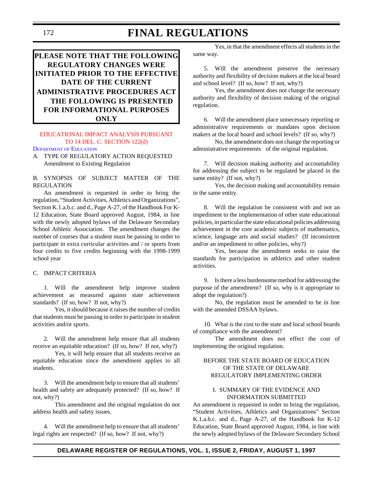# **PLEASE NOTE THAT THE FOLLOWING REGULATORY CHANGES WERE INITIATED PRIOR TO THE EFFECTIVE DATE OF THE CURRENT ADMINISTRATIVE PROCEDURES ACT THE FOLLOWING IS PRESENTED FOR INFORMATIONAL PURPOSES ONLY**

# [EDUCATIONAL IMPACT ANALYSIS PURSUANT](#page-4-0) TO 14 DEL. C. SECTION 122(d)

DEPARTMENT [OF EDUCATION](http://www.state.de.us/high-ed/intro.htm)

A. TYPE OF REGULATORY ACTION REQUESTED Amendment to Existing Regulation

B. SYNOPSIS OF SUBJECT MATTER OF THE REGULATION

An amendment is requested in order to bring the regulation, "Student Activities, Athletics and Organizations", Section K.1.a.b.c. and d., Page A-27, of the Handbook For K-12 Education, State Board approved August, 1984, in line with the newly adopted bylaws of the Delaware Secondary School Athletic Association. The amendment changes the number of courses that a student must be passing in order to participate in extra curricular activities and / or sports from four credits to five credits beginning with the 1998-1999 school year

#### C. IMPACT CRITERIA

1. Will the amendment help improve student achievement as measured against state achievement standards? (If so, how? If not, why?)

Yes, it should because it raises the number of credits that students must be passing in order to participate in student activities and/or sports.

2. Will the amendment help ensure that all students receive an equitable education? (If so, how? If not, why?)

Yes, it will help ensure that all students receive an equitable education since the amendment applies to all students.

3. Will the amendment help to ensure that all students' health and safety are adequately protected? (If so, how? If not, why?)

This amendment and the original regulation do not address health and safety issues.

4. Will the amendment help to ensure that all students' legal rights are respected? (If so, how? If not, why?)

Yes, in that the amendment effects all students in the same way.

5. Will the amendment preserve the necessary authority and flexibility of decision makers at the local board and school level? (If so, how? If not, why?)

Yes, the amendment does not change the necessary authority and flexibility of decision making of the original regulation.

6. Will the amendment place unnecessary reporting or administrative requirements or mandates upon decision makers at the local board and school levels? (If so, why?)

No, the amendment does not change the reporting or administrative requirements of the original regulation.

7. Will decision making authority and accountability for addressing the subject to be regulated be placed in the same entity? (If not, why?)

Yes, the decision making and accountability remain in the same entity.

8. Will the regulation be consistent with and not an impediment to the implementation of other state educational policies, in particular the state educational policies addressing achievement in the core academic subjects of mathematics, science, language arts and social studies? (If inconsistent and/or an impediment to other policies, why?)

Yes, because the amendment seeks to raise the standards for participation in athletics and other student activities.

9. Is there a less burdensome method for addressing the purpose of the amendment? (If so, why is it appropriate to adopt the regulation?)

No, the regulation must be amended to be in line with the amended DSSAA bylaws.

10. What is the cost to the state and local school boards of compliance with the amendment?

The amendment does not effect the cost of implementing the original regulation.

# BEFORE THE STATE BOARD OF EDUCATION OF THE STATE OF DELAWARE REGULATORY IMPLEMENTING ORDER

### I. SUMMARY OF THE EVIDENCE AND INFORMATION SUBMITTED

An amendment is requested in order to bring the regulation, "Student Activities, Athletics and Organizations" Section K.1.a.b.c. and d., Page A-27, of the Handbook for K-12 Education, State Board approved August, 1984, in line with the newly adopted bylaws of the Delaware Secondary School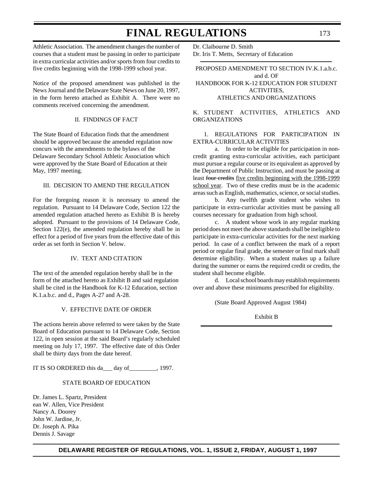Athletic Association. The amendment changes the number of courses that a student must be passing in order to participate in extra curricular activities and/or sports from four credits to five credits beginning with the 1998-1999 school year.

Notice of the proposed amendment was published in the News Journal and the Delaware State News on June 20, 1997, in the form hereto attached as Exhibit A. There were no comments received concerning the amendment.

### II. FINDINGS OF FACT

The State Board of Education finds that the amendment should be approved because the amended regulation now concurs with the amendments to the bylaws of the Delaware Secondary School Athletic Association which were approved by the State Board of Education at their May, 1997 meeting.

## III. DECISION TO AMEND THE REGULATION

For the foregoing reason it is necessary to amend the regulation. Pursuant to 14 Delaware Code, Section 122 the amended regulation attached hereto as Exhibit B is hereby adopted. Pursuant to the provisions of 14 Delaware Code, Section 122(e), the amended regulation hereby shall be in effect for a period of five years from the effective date of this order as set forth in Section V. below.

#### IV. TEXT AND CITATION

The text of the amended regulation hereby shall be in the form of the attached hereto as Exhibit B and said regulation shall be cited in the Handbook for K-12 Education, section K.1.a.b.c. and d., Pages A-27 and A-28.

## V. EFFECTIVE DATE OF ORDER

The actions herein above referred to were taken by the State Board of Education pursuant to 14 Delaware Code, Section 122, in open session at the said Board's regularly scheduled meeting on July 17, 1997. The effective date of this Order shall be thirty days from the date hereof.

IT IS SO ORDERED this da\_\_\_ day of\_\_\_\_\_\_\_\_\_, 1997.

#### STATE BOARD OF EDUCATION

Dr. James L. Spartz, President ean W. Allen, Vice President Nancy A. Doorey John W. Jardine, Jr. Dr. Joseph A. Pika Dennis J. Savage

Dr. Claibourne D. Smith Dr. Iris T. Metts, Secretary of Education

PROPOSED AMENDMENT TO SECTION IV.K.1.a.b.c. and d. OF HANDBOOK FOR K-12 EDUCATION FOR STUDENT ACTIVITIES, ATHLETICS AND ORGANIZATIONS

K. STUDENT ACTIVITIES, ATHLETICS AND ORGANIZATIONS

## 1. REGULATIONS FOR PARTICIPATION IN EXTRA-CURRICULAR ACTIVITIES

a. In order to be eligible for participation in noncredit granting extra-curricular activities, each participant must pursue a regular course or its equivalent as approved by the Department of Public Instruction, and must be passing at least four credits five credits beginning with the 1998-1999 school year. Two of these credits must be in the academic areas such as English, mathematics, science, or social studies.

b. Any twelfth grade student who wishes to participate in extra-curricular activities must be passing all courses necessary for graduation from high school.

c. A student whose work in any regular marking period does not meet the above standards shall be ineligible to participate in extra-curricular activities for the next marking period. In case of a conflict between the mark of a report period or regular final grade, the semester or final mark shall determine eligibility. When a student makes up a failure during the summer or earns the required credit or credits, the student shall become eligible.

d. Local school boards may establish requirements over and above these minimums prescribed for eligibility.

(State Board Approved August 1984)

Exhibit B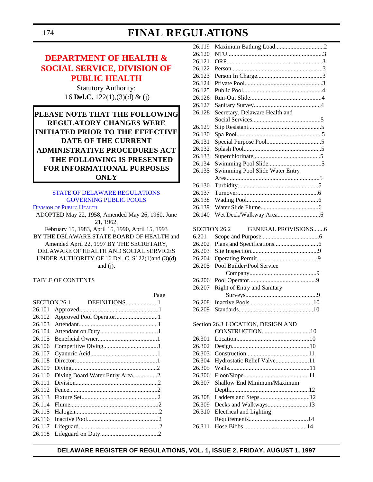# **DEPARTMENT OF HEALTH & [SOCIAL SERVICE, DIVISION OF](#page-4-0) PUBLIC HEALTH**

Statutory Authority: 16 **Del.C.** 122(1),(3)(d) & (j)

**PLEASE NOTE THAT THE FOLLOWING REGULATORY CHANGES WERE INITIATED PRIOR TO THE EFFECTIVE DATE OF THE CURRENT ADMINISTRATIVE PROCEDURES ACT THE FOLLOWING IS PRESENTED FOR INFORMATIONAL PURPOSES ONLY**

# [STATE OF DELAWARE REGULATIONS](http://www.state.de.us/govern/agencies/dhss/irm/dph/dphhome.htm) GOVERNING PUBLIC POOLS

DIVISION OF PUBLIC HEALTH

ADOPTED May 22, 1958, Amended May 26, 1960, June 21, 1962,

February 15, 1983, April 15, 1990, April 15, 1993 BY THE DELAWARE STATE BOARD OF HEALTH and Amended April 22, 1997 BY THE SECRETARY, DELAWARE OF HEALTH AND SOCIAL SERVICES UNDER AUTHORITY OF 16 Del. C. S122(1)and (3)(d) and  $(i)$ .

## TABLE OF CONTENTS

|        | Page                           |
|--------|--------------------------------|
|        | DEFINITIONS1<br>SECTION 26.1   |
| 26.101 |                                |
| 26.102 | Approved Pool Operator1        |
| 26.103 |                                |
| 26.104 |                                |
| 26.105 |                                |
| 26.106 |                                |
| 26.107 |                                |
| 26.108 |                                |
| 26.109 |                                |
| 26.110 | Diving Board Water Entry Area2 |
| 26.111 |                                |
| 26.112 |                                |
| 26.113 |                                |
| 26.114 |                                |
| 26.115 |                                |
| 26.116 |                                |
| 26.117 |                                |
| 26.118 |                                |
|        |                                |

| 26.119 |                                 |  |
|--------|---------------------------------|--|
| 26.120 |                                 |  |
| 26.121 |                                 |  |
| 26.122 |                                 |  |
| 26.123 |                                 |  |
| 26.124 |                                 |  |
| 26.125 |                                 |  |
| 26.126 |                                 |  |
| 26.127 |                                 |  |
| 26.128 | Secretary, Delaware Health and  |  |
|        |                                 |  |
| 26.129 |                                 |  |
| 26.130 |                                 |  |
| 26.131 |                                 |  |
| 26.132 |                                 |  |
| 26.133 |                                 |  |
| 26.134 |                                 |  |
| 26.135 | Swimming Pool Slide Water Entry |  |
|        |                                 |  |
| 26.136 |                                 |  |
| 26.137 |                                 |  |
| 26.138 |                                 |  |
| 26.139 |                                 |  |
| 26.140 |                                 |  |
|        |                                 |  |
|        |                                 |  |

# SECTION 26.2 GENERAL PROVISIONS........6 6.201 Scope and Purpose......................................6 26.202 Plans and Specifications.............................6 26.203 Site Inspection............................................9 26.204 Operating Permit........................................9 26.205 Pool Builder/Pool Service Company............................................9 26.206 Pool Operator............................................9 26.207 Right of Entry and Sanitary

Surveys...............................................9 26.208 Inactive Pools..........................................10 26.209 Standards.................................................10

Section 26.3 LOCATION, DESIGN AND

| 26.301 |                             |  |
|--------|-----------------------------|--|
| 26.302 |                             |  |
| 26.303 |                             |  |
| 26.304 | Hydrostatic Relief Valve11  |  |
| 26.305 |                             |  |
| 26.306 |                             |  |
| 26.307 | Shallow End Minimum/Maximum |  |
|        |                             |  |
| 26.308 |                             |  |
| 26.309 | Decks and Walkways13        |  |
| 26.310 | Electrical and Lighting     |  |
|        |                             |  |
| 26.311 |                             |  |
|        |                             |  |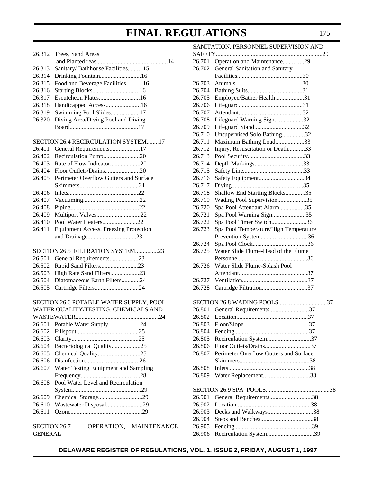26.312 Trees, Sand Areas

| 26.313 Sanitary/Bathhouse Facilities15    |  |
|-------------------------------------------|--|
|                                           |  |
| 26.315 Food and Beverage Facilities16     |  |
|                                           |  |
|                                           |  |
|                                           |  |
| 26.319 Swimming Pool Slides17             |  |
| 26.320 Diving Area/Diving Pool and Diving |  |
|                                           |  |
|                                           |  |

### SECTION 26.4 RECIRCULATION SYSTEM........17

| 26.401 | General Requirements17                       |
|--------|----------------------------------------------|
| 26.402 | Recirculation Pump20                         |
| 26.403 |                                              |
| 26.404 | Floor Outlets/Drains20                       |
| 26.405 | Perimeter Overflow Gutters and Surface       |
|        |                                              |
| 26.406 |                                              |
| 26.407 |                                              |
| 26.408 |                                              |
| 26.409 |                                              |
| 26.410 |                                              |
| 26.411 | <b>Equipment Access, Freezing Protection</b> |
|        | and Drainage23                               |
|        |                                              |

## SECTION 26.5 FILTRATION SYSTEM...............23

| 26.501 General Requirements23       |
|-------------------------------------|
|                                     |
|                                     |
| 26.504 Diatomaceous Earth Filters24 |
|                                     |

#### SECTION 26.6 POTABLE WATER SUPPLY, POOL

|        | WATER QUALITY/TESTING, CHEMICALS AND |  |
|--------|--------------------------------------|--|
|        |                                      |  |
|        |                                      |  |
|        |                                      |  |
|        |                                      |  |
| 26.604 | Bacteriological Quality25            |  |
| 26.605 | Chemical Quality25                   |  |
| 26.606 |                                      |  |
| 26.607 | Water Testing Equipment and Sampling |  |
|        |                                      |  |
| 26.608 | Pool Water Level and Recirculation   |  |
|        |                                      |  |
| 26.609 | Chemical Storage29                   |  |
| 26.610 | Wastewater Disposal29                |  |
| 26.611 |                                      |  |
|        |                                      |  |

SECTION 26.7 OPERATION, MAINTENANCE, GENERAL

| SANITATION, PERSONNEL SUPERVISION AND |                                        |  |
|---------------------------------------|----------------------------------------|--|
|                                       |                                        |  |
| 26.701                                | Operation and Maintenance29            |  |
| 26.702                                | General Sanitation and Sanitary        |  |
|                                       |                                        |  |
| 26.703                                |                                        |  |
| 26.704                                |                                        |  |
| 26.705                                | Employee/Bather Health31               |  |
| 26.706                                |                                        |  |
| 26.707                                |                                        |  |
| 26.708                                | Lifeguard Warning Sign32               |  |
| 26.709                                | Lifeguard Stand32                      |  |
| 26.710                                | Unsupervised Solo Bathing32            |  |
| 26.711                                | Maximum Bathing Load33                 |  |
| 26.712                                | Injury, Resuscitation or Death33       |  |
| 26.713                                |                                        |  |
| 26.714                                | Depth Markings33                       |  |
| 26.715                                |                                        |  |
| 26.716                                | Safety Equipment34                     |  |
| 26.717                                |                                        |  |
|                                       |                                        |  |
| 26.718                                | Shallow End Starting Blocks35          |  |
| 26.719                                | Wading Pool Supervision35              |  |
| 26.720                                | Spa Pool Attendant Alarm35             |  |
| 26.721                                | Spa Pool Warning Sign35                |  |
| 26.722                                | Spa Pool Timer Switch36                |  |
| 26.723                                | Spa Pool Temperature/High Temperature  |  |
|                                       | Prevention System36                    |  |
| 26.724                                |                                        |  |
| 26.725                                | Water Slide Flume-Head of the Flume    |  |
|                                       |                                        |  |
| 26.726                                | Water Slide Flume-Splash Pool          |  |
|                                       |                                        |  |
| 26.727                                |                                        |  |
| 26.728                                | Cartridge Filtration37                 |  |
|                                       |                                        |  |
| 26.801                                | General Requirements37                 |  |
| 26.802                                |                                        |  |
| 26.803                                |                                        |  |
| 26.804                                |                                        |  |
| 26.805                                | Recirculation System37                 |  |
| 26.806                                | Floor Outlets/Drains37                 |  |
| 26.807                                | Perimeter Overflow Gutters and Surface |  |
|                                       |                                        |  |
| 26.808                                |                                        |  |
| 26.809                                | Water Replacement38                    |  |
|                                       |                                        |  |
|                                       |                                        |  |
| 26.901                                | General Requirements38                 |  |
| 26.902                                |                                        |  |
| 26.903                                | Decks and Walkways38                   |  |
| 26.904                                |                                        |  |
| 26.905                                |                                        |  |
| 26.906                                | Recirculation System39                 |  |

# **DELAWARE REGISTER OF REGULATIONS, VOL. 1, ISSUE 2, FRIDAY, AUGUST 1, 1997**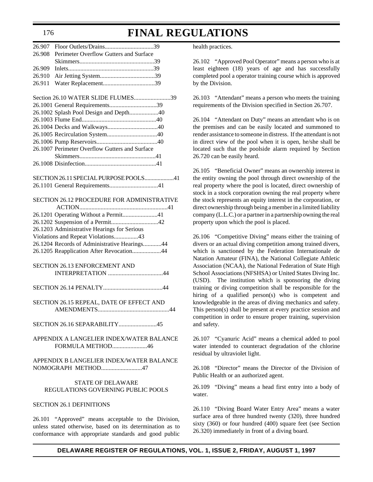| 26.907 |                                                |  |
|--------|------------------------------------------------|--|
| 26.908 | Perimeter Overflow Gutters and Surface         |  |
|        |                                                |  |
| 26.909 |                                                |  |
| 26.910 |                                                |  |
| 26.911 |                                                |  |
|        |                                                |  |
|        | Section 26.10 WATER SLIDE FLUMES39             |  |
|        |                                                |  |
|        | 26.1002 Splash Pool Design and Depth40         |  |
|        |                                                |  |
|        |                                                |  |
|        |                                                |  |
|        |                                                |  |
|        |                                                |  |
|        | 26.1007 Perimeter Overflow Gutters and Surface |  |
|        |                                                |  |
|        |                                                |  |
|        | SECTION 26.11 SPECIAL PURPOSE POOLS41          |  |
|        |                                                |  |
|        |                                                |  |
|        | SECTION 26.12 PROCEDURE FOR ADMINISTRATIVE     |  |
|        |                                                |  |
|        |                                                |  |
|        | 26.1201 Operating Without a Permit41           |  |
|        |                                                |  |
|        | 26.1203 Administrative Hearings for Serious    |  |
|        | Violations and Repeat Violations43             |  |
|        | 26.1204 Records of Administrative Hearings44   |  |
|        | 26.1205 Reapplication After Revocation44       |  |
|        |                                                |  |
|        | SECTION 26.13 ENFORCEMENT AND                  |  |
|        |                                                |  |
|        |                                                |  |
|        |                                                |  |
|        |                                                |  |
|        | SECTION 26.15 REPEAL, DATE OF EFFECT AND       |  |
|        |                                                |  |
|        |                                                |  |
|        |                                                |  |
|        |                                                |  |
|        | APPENDIX A LANGELIER INDEX/WATER BALANCE       |  |
|        | FORMULA METHOD46                               |  |
|        |                                                |  |
|        |                                                |  |
|        | APPENDIX B LANGELIER INDEX/WATER BALANCE       |  |
|        | NOMOGRAPH METHOD47                             |  |
|        |                                                |  |
|        | <b>STATE OF DELAWARE</b>                       |  |
|        | <b>REGULATIONS GOVERNING PUBLIC POOLS</b>      |  |
|        |                                                |  |

#### SECTION 26.1 DEFINITIONS

26.101 "Approved" means acceptable to the Division, unless stated otherwise, based on its determination as to conformance with appropriate standards and good public

health practices.

26.102 "Approved Pool Operator" means a person who is at least eighteen (18) years of age and has successfully completed pool a operator training course which is approved by the Division.

26.103 "Attendant" means a person who meets the training requirements of the Division specified in Section 26.707.

26.104 "Attendant on Duty" means an attendant who is on the premises and can be easily located and summoned to render assistance to someone in distress. If the attendant is not in direct view of the pool when it is open, he/she shall be located such that the poolside alarm required by Section 26.720 can be easily heard.

26.105 "Beneficial Owner" means an ownership interest in the entity owning the pool through direct ownership of the real property where the pool is located, direct ownership of stock in a stock corporation owning the real property where the stock represents an equity interest in the corporation, or direct ownership through being a member in a limited liability company (L.L.C.) or a partner in a partnership owning the real property upon which the pool is placed.

26.106 "Competitive Diving" means either the training of divers or an actual diving competition among trained divers, which is sanctioned by the Federation Internationale de Natation Amateur (FINA), the National Collegiate Athletic Association (NCAA), the National Federation of State High School Associations (NFSHSA) or United States Diving Inc. (USD). The institution which is sponsoring the diving training or diving competition shall be responsible for the hiring of a qualified person(s) who is competent and knowledgeable in the areas of diving mechanics and safety. This person(s) shall be present at every practice session and competition in order to ensure proper training, supervision and safety.

26.107 "Cyanuric Acid" means a chemical added to pool water intended to counteract degradation of the chlorine residual by ultraviolet light.

26.108 "Director" means the Director of the Division of Public Health or an authorized agent.

26.109 "Diving" means a head first entry into a body of water.

26.110 "Diving Board Water Entry Area" means a water surface area of three hundred twenty (320), three hundred sixty (360) or four hundred (400) square feet (see Section 26.320) immediately in front of a diving board.

# **DELAWARE REGISTER OF REGULATIONS, VOL. 1, ISSUE 2, FRIDAY, AUGUST 1, 1997**

### 176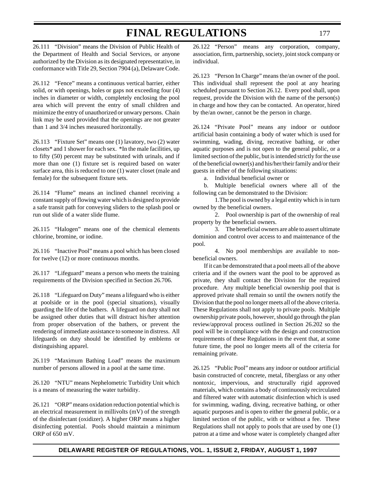26.111 "Division" means the Division of Public Health of the Department of Health and Social Services, or anyone authorized by the Division as its designated representative, in conformance with Title 29, Section 7904 (a), Delaware Code.

26.112 "Fence" means a continuous vertical barrier, either solid, or with openings, holes or gaps not exceeding four (4) inches in diameter or width, completely enclosing the pool area which will prevent the entry of small children and minimize the entry of unauthorized or unwary persons. Chain link may be used provided that the openings are not greater than 1 and 3/4 inches measured horizontally.

26.113 "Fixture Set" means one (1) lavatory, two (2) water closets\* and 1 shower for each sex. \*In the male facilities, up to fifty (50) percent may be substituted with urinals, and if more than one (1) fixture set is required based on water surface area, this is reduced to one (1) water closet (male and female) for the subsequent fixture sets.

26.114 "Flume" means an inclined channel receiving a constant supply of flowing water which is designed to provide a safe transit path for conveying sliders to the splash pool or run out slide of a water slide flume.

26.115 "Halogen" means one of the chemical elements chlorine, bromine, or iodine.

26.116 "Inactive Pool" means a pool which has been closed for twelve (12) or more continuous months.

26.117 "Lifeguard" means a person who meets the training requirements of the Division specified in Section 26.706.

26.118 "Lifeguard on Duty" means a lifeguard who is either at poolside or in the pool (special situations), visually guarding the life of the bathers. A lifeguard on duty shall not be assigned other duties that will distract his/her attention from proper observation of the bathers, or prevent the rendering of immediate assistance to someone in distress. All lifeguards on duty should be identified by emblems or distinguishing apparel.

26.119 "Maximum Bathing Load" means the maximum number of persons allowed in a pool at the same time.

26.120 "NTU" means Nephelometric Turbidity Unit which is a means of measuring the water turbidity.

26.121 "ORP" means oxidation reduction potential which is an electrical measurement in millivolts (mV) of the strength of the disinfectant (oxidizer). A higher ORP means a higher disinfecting potential. Pools should maintain a minimum ORP of 650 mV.

26.122 "Person" means any corporation, company, association, firm, partnership, society, joint stock company or individual.

26.123 "Person In Charge" means the/an owner of the pool. This individual shall represent the pool at any hearing scheduled pursuant to Section 26.12. Every pool shall, upon request, provide the Division with the name of the person(s) in charge and how they can be contacted. An operator, hired by the/an owner, cannot be the person in charge.

26.124 "Private Pool" means any indoor or outdoor artificial basin containing a body of water which is used for swimming, wading, diving, recreative bathing, or other aquatic purposes and is not open to the general public, or a limited section of the public, but is intended strictly for the use of the beneficial owner(s) and his/her/their family and/or their guests in either of the following situations:

a. Individual beneficial owner or

b. Multiple beneficial owners where all of the following can be demonstrated to the Division:

1.The pool is owned by a legal entity which is in turn owned by the beneficial owners.

2. Pool ownership is part of the ownership of real property by the beneficial owners.

3. The beneficial owners are able to assert ultimate dominion and control over access to and maintenance of the pool.

4. No pool memberships are available to nonbeneficial owners.

If it can be demonstrated that a pool meets all of the above criteria and if the owners want the pool to be approved as private, they shall contact the Division for the required procedure. Any multiple beneficial ownership pool that is approved private shall remain so until the owners notify the Division that the pool no longer meets all of the above criteria. These Regulations shall not apply to private pools. Multiple ownership private pools, however, should go through the plan review/approval process outlined in Section 26.202 so the pool will be in compliance with the design and construction requirements of these Regulations in the event that, at some future time, the pool no longer meets all of the criteria for remaining private.

26.125 "Public Pool" means any indoor or outdoor artificial basin constructed of concrete, metal, fiberglass or any other nontoxic, impervious, and structurally rigid approved materials, which contains a body of continuously recirculated and filtered water with automatic disinfection which is used for swimming, wading, diving, recreative bathing, or other aquatic purposes and is open to either the general public, or a limited section of the public, with or without a fee. These Regulations shall not apply to pools that are used by one (1) patron at a time and whose water is completely changed after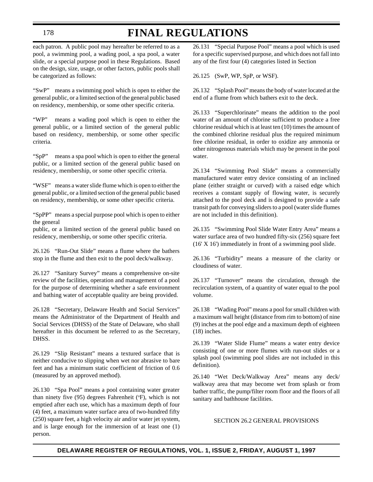# 178

# **FINAL REGULATIONS**

each patron. A public pool may hereafter be referred to as a pool, a swimming pool, a wading pool, a spa pool, a water slide, or a special purpose pool in these Regulations. Based on the design, size, usage, or other factors, public pools shall be categorized as follows:

"SwP" means a swimming pool which is open to either the general public, or a limited section of the general public based on residency, membership, or some other specific criteria.

"WP" means a wading pool which is open to either the general public, or a limited section of the general public based on residency, membership, or some other specific criteria.

"SpP" means a spa pool which is open to either the general public, or a limited section of the general public based on residency, membership, or some other specific criteria.

"WSF" means a water slide flume which is open to either the general public, or a limited section of the general public based on residency, membership, or some other specific criteria.

"SpPP" means a special purpose pool which is open to either the general

public, or a limited section of the general public based on residency, membership, or some other specific criteria.

26.126 "Run-Out Slide" means a flume where the bathers stop in the flume and then exit to the pool deck/walkway.

26.127 "Sanitary Survey" means a comprehensive on-site review of the facilities, operation and management of a pool for the purpose of determining whether a safe environment and bathing water of acceptable quality are being provided.

26.128 "Secretary, Delaware Health and Social Services" means the Administrator of the Department of Health and Social Services (DHSS) of the State of Delaware, who shall hereafter in this document be referred to as the Secretary, DHSS.

26.129 "Slip Resistant" means a textured surface that is neither conducive to slipping when wet nor abrasive to bare feet and has a minimum static coefficient of friction of 0.6 (measured by an approved method).

26.130 "Spa Pool" means a pool containing water greater than ninety five (95) degrees Fahrenheit (°F), which is not emptied after each use, which has a maximum depth of four (4) feet, a maximum water surface area of two-hundred fifty (250) square feet, a high velocity air and/or water jet system, and is large enough for the immersion of at least one (1) person.

26.131 "Special Purpose Pool" means a pool which is used for a specific supervised purpose, and which does not fall into any of the first four (4) categories listed in Section

26.125 (SwP, WP, SpP, or WSF).

26.132 "Splash Pool" means the body of water located at the end of a flume from which bathers exit to the deck.

26.133 "Superchlorinate" means the addition to the pool water of an amount of chlorine sufficient to produce a free chlorine residual which is at least ten (10) times the amount of the combined chlorine residual plus the required minimum free chlorine residual, in order to oxidize any ammonia or other nitrogenous materials which may be present in the pool water.

26.134 "Swimming Pool Slide" means a commercially manufactured water entry device consisting of an inclined plane (either straight or curved) with a raised edge which receives a constant supply of flowing water, is securely attached to the pool deck and is designed to provide a safe transit path for conveying sliders to a pool (water slide flumes are not included in this definition).

26.135 "Swimming Pool Slide Water Entry Area" means a water surface area of two hundred fifty-six (256) square feet (16' X 16') immediately in front of a swimming pool slide.

26.136 "Turbidity" means a measure of the clarity or cloudiness of water.

26.137 "Turnover" means the circulation, through the recirculation system, of a quantity of water equal to the pool volume.

26.138 "Wading Pool" means a pool for small children with a maximum wall height (distance from rim to bottom) of nine (9) inches at the pool edge and a maximum depth of eighteen (18) inches.

26.139 "Water Slide Flume" means a water entry device consisting of one or more flumes with run-out slides or a splash pool (swimming pool slides are not included in this definition).

26.140 "Wet Deck/Walkway Area" means any deck/ walkway area that may become wet from splash or from bather traffic, the pump/filter room floor and the floors of all sanitary and bathhouse facilities.

SECTION 26.2 GENERAL PROVISIONS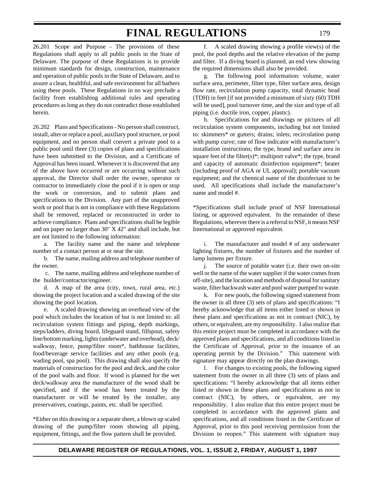26.201 Scope and Purpose - The provisions of these Regulations shall apply to all public pools in the State of Delaware. The purpose of these Regulations is to provide minimum standards for design, construction, maintenance and operation of public pools in the State of Delaware, and to assure a clean, healthful, and safe environment for all bathers using these pools. These Regulations in no way preclude a facility from establishing additional rules and operating procedures as long as they do not contradict those established herein.

26.202 Plans and Specifications - No person shall construct, install, alter or replace a pool, auxiliary pool structure, or pool equipment, and no person shall convert a private pool to a public pool until three (3) copies of plans and specifications have been submitted to the Division, and a Certificate of Approval has been issued. Whenever it is discovered that any of the above have occurred or are occurring without such approval, the Director shall order the owner, operator or contractor to immediately close the pool if it is open or stop the work or conversion, and to submit plans and specifications to the Division. Any part of the unapproved work or pool that is not in compliance with these Regulations shall be removed, replaced or reconstructed in order to achieve compliance. Plans and specifications shall be legible and on paper no larger than 30" X 42" and shall include, but are not limited to the following information:

a. The facility name and the name and telephone number of a contact person at or near the site.

b. The name, mailing address and telephone number of the owner.

 c. The name, mailing address and telephone number of the builder/contractor/engineer.

d. A map of the area (city, town, rural area, etc.) showing the project location and a scaled drawing of the site showing the pool location.

e. A scaled drawing showing an overhead view of the pool which includes the location of but is not limited to: all recirculation system fittings and piping, depth markings, steps/ladders, diving board, lifeguard stand, fillspout, safety line/bottom marking, lights (underwater and overhead), deck/ walkway, fence, pump/filter room\*, bathhouse facilities, food/beverage service facilities and any other pools (e.g. wading pool, spa pool). This drawing shall also specify the materials of construction for the pool and deck, and the color of the pool walls and floor. If wood is planned for the wet deck/walkway area the manufacturer of the wood shall be specified, and if the wood has been treated by the manufacturer or will be treated by the installer, any preservatives, coatings, paints, etc. shall be specified.

\*Either on this drawing or a separate sheet, a blown up scaled drawing of the pump/filter room showing all piping, equipment, fittings, and the flow pattern shall be provided.

f. A scaled drawing showing a profile view(s) of the pool, the pool depths and the relative elevation of the pump and filter. If a diving board is planned, an end view showing the required dimensions shall also be provided.

g. The following pool information: volume, water surface area, perimeter, filter type, filter surface area, design flow rate, recirculation pump capacity, total dynamic head (TDH) in feet [if not provided a minimum of sixty (60) TDH will be used], pool turnover time, and the size and type of all piping (i.e. ductile iron, copper, plastic).

h. Specifications for and drawings or pictures of all recirculation system components, including but not limited to: skimmers\* or gutters; drains; inlets; recirculation pump with pump curve; rate of flow indicator with manufacturer's installation instructions; the type, brand and surface area in square feet of the filter(s)\*; multiport valve\*; the type, brand and capacity of automatic disinfection equipment\*; heater (including proof of AGA or UL approval); portable vacuum equipment; and the chemical name of the disinfectant to be used. All specifications shall include the manufacturer's name and model #.

\*Specifications shall include proof of NSF International listing, or approved equivalent. In the remainder of these Regulations, wherever there is a referral to NSF, it means NSF International or approved equivalent.

i. The manufacturer and model # of any underwater lighting fixtures, the number of fixtures and the number of lamp lumens per fixture.

j. The source of potable water (i.e. their own on-site well or the name of the water supplier if the water comes from off-site), and the location and methods of disposal for sanitary waste, filter backwash water and pool water pumped to waste.

k. For new pools, the following signed statement from the owner in all three (3) sets of plans and specifications: "I hereby acknowledge that all items either listed or shown in these plans and specifications as not in contract (NIC), by others, or equivalent, are my responsibility. I also realize that this entire project must be completed in accordance with the approved plans and specifications, and all conditions listed in the Certificate of Approval, prior to the issuance of an operating permit by the Division." This statement with signature may appear directly on the plan drawings.

l. For changes to existing pools, the following signed statement from the owner in all three (3) sets of plans and specifications: "I hereby acknowledge that all items either listed or shown in these plans and specifications as not in contract (NIC), by others, or equivalent, are my responsibility. I also realize that this entire project must be completed in accordance with the approved plans and specifications, and all conditions listed in the Certificate of Approval, prior to this pool receiving permission from the Division to reopen." This statement with signature may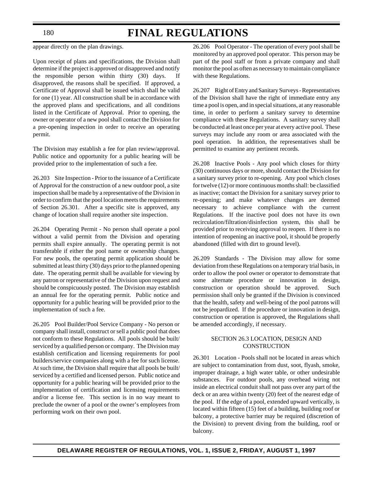appear directly on the plan drawings.

Upon receipt of plans and specifications, the Division shall determine if the project is approved or disapproved and notify the responsible person within thirty (30) days. If disapproved, the reasons shall be specified. If approved, a Certificate of Approval shall be issued which shall be valid for one (1) year. All construction shall be in accordance with the approved plans and specifications, and all conditions listed in the Certificate of Approval. Prior to opening, the owner or operator of a new pool shall contact the Division for a pre-opening inspection in order to receive an operating permit.

The Division may establish a fee for plan review/approval. Public notice and opportunity for a public hearing will be provided prior to the implementation of such a fee.

26.203 Site Inspection - Prior to the issuance of a Certificate of Approval for the construction of a new outdoor pool, a site inspection shall be made by a representative of the Division in order to confirm that the pool location meets the requirements of Section 26.301. After a specific site is approved, any change of location shall require another site inspection.

26.204 Operating Permit - No person shall operate a pool without a valid permit from the Division and operating permits shall expire annually. The operating permit is not transferable if either the pool name or ownership changes. For new pools, the operating permit application should be submitted at least thirty (30) days prior to the planned opening date. The operating permit shall be available for viewing by any patron or representative of the Division upon request and should be conspicuously posted. The Division may establish an annual fee for the operating permit. Public notice and opportunity for a public hearing will be provided prior to the implementation of such a fee.

26.205 Pool Builder/Pool Service Company - No person or company shall install, construct or sell a public pool that does not conform to these Regulations. All pools should be built/ serviced by a qualified person or company. The Division may establish certification and licensing requirements for pool builders/service companies along with a fee for such license. At such time, the Division shall require that all pools be built/ serviced by a certified and licensed person. Public notice and opportunity for a public hearing will be provided prior to the implementation of certification and licensing requirements and/or a license fee. This section is in no way meant to preclude the owner of a pool or the owner's employees from performing work on their own pool.

26.206 Pool Operator - The operation of every pool shall be monitored by an approved pool operator. This person may be part of the pool staff or from a private company and shall monitor the pool as often as necessary to maintain compliance with these Regulations.

26.207 Right of Entry and Sanitary Surveys - Representatives of the Division shall have the right of immediate entry any time a pool is open, and in special situations, at any reasonable time, in order to perform a sanitary survey to determine compliance with these Regulations. A sanitary survey shall be conducted at least once per year at every active pool. These surveys may include any room or area associated with the pool operation. In addition, the representatives shall be permitted to examine any pertinent records.

26.208 Inactive Pools - Any pool which closes for thirty (30) continuous days or more, should contact the Division for a sanitary survey prior to re-opening. Any pool which closes for twelve (12) or more continuous months shall: be classified as inactive; contact the Division for a sanitary survey prior to re-opening; and make whatever changes are deemed necessary to achieve compliance with the current Regulations. If the inactive pool does not have its own recirculation/filtration/disinfection system, this shall be provided prior to receiving approval to reopen. If there is no intention of reopening an inactive pool, it should be properly abandoned (filled with dirt to ground level).

26.209 Standards - The Division may allow for some deviation from these Regulations on a temporary trial basis, in order to allow the pool owner or operator to demonstrate that some alternate procedure or innovation in design, construction or operation should be approved. Such permission shall only be granted if the Division is convinced that the health, safety and well-being of the pool patrons will not be jeopardized. If the procedure or innovation in design, construction or operation is approved, the Regulations shall be amended accordingly, if necessary.

### SECTION 26.3 LOCATION, DESIGN AND **CONSTRUCTION**

26.301 Location - Pools shall not be located in areas which are subject to contamination from dust, soot, flyash, smoke, improper drainage, a high water table, or other undesirable substances. For outdoor pools, any overhead wiring not inside an electrical conduit shall not pass over any part of the deck or an area within twenty (20) feet of the nearest edge of the pool. If the edge of a pool, extended upward vertically, is located within fifteen (15) feet of a building, building roof or balcony, a protective barrier may be required (discretion of the Division) to prevent diving from the building, roof or balcony.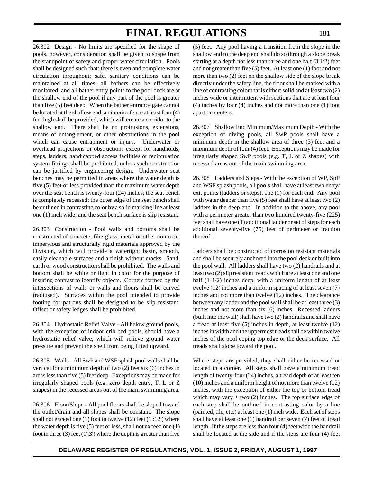26.302 Design - No limits are specified for the shape of pools, however, consideration shall be given to shape from the standpoint of safety and proper water circulation. Pools shall be designed such that: there is even and complete water circulation throughout; safe, sanitary conditions can be maintained at all times; all bathers can be effectively monitored; and all bather entry points to the pool deck are at the shallow end of the pool if any part of the pool is greater than five (5) feet deep. When the bather entrance gate cannot be located at the shallow end, an interior fence at least four (4) feet high shall be provided, which will create a corridor to the shallow end. There shall be no protrusions, extensions, means of entanglement, or other obstructions in the pool which can cause entrapment or injury. Underwater or overhead projections or obstructions except for handholds, steps, ladders, handicapped access facilities or recirculation system fittings shall be prohibited, unless such construction can be justified by engineering design. Underwater seat benches may be permitted in areas where the water depth is five (5) feet or less provided that: the maximum water depth over the seat bench is twenty-four (24) inches; the seat bench is completely recessed; the outer edge of the seat bench shall be outlined in contrasting color by a solid marking line at least one (1) inch wide; and the seat bench surface is slip resistant.

26.303 Construction - Pool walls and bottoms shall be constructed of concrete, fiberglass, metal or other nontoxic, impervious and structurally rigid materials approved by the Division, which will provide a watertight basin, smooth, easily cleanable surfaces and a finish without cracks. Sand, earth or wood construction shall be prohibited. The walls and bottom shall be white or light in color for the purpose of insuring contrast to identify objects. Corners formed by the intersections of walls or walls and floors shall be curved (radiused). Surfaces within the pool intended to provide footing for patrons shall be designed to be slip resistant. Offset or safety ledges shall be prohibited.

26.304 Hydrostatic Relief Valve - All below ground pools, with the exception of indoor crib bed pools, should have a hydrostatic relief valve, which will relieve ground water pressure and prevent the shell from being lifted upward.

26.305 Walls - All SwP and WSF splash pool walls shall be vertical for a minimum depth of two (2) feet six (6) inches in areas less than five (5) feet deep. Exceptions may be made for irregularly shaped pools (e.g. zero depth entry, T, L or Z shapes) in the recessed areas out of the main swimming area.

26.306 Floor/Slope - All pool floors shall be sloped toward the outlet/drain and all slopes shall be constant. The slope shall not exceed one  $(1)$  foot in twelve  $(12)$  feet  $(1:12')$  where the water depth is five (5) feet or less, shall not exceed one (1) foot in three  $(3)$  feet  $(1'.3')$  where the depth is greater than five

(5) feet. Any pool having a transition from the slope in the shallow end to the deep end shall do so through a slope break starting at a depth not less than three and one half (3 1/2) feet and not greater than five (5) feet. At least one (1) foot and not more than two (2) feet on the shallow side of the slope break directly under the safety line, the floor shall be marked with a line of contrasting color that is either: solid and at least two (2) inches wide or intermittent with sections that are at least four (4) inches by four (4) inches and not more than one (1) foot apart on centers.

26.307 Shallow End Minimum/Maximum Depth - With the exception of diving pools, all SwP pools shall have a minimum depth in the shallow area of three (3) feet and a maximum depth of four (4) feet. Exceptions may be made for irregularly shaped SwP pools (e.g. T, L or Z shapes) with recessed areas out of the main swimming area.

26.308 Ladders and Steps - With the exception of WP, SpP and WSF splash pools, all pools shall have at least two entry/ exit points (ladders or steps), one (1) for each end. Any pool with water deeper than five (5) feet shall have at least two (2) ladders in the deep end. In addition to the above, any pool with a perimeter greater than two hundred twenty-five (225) feet shall have one (1) additional ladder or set of steps for each additional seventy-five (75) feet of perimeter or fraction thereof.

Ladders shall be constructed of corrosion resistant materials and shall be securely anchored into the pool deck or built into the pool wall. All ladders shall have two (2) handrails and at least two (2) slip resistant treads which are at least one and one half (1 1/2) inches deep, with a uniform length of at least twelve (12) inches and a uniform spacing of at least seven (7) inches and not more than twelve (12) inches. The clearance between any ladder and the pool wall shall be at least three (3) inches and not more than six (6) inches. Recessed ladders (built into the wall) shall have two (2) handrails and shall have a tread at least five (5) inches in depth, at least twelve (12) inches in width and the uppermost tread shall be within twelve inches of the pool coping top edge or the deck surface. All treads shall slope toward the pool.

Where steps are provided, they shall either be recessed or located in a corner. All steps shall have a minimum tread length of twenty-four (24) inches, a tread depth of at least ten (10) inches and a uniform height of not more than twelve (12) inches, with the exception of either the top or bottom tread which may vary  $+$  two (2) inches. The top surface edge of each step shall be outlined in contrasting color by a line (painted, tile, etc.) at least one (1) inch wide. Each set of steps shall have at least one (1) handrail per seven (7) feet of tread length. If the steps are less than four (4) feet wide the handrail shall be located at the side and if the steps are four (4) feet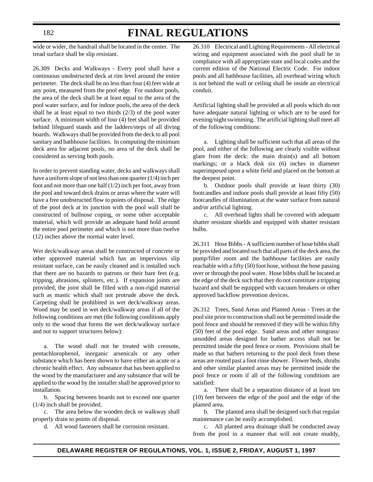wide or wider, the handrail shall be located in the center. The tread surface shall be slip resistant.

26.309 Decks and Walkways - Every pool shall have a continuous unobstructed deck at rim level around the entire perimeter. The deck shall be no less than four (4) feet wide at any point, measured from the pool edge. For outdoor pools, the area of the deck shall be at least equal to the area of the pool water surface, and for indoor pools, the area of the deck shall be at least equal to two thirds (2/3) of the pool water surface. A minimum width of four (4) feet shall be provided behind lifeguard stands and the ladders/steps of all diving boards. Walkways shall be provided from the deck to all pool sanitary and bathhouse facilities. In computing the minimum deck area for adjacent pools, no area of the deck shall be considered as serving both pools.

In order to prevent standing water, decks and walkways shall have a uniform slope of not less than one quarter (1/4) inch per foot and not more than one half  $(1/2)$  inch per foot, away from the pool and toward deck drains or areas where the water will have a free unobstructed flow to points of disposal. The edge of the pool deck at its junction with the pool wall shall be constructed of bullnose coping, or some other acceptable material, which will provide an adequate hand hold around the entire pool perimeter and which is not more than twelve (12) inches above the normal water level.

Wet deck/walkway areas shall be constructed of concrete or other approved material which has an impervious slip resistant surface, can be easily cleaned and is installed such that there are no hazards to patrons or their bare feet (e.g. tripping, abrasions, splinters, etc.). If expansion joints are provided, the joint shall be filled with a non-rigid material such as mastic which shall not protrude above the deck. Carpeting shall be prohibited in wet deck/walkway areas. Wood may be used in wet deck/walkway areas if all of the following conditions are met (the following conditions apply only to the wood that forms the wet deck/walkway surface and not to support structures below):

a. The wood shall not be treated with creosote, pentachlorophenol, inorganic arsenicals or any other substance which has been shown to have either an acute or a chronic health effect. Any substance that has been applied to the wood by the manufacturer and any substance that will be applied to the wood by the installer shall be approved prior to installation.

b. Spacing between boards not to exceed one quarter (1/4) inch shall be provided.

c. The area below the wooden deck or walkway shall properly drain to points of disposal.

d. All wood fasteners shall be corrosion resistant.

26.310 Electrical and Lighting Requirements - All electrical wiring and equipment associated with the pool shall be in compliance with all appropriate state and local codes and the current edition of the National Electric Code. For indoor pools and all bathhouse facilities, all overhead wiring which is not behind the wall or ceiling shall be inside an electrical conduit.

Artificial lighting shall be provided at all pools which do not have adequate natural lighting or which are to be used for evening/night swimming. The artificial lighting shall meet all of the following conditions:

a. Lighting shall be sufficient such that all areas of the pool, and either of the following are clearly visible without glare from the deck: the main drain(s) and all bottom markings; or a black disk six (6) inches in diameter superimposed upon a white field and placed on the bottom at the deepest point.

b. Outdoor pools shall provide at least thirty (30) footcandles and indoor pools shall provide at least fifty (50) footcandles of illumination at the water surface from natural and/or artificial lighting.

c. All overhead lights shall be covered with adequate shatter resistant shields and equipped with shatter resistant bulbs.

26.311 Hose Bibbs - A sufficient number of hose bibbs shall be provided and located such that all parts of the deck area, the pump/filter room and the bathhouse facilities are easily reachable with a fifty (50) foot hose, without the hose passing over or through the pool water. Hose bibbs shall be located at the edge of the deck such that they do not constitute a tripping hazard and shall be equipped with vacuum breakers or other approved backflow prevention devices.

26.312 Trees, Sand Areas and Planted Areas - Trees at the pool site prior to construction shall not be permitted inside the pool fence and should be removed if they will be within fifty (50) feet of the pool edge. Sand areas and other nongrass/ unsodded areas designed for bather access shall not be permitted inside the pool fence or room. Provisions shall be made so that bathers returning to the pool deck from these areas are routed past a foot rinse shower. Flower beds, shrubs and other similar planted areas may be permitted inside the pool fence or room if all of the following conditions are satisfied:

a. There shall be a separation distance of at least ten (10) feet between the edge of the pool and the edge of the planted area.

b. The planted area shall be designed such that regular maintenance can be easily accomplished.

c. All planted area drainage shall be conducted away from the pool in a manner that will not create muddy,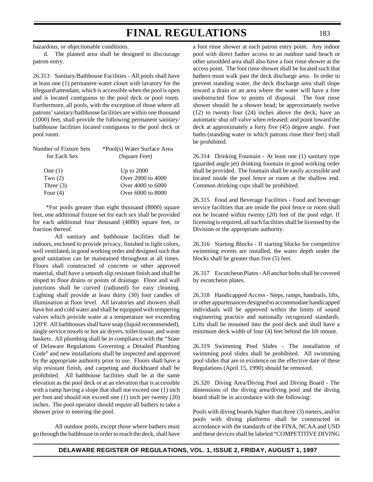hazardous, or objectionable conditions.

d. The planted area shall be designed to discourage patron entry.

26.313 Sanitary/Bathhouse Facilities - All pools shall have at least one (1) permanent water closet with lavatory for the lifeguard\attendant, which is accessible when the pool is open and is located contiguous to the pool deck or pool room. Furthermore, all pools, with the exception of those where all patrons' sanitary/bathhouse facilities are within one thousand (1000) feet, shall provide the following permanent sanitary/ bathhouse facilities located contiguous to the pool deck or pool room:

| Number of Fixture Sets | *Pool(s) Water Surface Area |
|------------------------|-----------------------------|
| for Each Sex           | (Square Feet)               |
|                        |                             |
| One $(1)$              | Up to $2000$                |
| Two $(2)$              | Over 2000 to 4000           |
| Three $(3)$            | Over 4000 to 6000           |
| Four $(4)$             | Over 6000 to 8000           |
|                        |                             |

 \*For pools greater than eight thousand (8000) square feet, one additional fixture set for each sex shall be provided for each additional four thousand (4000) square feet, or fraction thereof.

All sanitary and bathhouse facilities shall be indoors, enclosed to provide privacy, finished in light colors, well ventilated, in good working order and designed such that good sanitation can be maintained throughout at all times. Floors shall constructed of concrete or other approved material, shall have a smooth slip resistant finish and shall be sloped to floor drains or points of drainage. Floor and wall junctions shall be curved (radiused) for easy cleaning. Lighting shall provide at least thirty (30) foot candles of illumination at floor level. All lavatories and showers shall have hot and cold water and shall be equipped with tempering valves which provide water at a temperature not exceeding 120°F. All bathhouses shall have soap (liquid recommended), single service towels or hot air dryers, toilet tissue, and waste baskets. All plumbing shall be in compliance with the "State of Delaware Regulations Governing a Detailed Plumbing Code" and new installations shall be inspected and approved by the appropriate authority prior to use. Floors shall have a slip resistant finish, and carpeting and duckboard shall be prohibited. All bathhouse facilities shall be at the same elevation as the pool deck or at an elevation that is accessible with a ramp having a slope that shall not exceed one (1) inch per foot and should not exceed one (1) inch per twenty (20) inches. The pool operator should require all bathers to take a shower prior to entering the pool.

All outdoor pools, except those where bathers must go through the bathhouse in order to reach the deck, shall have

a foot rinse shower at each patron entry point. Any indoor pool with direct bather access to an outdoor sand beach or other unsodded area shall also have a foot rinse shower at the access point. The foot rinse shower shall be located such that bathers must walk past the deck discharge area. In order to prevent standing water, the deck discharge area shall slope toward a drain or an area where the water will have a free unobstructed flow to points of disposal. The foot rinse shower should: be a shower head; be approximately twelve (12) to twenty four (24) inches above the deck; have an automatic shut off valve when released; and point toward the deck at approximately a forty five (45) degree angle. Foot baths (standing water in which patrons rinse their feet) shall be prohibited.

26.314 Drinking Fountain - At least one (1) sanitary type (guarded angle jet) drinking fountain in good working order shall be provided. The fountain shall be easily accessible and located inside the pool fence or room at the shallow end. Common drinking cups shall be prohibited.

26.315 Food and Beverage Facilities - Food and beverage service facilities that are inside the pool fence or room shall not be located within twenty (20) feet of the pool edge. If licensing is required, all such facilities shall be licensed by the Division or the appropriate authority.

26.316 Starting Blocks - If starting blocks for competitive swimming events are installed, the water depth under the blocks shall be greater than five (5) feet.

26.317 Escutcheon Plates - All anchor bolts shall be covered by escutcheon plates.

26.318 Handicapped Access - Steps, ramps, handrails, lifts, or other appurtenances designed to accommodate handicapped individuals will be approved within the limits of sound engineering practice and nationally recognized standards. Lifts shall be mounted into the pool deck and shall have a minimum deck width of four (4) feet behind the lift mount.

26.319 Swimming Pool Slides - The installation of swimming pool slides shall be prohibited. All swimming pool slides that are in existence on the effective date of these Regulations (April 15, 1990) should be removed.

26.320 Diving Area/Diving Pool and Diving Board - The dimensions of the diving area/diving pool and the diving board shall be in accordance with the following:

Pools with diving boards higher than three (3) meters, and/or pools with diving platforms shall be constructed in accordance with the standards of the FINA, NCAA and USD and these devices shall be labeled "COMPETITIVE DIVING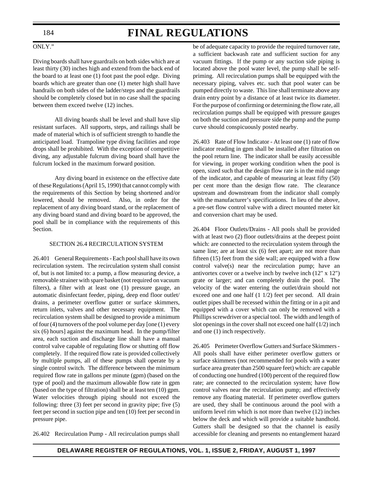#### 184

# **FINAL REGULATIONS**

# ONLY."

Diving boards shall have guardrails on both sides which are at least thirty (30) inches high and extend from the back end of the board to at least one (1) foot past the pool edge. Diving boards which are greater than one (1) meter high shall have handrails on both sides of the ladder/steps and the guardrails should be completely closed but in no case shall the spacing between them exceed twelve (12) inches.

All diving boards shall be level and shall have slip resistant surfaces. All supports, steps, and railings shall be made of material which is of sufficient strength to handle the anticipated load. Trampoline type diving facilities and rope drops shall be prohibited. With the exception of competitive diving, any adjustable fulcrum diving board shall have the fulcrum locked in the maximum forward position.

Any diving board in existence on the effective date of these Regulations (April 15, 1990) that cannot comply with the requirements of this Section by being shortened and/or lowered, should be removed. Also, in order for the replacement of any diving board stand, or the replacement of any diving board stand and diving board to be approved, the pool shall be in compliance with the requirements of this Section.

### SECTION 26.4 RECIRCULATION SYSTEM

26.401 General Requirements - Each pool shall have its own recirculation system. The recirculation system shall consist of, but is not limited to: a pump, a flow measuring device, a removable strainer with spare basket (not required on vacuum filters), a filter with at least one (1) pressure gauge, an automatic disinfectant feeder, piping, deep end floor outlet/ drains, a perimeter overflow gutter or surface skimmers, return inlets, valves and other necessary equipment. The recirculation system shall be designed to provide a minimum of four (4) turnovers of the pool volume per day [one (1) every six (6) hours] against the maximum head. In the pump/filter area, each suction and discharge line shall have a manual control valve capable of regulating flow or shutting off flow completely. If the required flow rate is provided collectively by multiple pumps, all of these pumps shall operate by a single control switch. The difference between the minimum required flow rate in gallons per minute (gpm) (based on the type of pool) and the maximum allowable flow rate in gpm (based on the type of filtration) shall be at least ten (10) gpm. Water velocities through piping should not exceed the following: three (3) feet per second in gravity pipe; five (5) feet per second in suction pipe and ten (10) feet per second in pressure pipe.

26.402 Recirculation Pump - All recirculation pumps shall

be of adequate capacity to provide the required turnover rate, a sufficient backwash rate and sufficient suction for any vacuum fittings. If the pump or any suction side piping is located above the pool water level, the pump shall be selfpriming. All recirculation pumps shall be equipped with the necessary piping, valves etc. such that pool water can be pumped directly to waste. This line shall terminate above any drain entry point by a distance of at least twice its diameter. For the purpose of confirming or determining the flow rate, all recirculation pumps shall be equipped with pressure gauges on both the suction and pressure side the pump and the pump curve should conspicuously posted nearby.

26.403 Rate of Flow Indicator - At least one (1) rate of flow indicator reading in gpm shall be installed after filtration on the pool return line. The indicator shall be easily accessible for viewing, in proper working condition when the pool is open, sized such that the design flow rate is in the mid range of the indicator, and capable of measuring at least fifty (50) per cent more than the design flow rate. The clearance upstream and downstream from the indicator shall comply with the manufacturer's specifications. In lieu of the above, a pre-set flow control valve with a direct mounted meter kit and conversion chart may be used.

26.404 Floor Outlets/Drains - All pools shall be provided with at least two (2) floor outlets/drains at the deepest point which: are connected to the recirculation system through the same line; are at least six (6) feet apart; are not more than fifteen (15) feet from the side wall; are equipped with a flow control valve(s) near the recirculation pump; have an antivortex cover or a twelve inch by twelve inch (12" x 12") grate or larger; and can completely drain the pool. The velocity of the water entering the outlet/drain should not exceed one and one half (1 1/2) feet per second. All drain outlet pipes shall be recessed within the fitting or in a pit and equipped with a cover which can only be removed with a Phillips screwdriver or a special tool. The width and length of slot openings in the cover shall not exceed one half (1/2) inch and one (1) inch respectively.

26.405 Perimeter Overflow Gutters and Surface Skimmers - All pools shall have either perimeter overflow gutters or surface skimmers (not recommended for pools with a water surface area greater than 2500 square feet) which: are capable of conducting one hundred (100) percent of the required flow rate; are connected to the recirculation system; have flow control valves near the recirculation pump; and effectively remove any floating material. If perimeter overflow gutters are used, they shall be continuous around the pool with a uniform level rim which is not more than twelve (12) inches below the deck and which will provide a suitable handhold. Gutters shall be designed so that the channel is easily accessible for cleaning and presents no entanglement hazard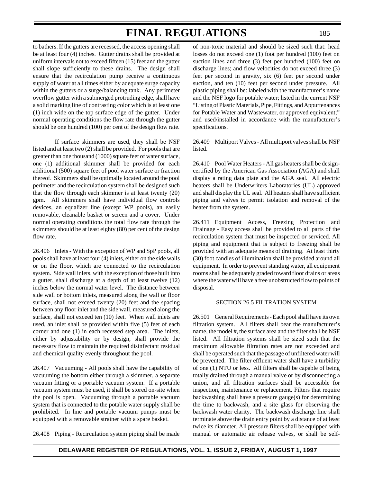to bathers. If the gutters are recessed, the access opening shall be at least four (4) inches. Gutter drains shall be provided at uniform intervals not to exceed fifteen (15) feet and the gutter shall slope sufficiently to these drains. The design shall ensure that the recirculation pump receive a continuous supply of water at all times either by adequate surge capacity within the gutters or a surge/balancing tank. Any perimeter overflow gutter with a submerged protruding edge, shall have a solid marking line of contrasting color which is at least one (1) inch wide on the top surface edge of the gutter. Under normal operating conditions the flow rate through the gutter should be one hundred (100) per cent of the design flow rate.

If surface skimmers are used, they shall be NSF listed and at least two (2) shall be provided. For pools that are greater than one thousand (1000) square feet of water surface, one (1) additional skimmer shall be provided for each additional (500) square feet of pool water surface or fraction thereof. Skimmers shall be optimally located around the pool perimeter and the recirculation system shall be designed such that the flow through each skimmer is at least twenty (20) gpm. All skimmers shall have individual flow controls devices, an equalizer line (except WP pools), an easily removable, cleanable basket or screen and a cover. Under normal operating conditions the total flow rate through the skimmers should be at least eighty (80) per cent of the design flow rate.

26.406 Inlets - With the exception of WP and SpP pools, all pools shall have at least four (4) inlets, either on the side walls or on the floor, which are connected to the recirculation system. Side wall inlets, with the exception of those built into a gutter, shall discharge at a depth of at least twelve (12) inches below the normal water level. The distance between side wall or bottom inlets, measured along the wall or floor surface, shall not exceed twenty (20) feet and the spacing between any floor inlet and the side wall, measured along the surface, shall not exceed ten (10) feet. When wall inlets are used, an inlet shall be provided within five (5) feet of each corner and one (1) in each recessed step area. The inlets, either by adjustability or by design, shall provide the necessary flow to maintain the required disinfectant residual and chemical quality evenly throughout the pool.

26.407 Vacuuming - All pools shall have the capability of vacuuming the bottom either through a skimmer, a separate vacuum fitting or a portable vacuum system. If a portable vacuum system must be used, it shall be stored on-site when the pool is open. Vacuuming through a portable vacuum system that is connected to the potable water supply shall be prohibited. In line and portable vacuum pumps must be equipped with a removable strainer with a spare basket.

26.408 Piping - Recirculation system piping shall be made

of non-toxic material and should be sized such that: head losses do not exceed one (1) foot per hundred (100) feet on suction lines and three (3) feet per hundred (100) feet on discharge lines; and flow velocities do not exceed three (3) feet per second in gravity, six (6) feet per second under suction, and ten (10) feet per second under pressure. All plastic piping shall be: labeled with the manufacturer's name and the NSF logo for potable water; listed in the current NSF "Listing of Plastic Materials, Pipe, Fittings, and Appurtenances for Potable Water and Wastewater, or approved equivalent;" and used/installed in accordance with the manufacturer's specifications.

26.409 Multiport Valves - All multiport valves shall be NSF listed.

26.410 Pool Water Heaters - All gas heaters shall be designcertified by the American Gas Association (AGA) and shall display a rating data plate and the AGA seal. All electric heaters shall be Underwriters Laboratories (UL) approved and shall display the UL seal. All heaters shall have sufficient piping and valves to permit isolation and removal of the heater from the system.

26.411 Equipment Access, Freezing Protection and Drainage - Easy access shall be provided to all parts of the recirculation system that must be inspected or serviced. All piping and equipment that is subject to freezing shall be provided with an adequate means of draining. At least thirty (30) foot candles of illumination shall be provided around all equipment. In order to prevent standing water, all equipment rooms shall be adequately graded toward floor drains or areas where the water will have a free unobstructed flow to points of disposal.

## SECTION 26.5 FILTRATION SYSTEM

26.501 General Requirements - Each pool shall have its own filtration system. All filters shall bear the manufacturer's name, the model #, the surface area and the filter shall be NSF listed. All filtration systems shall be sized such that the maximum allowable filtration rates are not exceeded and shall be operated such that the passage of unfiltered water will be prevented. The filter effluent water shall have a turbidity of one (1) NTU or less. All filters shall be capable of being totally drained through a manual valve or by disconnecting a union, and all filtration surfaces shall be accessible for inspection, maintenance or replacement. Filters that require backwashing shall have a pressure gauge(s) for determining the time to backwash, and a site glass for observing the backwash water clarity. The backwash discharge line shall terminate above the drain entry point by a distance of at least twice its diameter. All pressure filters shall be equipped with manual or automatic air release valves, or shall be self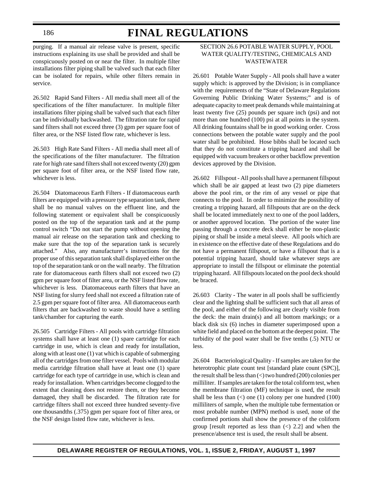186

# **FINAL REGULATIONS**

purging. If a manual air release valve is present, specific instructions explaining its use shall be provided and shall be conspicuously posted on or near the filter. In multiple filter installations filter piping shall be valved such that each filter can be isolated for repairs, while other filters remain in service.

26.502 Rapid Sand Filters - All media shall meet all of the specifications of the filter manufacturer. In multiple filter installations filter piping shall be valved such that each filter can be individually backwashed. The filtration rate for rapid sand filters shall not exceed three (3) gpm per square foot of filter area, or the NSF listed flow rate, whichever is less.

26.503 High Rate Sand Filters - All media shall meet all of the specifications of the filter manufacturer. The filtration rate for high rate sand filters shall not exceed twenty (20) gpm per square foot of filter area, or the NSF listed flow rate, whichever is less.

26.504 Diatomaceous Earth Filters - If diatomaceous earth filters are equipped with a pressure type separation tank, there shall be no manual valves on the effluent line, and the following statement or equivalent shall be conspicuously posted on the top of the separation tank and at the pump control switch "Do not start the pump without opening the manual air release on the separation tank and checking to make sure that the top of the separation tank is securely attached." Also, any manufacturer's instructions for the proper use of this separation tank shall displayed either on the top of the separation tank or on the wall nearby. The filtration rate for diatomaceous earth filters shall not exceed two (2) gpm per square foot of filter area, or the NSF listed flow rate, whichever is less. Diatomaceous earth filters that have an NSF listing for slurry feed shall not exceed a filtration rate of 2.5 gpm per square foot of filter area. All diatomaceous earth filters that are backwashed to waste should have a settling tank/chamber for capturing the earth.

26.505 Cartridge Filters - All pools with cartridge filtration systems shall have at least one (1) spare cartridge for each cartridge in use, which is clean and ready for installation, along with at least one (1) vat which is capable of submerging all of the cartridges from one filter vessel. Pools with modular media cartridge filtration shall have at least one (1) spare cartridge for each type of cartridge in use, which is clean and ready for installation. When cartridges become clogged to the extent that cleaning does not restore them, or they become damaged, they shall be discarded. The filtration rate for cartridge filters shall not exceed three hundred seventy-five one thousandths (.375) gpm per square foot of filter area, or the NSF design listed flow rate, whichever is less.

# SECTION 26.6 POTABLE WATER SUPPLY, POOL WATER QUALITY/TESTING, CHEMICALS AND WASTEWATER

26.601 Potable Water Supply - All pools shall have a water supply which: is approved by the Division; is in compliance with the requirements of the "State of Delaware Regulations Governing Public Drinking Water Systems;" and is of adequate capacity to meet peak demands while maintaining at least twenty five (25) pounds per square inch (psi) and not more than one hundred (100) psi at all points in the system. All drinking fountains shall be in good working order. Cross connections between the potable water supply and the pool water shall be prohibited. Hose bibbs shall be located such that they do not constitute a tripping hazard and shall be equipped with vacuum breakers or other backflow prevention devices approved by the Division.

26.602 Fillspout - All pools shall have a permanent fillspout which shall be air gapped at least two (2) pipe diameters above the pool rim, or the rim of any vessel or pipe that connects to the pool. In order to minimize the possibility of creating a tripping hazard, all fillspouts that are on the deck shall be located immediately next to one of the pool ladders, or another approved location. The portion of the water line passing through a concrete deck shall either be non-plastic piping or shall be inside a metal sleeve. All pools which are in existence on the effective date of these Regulations and do not have a permanent fillspout, or have a fillspout that is a potential tripping hazard, should take whatever steps are appropriate to install the fillspout or eliminate the potential tripping hazard. All fillspouts located on the pool deck should be braced.

26.603 Clarity - The water in all pools shall be sufficiently clear and the lighting shall be sufficient such that all areas of the pool, and either of the following are clearly visible from the deck: the main drain(s) and all bottom markings; or a black disk six (6) inches in diameter superimposed upon a white field and placed on the bottom at the deepest point. The turbidity of the pool water shall be five tenths (.5) NTU or less.

26.604 Bacteriological Quality - If samples are taken for the heterotrophic plate count test [standard plate count (SPC)], the result shall be less than  $\left\langle \right\rangle$  two hundred (200) colonies per milliliter. If samples are taken for the total coliform test, when the membrane filtration (MF) technique is used, the result shall be less than  $\left($   $\right)$  one  $\left($  1) colony per one hundred  $\left($  100) milliliters of sample, when the multiple tube fermentation or most probable number (MPN) method is used, none of the confirmed portions shall show the presence of the coliform group [result reported as less than  $\langle \langle \rangle$  2.2] and when the presence/absence test is used, the result shall be absent.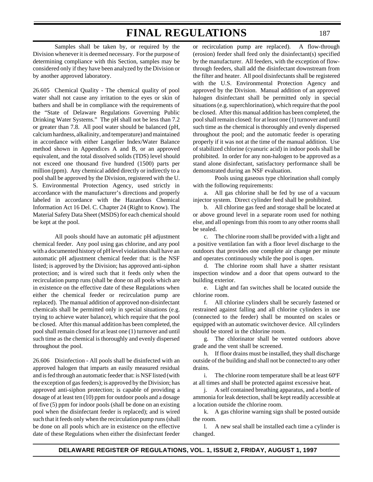Samples shall be taken by, or required by the Division whenever it is deemed necessary. For the purpose of determining compliance with this Section, samples may be considered only if they have been analyzed by the Division or by another approved laboratory.

26.605 Chemical Quality - The chemical quality of pool water shall not cause any irritation to the eyes or skin of bathers and shall be in compliance with the requirements of the "State of Delaware Regulations Governing Public Drinking Water Systems." The pH shall not be less than 7.2 or greater than 7.8. All pool water should be balanced (pH, calcium hardness, alkalinity, and temperature) and maintained in accordance with either Langelier Index/Water Balance method shown in Appendices A and B, or an approved equivalent, and the total dissolved solids (TDS) level should not exceed one thousand five hundred (1500) parts per million (ppm). Any chemical added directly or indirectly to a pool shall be approved by the Division, registered with the U. S. Environmental Protection Agency, used strictly in accordance with the manufacturer's directions and properly labeled in accordance with the Hazardous Chemical Information Act 16 Del. C. Chapter 24 (Right to Know). The Material Safety Data Sheet (MSDS) for each chemical should be kept at the pool.

All pools should have an automatic pH adjustment chemical feeder. Any pool using gas chlorine, and any pool with a documented history of pH level violations shall have an automatic pH adjustment chemical feeder that: is the NSF listed; is approved by the Division; has approved anti-siphon protection; and is wired such that it feeds only when the recirculation pump runs (shall be done on all pools which are in existence on the effective date of these Regulations when either the chemical feeder or recirculation pump are replaced). The manual addition of approved non-disinfectant chemicals shall be permitted only in special situations (e.g. trying to achieve water balance), which require that the pool be closed. After this manual addition has been completed, the pool shall remain closed for at least one (1) turnover and until such time as the chemical is thoroughly and evenly dispersed throughout the pool.

26.606 Disinfection - All pools shall be disinfected with an approved halogen that imparts an easily measured residual and is fed through an automatic feeder that: is NSF listed (with the exception of gas feeders); is approved by the Division; has approved anti-siphon protection; is capable of providing a dosage of at least ten (10) ppm for outdoor pools and a dosage of five (5) ppm for indoor pools (shall be done on an existing pool when the disinfectant feeder is replaced); and is wired such that it feeds only when the recirculation pump runs (shall be done on all pools which are in existence on the effective date of these Regulations when either the disinfectant feeder

or recirculation pump are replaced). A flow-through (erosion) feeder shall feed only the disinfectant(s) specified by the manufacturer. All feeders, with the exception of flowthrough feeders, shall add the disinfectant downstream from the filter and heater. All pool disinfectants shall be registered with the U.S. Environmental Protection Agency and approved by the Division. Manual addition of an approved halogen disinfectant shall be permitted only in special situations (e.g. superchlorination), which require that the pool be closed. After this manual addition has been completed, the pool shall remain closed: for at least one (1) turnover and until such time as the chemical is thoroughly and evenly dispersed throughout the pool; and the automatic feeder is operating properly if it was not at the time of the manual addition. Use of stabilized chlorine (cyanuric acid) in indoor pools shall be prohibited. In order for any non-halogen to be approved as a stand alone disinfectant, satisfactory performance shall be demonstrated during an NSF evaluation.

Pools using gaseous type chlorination shall comply with the following requirements:

a. All gas chlorine shall be fed by use of a vacuum injector system. Direct cylinder feed shall be prohibited.

b. All chlorine gas feed and storage shall be located at or above ground level in a separate room used for nothing else, and all openings from this room to any other rooms shall be sealed.

c. The chlorine room shall be provided with a light and a positive ventilation fan with a floor level discharge to the outdoors that provides one complete air change per minute and operates continuously while the pool is open.

d. The chlorine room shall have a shatter resistant inspection window and a door that opens outward to the building exterior.

e. Light and fan switches shall be located outside the chlorine room.

f. All chlorine cylinders shall be securely fastened or restrained against falling and all chlorine cylinders in use (connected to the feeder) shall be mounted on scales or equipped with an automatic switchover device. All cylinders should be stored in the chlorine room.

g. The chlorinator shall be vented outdoors above grade and the vent shall be screened.

h. If floor drains must be installed, they shall discharge outside of the building and shall not be connected to any other drains.

i. The chlorine room temperature shall be at least  $60^{\circ}F$ at all times and shall be protected against excessive heat.

j. A self contained breathing apparatus, and a bottle of ammonia for leak detection, shall be kept readily accessible at a location outside the chlorine room.

k. A gas chlorine warning sign shall be posted outside the room.

l. A new seal shall be installed each time a cylinder is changed.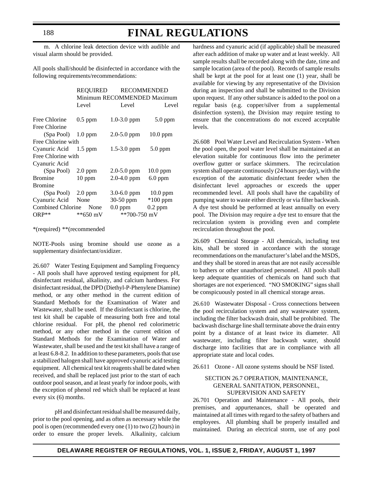188

# **FINAL REGULATIONS**

m. A chlorine leak detection device with audible and visual alarm should be provided.

All pools shall/should be disinfected in accordance with the following requirements/recommendations:

|                             | <b>RECOMMENDED</b> |                             |
|-----------------------------|--------------------|-----------------------------|
| Minimum RECOMMENDED Maximum |                    |                             |
| Level                       | Level              | Level                       |
|                             |                    |                             |
|                             |                    | 5.0 ppm                     |
| (Spa Pool) 1.0 ppm          | $2.0 - 5.0$ ppm    | $10.0$ ppm                  |
| Free Chlorine with          |                    |                             |
| Cyanuric Acid 1.5 ppm       | $1.5 - 3.0$ ppm    | $5.0$ ppm                   |
| Free Chlorine with          |                    |                             |
|                             |                    |                             |
| (Spa Pool) 2.0 ppm          | $2.0 - 5.0$ ppm    | 10.0 ppm                    |
| $10$ ppm                    | $2.0 - 4.0$ ppm    | $6.0$ ppm                   |
|                             |                    |                             |
| (Spa Pool) 2.0 ppm          | $3.0 - 6.0$ ppm    | $10.0$ ppm                  |
| Cyanuric Acid None          | $30-50$ ppm        | $*100$ ppm                  |
| Combined Chlorine<br>None   | $0.0$ ppm          | $0.2$ ppm                   |
| $*$ *650 mV                 | $*$ *700-750 mV    |                             |
|                             | $0.5$ ppm          | REOUIRED<br>$1.0 - 3.0$ ppm |

\*(required) \*\*(recommended

NOTE-Pools using bromine should use ozone as a supplementary disinfectant/oxidizer.

26.607 Water Testing Equipment and Sampling Frequency - All pools shall have approved testing equipment for pH, disinfectant residual, alkalinity, and calcium hardness. For disinfectant residual, the DPD (Diethyl-P-Phenylene Diamine) method, or any other method in the current edition of Standard Methods for the Examination of Water and Wastewater, shall be used. If the disinfectant is chlorine, the test kit shall be capable of measuring both free and total chlorine residual. For pH, the phenol red colorimetric method, or any other method in the current edition of Standard Methods for the Examination of Water and Wastewater, shall be used and the test kit shall have a range of at least 6.8-8.2. In addition to these parameters, pools that use a stabilized halogen shall have approved cyanuric acid testing equipment. All chemical test kit reagents shall be dated when received, and shall be replaced just prior to the start of each outdoor pool season, and at least yearly for indoor pools, with the exception of phenol red which shall be replaced at least every six (6) months.

pH and disinfectant residual shall be measured daily, prior to the pool opening, and as often as necessary while the pool is open (recommended every one (1) to two (2) hours) in order to ensure the proper levels. Alkalinity, calcium

hardness and cyanuric acid (if applicable) shall be measured after each addition of make up water and at least weekly. All sample results shall be recorded along with the date, time and sample location (area of the pool). Records of sample results shall be kept at the pool for at least one (1) year, shall be available for viewing by any representative of the Division during an inspection and shall be submitted to the Division upon request. If any other substance is added to the pool on a regular basis (e.g. copper/silver from a supplemental disinfection system), the Division may require testing to ensure that the concentrations do not exceed acceptable levels.

26.608 Pool Water Level and Recirculation System - When the pool open, the pool water level shall be maintained at an elevation suitable for continuous flow into the perimeter overflow gutter or surface skimmers. The recirculation system shall operate continuously (24 hours per day), with the exception of the automatic disinfectant feeder when the disinfectant level approaches or exceeds the upper recommended level. All pools shall have the capability of pumping water to waste either directly or via filter backwash. A dye test should be performed at least annually on every pool. The Division may require a dye test to ensure that the recirculation system is providing even and complete recirculation throughout the pool.

26.609 Chemical Storage - All chemicals, including test kits, shall be stored in accordance with the storage recommendations on the manufacturer's label and the MSDS, and they shall be stored in areas that are not easily accessible to bathers or other unauthorized personnel. All pools shall keep adequate quantities of chemicals on hand such that shortages are not experienced. "NO SMOKING" signs shall be conspicuously posted in all chemical storage areas.

26.610 Wastewater Disposal - Cross connections between the pool recirculation system and any wastewater system, including the filter backwash drain, shall be prohibited. The backwash discharge line shall terminate above the drain entry point by a distance of at least twice its diameter. All wastewater, including filter backwash water, should discharge into facilities that are in compliance with all appropriate state and local codes.

26.611 Ozone - All ozone systems should be NSF listed.

### SECTION 26.7 OPERATION, MAINTENANCE, GENERAL SANITATION, PERSONNEL, SUPERVISION AND SAFETY

26.701 Operation and Maintenance - All pools, their premises, and appurtenances, shall be operated and maintained at all times with regard to the safety of bathers and employees. All plumbing shall be properly installed and maintained. During an electrical storm, use of any pool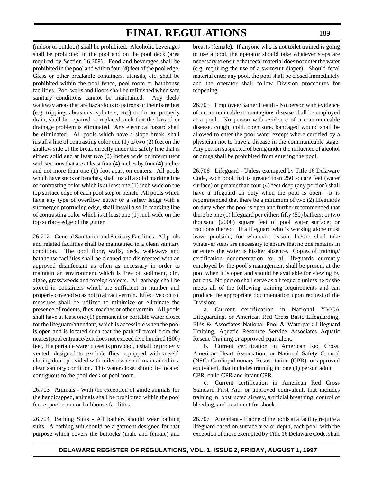(indoor or outdoor) shall be prohibited. Alcoholic beverages shall be prohibited in the pool and on the pool deck (area required by Section 26.309). Food and beverages shall be prohibited in the pool and within four (4) feet of the pool edge. Glass or other breakable containers, utensils, etc. shall be prohibited within the pool fence, pool room or bathhouse facilities. Pool walls and floors shall be refinished when safe sanitary conditions cannot be maintained. Any deck/ walkway areas that are hazardous to patrons or their bare feet (e.g. tripping, abrasions, splinters, etc.) or do not properly drain, shall be repaired or replaced such that the hazard or drainage problem is eliminated. Any electrical hazard shall be eliminated. All pools which have a slope break, shall install a line of contrasting color one (1) to two (2) feet on the shallow side of the break directly under the safety line that is either: solid and at least two (2) inches wide or intermittent with sections that are at least four (4) inches by four (4) inches and not more than one (1) foot apart on centers. All pools which have steps or benches, shall install a solid marking line of contrasting color which is at least one (1) inch wide on the top surface edge of each pool step or bench. All pools which have any type of overflow gutter or a safety ledge with a submerged protruding edge, shall install a solid marking line of contrasting color which is at least one (1) inch wide on the top surface edge of the gutter.

26.702 General Sanitation and Sanitary Facilities - All pools and related facilities shall be maintained in a clean sanitary condition. The pool floor, walls, deck, walkways and bathhouse facilities shall be cleaned and disinfected with an approved disinfectant as often as necessary in order to maintain an environment which is free of sediment, dirt, algae, grass/weeds and foreign objects. All garbage shall be stored in containers which are sufficient in number and properly covered so as not to attract vermin. Effective control measures shall be utilized to minimize or eliminate the presence of rodents, flies, roaches or other vermin. All pools shall have at least one (1) permanent or portable water closet for the lifeguard/attendant, which is accessible when the pool is open and is located such that the path of travel from the nearest pool entrance/exit does not exceed five hundred (500) feet. If a portable water closet is provided, it shall be properly vented, designed to exclude flies, equipped with a selfclosing door, provided with toilet tissue and maintained in a clean sanitary condition. This water closet should be located contiguous to the pool deck or pool room.

26.703 Animals - With the exception of guide animals for the handicapped, animals shall be prohibited within the pool fence, pool room or bathhouse facilities.

26.704 Bathing Suits - All bathers should wear bathing suits. A bathing suit should be a garment designed for that purpose which covers the buttocks (male and female) and

breasts (female). If anyone who is not toilet trained is going to use a pool, the operator should take whatever steps are necessary to ensure that fecal material does not enter the water (e.g. requiring the use of a swimsuit diaper). Should fecal material enter any pool, the pool shall be closed immediately and the operator shall follow Division procedures for reopening.

26.705 Employee/Bather Health - No person with evidence of a communicable or contagious disease shall be employed at a pool. No person with evidence of a communicable disease, cough, cold, open sore, bandaged wound shall be allowed to enter the pool water except where certified by a physician not to have a disease in the communicable stage. Any person suspected of being under the influence of alcohol or drugs shall be prohibited from entering the pool.

26.706 Lifeguard - Unless exempted by Title 16 Delaware Code, each pool that is greater than 250 square feet (water surface) or greater than four (4) feet deep (any portion) shall have a lifeguard on duty when the pool is open. It is recommended that there be a minimum of two (2) lifeguards on duty when the pool is open and further recommended that there be one (1) lifeguard per either: fifty (50) bathers; or two thousand (2000) square feet of pool water surface; or fractions thereof. If a lifeguard who is working alone must leave poolside, for whatever reason, he/she shall take whatever steps are necessary to ensure that no one remains in or enters the water is his/her absence. Copies of training/ certification documentation for all lifeguards currently employed by the pool's management shall be present at the pool when it is open and should be available for viewing by patrons. No person shall serve as a lifeguard unless he or she meets all of the following training requirements and can produce the appropriate documentation upon request of the Division:

a. Current certification in National YMCA Lifeguarding, or American Red Cross Basic Lifeguarding, Ellis & Associates National Pool & Waterpark Lifeguard Training, Aquatic Resource Service Associates Aquatic Rescue Training or approved equivalent.

b. Current certification in American Red Cross, American Heart Association, or National Safety Council (NSC) Cardiopulmonary Resuscitation (CPR), or approved equivalent, that includes training in: one (1) person adult CPR, child CPR and infant CPR.

c. Current certification in American Red Cross Standard First Aid, or approved equivalent, that includes training in: obstructed airway, artificial breathing, control of bleeding, and treatment for shock.

26.707 Attendant - If none of the pools at a facility require a lifeguard based on surface area or depth, each pool, with the exception of those exempted by Title 16 Delaware Code, shall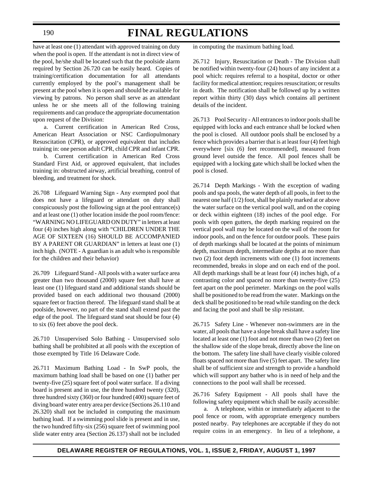have at least one (1) attendant with approved training on duty when the pool is open. If the attendant is not in direct view of the pool, he/she shall be located such that the poolside alarm required by Section 26.720 can be easily heard. Copies of training/certification documentation for all attendants currently employed by the pool's management shall be present at the pool when it is open and should be available for viewing by patrons. No person shall serve as an attendant unless he or she meets all of the following training requirements and can produce the appropriate documentation upon request of the Division:

a. Current certification in American Red Cross, American Heart Association or NSC Cardiopulmonary Resuscitation (CPR), or approved equivalent that includes training in: one person adult CPR, child CPR and infant CPR.

b. Current certification in American Red Cross Standard First Aid, or approved equivalent, that includes training in: obstructed airway, artificial breathing, control of bleeding, and treatment for shock.

26.708 Lifeguard Warning Sign - Any exempted pool that does not have a lifeguard or attendant on duty shall conspicuously post the following sign at the pool entrance(s) and at least one (1) other location inside the pool room/fence: "WARNING NO LIFEGUARD ON DUTY" in letters at least four (4) inches high along with "CHILDREN UNDER THE AGE OF SIXTEEN (16) SHOULD BE ACCOMPANIED BY A PARENT OR GUARDIAN" in letters at least one (1) inch high. (NOTE - A guardian is an adult who is responsible for the children and their behavior)

26.709 Lifeguard Stand - All pools with a water surface area greater than two thousand (2000) square feet shall have at least one (1) lifeguard stand and additional stands should be provided based on each additional two thousand (2000) square feet or fraction thereof. The lifeguard stand shall be at poolside, however, no part of the stand shall extend past the edge of the pool. The lifeguard stand seat should be four (4) to six (6) feet above the pool deck.

26.710 Unsupervised Solo Bathing - Unsupervised solo bathing shall be prohibited at all pools with the exception of those exempted by Title 16 Delaware Code.

26.711 Maximum Bathing Load - In SwP pools, the maximum bathing load shall be based on one (1) bather per twenty-five (25) square feet of pool water surface. If a diving board is present and in use, the three hundred twenty (320), three hundred sixty (360) or four hundred (400) square feet of diving board water entry area per device (Sections 26.110 and 26.320) shall not be included in computing the maximum bathing load. If a swimming pool slide is present and in use, the two hundred fifty-six (256) square feet of swimming pool slide water entry area (Section 26.137) shall not be included in computing the maximum bathing load.

26.712 Injury, Resuscitation or Death - The Division shall be notified within twenty-four (24) hours of any incident at a pool which: requires referral to a hospital, doctor or other facility for medical attention; requires resuscitation; or results in death. The notification shall be followed up by a written report within thirty (30) days which contains all pertinent details of the incident.

26.713 Pool Security - All entrances to indoor pools shall be equipped with locks and each entrance shall be locked when the pool is closed. All outdoor pools shall be enclosed by a fence which provides a barrier that is at least four (4) feet high everywhere [six (6) feet recommended], measured from ground level outside the fence. All pool fences shall be equipped with a locking gate which shall be locked when the pool is closed.

26.714 Depth Markings - With the exception of wading pools and spa pools, the water depth of all pools, in feet to the nearest one half (1/2) foot, shall be plainly marked at or above the water surface on the vertical pool wall, and on the coping or deck within eighteen (18) inches of the pool edge. For pools with open gutters, the depth marking required on the vertical pool wall may be located on the wall of the room for indoor pools, and on the fence for outdoor pools. These pairs of depth markings shall be located at the points of minimum depth, maximum depth, intermediate depths at no more than two (2) foot depth increments with one (1) foot increments recommended, breaks in slope and on each end of the pool. All depth markings shall be at least four (4) inches high, of a contrasting color and spaced no more than twenty-five (25) feet apart on the pool perimeter. Markings on the pool walls shall be positioned to be read from the water. Markings on the deck shall be positioned to be read while standing on the deck and facing the pool and shall be slip resistant.

26.715 Safety Line - Whenever non-swimmers are in the water, all pools that have a slope break shall have a safety line located at least one (1) foot and not more than two (2) feet on the shallow side of the slope break, directly above the line on the bottom. The safety line shall have clearly visible colored floats spaced not more than five (5) feet apart. The safety line shall be of sufficient size and strength to provide a handhold which will support any bather who is in need of help and the connections to the pool wall shall be recessed.

26.716 Safety Equipment - All pools shall have the following safety equipment which shall be easily accessible:

a. A telephone, within or immediately adjacent to the pool fence or room, with appropriate emergency numbers posted nearby. Pay telephones are acceptable if they do not require coins in an emergency. In lieu of a telephone, a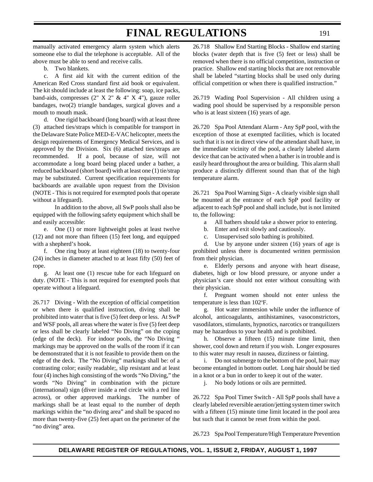manually activated emergency alarm system which alerts someone else to dial the telephone is acceptable. All of the above must be able to send and receive calls.

b. Two blankets.

c. A first aid kit with the current edition of the American Red Cross standard first aid book or equivalent. The kit should include at least the following: soap, ice packs, band-aids, compresses (2" X 2" & 4" X 4"), gauze roller bandages, two(2) triangle bandages, surgical gloves and a mouth to mouth mask.

d. One rigid backboard (long board) with at least three (3) attached ties/straps which is compatible for transport in the Delaware State Police MED-E-VAC helicopter, meets the design requirements of Emergency Medical Services, and is approved by the Division. Six (6) attached ties/straps are recommended. If a pool, because of size, will not accommodate a long board being placed under a bather, a reduced backboard (short board) with at least one (1) tie/strap may be substituted. Current specification requirements for backboards are available upon request from the Division (NOTE - This is not required for exempted pools that operate without a lifeguard).

In addition to the above, all SwP pools shall also be equipped with the following safety equipment which shall be and easily accessible:

e. One (1) or more lightweight poles at least twelve (12) and not more than fifteen (15) feet long, and equipped with a shepherd's hook.

f. One ring buoy at least eighteen (18) to twenty-four (24) inches in diameter attached to at least fifty (50) feet of rope.

g. At least one (1) rescue tube for each lifeguard on duty. (NOTE - This is not required for exempted pools that operate without a lifeguard.

26.717 Diving - With the exception of official competition or when there is qualified instruction, diving shall be prohibited into water that is five (5) feet deep or less. At SwP and WSF pools, all areas where the water is five (5) feet deep or less shall be clearly labeled "No Diving" on the coping (edge of the deck). For indoor pools, the "No Diving " markings may be approved on the walls of the room if it can be demonstrated that it is not feasible to provide them on the edge of the deck. The "No Diving" markings shall be: of a contrasting color; easily readable;, slip resistant and at least four (4) inches high consisting of the words "No Diving," the words "No Diving" in combination with the picture (international) sign (diver inside a red circle with a red line across), or other approved markings. The number of markings shall be at least equal to the number of depth markings within the "no diving area" and shall be spaced no more than twenty-five (25) feet apart on the perimeter of the "no diving" area.

26.718 Shallow End Starting Blocks - Shallow end starting blocks (water depth that is five (5) feet or less) shall be removed when there is no official competition, instruction or practice. Shallow end starting blocks that are not removable shall be labeled "starting blocks shall be used only during official competition or when there is qualified instruction."

26.719 Wading Pool Supervision - All children using a wading pool should be supervised by a responsible person who is at least sixteen (16) years of age.

26.720 Spa Pool Attendant Alarm - Any SpP pool, with the exception of those at exempted facilities, which is located such that it is not in direct view of the attendant shall have, in the immediate vicinity of the pool, a clearly labeled alarm device that can be activated when a bather is in trouble and is easily heard throughout the area or building. This alarm shall produce a distinctly different sound than that of the high temperature alarm.

26.721 Spa Pool Warning Sign - A clearly visible sign shall be mounted at the entrance of each SpP pool facility or adjacent to each SpP pool and shall include, but is not limited to, the following:

a All bathers should take a shower prior to entering.

b. Enter and exit slowly and cautiously.

c. Unsupervised solo bathing is prohibited.

d. Use by anyone under sixteen (16) years of age is prohibited unless there is documented written permission from their physician.

e. Elderly persons and anyone with heart disease, diabetes, high or low blood pressure, or anyone under a physician's care should not enter without consulting with their physician.

f. Pregnant women should not enter unless the temperature is less than 102°F.

g. Hot water immersion while under the influence of alcohol, anticoagulants, antihistamines, vasoconstrictors, vasodilators, stimulants, hypnotics, narcotics or tranquilizers may be hazardous to your health and is prohibited.

h. Observe a fifteen (15) minute time limit, then shower, cool down and return if you wish. Longer exposures to this water may result in nausea, dizziness or fainting.

i. Do not submerge to the bottom of the pool, hair may become entangled in bottom outlet. Long hair should be tied in a knot or a bun in order to keep it out of the water.

j. No body lotions or oils are permitted.

26.722 Spa Pool Timer Switch - All SpP pools shall have a clearly labeled reversible aeration/jetting system timer switch with a fifteen (15) minute time limit located in the pool area but such that it cannot be reset from within the pool.

26.723 Spa Pool Temperature/High Temperature Prevention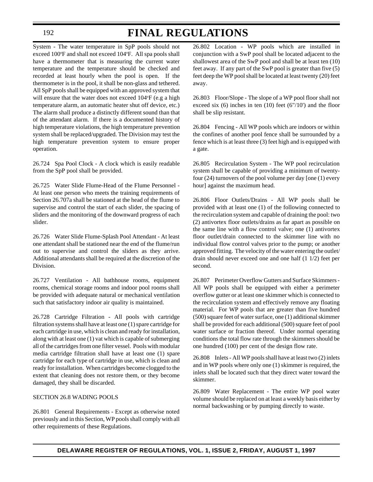System - The water temperature in SpP pools should not exceed 100°F and shall not exceed 104°F. All spa pools shall have a thermometer that is measuring the current water temperature and the temperature should be checked and recorded at least hourly when the pool is open. If the thermometer is in the pool, it shall be non-glass and tethered. All SpP pools shall be equipped with an approved system that will ensure that the water does not exceed 104°F (e.g a high temperature alarm, an automatic heater shut off device, etc.) The alarm shall produce a distinctly different sound than that of the attendant alarm. If there is a documented history of high temperature violations, the high temperature prevention system shall be replaced/upgraded. The Division may test the high temperature prevention system to ensure proper operation.

26.724 Spa Pool Clock - A clock which is easily readable from the SpP pool shall be provided.

26.725 Water Slide Flume-Head of the Flume Personnel - At least one person who meets the training requirements of Section 26.707a shall be stationed at the head of the flume to supervise and control the start of each slider, the spacing of sliders and the monitoring of the downward progress of each slider.

26.726 Water Slide Flume-Splash Pool Attendant - At least one attendant shall be stationed near the end of the flume/run out to supervise and control the sliders as they arrive. Additional attendants shall be required at the discretion of the Division.

26.727 Ventilation - All bathhouse rooms, equipment rooms, chemical storage rooms and indoor pool rooms shall be provided with adequate natural or mechanical ventilation such that satisfactory indoor air quality is maintained.

26.728 Cartridge Filtration - All pools with cartridge filtration systems shall have at least one (1) spare cartridge for each cartridge in use, which is clean and ready for installation, along with at least one (1) vat which is capable of submerging all of the cartridges from one filter vessel. Pools with modular media cartridge filtration shall have at least one (1) spare cartridge for each type of cartridge in use, which is clean and ready for installation. When cartridges become clogged to the extent that cleaning does not restore them, or they become damaged, they shall be discarded.

#### SECTION 26.8 WADING POOLS

26.801 General Requirements - Except as otherwise noted previously and in this Section, WP pools shall comply with all other requirements of these Regulations.

26.802 Location - WP pools which are installed in conjunction with a SwP pool shall be located adjacent to the shallowest area of the SwP pool and shall be at least ten (10) feet away. If any part of the SwP pool is greater than five (5) feet deep the WP pool shall be located at least twenty (20) feet away.

26.803 Floor/Slope - The slope of a WP pool floor shall not exceed six  $(6)$  inches in ten  $(10)$  feet  $(6''/10' )$  and the floor shall be slip resistant.

26.804 Fencing - All WP pools which are indoors or within the confines of another pool fence shall be surrounded by a fence which is at least three (3) feet high and is equipped with a gate.

26.805 Recirculation System - The WP pool recirculation system shall be capable of providing a minimum of twentyfour (24) turnovers of the pool volume per day [one (1) every hour] against the maximum head.

26.806 Floor Outlets/Drains - All WP pools shall be provided with at least one (1) of the following connected to the recirculation system and capable of draining the pool: two (2) antivortex floor outlets/drains as far apart as possible on the same line with a flow control valve; one (1) antivortex floor outlet/drain connected to the skimmer line with no individual flow control valves prior to the pump; or another approved fitting. The velocity of the water entering the outlet/ drain should never exceed one and one half (1 1/2) feet per second.

26.807 Perimeter Overflow Gutters and Surface Skimmers - All WP pools shall be equipped with either a perimeter overflow gutter or at least one skimmer which is connected to the recirculation system and effectively remove any floating material. For WP pools that are greater than five hundred (500) square feet of water surface, one (1) additional skimmer shall be provided for each additional (500) square feet of pool water surface or fraction thereof. Under normal operating conditions the total flow rate through the skimmers should be one hundred (100) per cent of the design flow rate.

26.808 Inlets - All WP pools shall have at least two (2) inlets and in WP pools where only one (1) skimmer is required, the inlets shall be located such that they direct water toward the skimmer.

26.809 Water Replacement - The entire WP pool water volume should be replaced on at least a weekly basis either by normal backwashing or by pumping directly to waste.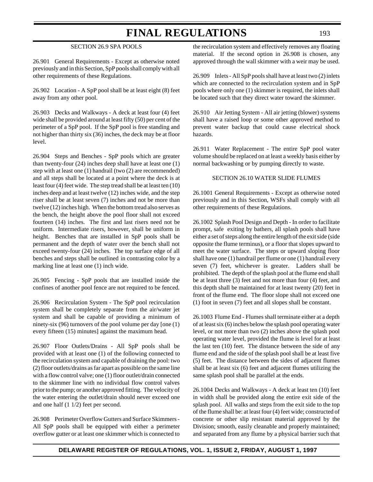26.901 General Requirements - Except as otherwise noted previously and in this Section, SpP pools shall comply with all other requirements of these Regulations.

26.902 Location - A SpP pool shall be at least eight (8) feet away from any other pool.

26.903 Decks and Walkways - A deck at least four (4) feet wide shall be provided around at least fifty (50) per cent of the perimeter of a SpP pool. If the SpP pool is free standing and not higher than thirty six (36) inches, the deck may be at floor level.

26.904 Steps and Benches - SpP pools which are greater than twenty-four (24) inches deep shall have at least one (1) step with at least one (1) handrail (two (2) are recommended) and all steps shall be located at a point where the deck is at least four (4) feet wide. The step tread shall be at least ten (10) inches deep and at least twelve (12) inches wide, and the step riser shall be at least seven (7) inches and not be more than twelve (12) inches high. When the bottom tread also serves as the bench, the height above the pool floor shall not exceed fourteen (14) inches. The first and last risers need not be uniform. Intermediate risers, however, shall be uniform in height. Benches that are installed in SpP pools shall be permanent and the depth of water over the bench shall not exceed twenty-four (24) inches. The top surface edge of all benches and steps shall be outlined in contrasting color by a marking line at least one (1) inch wide.

26.905 Fencing - SpP pools that are installed inside the confines of another pool fence are not required to be fenced.

26.906 Recirculation System - The SpP pool recirculation system shall be completely separate from the air/water jet system and shall be capable of providing a minimum of ninety-six (96) turnovers of the pool volume per day [one (1) every fifteen (15) minutes] against the maximum head.

26.907 Floor Outlets/Drains - All SpP pools shall be provided with at least one (1) of the following connected to the recirculation system and capable of draining the pool: two (2) floor outlets/drains as far apart as possible on the same line with a flow control valve; one (1) floor outlet/drain connected to the skimmer line with no individual flow control valves prior to the pump; or another approved fitting. The velocity of the water entering the outlet/drain should never exceed one and one half (1 1/2) feet per second.

26.908 Perimeter Overflow Gutters and Surface Skimmers - All SpP pools shall be equipped with either a perimeter overflow gutter or at least one skimmer which is connected to

the recirculation system and effectively removes any floating material. If the second option in 26.908 is chosen, any approved through the wall skimmer with a weir may be used.

26.909 Inlets - All SpP pools shall have at least two (2) inlets which are connected to the recirculation system and in SpP pools where only one (1) skimmer is required, the inlets shall be located such that they direct water toward the skimmer.

26.910 Air Jetting System - All air jetting (blower) systems shall have a raised loop or some other approved method to prevent water backup that could cause electrical shock hazards.

26.911 Water Replacement - The entire SpP pool water volume should be replaced on at least a weekly basis either by normal backwashing or by pumping directly to waste.

#### SECTION 26.10 WATER SLIDE FLUMES

26.1001 General Requirements - Except as otherwise noted previously and in this Section, WSFs shall comply with all other requirements of these Regulations.

26.1002 Splash Pool Design and Depth - In order to facilitate prompt, safe exiting by bathers, all splash pools shall have either a set of steps along the entire length of the exit side (side opposite the flume terminus), or a floor that slopes upward to meet the water surface. The steps or upward sloping floor shall have one (1) handrail per flume or one (1) handrail every seven (7) feet, whichever is greater. Ladders shall be prohibited. The depth of the splash pool at the flume end shall be at least three (3) feet and not more than four (4) feet, and this depth shall be maintained for at least twenty (20) feet in front of the flume end. The floor slope shall not exceed one (1) foot in seven (7) feet and all slopes shall be constant.

26.1003 Flume End - Flumes shall terminate either at a depth of at least six (6) inches below the splash pool operating water level, or not more than two (2) inches above the splash pool operating water level, provided the flume is level for at least the last ten (10) feet. The distance between the side of any flume end and the side of the splash pool shall be at least five (5) feet. The distance between the sides of adjacent flumes shall be at least six (6) feet and adjacent flumes utilizing the same splash pool shall be parallel at the ends.

26.1004 Decks and Walkways - A deck at least ten (10) feet in width shall be provided along the entire exit side of the splash pool. All walks and steps from the exit side to the top of the flume shall be: at least four (4) feet wide; constructed of concrete or other slip resistant material approved by the Division; smooth, easily cleanable and properly maintained; and separated from any flume by a physical barrier such that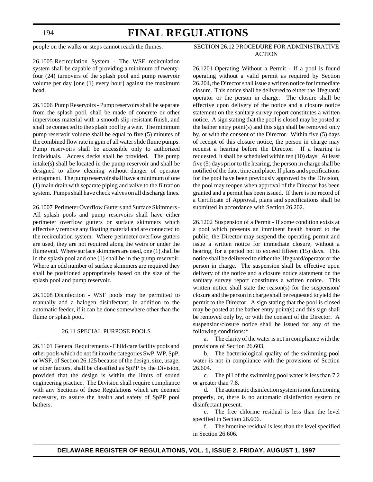people on the walks or steps cannot reach the flumes.

26.1005 Recirculation System - The WSF recirculation system shall be capable of providing a minimum of twentyfour (24) turnovers of the splash pool and pump reservoir volume per day [one (1) every hour] against the maximum head.

26.1006 Pump Reservoirs - Pump reservoirs shall be separate from the splash pool, shall be made of concrete or other impervious material with a smooth slip-resistant finish, and shall be connected to the splash pool by a weir. The minimum pump reservoir volume shall be equal to five (5) minutes of the combined flow rate in gpm of all water slide flume pumps. Pump reservoirs shall be accessible only to authorized individuals. Access decks shall be provided. The pump intake(s) shall be located in the pump reservoir and shall be designed to allow cleaning without danger of operator entrapment. The pump reservoir shall have a minimum of one (1) main drain with separate piping and valve to the filtration system. Pumps shall have check valves on all discharge lines.

26.1007 Perimeter Overflow Gutters and Surface Skimmers - All splash pools and pump reservoirs shall have either perimeter overflow gutters or surface skimmers which effectively remove any floating material and are connected to the recirculation system. Where perimeter overflow gutters are used, they are not required along the weirs or under the flume end. Where surface skimmers are used, one (1) shall be in the splash pool and one (1) shall be in the pump reservoir. Where an odd number of surface skimmers are required they shall be positioned appropriately based on the size of the splash pool and pump reservoir.

26.1008 Disinfection - WSF pools may be permitted to manually add a halogen disinfectant, in addition to the automatic feeder, if it can be done somewhere other than the flume or splash pool.

#### 26.11 SPECIAL PURPOSE POOLS

26.1101 General Requirements - Child care facility pools and other pools which do not fit into the categories SwP, WP, SpP, or WSF, of Section 26.125 because of the design, size, usage, or other factors, shall be classified as SpPP by the Division, provided that the design is within the limits of sound engineering practice. The Division shall require compliance with any Sections of these Regulations which are deemed necessary, to assure the health and safety of SpPP pool bathers.

#### SECTION 26.12 PROCEDURE FOR ADMINISTRATIVE ACTION

26.1201 Operating Without a Permit - If a pool is found operating without a valid permit as required by Section 26.204, the Director shall issue a written notice for immediate closure. This notice shall be delivered to either the lifeguard/ operator or the person in charge. The closure shall be effective upon delivery of the notice and a closure notice statement on the sanitary survey report constitutes a written notice. A sign stating that the pool is closed may be posted at the bather entry point(s) and this sign shall be removed only by, or with the consent of the Director. Within five (5) days of receipt of this closure notice, the person in charge may request a hearing before the Director. If a hearing is requested, it shall be scheduled within ten (10) days. At least five (5) days prior to the hearing, the person in charge shall be notified of the date, time and place. If plans and specifications for the pool have been previously approved by the Division, the pool may reopen when approval of the Director has been granted and a permit has been issued. If there is no record of a Certificate of Approval, plans and specifications shall be submitted in accordance with Section 26.202.

26.1202 Suspension of a Permit - If some condition exists at a pool which presents an imminent health hazard to the public, the Director may suspend the operating permit and issue a written notice for immediate closure, without a hearing, for a period not to exceed fifteen (15) days. This notice shall be delivered to either the lifeguard/operator or the person in charge. The suspension shall be effective upon delivery of the notice and a closure notice statement on the sanitary survey report constitutes a written notice. This written notice shall state the reason(s) for the suspension/ closure and the person in charge shall be requested to yield the permit to the Director. A sign stating that the pool is closed may be posted at the bather entry point(s) and this sign shall be removed only by, or with the consent of the Director. A suspension/closure notice shall be issued for any of the following conditions:\*

a. The clarity of the water is not in compliance with the provisions of Section 26.603.

b. The bacteriological quality of the swimming pool water is not in compliance with the provisions of Section 26.604.

c. The pH of the swimming pool water is less than 7.2 or greater than 7.8.

d. The automatic disinfection system is not functioning properly, or, there is no automatic disinfection system or disinfectant present.

e. The free chlorine residual is less than the level specified in Section 26.606.

f. The bromine residual is less than the level specified in Section 26.606.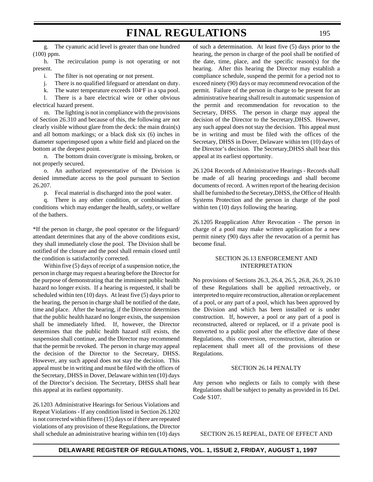g. The cyanuric acid level is greater than one hundred (100) ppm.

h. The recirculation pump is not operating or not present.

i. The filter is not operating or not present.

j. There is no qualified lifeguard or attendant on duty.

k. The water temperature exceeds 104°F in a spa pool.

l. There is a bare electrical wire or other obvious electrical hazard present.

m. The lighting is not in compliance with the provisions of Section 26.310 and because of this, the following are not clearly visible without glare from the deck: the main drain(s) and all bottom markings; or a black disk six (6) inches in diameter superimposed upon a white field and placed on the bottom at the deepest point.

n. The bottom drain cover/grate is missing, broken, or not properly secured.

o. An authorized representative of the Division is denied immediate access to the pool pursuant to Section 26.207.

p. Fecal material is discharged into the pool water.

q. There is any other condition, or combination of conditions which may endanger the health, safety, or welfare of the bathers.

\*If the person in charge, the pool operator or the lifeguard/ attendant determines that any of the above conditions exist, they shall immediately close the pool. The Division shall be notified of the closure and the pool shall remain closed until the condition is satisfactorily corrected.

Within five (5) days of receipt of a suspension notice, the person in charge may request a hearing before the Director for the purpose of demonstrating that the imminent public health hazard no longer exists. If a hearing is requested, it shall be scheduled within ten (10) days. At least five (5) days prior to the hearing, the person in charge shall be notified of the date, time and place. After the hearing, if the Director determines that the public health hazard no longer exists, the suspension shall be immediately lifted. If, however, the Director determines that the public health hazard still exists, the suspension shall continue, and the Director may recommend that the permit be revoked. The person in charge may appeal the decision of the Director to the Secretary, DHSS. However, any such appeal does not stay the decision. This appeal must be in writing and must be filed with the offices of the Secretary, DHSS in Dover, Delaware within ten (10) days of the Director's decision. The Secretary, DHSS shall hear this appeal at its earliest opportunity.

26.1203 Administrative Hearings for Serious Violations and Repeat Violations - If any condition listed in Section 26.1202 is not corrected within fifteen (15) days or if there are repeated violations of any provision of these Regulations, the Director shall schedule an administrative hearing within ten (10) days of such a determination. At least five (5) days prior to the hearing, the person in charge of the pool shall be notified of the date, time, place, and the specific reason(s) for the hearing. After this hearing the Director may establish a compliance schedule, suspend the permit for a period not to exceed ninety (90) days or may recommend revocation of the permit. Failure of the person in charge to be present for an administrative hearing shall result in automatic suspension of the permit and recommendation for revocation to the Secretary, DHSS. The person in charge may appeal the decision of the Director to the Secretary,DHSS. However, any such appeal does not stay the decision. This appeal must be in writing and must be filed with the offices of the Secretary, DHSS in Dover, Delaware within ten (10) days of the Director's decision. The Secretary,DHSS shall hear this appeal at its earliest opportunity.

26.1204 Records of Administrative Hearings - Records shall be made of all hearing proceedings and shall become documents of record. A written report of the hearing decision shall be furnished to the Secretary,DHSS, the Office of Health Systems Protection and the person in charge of the pool within ten (10) days following the hearing.

26.1205 Reapplication After Revocation - The person in charge of a pool may make written application for a new permit ninety (90) days after the revocation of a permit has become final.

#### SECTION 26.13 ENFORCEMENT AND INTERPRETATION

No provisions of Sections 26.3, 26.4, 26.5, 26.8, 26.9, 26.10 of these Regulations shall be applied retroactively, or interpreted to require reconstruction, alteration or replacement of a pool, or any part of a pool, which has been approved by the Division and which has been installed or is under construction. If, however, a pool or any part of a pool is reconstructed, altered or replaced, or if a private pool is converted to a public pool after the effective date of these Regulations, this conversion, reconstruction, alteration or replacement shall meet all of the provisions of these Regulations.

#### SECTION 26.14 PENALTY

Any person who neglects or fails to comply with these Regulations shall be subject to penalty as provided in 16 Del. Code S107.

SECTION 26.15 REPEAL, DATE OF EFFECT AND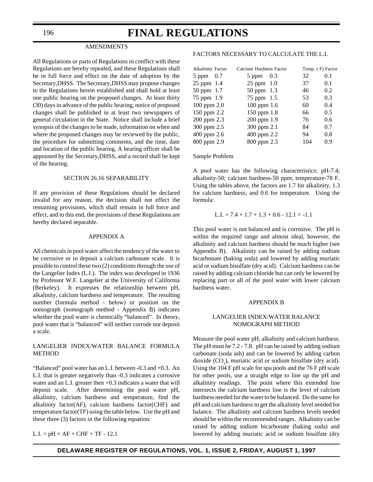#### AMENDMENTS

All Regulations or parts of Regulations in conflict with these Regulations are hereby repealed, and these Regulations shall be in full force and effect on the date of adoption by the Secretary,DHSS. The Secretary,DHSS may propose changes to the Regulations herein established and shall hold at least one public hearing on the proposed changes. At least thirty (30) days in advance of the public hearing, notice of proposed changes shall be published in at least two newspapers of general circulation in the State. Notice shall include a brief synopsis of the changes to be made, information on when and where the proposed changes may be reviewed by the public, the procedure for submitting comments, and the time, date and location of the public hearing. A hearing officer shall be appointed by the Secretary,DHSS, and a record shall be kept of the hearing.

#### SECTION 26.16 SEPARABILITY

If any provision of these Regulations should be declared invalid for any reason, the decision shall not effect the remaining provisions, which shall remain in full force and effect, and to this end, the provisions of these Regulations are hereby declared separable.

#### APPENDIX A

All chemicals in pool water affect the tendency of the water to be corrosive or to deposit a calcium carbonate scale. It is possible to control these two (2) conditions through the use of the Langelier Index (L.I.). The index was developed in 1936 by Professor W.F. Langelier at the University of California (Berkeley). It expresses the relationship between pH, alkalinity, calcium hardness and temperature. The resulting number (formula method - below) or position on the nomograph (nomograph method - Appendix B) indicates whether the pool water is chemically "balanced". In theory, pool water that is "balanced" will neither corrode nor deposit a scale.

#### LANGELIER INDEX/WATER BALANCE FORMULA **METHOD**

"Balanced" pool water has an L.I. between -0.3 and +0.3. An L.I. that is greater negatively than -0.3 indicates a corrosive water and an L.I. greater then +0.3 indicates a water that will deposit scale. After determining the pool water pH, alkalinity, calcium hardness and temperature, find the alkalinity factor(AF), calcium hardness factor(CHF) and temperature factor(TF) using the table below. Use the pH and these three (3) factors in the following equation:

 $L.I. = pH + AF + CHF + TF - 12.1$ 

#### FACTORS NECESSARY TO CALCULATE THE L.I.

| Calcium Hardness Factor | Temp. (F) Factor |     |
|-------------------------|------------------|-----|
| $5$ ppm $0.3$           | 32               | 0.1 |
| $25$ ppm $1.0$          | 37               | 0.1 |
| 50 ppm 1.3              | 46               | 0.2 |
| 75 ppm 1.5              | 53               | 0.3 |
| 100 ppm 1.6             | 60               | 0.4 |
| 150 ppm 1.8             | 66               | 0.5 |
| 200 ppm 1.9             | 76               | 0.6 |
| 300 ppm 2.1             | 84               | 0.7 |
| 400 ppm 2.2             | 94               | 0.8 |
| 800 ppm 2.5             | 104              | 0.9 |
|                         |                  |     |

Sample Problem

A pool water has the following characteristics: pH-7.4; alkalinity-50; calcium hardness-50 ppm; temperature-78 F. Using the tables above, the factors are 1.7 for alkalinity, 1.3 for calcium hardness; and 0.6 for temperature. Using the formula:

$$
L.I. = 7.4 + 1.7 + 1.3 + 0.6 - 12.1 = -1.1
$$

This pool water is not balanced and is corrosive. The pH is within the required range and almost ideal, however, the alkalinity and calcium hardness should be much higher (see Appendix B). Alkalinity can be raised by adding sodium bicarbonate (baking soda) and lowered by adding muriatic acid or sodium bisulfate (dry acid). Calcium hardness can be raised by adding calcium chloride but can only be lowered by replacing part or all of the pool water with lower calcium hardness water.

#### APPENDIX B

#### LANGELIER INDEX/WATER BALANCE NOMOGRAPH METHOD

Measure the pool water pH, alkalinity and calcium hardness. The pH must be 7.2 - 7.8. pH can be raised by adding sodium carbonate (soda ash) and can be lowered by adding carbon dioxide  $(CO_2)$ , muriatic acid or sodium bisulfate (dry acid). Using the 104 F pH scale for spa pools and the 76 F pH scale for other pools, use a straight edge to line up the pH and alkalinity readings. The point where this extended line intersects the calcium hardness line is the level of calcium hardness needed for the water to be balanced. Do the same for pH and calcium hardness to get the alkalinity level needed for balance. The alkalinity and calcium hardness levels needed should be within the recommended ranges. Alkalinity can be raised by adding sodium bicarbonate (baking soda) and lowered by adding muriatic acid or sodium bisulfate (dry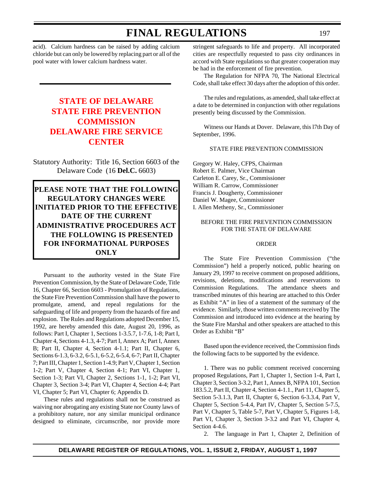acid). Calcium hardness can be raised by adding calcium chloride but can only be lowered by replacing part or all of the pool water with lower calcium hardness water.

### **STATE OF DELAWARE STATE FIRE PREVENTION COMMISSION [DELAWARE FIRE SERVICE](#page-4-0) CENTER**

Statutory Authority: Title 16, Section 6603 of the Delaware Code (16 **Del.C.** 6603)

**PLEASE NOTE THAT THE FOLLOWING REGULATORY CHANGES WERE INITIATED PRIOR TO THE EFFECTIVE DATE OF THE CURRENT ADMINISTRATIVE PROCEDURES ACT THE FOLLOWING IS PRESENTED FOR INFORMATIONAL PURPOSES ONLY**

Pursuant to the authority vested in the State Fire Prevention Commission, by the State of Delaware Code, Title 16, Chapter 66, Section 6603 - Promulgation of Regulations, the State Fire Prevention Commission shall have the power to promulgate, amend, and repeal regulations for the safeguarding of life and property from the hazards of fire and explosion. The Rules and Regulations adopted December 15, 1992, are hereby amended this date, August 20, 1996, as follows: Part I, Chapter 1, Sections 1-3.5.7, 1-7.6, 1-8; Part I, Chapter 4, Sections 4-1.3, 4-7; Part I, Annex A; Part I, Annex B; Part II, Chapter 4, Section 4-1.1; Part II, Chapter 6, Sections 6-1.3, 6-3.2, 6-5.1, 6-5.2, 6-5.4, 6-7; Part II, Chapter 7; Part III, Chapter 1, Section 1-4.9; Part V, Chapter 1, Section 1-2; Part V, Chapter 4, Section 4-1; Part VI, Chapter 1, Section 1-3; Part VI, Chapter 2, Sections 1-1, 1-2; Part VI, Chapter 3, Section 3-4; Part VI, Chapter 4, Section 4-4; Part VI, Chapter 5; Part VI, Chapter 6; Appendix D.

These rules and regulations shall not be construed as waiving nor abrogating any existing State nor County laws of a prohibitory nature, nor any similar municipal ordinance designed to eliminate, circumscribe, nor provide more

stringent safeguards to life and property. All incorporated cities are respectfully requested to pass city ordinances in accord with State regulations so that greater cooperation may be had in the enforcement of fire prevention.

The Regulation for NFPA 70, The National Electrical Code, shall take effect 30 days after the adoption of this order.

The rules and regulations, as amended, shall take effect at a date to be determined in conjunction with other regulations presently being discussed by the Commission.

Witness our Hands at Dover. Delaware, this l7th Day of September, 1996.

#### STATE FIRE PREVENTION COMMISSION

Gregory W. Haley, CFPS, Chairman Robert E. Palmer, Vice Chairman Carleton E. Carey, Sr., Commissioner William R. Carrow, Commissioner Francis J. Dougherty, Commissioner Daniel W. Magee, Commissioner I. Allen Metheny, Sr., Commissioner

#### BEFORE THE FIRE PREVENTION COMMISSION FOR THE STATE OF DELAWARE

#### ORDER

The State Fire Prevention Commission ("the Commission") held a properly noticed, public hearing on January 29, 1997 to receive comment on proposed additions, revisions, deletions, modifications and reservations to Commission Regulations. The attendance sheets and transcribed minutes of this hearing are attached to this Order as Exhibit "A" in lieu of a statement of the summary of the evidence. Similarly, those written comments received by The Commission and introduced into evidence at the hearing by the State Fire Marshal and other speakers are attached to this Order as Exhibit "B"

Based upon the evidence received, the Commission finds the following facts to be supported by the evidence.

1. There was no public comment received concerning proposed Regulations, Part 1, Chapter 1, Section 1-4, Part I, Chapter 3, Section 3-3.2, Part 1, Annex B, NFPA 101, Section 183.5.2, Part II, Chapter 4, Section 4-1.1., Part 11, Chapter 5, Section 5-3.1.3, Part II, Chapter 6, Section 6-3.3.4, Part V, Chapter 5, Section 5-4.4, Part IV, Chapter 5, Section 5-7.5, Part V, Chapter 5, Table 5-7, Part V, Chapter 5, Figures 1-8, Part VI, Chapter 3, Section 3-3.2 and Part VI, Chapter 4, Section 4-4.6.

2. The language in Part 1, Chapter 2, Definition of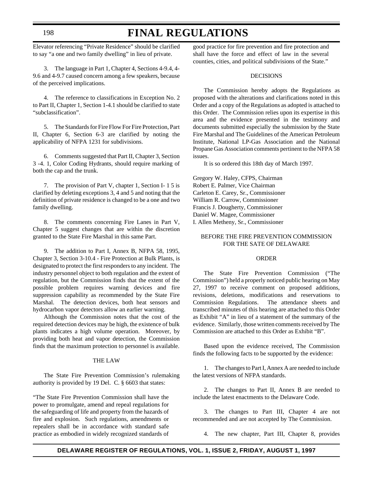Elevator referencing "Private Residence" should be clarified to say "a one and two family dwelling" in lieu of private.

3. The language in Part 1, Chapter 4, Sections 4-9.4, 4- 9.6 and 4-9.7 caused concern among a few speakers, because of the perceived implications.

4. The reference to classifications in Exception No. 2 to Part II, Chapter 1, Section 1-4.1 should be clarified to state "subclassification".

5. The Standards for Fire Flow For Fire Protection, Part II, Chapter 6, Section 6-3 are clarified by noting the applicability of NFPA 1231 for subdivisions.

6. Comments suggested that Part II, Chapter 3, Section 3 -4. 1, Color Coding Hydrants, should require marking of both the cap and the trunk.

7. The provision of Part V, chapter 1, Section I- 1 5 is clarified by deleting exceptions 3, 4 and 5 and noting that the definition of private residence is changed to be a one and two family dwelling.

8. The comments concerning Fire Lanes in Part V, Chapter 5 suggest changes that are within the discretion granted to the State Fire Marshal in this same Part.

9. The addition to Part I, Annex B, NFPA 58, 1995, Chapter 3, Section 3-10.4 - Fire Protection at Bulk Plants, is designated to protect the first responders to any incident. The industry personnel object to both regulation and the extent of regulation, but the Commission finds that the extent of the possible problem requires warning devices and fire suppression capability as recommended by the State Fire Marshal. The detection devices, both heat sensors and hydrocarbon vapor detectors allow an earlier warning.

Although the Commission notes that the cost of the required detection devices may be high, the existence of bulk plants indicates a high volume operation. Moreover, by providing both heat and vapor detection, the Commission finds that the maximum protection to personnel is available.

#### THE LAW

The State Fire Prevention Commission's rulemaking authority is provided by 19 Del. C. § 6603 that states:

"The State Fire Prevention Commission shall have the power to promulgate, amend and repeal regulations for the safeguarding of life and property from the hazards of fire and explosion. Such regulations, amendments or repealers shall be in accordance with standard safe practice as embodied in widely recognized standards of

good practice for fire prevention and fire protection and shall have the force and effect of law in the several counties, cities, and political subdivisions of the State."

#### DECISIONS

The Commission hereby adopts the Regulations as proposed with the alterations and clarifications noted in this Order and a copy of the Regulations as adopted is attached to this Order. The Commission relies upon its expertise in this area and the evidence presented in the testimony and documents submitted especially the submission by the State Fire Marshal and The Guidelines of the American Petroleum Institute, National LP-Gas Association and the National Propane Gas Association comments pertinent to the NFPA 58 issues.

It is so ordered this 18th day of March 1997.

Gregory W. Haley, CFPS, Chairman Robert E. Palmer, Vice Chairman Carleton E. Carey, Sr., Commissioner William R. Carrow, Commissioner Francis J. Dougherty, Commissioner Daniel W. Magee, Commissioner I. Allen Metheny, Sr., Commissioner

#### BEFORE THE FIRE PREVENTION COMMISSION FOR THE SATE OF DELAWARE

#### ORDER

The State Fire Prevention Commission ("The Commission") held a properly noticed public hearing on May 27, 1997 to receive comment on proposed additions, revisions, deletions, modifications and reservations to Commission Regulations. The attendance sheets and transcribed minutes of this hearing are attached to this Order as Exhibit "A" in lieu of a statement of the summary of the evidence. Similarly, those written comments received by The Commission are attached to this Order as Exhibit "B".

Based upon the evidence received, The Commission finds the following facts to be supported by the evidence:

1. The changes to Part I, Annex A are needed to include the latest versions of NFPA standards.

2. The changes to Part II, Annex B are needed to include the latest enactments to the Delaware Code.

3. The changes to Part III, Chapter 4 are not recommended and are not accepted by The Commission.

4. The new chapter, Part III, Chapter 8, provides

#### 198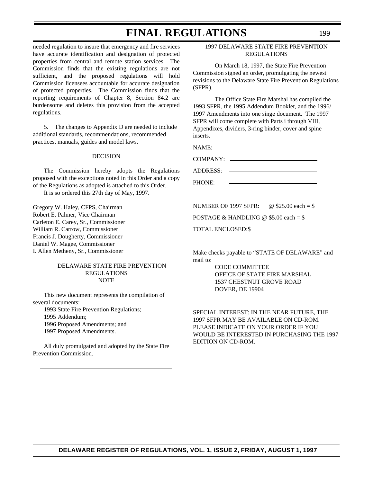needed regulation to insure that emergency and fire services have accurate identification and designation of protected properties from central and remote station services. The Commission finds that the existing regulations are not sufficient, and the proposed regulations will hold Commission licensees accountable for accurate designation of protected properties. The Commission finds that the reporting requirements of Chapter 8, Section 84.2 are burdensome and deletes this provision from the accepted regulations.

5. The changes to Appendix D are needed to include additional standards, recommendations, recommended practices, manuals, guides and model laws.

#### DECISION

The Commission hereby adopts the Regulations proposed with the exceptions noted in this Order and a copy of the Regulations as adopted is attached to this Order.

It is so ordered this 27th day of May, 1997.

Gregory W. Haley, CFPS, Chairman Robert E. Palmer, Vice Chairman Carleton E. Carey, Sr., Commissioner William R. Carrow, Commissioner Francis J. Dougherty, Commissioner Daniel W. Magee, Commissioner I. Allen Metheny, Sr., Commissioner

#### DELAWARE STATE FIRE PREVENTION REGULATIONS NOTE

This new document represents the compilation of several documents: 1993 State Fire Prevention Regulations;

1995 Addendum; 1996 Proposed Amendments; and 1997 Proposed Amendments.

All duly promulgated and adopted by the State Fire Prevention Commission.

#### 1997 DELAWARE STATE FIRE PREVENTION REGULATIONS

On March 18, 1997, the State Fire Prevention Commission signed an order, promulgating the newest revisions to the Delaware State Fire Prevention Regulations (SFPR).

The Office State Fire Marshal has compiled the 1993 SFPR, the 1995 Addendum Booklet, and the 1996/ 1997 Amendments into one singe document. The 1997 SFPR will come complete with Parts i through VIII, Appendixes, dividers, 3-ring binder, cover and spine inserts.

NAME: COMPANY:

ADDRESS:

PHONE:

NUMBER OF 1997 SFPR: @ \$25.00 each = \$

POSTAGE & HANDLING @ \$5.00 each = \$

TOTAL ENCLOSED:\$

Make checks payable to "STATE OF DELAWARE" and mail to:

> CODE COMMITTEE OFFICE OF STATE FIRE MARSHAL 1537 CHESTNUT GROVE ROAD DOVER, DE 19904

SPECIAL INTEREST: IN THE NEAR FUTURE, THE 1997 SFPR MAY BE AVAILABLE ON CD-ROM. PLEASE INDICATE ON YOUR ORDER IF YOU WOULD BE INTERESTED IN PURCHASING THE 1997 EDITION ON CD-ROM.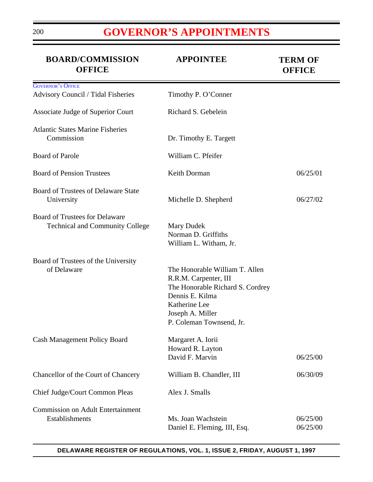# **[GOVERNOR'S APPOINTMENTS](#page-4-0)**

| <b>BOARD/COMMISSION</b><br><b>OFFICE</b>                                        | <b>APPOINTEE</b>                                                                                                                                                                | <b>TERM OF</b><br><b>OFFICE</b> |
|---------------------------------------------------------------------------------|---------------------------------------------------------------------------------------------------------------------------------------------------------------------------------|---------------------------------|
| <b>GOVERNOR'S OFFICE</b><br>Advisory Council / Tidal Fisheries                  | Timothy P. O'Conner                                                                                                                                                             |                                 |
| <b>Associate Judge of Superior Court</b>                                        | Richard S. Gebelein                                                                                                                                                             |                                 |
| <b>Atlantic States Marine Fisheries</b><br>Commission                           | Dr. Timothy E. Targett                                                                                                                                                          |                                 |
| <b>Board of Parole</b>                                                          | William C. Pfeifer                                                                                                                                                              |                                 |
| <b>Board of Pension Trustees</b>                                                | Keith Dorman                                                                                                                                                                    | 06/25/01                        |
| <b>Board of Trustees of Delaware State</b><br>University                        | Michelle D. Shepherd                                                                                                                                                            | 06/27/02                        |
| <b>Board of Trustees for Delaware</b><br><b>Technical and Community College</b> | Mary Dudek<br>Norman D. Griffiths<br>William L. Witham, Jr.                                                                                                                     |                                 |
| Board of Trustees of the University<br>of Delaware                              | The Honorable William T. Allen<br>R.R.M. Carpenter, III<br>The Honorable Richard S. Cordrey<br>Dennis E. Kilma<br>Katherine Lee<br>Joseph A. Miller<br>P. Coleman Townsend, Jr. |                                 |
| <b>Cash Management Policy Board</b>                                             | Margaret A. Iorii<br>Howard R. Layton<br>David F. Marvin                                                                                                                        | 06/25/00                        |
| Chancellor of the Court of Chancery                                             | William B. Chandler, III                                                                                                                                                        | 06/30/09                        |
| Chief Judge/Court Common Pleas                                                  | Alex J. Smalls                                                                                                                                                                  |                                 |
| <b>Commission on Adult Entertainment</b><br>Establishments                      | Ms. Joan Wachstein<br>Daniel E. Fleming, III, Esq.                                                                                                                              | 06/25/00<br>06/25/00            |

### **DELAWARE REGISTER OF REGULATIONS, VOL. 1, ISSUE 2, FRIDAY, AUGUST 1, 1997**

200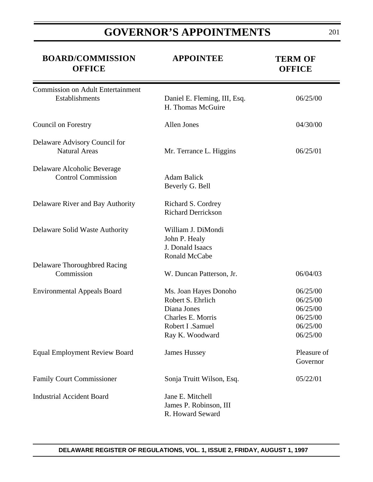# **GOVERNOR'S APPOINTMENTS**

| <b>BOARD/COMMISSION</b><br><b>OFFICE</b>                   | <b>APPOINTEE</b>                                                                                                      | <b>TERM OF</b><br><b>OFFICE</b>                                      |
|------------------------------------------------------------|-----------------------------------------------------------------------------------------------------------------------|----------------------------------------------------------------------|
| <b>Commission on Adult Entertainment</b><br>Establishments | Daniel E. Fleming, III, Esq.<br>H. Thomas McGuire                                                                     | 06/25/00                                                             |
| <b>Council on Forestry</b>                                 | Allen Jones                                                                                                           | 04/30/00                                                             |
| Delaware Advisory Council for<br><b>Natural Areas</b>      | Mr. Terrance L. Higgins                                                                                               | 06/25/01                                                             |
| Delaware Alcoholic Beverage<br><b>Control Commission</b>   | <b>Adam Balick</b><br>Beverly G. Bell                                                                                 |                                                                      |
| Delaware River and Bay Authority                           | Richard S. Cordrey<br><b>Richard Derrickson</b>                                                                       |                                                                      |
| Delaware Solid Waste Authority                             | William J. DiMondi<br>John P. Healy<br>J. Donald Isaacs<br>Ronald McCabe                                              |                                                                      |
| Delaware Thoroughbred Racing<br>Commission                 | W. Duncan Patterson, Jr.                                                                                              | 06/04/03                                                             |
| <b>Environmental Appeals Board</b>                         | Ms. Joan Hayes Donoho<br>Robert S. Ehrlich<br>Diana Jones<br>Charles E. Morris<br>Robert I .Samuel<br>Ray K. Woodward | 06/25/00<br>06/25/00<br>06/25/00<br>06/25/00<br>06/25/00<br>06/25/00 |
| <b>Equal Employment Review Board</b>                       | <b>James Hussey</b>                                                                                                   | Pleasure of<br>Governor                                              |
| <b>Family Court Commissioner</b>                           | Sonja Truitt Wilson, Esq.                                                                                             | 05/22/01                                                             |
| <b>Industrial Accident Board</b>                           | Jane E. Mitchell<br>James P. Robinson, III<br>R. Howard Seward                                                        |                                                                      |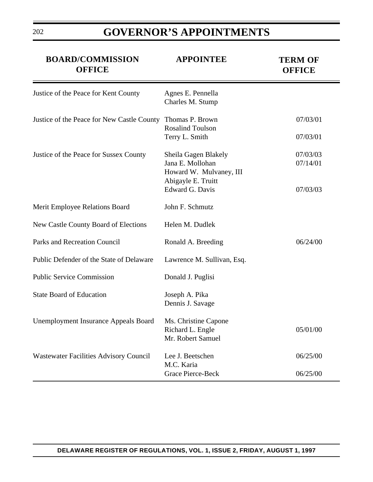# **GOVERNOR'S APPOINTMENTS**

| <b>BOARD/COMMISSION</b><br><b>OFFICE</b>      | <b>APPOINTEE</b>                                                                                                    | <b>TERM OF</b><br><b>OFFICE</b>  |
|-----------------------------------------------|---------------------------------------------------------------------------------------------------------------------|----------------------------------|
| Justice of the Peace for Kent County          | Agnes E. Pennella<br>Charles M. Stump                                                                               |                                  |
| Justice of the Peace for New Castle County    | Thomas P. Brown<br><b>Rosalind Toulson</b><br>Terry L. Smith                                                        | 07/03/01<br>07/03/01             |
| Justice of the Peace for Sussex County        | Sheila Gagen Blakely<br>Jana E. Mollohan<br>Howard W. Mulvaney, III<br>Abigayle E. Truitt<br><b>Edward G. Davis</b> | 07/03/03<br>07/14/01<br>07/03/03 |
| Merit Employee Relations Board                | John F. Schmutz                                                                                                     |                                  |
| New Castle County Board of Elections          | Helen M. Dudlek                                                                                                     |                                  |
| Parks and Recreation Council                  | Ronald A. Breeding                                                                                                  | 06/24/00                         |
| Public Defender of the State of Delaware      | Lawrence M. Sullivan, Esq.                                                                                          |                                  |
| <b>Public Service Commission</b>              | Donald J. Puglisi                                                                                                   |                                  |
| <b>State Board of Education</b>               | Joseph A. Pika<br>Dennis J. Savage                                                                                  |                                  |
| <b>Unemployment Insurance Appeals Board</b>   | Ms. Christine Capone<br>Richard L. Engle<br>Mr. Robert Samuel                                                       | 05/01/00                         |
| <b>Wastewater Facilities Advisory Council</b> | Lee J. Beetschen<br>M.C. Karia                                                                                      | 06/25/00                         |
|                                               | <b>Grace Pierce-Beck</b>                                                                                            | 06/25/00                         |

202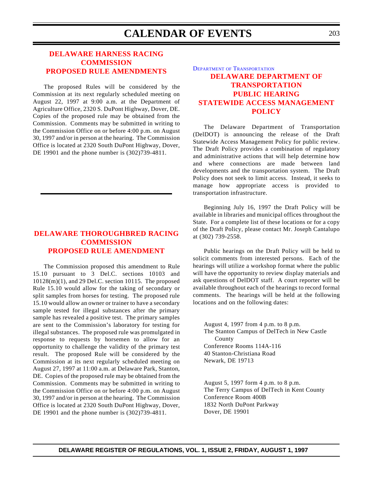### **CALENDAR OF EVENTS**

### **DELAWARE HARNESS RACING COMMISSION [PROPOSED RULE AMENDMENTS](#page-4-0)**

The proposed Rules will be considered by the Commission at its next regularly scheduled meeting on August 22, 1997 at 9:00 a.m. at the Department of Agriculture Office, 2320 S. DuPont Highway, Dover, DE. Copies of the proposed rule may be obtained from the Commission. Comments may be submitted in writing to the Commission Office on or before 4:00 p.m. on August 30, 1997 and/or in person at the hearing. The Commission Office is located at 2320 South DuPont Highway, Dover, DE 19901 and the phone number is (302)739-4811.

### **[DELAWARE THOROUGHBRED RACING](#page-4-0) COMMISSION PROPOSED RULE AMENDMENT**

The Commission proposed this amendment to Rule 15.10 pursuant to 3 Del.C. sections 10103 and 10128(m)(1), and 29 Del.C. section 10115. The proposed Rule 15.10 would allow for the taking of secondary or split samples from horses for testing. The proposed rule 15.10 would allow an owner or trainer to have a secondary sample tested for illegal substances after the primary sample has revealed a positive test. The primary samples are sent to the Commission's laboratory for testing for illegal substances. The proposed rule was promulgated in response to requests by horsemen to allow for an opportunity to challenge the validity of the primary test result. The proposed Rule will be considered by the Commission at its next regularly scheduled meeting on August 27, 1997 at 11:00 a.m. at Delaware Park, Stanton, DE. Copies of the proposed rule may be obtained from the Commission. Comments may be submitted in writing to the Commission Office on or before 4:00 p.m. on August 30, 1997 and/or in person at the hearing. The Commission Office is located at 2320 South DuPont Highway, Dover, DE 19901 and the phone number is (302)739-4811.

### DEPARTMENT OF [TRANSPORTATION](http://www.state.de.us/deldot/) **DELAWARE DEPARTMENT OF TRANSPORTATION PUBLIC HEARING [STATEWIDE ACCESS MANAGEMENT](#page-4-0) POLICY**

The Delaware Department of Transportation (DelDOT) is announcing the release of the Draft Statewide Access Management Policy for public review. The Draft Policy provides a combination of regulatory and administrative actions that will help determine how and where connections are made between land developments and the transportation system. The Draft Policy does not seek to limit access. Instead, it seeks to manage how appropriate access is provided to transportation infrastructure.

Beginning July 16, 1997 the Draft Policy will be available in libraries and municipal offices throughout the State. For a complete list of these locations or for a copy of the Draft Policy, please contact Mr. Joseph Cantalupo at (302) 739-2558.

Public hearings on the Draft Policy will be held to solicit comments from interested persons. Each of the hearings will utilize a workshop format where the public will have the opportunity to review display materials and ask questions of DelDOT staff. A court reporter will be available throughout each of the hearings to record formal comments. The hearings will be held at the following locations and on the following dates:

August 4, 1997 from 4 p.m. to 8 p.m. The Stanton Campus of DelTech in New Castle County Conference Rooms 114A-116 40 Stanton-Christiana Road Newark, DE 19713

August 5, 1997 form 4 p.m. to 8 p.m. The Terry Campus of DelTech in Kent County Conference Room 400B 1832 North DuPont Parkway Dover, DE 19901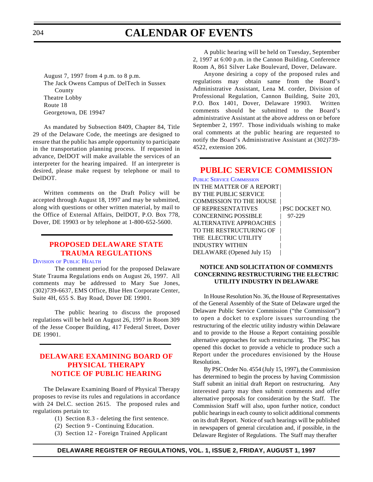## **CALENDAR OF EVENTS**

August 7, 1997 from 4 p.m. to 8 p.m. The Jack Owens Campus of DelTech in Sussex County Theatre Lobby Route 18 Georgetown, DE 19947

As mandated by Subsection 8409, Chapter 84, Title 29 of the Delaware Code, the meetings are designed to ensure that the public has ample opportunity to participate in the transportation planning process. If requested in advance, DelDOT will make available the services of an interpreter for the hearing impaired. If an interpreter is desired, please make request by telephone or mail to DelDOT.

Written comments on the Draft Policy will be accepted through August 18, 1997 and may be submitted, along with questions or other written material, by mail to the Office of External Affairs, DelDOT, P.O. Box 778, Dover, DE 19903 or by telephone at 1-800-652-5600.

### **[PROPOSED DELAWARE STATE](#page-4-0) TRAUMA REGULATIONS**

#### [DIVISION](http://www.state.de.us/govern/agencies/dhss/irm/dph/dphhome.htm) OF PUBLIC HEALTH

The comment period for the proposed Delaware State Trauma Regulations ends on August 26, 1997. All comments may be addressed to Mary Sue Jones, (302)739-6637, EMS Office, Blue Hen Corporate Center, Suite 4H, 655 S. Bay Road, Dover DE 19901.

The public hearing to discuss the proposed regulations will be held on August 26, 1997 in Room 309 of the Jesse Cooper Building, 417 Federal Street, Dover DE 19901.

### **[DELAWARE EXAMINING BOARD OF](#page-4-0) PHYSICAL THERAPY NOTICE OF PUBLIC HEARING**

The Delaware Examining Board of Physical Therapy proposes to revise its rules and regulations in accordance with 24 Del.C. section 2615. The proposed rules and regulations pertain to:

- (1) Section 8.3 deleting the first sentence.
- (2) Section 9 Continuing Education.
- (3) Section 12 Foreign Trained Applicant

A public hearing will be held on Tuesday, September 2, 1997 at 6:00 p.m. in the Cannon Building, Conference Room A, 861 Silver Lake Boulevard, Dover, Delaware.

Anyone desiring a copy of the proposed rules and regulations may obtain same from the Board's Administrative Assistant, Lena M. corder, Division of Professional Regulation, Cannon Building, Suite 203, P.O. Box 1401, Dover, Delaware 19903. Written comments should be submitted to the Board's administrative Assistant at the above address on or before September 2, 1997. Those individuals wishing to make oral comments at the public hearing are requested to notify the Board's Administrative Assistant at (302)739- 4522, extension 206.

### **[PUBLIC SERVICE COMMISSION](#page-4-0)**

| <b>PUBLIC SERVICE COMMISSION</b> |                |
|----------------------------------|----------------|
| IN THE MATTER OF A REPORT        |                |
| <b>BY THE PUBLIC SERVICE</b>     |                |
| <b>COMMISSION TO THE HOUSE</b>   |                |
| OF REPRESENTATIVES               | PSC DOCKET NO. |
| <b>CONCERNING POSSIBLE</b>       | 97-229         |
| <b>ALTERNATIVE APPROACHES</b>    |                |
| TO THE RESTRUCTURING OF          |                |
| THE ELECTRIC UTILITY             |                |
| <b>INDUSTRY WITHIN</b>           |                |
| DELAWARE (Opened July 15)        |                |

#### **NOTICE AND SOLICITATION OF COMMENTS CONCERNING RESTRUCTURING THE ELECTRIC UTILITY INDUSTRY IN DELAWARE**

In House Resolution No. 36, the House of Representatives of the General Assembly of the State of Delaware urged the Delaware Public Service Commission ("the Commission") to open a docket to explore issues surrounding the restructuring of the electric utility industry within Delaware and to provide to the House a Report containing possible alternative approaches for such restructuring. The PSC has opened this docket to provide a vehicle to produce such a Report under the procedures envisioned by the House Resolution.

By PSC Order No. 4554 (July 15, 1997), the Commission has determined to begin the process by having Commission Staff submit an initial draft Report on restructuring. Any interested party may then submit comments and offer alternative proposals for consideration by the Staff. The Commission Staff will also, upon further notice, conduct public hearings in each county to solicit additional comments on its draft Report. Notice of such hearings will be published in newspapers of general circulation and, if possible, in the Delaware Register of Regulations. The Staff may therafter